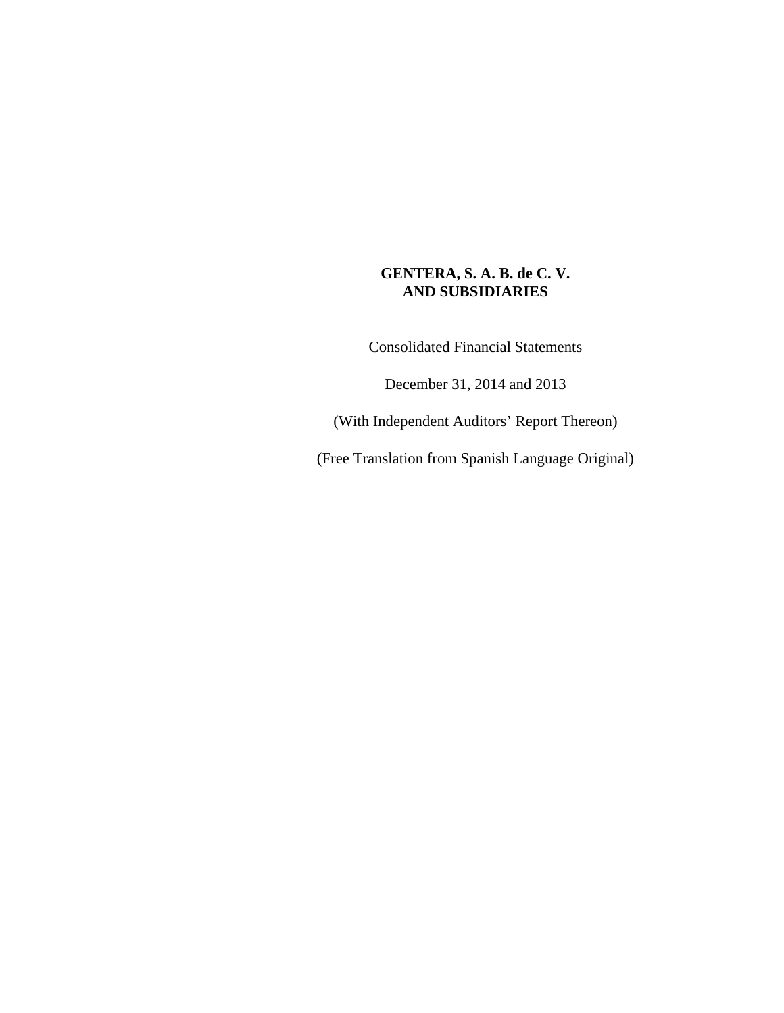Consolidated Financial Statements

December 31, 2014 and 2013

(With Independent Auditors' Report Thereon)

(Free Translation from Spanish Language Original)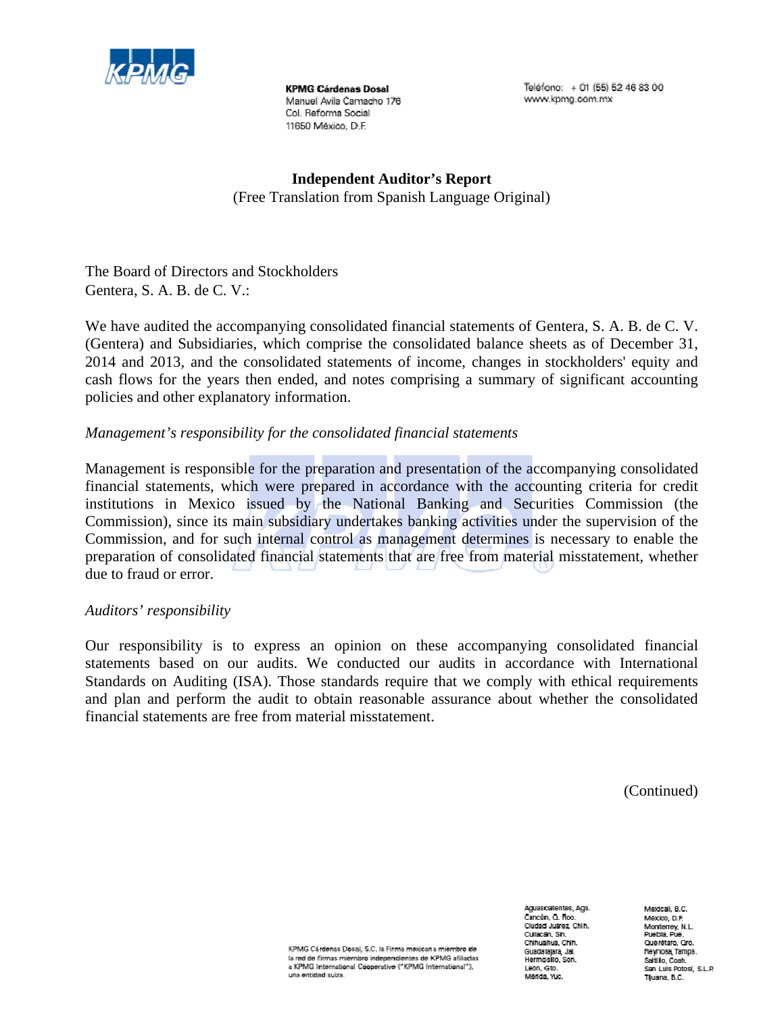

**KPMG Cárdenas Dosal** Manuel Avila Camacho 176 Col. Beforma Social 11650 México, D.F.

Teléfono: + 01 (55) 52 46 83 00 www.kpmg.com.mx

**Independent Auditor's Report**  (Free Translation from Spanish Language Original)

The Board of Directors and Stockholders Gentera, S. A. B. de C. V.:

We have audited the accompanying consolidated financial statements of Gentera, S. A. B. de C. V. (Gentera) and Subsidiaries, which comprise the consolidated balance sheets as of December 31, 2014 and 2013, and the consolidated statements of income, changes in stockholders' equity and cash flows for the years then ended, and notes comprising a summary of significant accounting policies and other explanatory information.

## *Management's responsibility for the consolidated financial statements*

Management is responsible for the preparation and presentation of the accompanying consolidated financial statements, which were prepared in accordance with the accounting criteria for credit institutions in Mexico issued by the National Banking and Securities Commission (the Commission), since its main subsidiary undertakes banking activities under the supervision of the Commission, and for such internal control as management determines is necessary to enable the preparation of consolidated financial statements that are free from material misstatement, whether due to fraud or error.

## *Auditors' responsibility*

Our responsibility is to express an opinion on these accompanying consolidated financial statements based on our audits. We conducted our audits in accordance with International Standards on Auditing (ISA). Those standards require that we comply with ethical requirements and plan and perform the audit to obtain reasonable assurance about whether the consolidated financial statements are free from material misstatement.

(Continued)

KPMG Cárdenas Dosal, S.C. la Firma mexicana miembro de la red de firmas miembro independientes de KPMG afiliadas a KPMG International Cooperative ("KPMG International"), una entiriad suiza.

Aguascalientes, Ags. Cancún O Boo Cludad Juarez, Chih. Cultorian Rin Chhuahua, Chin. Guadalajara, Jal.<br>Hermosilo, Son. León (Gin.) Marida, Yuc.

Medicali, B.C. México, D.F. Monterrey, N.L.<br>Puebla, Pue Quenturo, Oro. Reynosa Tamps. Saltillo Coah. sarane, Suan.<br>San Luis Potosi, S.L.P. Tijuana, B.C.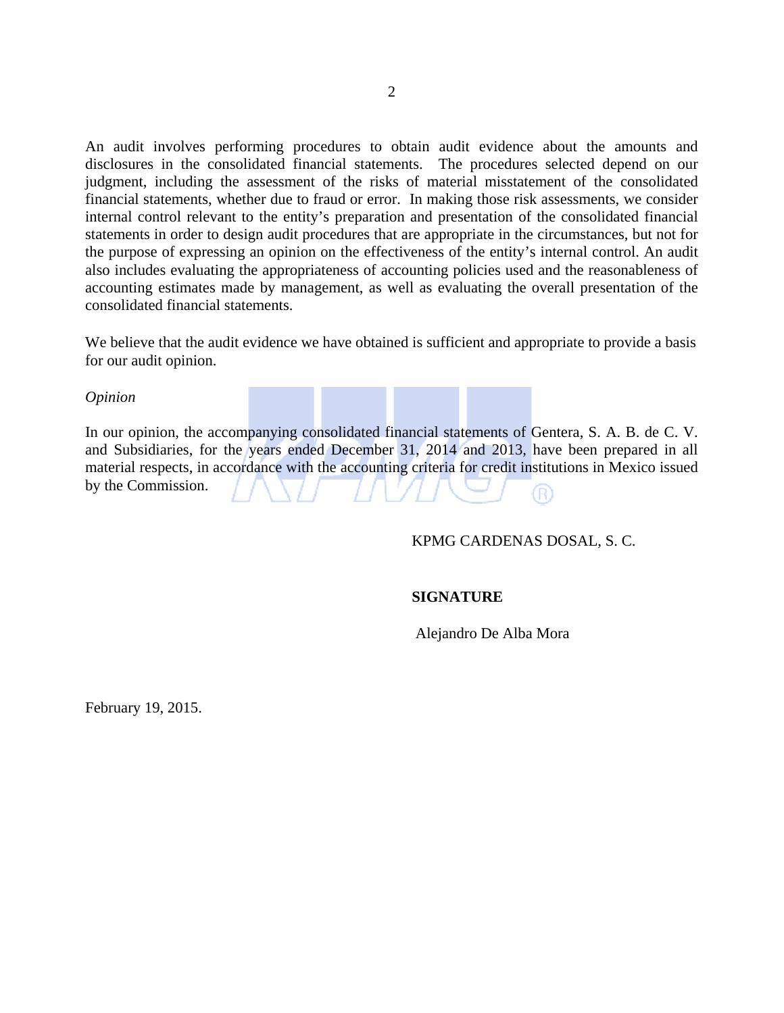An audit involves performing procedures to obtain audit evidence about the amounts and disclosures in the consolidated financial statements. The procedures selected depend on our judgment, including the assessment of the risks of material misstatement of the consolidated financial statements, whether due to fraud or error. In making those risk assessments, we consider internal control relevant to the entity's preparation and presentation of the consolidated financial statements in order to design audit procedures that are appropriate in the circumstances, but not for the purpose of expressing an opinion on the effectiveness of the entity's internal control. An audit also includes evaluating the appropriateness of accounting policies used and the reasonableness of accounting estimates made by management, as well as evaluating the overall presentation of the consolidated financial statements.

We believe that the audit evidence we have obtained is sufficient and appropriate to provide a basis for our audit opinion.

#### *Opinion*

In our opinion, the accompanying consolidated financial statements of Gentera, S. A. B. de C. V. and Subsidiaries, for the years ended December 31, 2014 and 2013, have been prepared in all material respects, in accordance with the accounting criteria for credit institutions in Mexico issued by the Commission. R)

#### KPMG CARDENAS DOSAL, S. C.

#### **SIGNATURE**

Alejandro De Alba Mora

February 19, 2015.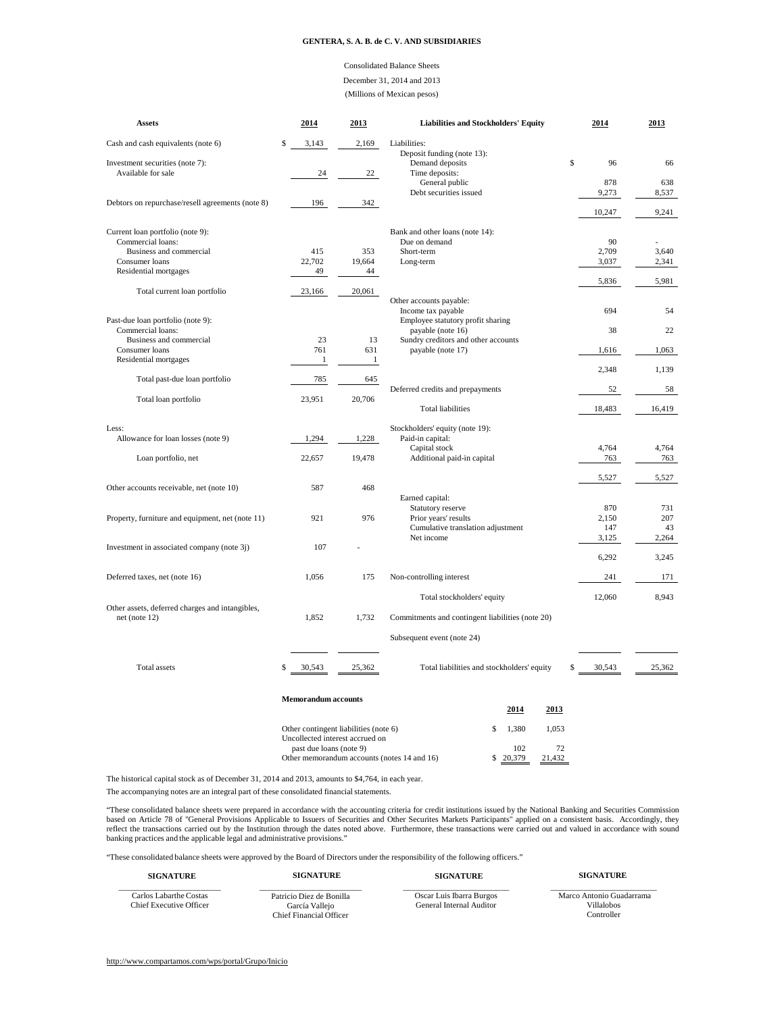#### Consolidated Balance Sheets December 31, 2014 and 2013 (Millions of Mexican pesos)

| <b>Assets</b>                                    | 2014                                                                   | 2013         | <b>Liabilities and Stockholders' Equity</b>               | 2014         | 2013         |
|--------------------------------------------------|------------------------------------------------------------------------|--------------|-----------------------------------------------------------|--------------|--------------|
| Cash and cash equivalents (note 6)               | \$<br>3,143                                                            | 2,169        | Liabilities:                                              |              |              |
| Investment securities (note 7):                  |                                                                        |              | Deposit funding (note 13):<br>Demand deposits             | Ŝ<br>96      | 66           |
| Available for sale                               | 24                                                                     | 22           | Time deposits:<br>General public                          | 878          | 638          |
| Debtors on repurchase/resell agreements (note 8) | 196                                                                    | 342          | Debt securities issued                                    | 9,273        | 8,537        |
|                                                  |                                                                        |              |                                                           | 10,247       | 9,241        |
| Current loan portfolio (note 9):                 |                                                                        |              | Bank and other loans (note 14):                           |              |              |
| Commercial loans:<br>Business and commercial     | 415                                                                    | 353          | Due on demand<br>Short-term                               | 90<br>2,709  | 3,640        |
| Consumer loans                                   | 22,702                                                                 | 19,664       | Long-term                                                 | 3,037        | 2,341        |
| Residential mortgages                            | 49                                                                     | 44           |                                                           | 5,836        | 5,981        |
| Total current loan portfolio                     | 23,166                                                                 | 20,061       |                                                           |              |              |
|                                                  |                                                                        |              | Other accounts payable:<br>Income tax payable             | 694          | 54           |
| Past-due loan portfolio (note 9):                |                                                                        |              | Employee statutory profit sharing                         |              |              |
| Commercial loans:                                |                                                                        |              | payable (note 16)                                         | 38           | 22           |
| Business and commercial<br>Consumer loans        | 23<br>761                                                              | 13<br>631    | Sundry creditors and other accounts<br>payable (note 17)  | 1,616        | 1,063        |
| Residential mortgages                            | $\mathbf{1}$                                                           | $\mathbf{1}$ |                                                           |              |              |
| Total past-due loan portfolio                    | 785                                                                    | 645          |                                                           | 2,348        | 1,139        |
|                                                  |                                                                        |              | Deferred credits and prepayments                          | 52           | 58           |
| Total loan portfolio                             | 23,951                                                                 | 20,706       | <b>Total liabilities</b>                                  | 18,483       | 16,419       |
| Less:                                            |                                                                        |              | Stockholders' equity (note 19):                           |              |              |
| Allowance for loan losses (note 9)               | 1,294                                                                  | 1,228        | Paid-in capital:                                          |              |              |
| Loan portfolio, net                              | 22,657                                                                 | 19,478       | Capital stock<br>Additional paid-in capital               | 4,764<br>763 | 4,764<br>763 |
|                                                  |                                                                        |              |                                                           |              |              |
| Other accounts receivable, net (note 10)         | 587                                                                    | 468          |                                                           | 5,527        | 5,527        |
|                                                  |                                                                        |              | Earned capital:                                           |              |              |
|                                                  |                                                                        |              | Statutory reserve                                         | 870          | 731          |
| Property, furniture and equipment, net (note 11) | 921                                                                    | 976          | Prior years' results<br>Cumulative translation adjustment | 2,150<br>147 | 207<br>43    |
|                                                  |                                                                        |              | Net income                                                | 3,125        | 2,264        |
| Investment in associated company (note 3j)       | 107                                                                    |              |                                                           | 6,292        | 3,245        |
| Deferred taxes, net (note 16)                    | 1,056                                                                  | 175          | Non-controlling interest                                  | 241          | 171          |
|                                                  |                                                                        |              |                                                           |              |              |
| Other assets, deferred charges and intangibles,  |                                                                        |              | Total stockholders' equity                                | 12,060       | 8.943        |
| net (note 12)                                    | 1,852                                                                  | 1,732        | Commitments and contingent liabilities (note 20)          |              |              |
|                                                  |                                                                        |              | Subsequent event (note 24)                                |              |              |
|                                                  |                                                                        |              |                                                           |              |              |
| <b>Total</b> assets                              | 30,543<br>\$                                                           | 25,362       | Total liabilities and stockholders' equity                | 30,543<br>\$ | 25,362       |
|                                                  | <b>Memorandum</b> accounts                                             |              |                                                           |              |              |
|                                                  |                                                                        |              | 2014<br>2013                                              |              |              |
|                                                  | Other contingent liabilities (note 6)                                  |              | \$<br>1,380<br>1,053                                      |              |              |
|                                                  | Uncollected interest accrued on                                        |              |                                                           |              |              |
|                                                  | past due loans (note 9)<br>Other memorandum accounts (notes 14 and 16) |              | 102<br>72<br>\$20,379<br>21,432                           |              |              |

The historical capital stock as of December 31, 2014 and 2013, amounts to \$4,764, in each year.

The accompanying notes are an integral part of these consolidated financial statements.

"These consolidated balance sheets were prepared in accordance with the accounting criteria for credit institutions issued by the National Banking and Securities Commission<br>based on Article 78 of "General Provisions Applic

"These consolidated balance sheets were approved by the Board of Directors under the responsibility of the following officers."

| <b>SIGNATURE</b>                                  | <b>SIGNATURE</b>                           | <b>SIGNATURE</b>                                     | <b>SIGNATURE</b>                       |
|---------------------------------------------------|--------------------------------------------|------------------------------------------------------|----------------------------------------|
| Carlos Labarthe Costas<br>Chief Executive Officer | Patricio Diez de Bonilla<br>García Vallejo | Oscar Luis Ibarra Burgos<br>General Internal Auditor | Marco Antonio Guadarrama<br>Villalobos |
|                                                   | Chief Financial Officer                    |                                                      | Controller                             |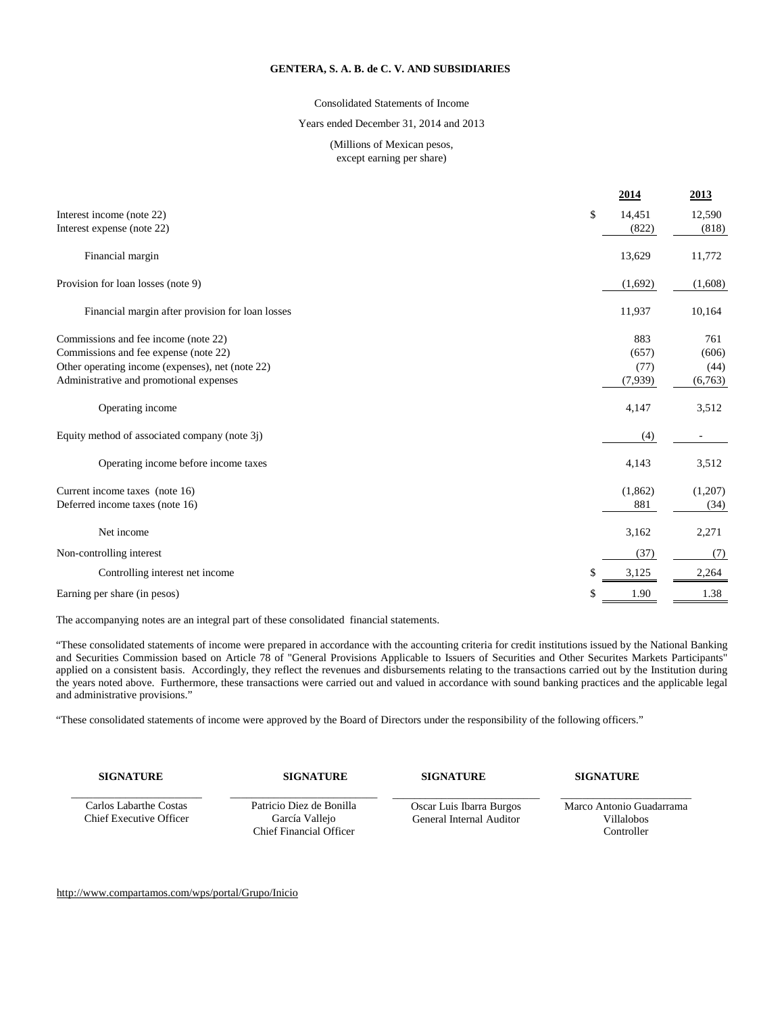#### Consolidated Statements of Income

#### Years ended December 31, 2014 and 2013

#### (Millions of Mexican pesos, except earning per share)

|                                                  | 2014         | <u>2013</u> |
|--------------------------------------------------|--------------|-------------|
| Interest income (note 22)                        | \$<br>14,451 | 12,590      |
| Interest expense (note 22)                       | (822)        | (818)       |
| Financial margin                                 | 13,629       | 11,772      |
| Provision for loan losses (note 9)               | (1,692)      | (1,608)     |
| Financial margin after provision for loan losses | 11,937       | 10,164      |
| Commissions and fee income (note 22)             | 883          | 761         |
| Commissions and fee expense (note 22)            | (657)        | (606)       |
| Other operating income (expenses), net (note 22) | (77)         | (44)        |
| Administrative and promotional expenses          | (7,939)      | (6,763)     |
| Operating income                                 | 4,147        | 3,512       |
| Equity method of associated company (note 3j)    | (4)          |             |
| Operating income before income taxes             | 4,143        | 3,512       |
| Current income taxes (note 16)                   | (1,862)      | (1,207)     |
| Deferred income taxes (note 16)                  | 881          | (34)        |
| Net income                                       | 3,162        | 2,271       |
| Non-controlling interest                         | (37)         | (7)         |
| Controlling interest net income                  | \$<br>3,125  | 2,264       |
| Earning per share (in pesos)                     | \$<br>1.90   | 1.38        |
|                                                  |              |             |

The accompanying notes are an integral part of these consolidated financial statements.

"These consolidated statements of income were prepared in accordance with the accounting criteria for credit institutions issued by the National Banking and Securities Commission based on Article 78 of "General Provisions Applicable to Issuers of Securities and Other Securites Markets Participants" applied on a consistent basis. Accordingly, they reflect the revenues and disbursements relating to the transactions carried out by the Institution during the years noted above. Furthermore, these transactions were carried out and valued in accordance with sound banking practices and the applicable legal and administrative provisions."

"These consolidated statements of income were approved by the Board of Directors under the responsibility of the following officers."

**SIGNATURE SIGNATURE SIGNATURE SIGNATURE**

\_\_\_\_\_\_\_\_\_\_\_\_\_\_\_\_\_\_\_\_\_\_\_\_ Carlos Labarthe Costas Chief Executive Officer

\_\_\_\_\_\_\_\_\_\_\_\_\_\_\_\_\_\_\_\_\_\_\_\_\_\_\_ Patricio Diez de Bonilla García Vallejo Chief Financial Officer

\_\_\_\_\_\_\_\_\_\_\_\_\_\_\_\_\_\_\_\_\_\_\_\_\_\_\_ Oscar Luis Ibarra Burgos General Internal Auditor

 $\overline{\phantom{a}}$  , which is a set of the set of the set of the set of the set of the set of the set of the set of the set of the set of the set of the set of the set of the set of the set of the set of the set of the set of th Marco Antonio Guadarrama Villalobos Controller

<http://www.compartamos.com/wps/portal/Grupo/Inicio>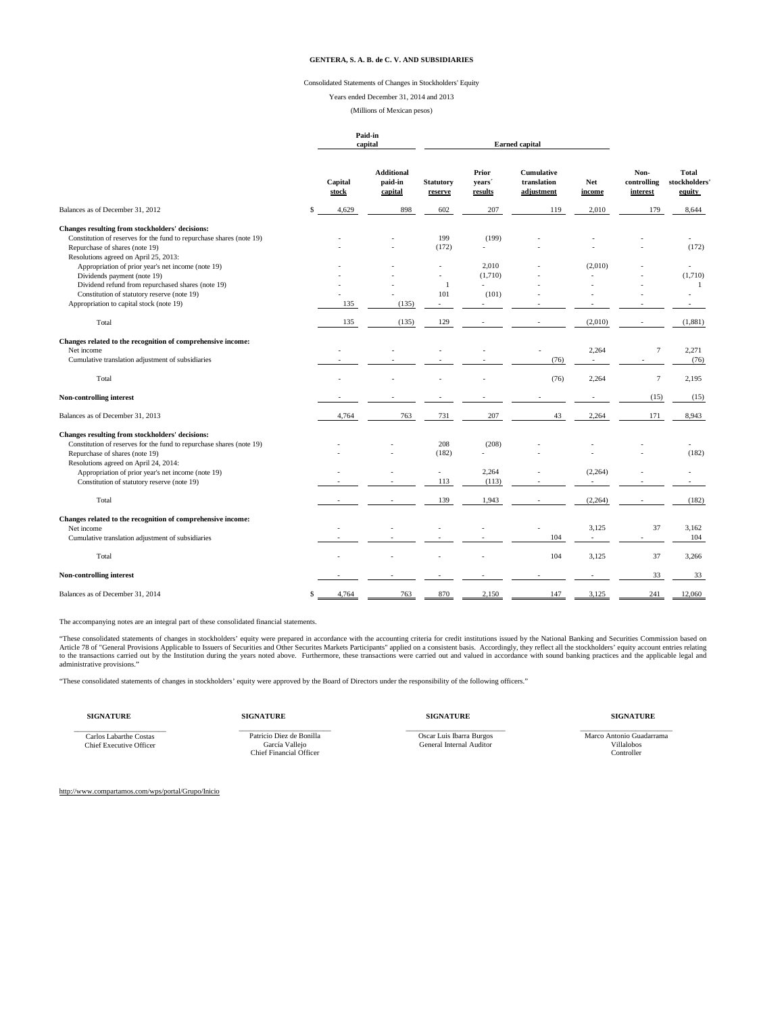#### Consolidated Statements of Changes in Stockholders' Equity

Years ended December 31, 2014 and 2013

(Millions of Mexican pesos)

**Paid-in**

|                                                                                         |                  | capital                                 |                             | <b>Earned</b> capital      |                                                |                |                                 |                                        |
|-----------------------------------------------------------------------------------------|------------------|-----------------------------------------|-----------------------------|----------------------------|------------------------------------------------|----------------|---------------------------------|----------------------------------------|
|                                                                                         | Capital<br>stock | <b>Additional</b><br>paid-in<br>capital | <b>Statutory</b><br>reserve | Prior<br>vears'<br>results | <b>Cumulative</b><br>translation<br>adjustment | Net<br>income  | Non-<br>controlling<br>interest | <b>Total</b><br>stockholders<br>equity |
| Balances as of December 31, 2012                                                        | 4,629<br>\$      | 898                                     | 602                         | 207                        | 119                                            | 2,010          | 179                             | 8,644                                  |
| Changes resulting from stockholders' decisions:                                         |                  |                                         |                             |                            |                                                |                |                                 |                                        |
| Constitution of reserves for the fund to repurchase shares (note 19)                    |                  |                                         | 199                         | (199)                      |                                                |                |                                 |                                        |
| Repurchase of shares (note 19)                                                          |                  |                                         | (172)                       | L.                         |                                                |                |                                 | (172)                                  |
| Resolutions agreed on April 25, 2013:                                                   |                  |                                         |                             |                            |                                                |                |                                 |                                        |
| Appropriation of prior year's net income (note 19)                                      |                  |                                         |                             | 2.010                      |                                                | (2,010)        |                                 | $\sim$                                 |
| Dividends payment (note 19)                                                             |                  |                                         |                             | (1,710)                    |                                                |                |                                 | (1,710)                                |
| Dividend refund from repurchased shares (note 19)                                       |                  |                                         | $\mathbf{1}$                | $\mathbf{r}$               |                                                |                |                                 | -1                                     |
| Constitution of statutory reserve (note 19)<br>Appropriation to capital stock (note 19) | 135              | (135)                                   | 101<br>$\sim$               | (101)<br>÷.                |                                                |                |                                 |                                        |
|                                                                                         |                  |                                         |                             |                            |                                                |                |                                 |                                        |
| Total                                                                                   | 135              | (135)                                   | 129                         |                            |                                                | (2,010)        |                                 | (1,881)                                |
| Changes related to the recognition of comprehensive income:                             |                  |                                         |                             |                            |                                                |                |                                 |                                        |
| Net income                                                                              |                  |                                         |                             |                            |                                                | 2,264          | $\boldsymbol{7}$                | 2,271                                  |
| Cumulative translation adjustment of subsidiaries                                       |                  |                                         |                             |                            | (76)                                           |                |                                 | (76)                                   |
| Total                                                                                   |                  |                                         |                             |                            | (76)                                           | 2,264          | $7\phantom{.0}$                 | 2,195                                  |
| Non-controlling interest                                                                |                  |                                         |                             |                            |                                                |                | (15)                            | (15)                                   |
| Balances as of December 31, 2013                                                        | 4,764            | 763                                     | 731                         | 207                        | 43                                             | 2,264          | 171                             | 8,943                                  |
| Changes resulting from stockholders' decisions:                                         |                  |                                         |                             |                            |                                                |                |                                 |                                        |
| Constitution of reserves for the fund to repurchase shares (note 19)                    |                  |                                         | 208                         | (208)                      |                                                |                |                                 |                                        |
| Repurchase of shares (note 19)                                                          |                  |                                         | (182)                       |                            |                                                |                |                                 | (182)                                  |
| Resolutions agreed on April 24, 2014:                                                   |                  |                                         |                             |                            |                                                |                |                                 |                                        |
| Appropriation of prior year's net income (note 19)                                      |                  |                                         | $\sim$                      | 2,264                      |                                                | (2, 264)       |                                 |                                        |
| Constitution of statutory reserve (note 19)                                             |                  |                                         | 113                         | (113)                      |                                                | $\overline{a}$ |                                 |                                        |
| Total                                                                                   |                  |                                         | 139                         | 1,943                      |                                                | (2, 264)       |                                 | (182)                                  |
| Changes related to the recognition of comprehensive income:                             |                  |                                         |                             |                            |                                                |                |                                 |                                        |
| Net income                                                                              |                  |                                         |                             |                            | ä,                                             | 3,125          | 37                              | 3,162                                  |
| Cumulative translation adjustment of subsidiaries                                       |                  |                                         |                             |                            | 104                                            | $\sim$         |                                 | 104                                    |
| Total                                                                                   |                  |                                         |                             |                            | 104                                            | 3,125          | 37                              | 3,266                                  |
| Non-controlling interest                                                                |                  |                                         |                             |                            |                                                |                | 33                              | 33                                     |
| Balances as of December 31, 2014                                                        | \$<br>4,764      | 763                                     | 870                         | 2,150                      | 147                                            | 3,125          | 241                             | 12,060                                 |

The accompanying notes are an integral part of these consolidated financial statements.

"These consolidated statements of changes in stockholders' equity were prepared in accordance with the accounting criteria for credit institutions issued by the National Banking and Securities Commission based or "General administrative provisions."

"These consolidated statements of changes in stockholders' equity were approved by the Board of Directors under the responsibility of the following officers."

\_\_\_\_\_\_\_\_\_\_\_\_\_\_\_\_\_\_\_\_\_\_\_\_\_ Carlos Labarthe Costas Chief Executive Officer

\_\_\_\_\_\_\_\_\_\_\_\_\_\_\_\_\_\_\_\_\_\_\_\_\_ Patricio Diez de Bonilla García Vallejo Chief Financial Officer

**SIGNATURE SIGNATURE SIGNATURE SIGNATURE**

\_\_\_\_\_\_\_\_\_\_\_\_\_\_\_\_\_\_\_\_\_\_\_\_\_\_\_ Oscar Luis Ibarra Burgos General Internal Auditor

\_\_\_\_\_\_\_\_\_\_\_\_\_\_\_\_\_\_\_\_\_\_\_\_\_ Marco Antonio Guadarrama Villalobos **Controller** 

[http://www.compartamos.com/wps/portal/Grupo/Inicio](http://www.compartamos.com/wps/portal/InformacionFinanciera)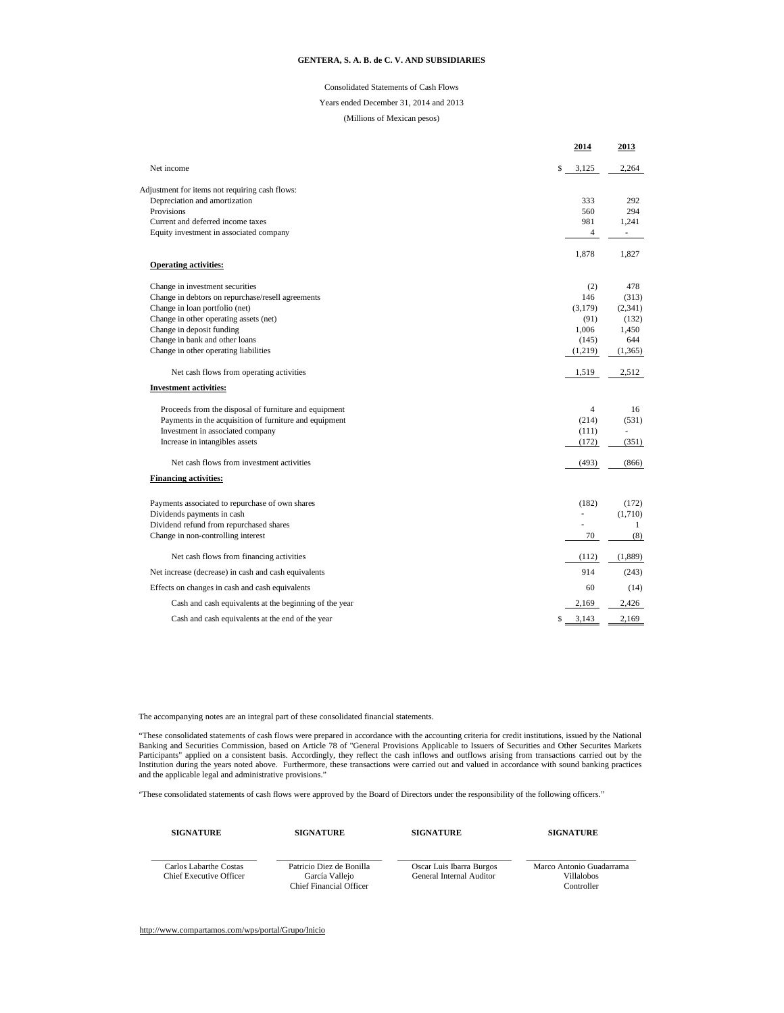#### Consolidated Statements of Cash Flows

Years ended December 31, 2014 and 2013

(Millions of Mexican pesos)

|                                                                                      |    | 2014           | 2013         |
|--------------------------------------------------------------------------------------|----|----------------|--------------|
| Net income                                                                           | Ŝ  | 3,125          | 2,264        |
| Adjustment for items not requiring cash flows:                                       |    |                |              |
| Depreciation and amortization                                                        |    | 333            | 292          |
| Provisions                                                                           |    | 560            | 294          |
| Current and deferred income taxes                                                    |    | 981            | 1,241        |
| Equity investment in associated company                                              |    | $\overline{4}$ |              |
| <b>Operating activities:</b>                                                         |    | 1,878          | 1,827        |
|                                                                                      |    |                |              |
| Change in investment securities<br>Change in debtors on repurchase/resell agreements |    | (2)<br>146     | 478<br>(313) |
| Change in loan portfolio (net)                                                       |    | (3,179)        | (2, 341)     |
| Change in other operating assets (net)                                               |    | (91)           | (132)        |
| Change in deposit funding                                                            |    | 1,006          | 1.450        |
| Change in bank and other loans                                                       |    | (145)          | 644          |
| Change in other operating liabilities                                                |    | (1,219)        | (1, 365)     |
| Net cash flows from operating activities                                             |    | 1,519          | 2,512        |
| <b>Investment activities:</b>                                                        |    |                |              |
| Proceeds from the disposal of furniture and equipment                                |    | $\overline{4}$ | 16           |
| Payments in the acquisition of furniture and equipment                               |    | (214)          | (531)        |
| Investment in associated company                                                     |    | (111)          |              |
| Increase in intangibles assets                                                       |    | (172)          | (351)        |
| Net cash flows from investment activities                                            |    | (493)          | (866)        |
| <b>Financing activities:</b>                                                         |    |                |              |
| Payments associated to repurchase of own shares                                      |    | (182)          | (172)        |
| Dividends payments in cash                                                           |    | ä,             | (1,710)      |
| Dividend refund from repurchased shares                                              |    |                | 1            |
| Change in non-controlling interest                                                   |    | 70             | (8)          |
| Net cash flows from financing activities                                             |    | (112)          | (1,889)      |
| Net increase (decrease) in cash and cash equivalents                                 |    | 914            | (243)        |
| Effects on changes in cash and cash equivalents                                      |    | 60             | (14)         |
| Cash and cash equivalents at the beginning of the year                               |    | 2,169          | 2,426        |
| Cash and cash equivalents at the end of the year                                     | S. | 3,143          | 2.169        |

The accompanying notes are an integral part of these consolidated financial statements.

"These consolidated statements of cash flows were prepared in accordance with the accounting criteria for credit institutions, issued by the National Banking and Securities Commission, based on Article 78 of "General Provi

"These consolidated statements of cash flows were approved by the Board of Directors under the responsibility of the following officers."

| <b>SIGNATURE</b>                                  | <b>SIGNATURE</b>                                                      | <b>SIGNATURE</b>                                     | <b>SIGNATURE</b>                                            |
|---------------------------------------------------|-----------------------------------------------------------------------|------------------------------------------------------|-------------------------------------------------------------|
| Carlos Labarthe Costas<br>Chief Executive Officer | Patricio Diez de Bonilla<br>García Vallejo<br>Chief Financial Officer | Oscar Luis Ibarra Burgos<br>General Internal Auditor | Marco Antonio Guadarrama<br><b>Villalobos</b><br>Controller |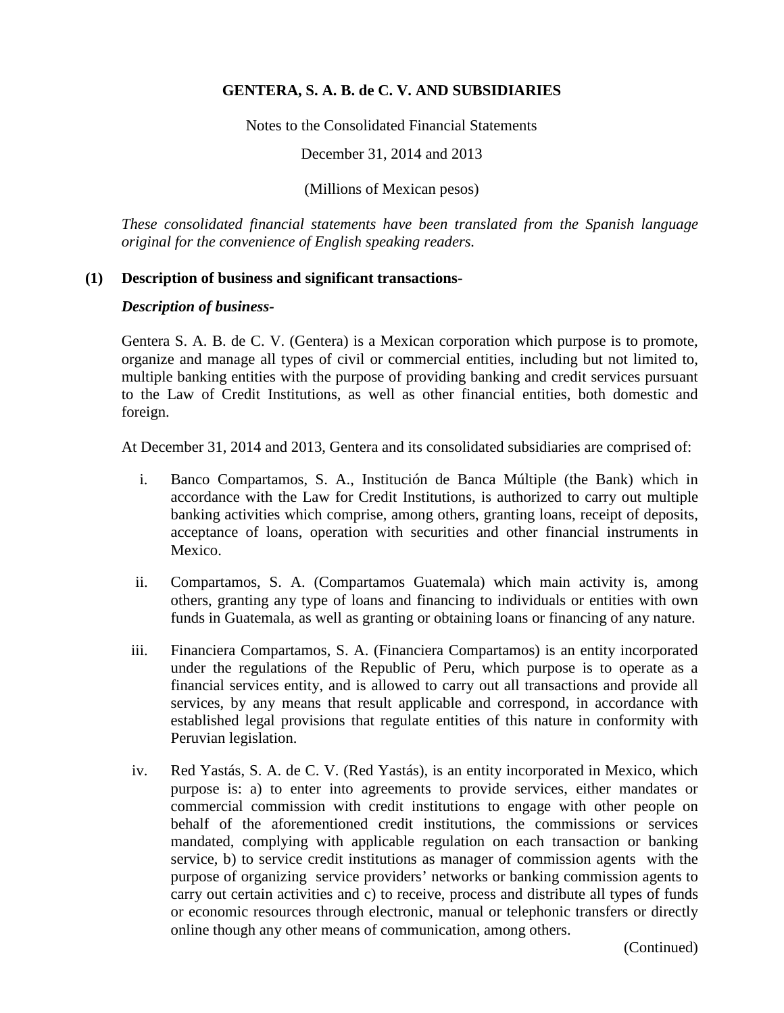Notes to the Consolidated Financial Statements

December 31, 2014 and 2013

(Millions of Mexican pesos)

*These consolidated financial statements have been translated from the Spanish language original for the convenience of English speaking readers.*

## **(1) Description of business and significant transactions-**

#### *Description of business-*

Gentera S. A. B. de C. V. (Gentera) is a Mexican corporation which purpose is to promote, organize and manage all types of civil or commercial entities, including but not limited to, multiple banking entities with the purpose of providing banking and credit services pursuant to the Law of Credit Institutions, as well as other financial entities, both domestic and foreign.

At December 31, 2014 and 2013, Gentera and its consolidated subsidiaries are comprised of:

- i. Banco Compartamos, S. A., Institución de Banca Múltiple (the Bank) which in accordance with the Law for Credit Institutions, is authorized to carry out multiple banking activities which comprise, among others, granting loans, receipt of deposits, acceptance of loans, operation with securities and other financial instruments in Mexico.
- ii. Compartamos, S. A. (Compartamos Guatemala) which main activity is, among others, granting any type of loans and financing to individuals or entities with own funds in Guatemala, as well as granting or obtaining loans or financing of any nature.
- iii. Financiera Compartamos, S. A. (Financiera Compartamos) is an entity incorporated under the regulations of the Republic of Peru, which purpose is to operate as a financial services entity, and is allowed to carry out all transactions and provide all services, by any means that result applicable and correspond, in accordance with established legal provisions that regulate entities of this nature in conformity with Peruvian legislation.
- iv. Red Yastás, S. A. de C. V. (Red Yastás), is an entity incorporated in Mexico, which purpose is: a) to enter into agreements to provide services, either mandates or commercial commission with credit institutions to engage with other people on behalf of the aforementioned credit institutions, the commissions or services mandated, complying with applicable regulation on each transaction or banking service, b) to service credit institutions as manager of commission agents with the purpose of organizing service providers' networks or banking commission agents to carry out certain activities and c) to receive, process and distribute all types of funds or economic resources through electronic, manual or telephonic transfers or directly online though any other means of communication, among others.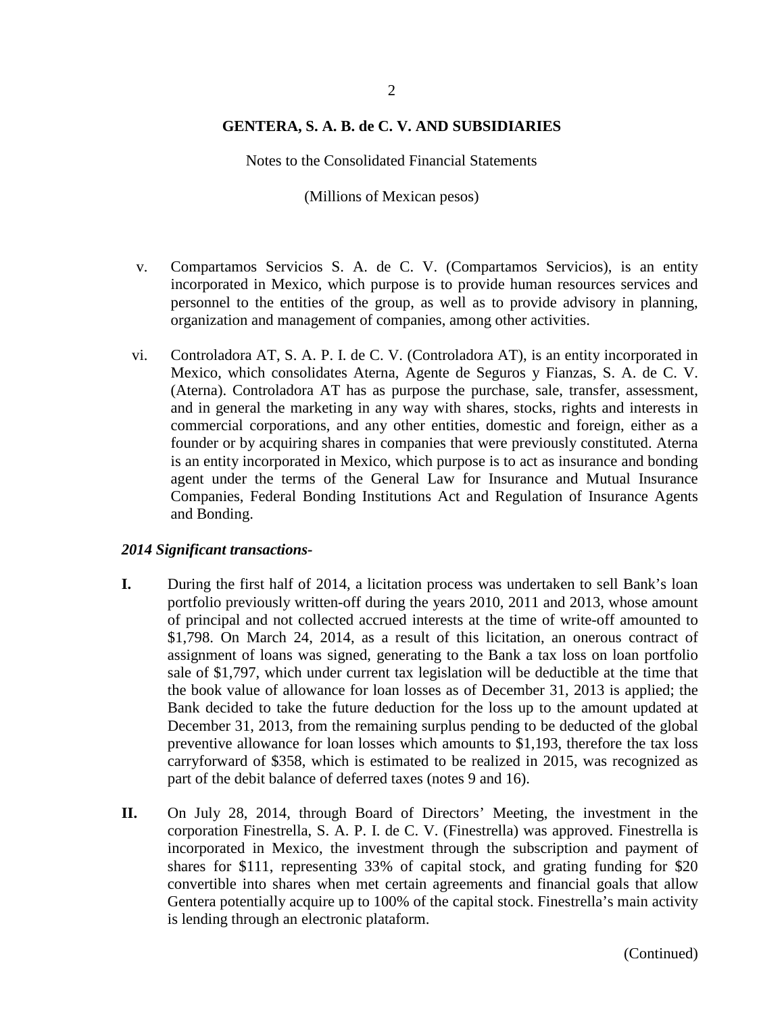Notes to the Consolidated Financial Statements

(Millions of Mexican pesos)

- v. Compartamos Servicios S. A. de C. V. (Compartamos Servicios), is an entity incorporated in Mexico, which purpose is to provide human resources services and personnel to the entities of the group, as well as to provide advisory in planning, organization and management of companies, among other activities.
- vi. Controladora AT, S. A. P. I. de C. V. (Controladora AT), is an entity incorporated in Mexico, which consolidates Aterna, Agente de Seguros y Fianzas, S. A. de C. V. (Aterna). Controladora AT has as purpose the purchase, sale, transfer, assessment, and in general the marketing in any way with shares, stocks, rights and interests in commercial corporations, and any other entities, domestic and foreign, either as a founder or by acquiring shares in companies that were previously constituted. Aterna is an entity incorporated in Mexico, which purpose is to act as insurance and bonding agent under the terms of the General Law for Insurance and Mutual Insurance Companies, Federal Bonding Institutions Act and Regulation of Insurance Agents and Bonding.

#### *2014 Significant transactions-*

- **I.** During the first half of 2014, a licitation process was undertaken to sell Bank's loan portfolio previously written-off during the years 2010, 2011 and 2013, whose amount of principal and not collected accrued interests at the time of write-off amounted to \$1,798. On March 24, 2014, as a result of this licitation, an onerous contract of assignment of loans was signed, generating to the Bank a tax loss on loan portfolio sale of \$1,797, which under current tax legislation will be deductible at the time that the book value of allowance for loan losses as of December 31, 2013 is applied; the Bank decided to take the future deduction for the loss up to the amount updated at December 31, 2013, from the remaining surplus pending to be deducted of the global preventive allowance for loan losses which amounts to \$1,193, therefore the tax loss carryforward of \$358, which is estimated to be realized in 2015, was recognized as part of the debit balance of deferred taxes (notes 9 and 16).
- **II.** On July 28, 2014, through Board of Directors' Meeting, the investment in the corporation Finestrella, S. A. P. I. de C. V. (Finestrella) was approved. Finestrella is incorporated in Mexico, the investment through the subscription and payment of shares for \$111, representing 33% of capital stock, and grating funding for \$20 convertible into shares when met certain agreements and financial goals that allow Gentera potentially acquire up to 100% of the capital stock. Finestrella's main activity is lending through an electronic plataform.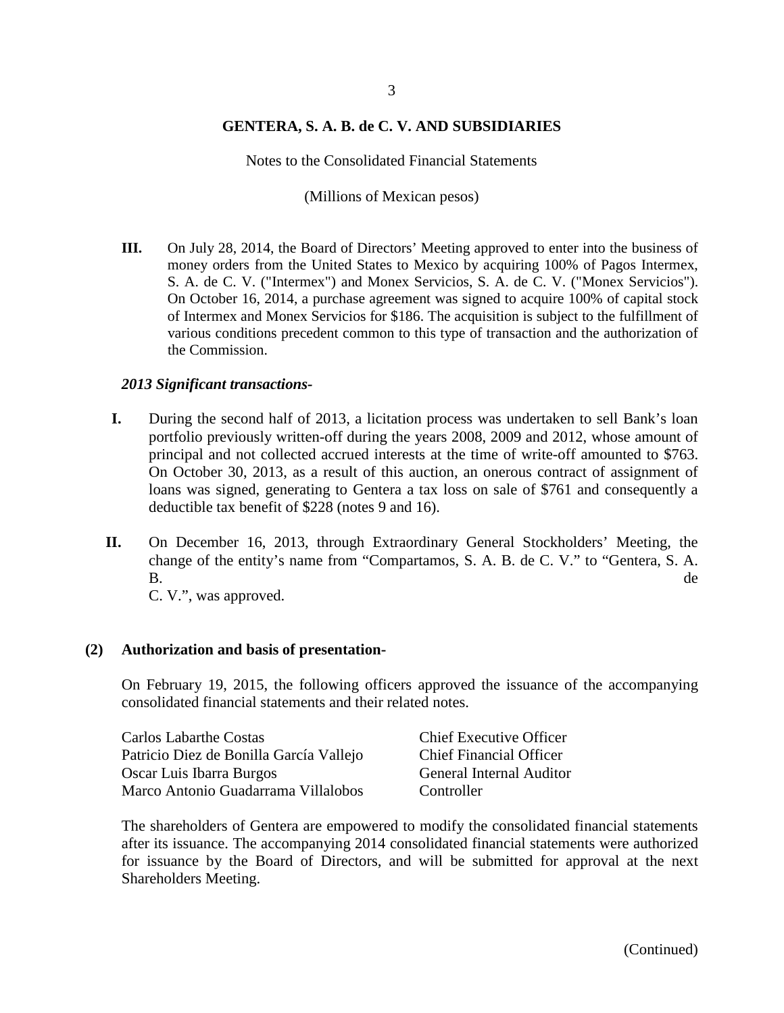Notes to the Consolidated Financial Statements

(Millions of Mexican pesos)

**III.** On July 28, 2014, the Board of Directors' Meeting approved to enter into the business of money orders from the United States to Mexico by acquiring 100% of Pagos Intermex, S. A. de C. V. ("Intermex") and Monex Servicios, S. A. de C. V. ("Monex Servicios"). On October 16, 2014, a purchase agreement was signed to acquire 100% of capital stock of Intermex and Monex Servicios for \$186. The acquisition is subject to the fulfillment of various conditions precedent common to this type of transaction and the authorization of the Commission.

#### *2013 Significant transactions-*

- **I.** During the second half of 2013, a licitation process was undertaken to sell Bank's loan portfolio previously written-off during the years 2008, 2009 and 2012, whose amount of principal and not collected accrued interests at the time of write-off amounted to \$763. On October 30, 2013, as a result of this auction, an onerous contract of assignment of loans was signed, generating to Gentera a tax loss on sale of \$761 and consequently a deductible tax benefit of \$228 (notes 9 and 16).
- **II.** On December 16, 2013, through Extraordinary General Stockholders' Meeting, the change of the entity's name from "Compartamos, S. A. B. de C. V." to "Gentera, S. A. B. de la contradiction de la contradiction de la contradiction de la contradiction de la contradiction de la contradiction de la contradiction de la contradiction de la contradiction de la contradiction de la contradiction C. V.", was approved.

## **(2) Authorization and basis of presentation-**

On February 19, 2015, the following officers approved the issuance of the accompanying consolidated financial statements and their related notes.

| <b>Carlos Labarthe Costas</b>           | <b>Chief Executive Officer</b>  |
|-----------------------------------------|---------------------------------|
| Patricio Diez de Bonilla García Vallejo | <b>Chief Financial Officer</b>  |
| Oscar Luis Ibarra Burgos                | <b>General Internal Auditor</b> |
| Marco Antonio Guadarrama Villalobos     | Controller                      |

The shareholders of Gentera are empowered to modify the consolidated financial statements after its issuance. The accompanying 2014 consolidated financial statements were authorized for issuance by the Board of Directors, and will be submitted for approval at the next Shareholders Meeting.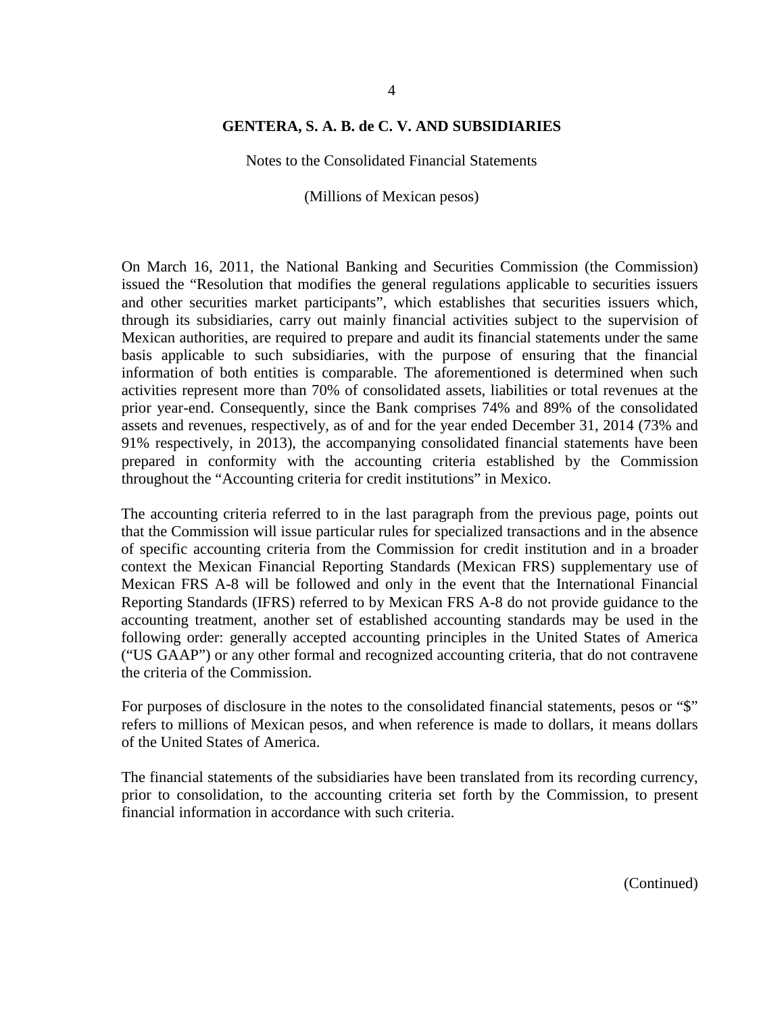Notes to the Consolidated Financial Statements

(Millions of Mexican pesos)

On March 16, 2011, the National Banking and Securities Commission (the Commission) issued the "Resolution that modifies the general regulations applicable to securities issuers and other securities market participants", which establishes that securities issuers which, through its subsidiaries, carry out mainly financial activities subject to the supervision of Mexican authorities, are required to prepare and audit its financial statements under the same basis applicable to such subsidiaries, with the purpose of ensuring that the financial information of both entities is comparable. The aforementioned is determined when such activities represent more than 70% of consolidated assets, liabilities or total revenues at the prior year-end. Consequently, since the Bank comprises 74% and 89% of the consolidated assets and revenues, respectively, as of and for the year ended December 31, 2014 (73% and 91% respectively, in 2013), the accompanying consolidated financial statements have been prepared in conformity with the accounting criteria established by the Commission throughout the "Accounting criteria for credit institutions" in Mexico.

The accounting criteria referred to in the last paragraph from the previous page, points out that the Commission will issue particular rules for specialized transactions and in the absence of specific accounting criteria from the Commission for credit institution and in a broader context the Mexican Financial Reporting Standards (Mexican FRS) supplementary use of Mexican FRS A-8 will be followed and only in the event that the International Financial Reporting Standards (IFRS) referred to by Mexican FRS A-8 do not provide guidance to the accounting treatment, another set of established accounting standards may be used in the following order: generally accepted accounting principles in the United States of America ("US GAAP") or any other formal and recognized accounting criteria, that do not contravene the criteria of the Commission.

For purposes of disclosure in the notes to the consolidated financial statements, pesos or "\$" refers to millions of Mexican pesos, and when reference is made to dollars, it means dollars of the United States of America.

The financial statements of the subsidiaries have been translated from its recording currency, prior to consolidation, to the accounting criteria set forth by the Commission, to present financial information in accordance with such criteria.

4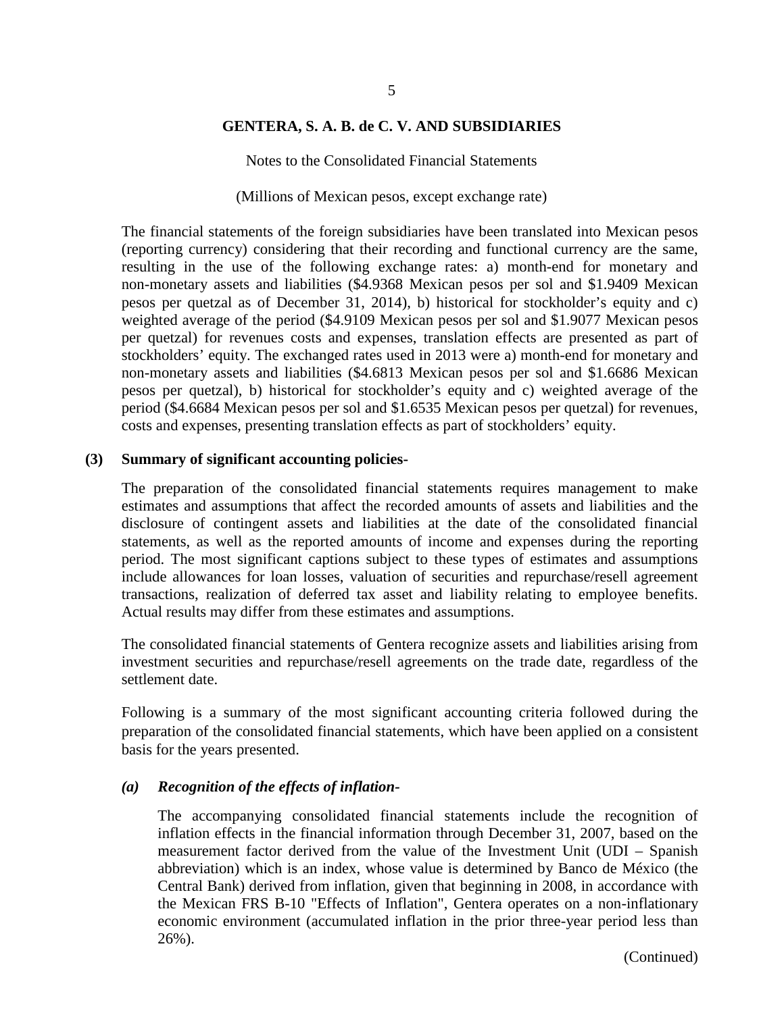Notes to the Consolidated Financial Statements

(Millions of Mexican pesos, except exchange rate)

The financial statements of the foreign subsidiaries have been translated into Mexican pesos (reporting currency) considering that their recording and functional currency are the same, resulting in the use of the following exchange rates: a) month-end for monetary and non-monetary assets and liabilities (\$4.9368 Mexican pesos per sol and \$1.9409 Mexican pesos per quetzal as of December 31, 2014), b) historical for stockholder's equity and c) weighted average of the period (\$4.9109 Mexican pesos per sol and \$1.9077 Mexican pesos per quetzal) for revenues costs and expenses, translation effects are presented as part of stockholders' equity. The exchanged rates used in 2013 were a) month-end for monetary and non-monetary assets and liabilities (\$4.6813 Mexican pesos per sol and \$1.6686 Mexican pesos per quetzal), b) historical for stockholder's equity and c) weighted average of the period (\$4.6684 Mexican pesos per sol and \$1.6535 Mexican pesos per quetzal) for revenues, costs and expenses, presenting translation effects as part of stockholders' equity.

#### **(3) Summary of significant accounting policies-**

The preparation of the consolidated financial statements requires management to make estimates and assumptions that affect the recorded amounts of assets and liabilities and the disclosure of contingent assets and liabilities at the date of the consolidated financial statements, as well as the reported amounts of income and expenses during the reporting period. The most significant captions subject to these types of estimates and assumptions include allowances for loan losses, valuation of securities and repurchase/resell agreement transactions, realization of deferred tax asset and liability relating to employee benefits. Actual results may differ from these estimates and assumptions.

The consolidated financial statements of Gentera recognize assets and liabilities arising from investment securities and repurchase/resell agreements on the trade date, regardless of the settlement date.

Following is a summary of the most significant accounting criteria followed during the preparation of the consolidated financial statements, which have been applied on a consistent basis for the years presented.

#### *(a) Recognition of the effects of inflation-*

The accompanying consolidated financial statements include the recognition of inflation effects in the financial information through December 31, 2007, based on the measurement factor derived from the value of the Investment Unit (UDI – Spanish abbreviation) which is an index, whose value is determined by Banco de México (the Central Bank) derived from inflation, given that beginning in 2008, in accordance with the Mexican FRS B-10 "Effects of Inflation", Gentera operates on a non-inflationary economic environment (accumulated inflation in the prior three-year period less than 26%).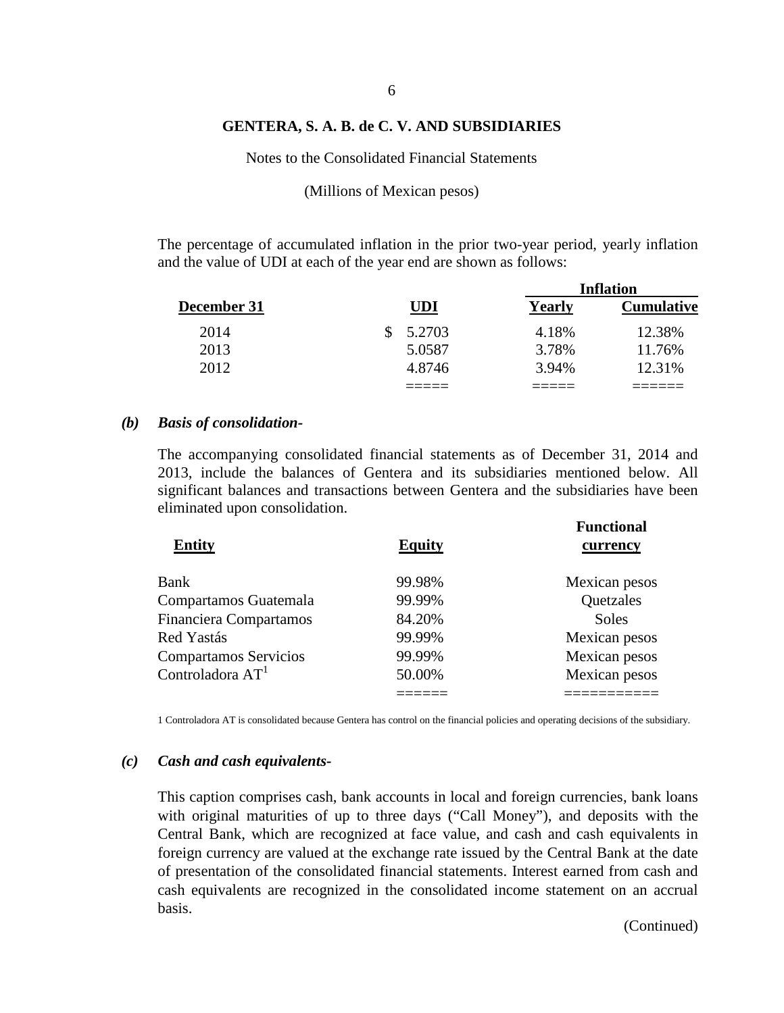Notes to the Consolidated Financial Statements

(Millions of Mexican pesos)

The percentage of accumulated inflation in the prior two-year period, yearly inflation and the value of UDI at each of the year end are shown as follows:

|             |              |        | Inflation         |
|-------------|--------------|--------|-------------------|
| December 31 | <b>UDI</b>   | Yearly | <b>Cumulative</b> |
| 2014        | 5.2703<br>S. | 4.18%  | 12.38%            |
| 2013        | 5.0587       | 3.78%  | 11.76%            |
| 2012        | 4.8746       | 3.94%  | 12.31%            |
|             |              |        |                   |

#### *(b) Basis of consolidation-*

The accompanying consolidated financial statements as of December 31, 2014 and 2013, include the balances of Gentera and its subsidiaries mentioned below. All significant balances and transactions between Gentera and the subsidiaries have been eliminated upon consolidation.

| <b>Entity</b>                 | <b>Equity</b> | <b>Functional</b><br>currency |
|-------------------------------|---------------|-------------------------------|
| Bank                          | 99.98%        | Mexican pesos                 |
| Compartamos Guatemala         | 99.99%        | Quetzales                     |
| <b>Financiera Compartamos</b> | 84.20%        | <b>Soles</b>                  |
| Red Yastás                    | 99.99%        | Mexican pesos                 |
| <b>Compartamos Servicios</b>  | 99.99%        | Mexican pesos                 |
| Controladora A $\mathrm{T}^1$ | 50.00%        | Mexican pesos                 |
|                               |               |                               |

1 Controladora AT is consolidated because Gentera has control on the financial policies and operating decisions of the subsidiary.

#### *(c) Cash and cash equivalents-*

This caption comprises cash, bank accounts in local and foreign currencies, bank loans with original maturities of up to three days ("Call Money"), and deposits with the Central Bank, which are recognized at face value, and cash and cash equivalents in foreign currency are valued at the exchange rate issued by the Central Bank at the date of presentation of the consolidated financial statements. Interest earned from cash and cash equivalents are recognized in the consolidated income statement on an accrual basis.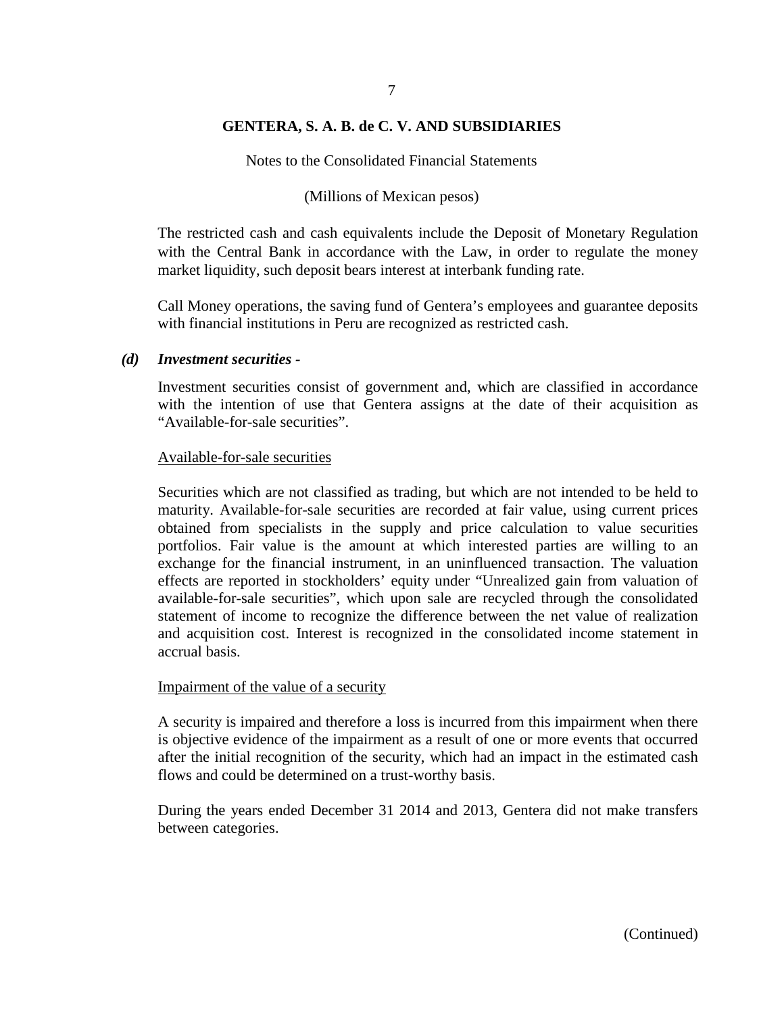Notes to the Consolidated Financial Statements

#### (Millions of Mexican pesos)

The restricted cash and cash equivalents include the Deposit of Monetary Regulation with the Central Bank in accordance with the Law, in order to regulate the money market liquidity, such deposit bears interest at interbank funding rate.

Call Money operations, the saving fund of Gentera's employees and guarantee deposits with financial institutions in Peru are recognized as restricted cash.

#### *(d) Investment securities -*

Investment securities consist of government and, which are classified in accordance with the intention of use that Gentera assigns at the date of their acquisition as "Available-for-sale securities".

#### Available-for-sale securities

Securities which are not classified as trading, but which are not intended to be held to maturity. Available-for-sale securities are recorded at fair value, using current prices obtained from specialists in the supply and price calculation to value securities portfolios. Fair value is the amount at which interested parties are willing to an exchange for the financial instrument, in an uninfluenced transaction. The valuation effects are reported in stockholders' equity under "Unrealized gain from valuation of available-for-sale securities", which upon sale are recycled through the consolidated statement of income to recognize the difference between the net value of realization and acquisition cost. Interest is recognized in the consolidated income statement in accrual basis.

#### Impairment of the value of a security

A security is impaired and therefore a loss is incurred from this impairment when there is objective evidence of the impairment as a result of one or more events that occurred after the initial recognition of the security, which had an impact in the estimated cash flows and could be determined on a trust-worthy basis.

During the years ended December 31 2014 and 2013, Gentera did not make transfers between categories.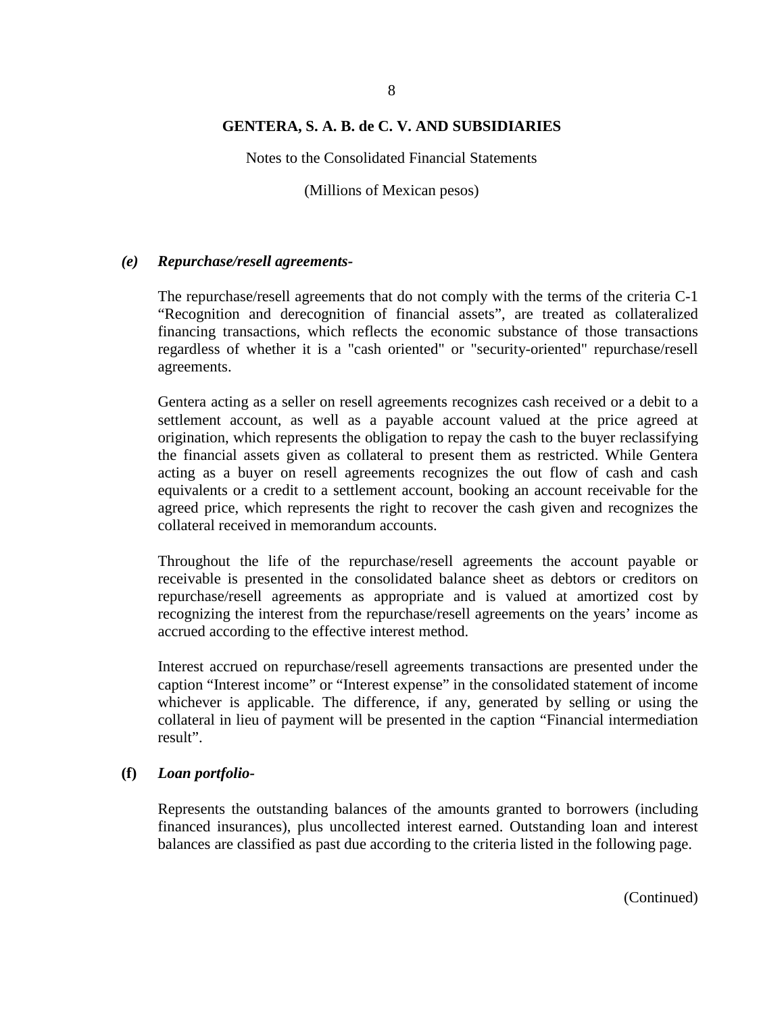Notes to the Consolidated Financial Statements

(Millions of Mexican pesos)

#### *(e) Repurchase/resell agreements-*

The repurchase/resell agreements that do not comply with the terms of the criteria C-1 "Recognition and derecognition of financial assets", are treated as collateralized financing transactions, which reflects the economic substance of those transactions regardless of whether it is a "cash oriented" or "security-oriented" repurchase/resell agreements.

Gentera acting as a seller on resell agreements recognizes cash received or a debit to a settlement account, as well as a payable account valued at the price agreed at origination, which represents the obligation to repay the cash to the buyer reclassifying the financial assets given as collateral to present them as restricted. While Gentera acting as a buyer on resell agreements recognizes the out flow of cash and cash equivalents or a credit to a settlement account, booking an account receivable for the agreed price, which represents the right to recover the cash given and recognizes the collateral received in memorandum accounts.

Throughout the life of the repurchase/resell agreements the account payable or receivable is presented in the consolidated balance sheet as debtors or creditors on repurchase/resell agreements as appropriate and is valued at amortized cost by recognizing the interest from the repurchase/resell agreements on the years' income as accrued according to the effective interest method.

Interest accrued on repurchase/resell agreements transactions are presented under the caption "Interest income" or "Interest expense" in the consolidated statement of income whichever is applicable. The difference, if any, generated by selling or using the collateral in lieu of payment will be presented in the caption "Financial intermediation result".

#### **(f)** *Loan portfolio-*

Represents the outstanding balances of the amounts granted to borrowers (including financed insurances), plus uncollected interest earned. Outstanding loan and interest balances are classified as past due according to the criteria listed in the following page.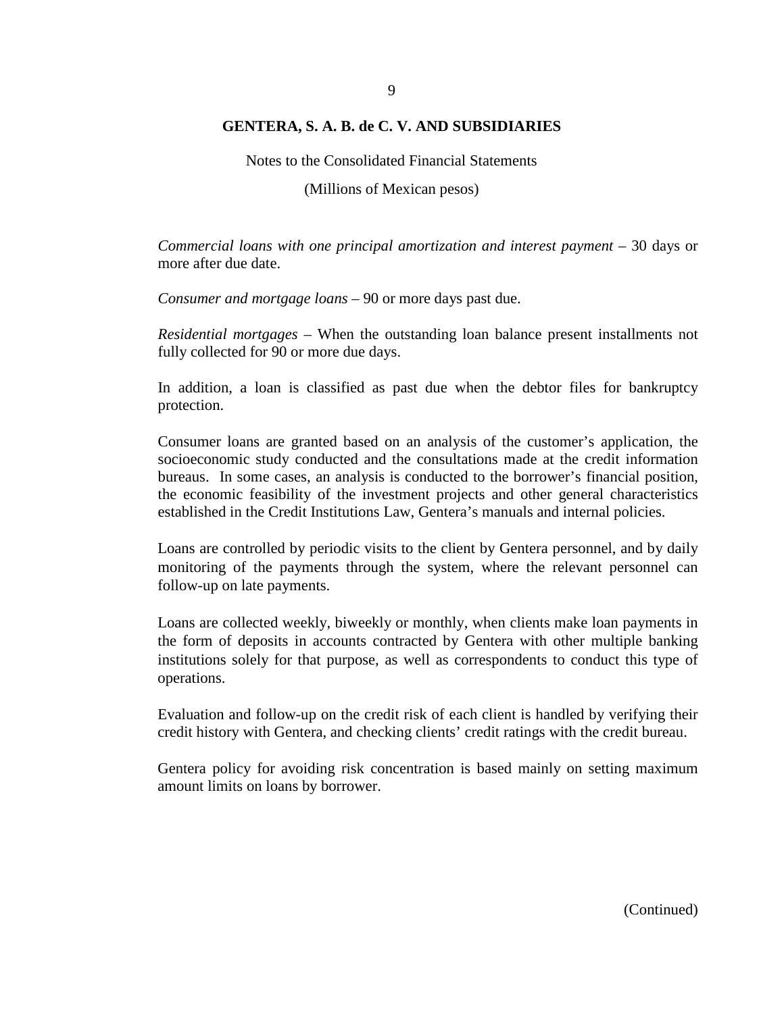Notes to the Consolidated Financial Statements

(Millions of Mexican pesos)

*Commercial loans with one principal amortization and interest payment –* 30 days or more after due date.

*Consumer and mortgage loans –* 90 or more days past due.

*Residential mortgages –* When the outstanding loan balance present installments not fully collected for 90 or more due days.

In addition, a loan is classified as past due when the debtor files for bankruptcy protection.

Consumer loans are granted based on an analysis of the customer's application, the socioeconomic study conducted and the consultations made at the credit information bureaus. In some cases, an analysis is conducted to the borrower's financial position, the economic feasibility of the investment projects and other general characteristics established in the Credit Institutions Law, Gentera's manuals and internal policies.

Loans are controlled by periodic visits to the client by Gentera personnel, and by daily monitoring of the payments through the system, where the relevant personnel can follow-up on late payments.

Loans are collected weekly, biweekly or monthly, when clients make loan payments in the form of deposits in accounts contracted by Gentera with other multiple banking institutions solely for that purpose, as well as correspondents to conduct this type of operations.

Evaluation and follow-up on the credit risk of each client is handled by verifying their credit history with Gentera, and checking clients' credit ratings with the credit bureau.

Gentera policy for avoiding risk concentration is based mainly on setting maximum amount limits on loans by borrower.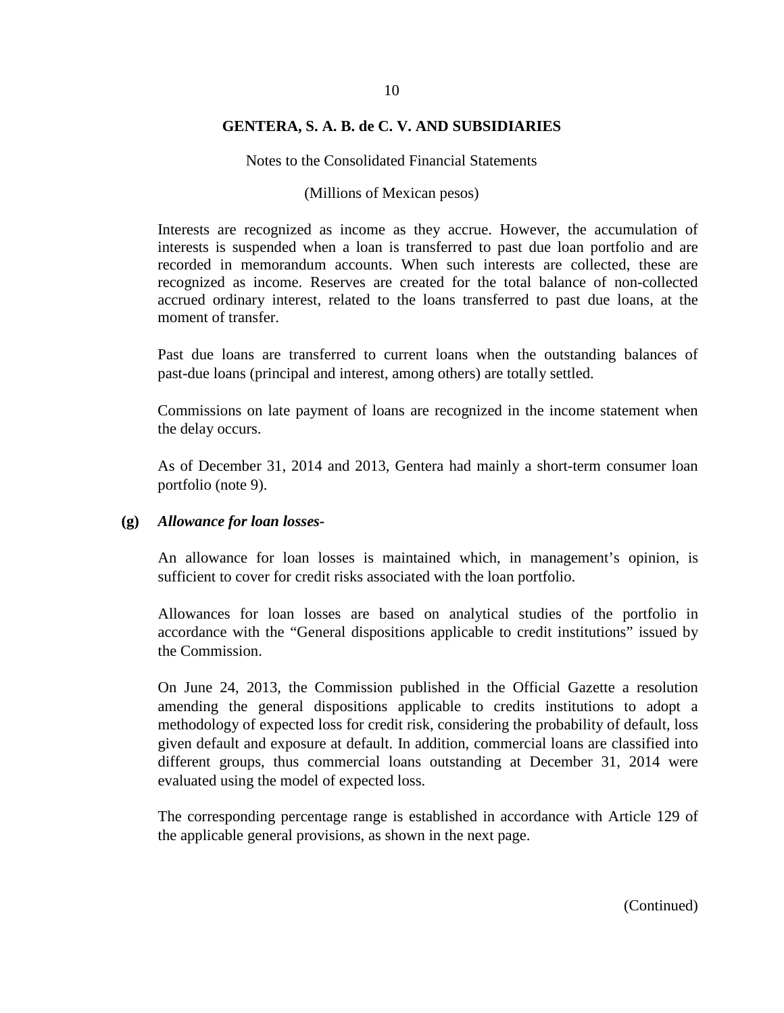Notes to the Consolidated Financial Statements

#### (Millions of Mexican pesos)

Interests are recognized as income as they accrue. However, the accumulation of interests is suspended when a loan is transferred to past due loan portfolio and are recorded in memorandum accounts. When such interests are collected, these are recognized as income. Reserves are created for the total balance of non-collected accrued ordinary interest, related to the loans transferred to past due loans, at the moment of transfer.

Past due loans are transferred to current loans when the outstanding balances of past-due loans (principal and interest, among others) are totally settled.

Commissions on late payment of loans are recognized in the income statement when the delay occurs.

As of December 31, 2014 and 2013, Gentera had mainly a short-term consumer loan portfolio (note 9).

#### **(g)** *Allowance for loan losses-*

An allowance for loan losses is maintained which, in management's opinion, is sufficient to cover for credit risks associated with the loan portfolio.

Allowances for loan losses are based on analytical studies of the portfolio in accordance with the "General dispositions applicable to credit institutions" issued by the Commission.

On June 24, 2013, the Commission published in the Official Gazette a resolution amending the general dispositions applicable to credits institutions to adopt a methodology of expected loss for credit risk, considering the probability of default, loss given default and exposure at default. In addition, commercial loans are classified into different groups, thus commercial loans outstanding at December 31, 2014 were evaluated using the model of expected loss.

The corresponding percentage range is established in accordance with Article 129 of the applicable general provisions, as shown in the next page.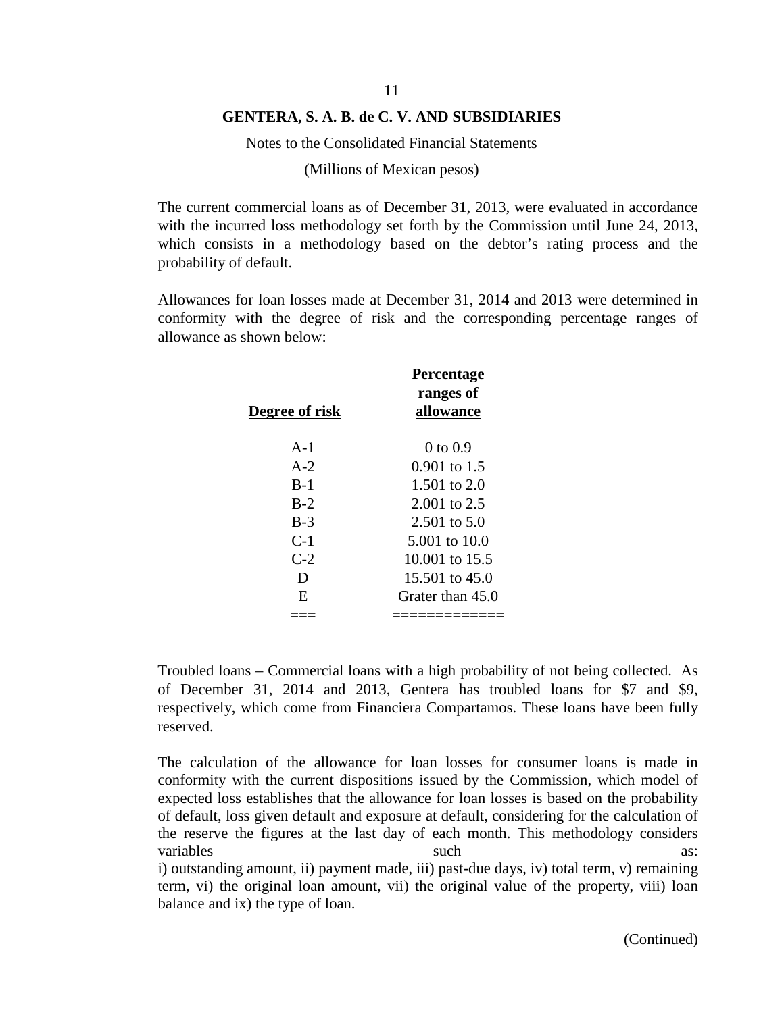Notes to the Consolidated Financial Statements

(Millions of Mexican pesos)

The current commercial loans as of December 31, 2013, were evaluated in accordance with the incurred loss methodology set forth by the Commission until June 24, 2013, which consists in a methodology based on the debtor's rating process and the probability of default.

Allowances for loan losses made at December 31, 2014 and 2013 were determined in conformity with the degree of risk and the corresponding percentage ranges of allowance as shown below:

| Degree of risk | Percentage<br>ranges of<br>allowance |
|----------------|--------------------------------------|
| $A-1$          | $0$ to $0.9$                         |
| $A-2$          | $0.901$ to 1.5                       |
| $B-1$          | 1.501 to $2.0$                       |
| $B-2$          | $2.001$ to $2.5$                     |
| $B-3$          | 2.501 to 5.0                         |
| $C-1$          | 5.001 to 10.0                        |
| $C-2$          | 10.001 to 15.5                       |
| D              | $15.501$ to $45.0$                   |
| E              | Grater than 45.0                     |
|                |                                      |

Troubled loans – Commercial loans with a high probability of not being collected. As of December 31, 2014 and 2013, Gentera has troubled loans for \$7 and \$9, respectively, which come from Financiera Compartamos. These loans have been fully reserved.

The calculation of the allowance for loan losses for consumer loans is made in conformity with the current dispositions issued by the Commission, which model of expected loss establishes that the allowance for loan losses is based on the probability of default, loss given default and exposure at default, considering for the calculation of the reserve the figures at the last day of each month. This methodology considers variables such as:  $\omega$ i) outstanding amount, ii) payment made, iii) past-due days, iv) total term, v) remaining term, vi) the original loan amount, vii) the original value of the property, viii) loan balance and ix) the type of loan.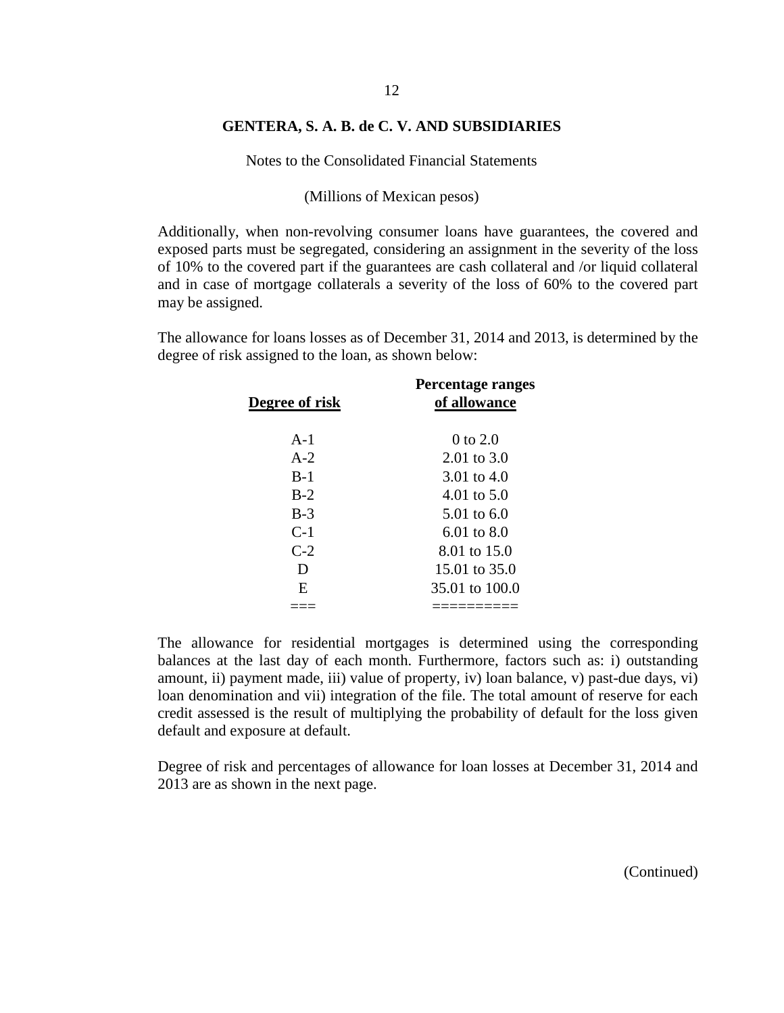Notes to the Consolidated Financial Statements

(Millions of Mexican pesos)

Additionally, when non-revolving consumer loans have guarantees, the covered and exposed parts must be segregated, considering an assignment in the severity of the loss of 10% to the covered part if the guarantees are cash collateral and /or liquid collateral and in case of mortgage collaterals a severity of the loss of 60% to the covered part may be assigned.

The allowance for loans losses as of December 31, 2014 and 2013, is determined by the degree of risk assigned to the loan, as shown below:

| Degree of risk | Percentage ranges<br>of allowance |
|----------------|-----------------------------------|
| $A-1$          | $0$ to $2.0$                      |
| $A-2$          | $2.01 \text{ to } 3.0$            |
| $B-1$          | 3.01 to $4.0$                     |
| $B-2$          | 4.01 to $5.0$                     |
| $B-3$          | 5.01 to $6.0$                     |
| $C-1$          | 6.01 to 8.0                       |
| $C-2$          | 8.01 to 15.0                      |
| D              | 15.01 to 35.0                     |
| E              | 35.01 to 100.0                    |
|                |                                   |

The allowance for residential mortgages is determined using the corresponding balances at the last day of each month. Furthermore, factors such as: i) outstanding amount, ii) payment made, iii) value of property, iv) loan balance, v) past-due days, vi) loan denomination and vii) integration of the file. The total amount of reserve for each credit assessed is the result of multiplying the probability of default for the loss given default and exposure at default.

Degree of risk and percentages of allowance for loan losses at December 31, 2014 and 2013 are as shown in the next page.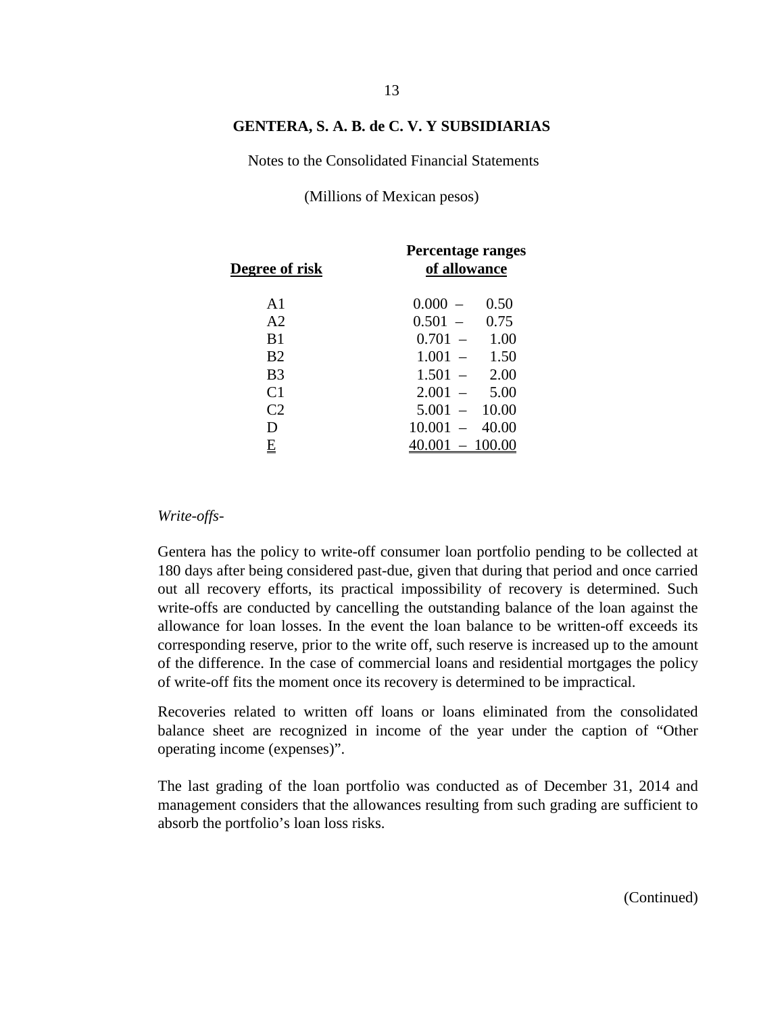Notes to the Consolidated Financial Statements

(Millions of Mexican pesos)

| Degree of risk | Percentage ranges<br>of allowance           |
|----------------|---------------------------------------------|
| A <sub>1</sub> | 0.000<br>0.50                               |
| A <sub>2</sub> | $0.501 -$<br>0.75                           |
| B1             | $0.701 -$<br>1.00                           |
| B <sub>2</sub> | 1.001<br>1.50                               |
| B <sub>3</sub> | 2.00<br>1.501                               |
| C <sub>1</sub> | 5.00<br>2.001                               |
| C <sub>2</sub> | 10.00<br>5.001<br>$\overline{\phantom{a}}$  |
| D              | 40.00<br>10.001<br>$\overline{\phantom{0}}$ |
| E              | .001                                        |

#### *Write-offs-*

Gentera has the policy to write-off consumer loan portfolio pending to be collected at 180 days after being considered past-due, given that during that period and once carried out all recovery efforts, its practical impossibility of recovery is determined. Such write-offs are conducted by cancelling the outstanding balance of the loan against the allowance for loan losses. In the event the loan balance to be written-off exceeds its corresponding reserve, prior to the write off, such reserve is increased up to the amount of the difference. In the case of commercial loans and residential mortgages the policy of write-off fits the moment once its recovery is determined to be impractical.

Recoveries related to written off loans or loans eliminated from the consolidated balance sheet are recognized in income of the year under the caption of "Other operating income (expenses)".

The last grading of the loan portfolio was conducted as of December 31, 2014 and management considers that the allowances resulting from such grading are sufficient to absorb the portfolio's loan loss risks.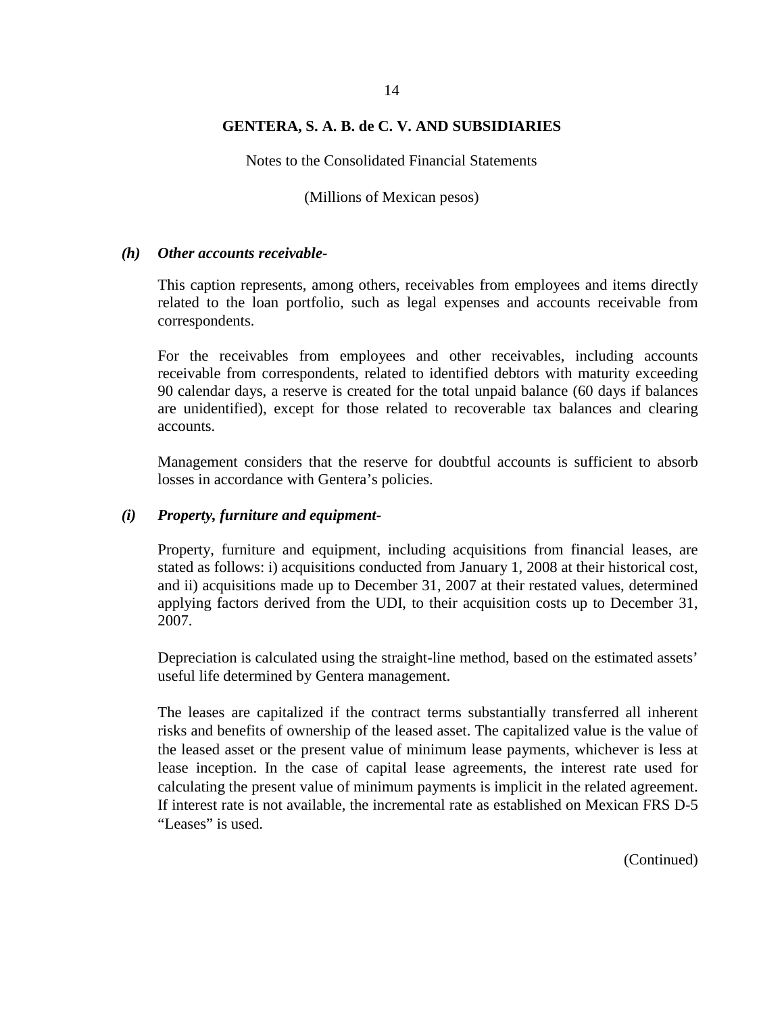Notes to the Consolidated Financial Statements

(Millions of Mexican pesos)

#### *(h) Other accounts receivable-*

This caption represents, among others, receivables from employees and items directly related to the loan portfolio, such as legal expenses and accounts receivable from correspondents.

For the receivables from employees and other receivables, including accounts receivable from correspondents, related to identified debtors with maturity exceeding 90 calendar days, a reserve is created for the total unpaid balance (60 days if balances are unidentified), except for those related to recoverable tax balances and clearing accounts.

Management considers that the reserve for doubtful accounts is sufficient to absorb losses in accordance with Gentera's policies.

## *(i) Property, furniture and equipment-*

Property, furniture and equipment, including acquisitions from financial leases, are stated as follows: i) acquisitions conducted from January 1, 2008 at their historical cost, and ii) acquisitions made up to December 31, 2007 at their restated values, determined applying factors derived from the UDI, to their acquisition costs up to December 31, 2007.

Depreciation is calculated using the straight-line method, based on the estimated assets' useful life determined by Gentera management.

The leases are capitalized if the contract terms substantially transferred all inherent risks and benefits of ownership of the leased asset. The capitalized value is the value of the leased asset or the present value of minimum lease payments, whichever is less at lease inception. In the case of capital lease agreements, the interest rate used for calculating the present value of minimum payments is implicit in the related agreement. If interest rate is not available, the incremental rate as established on Mexican FRS D-5 "Leases" is used.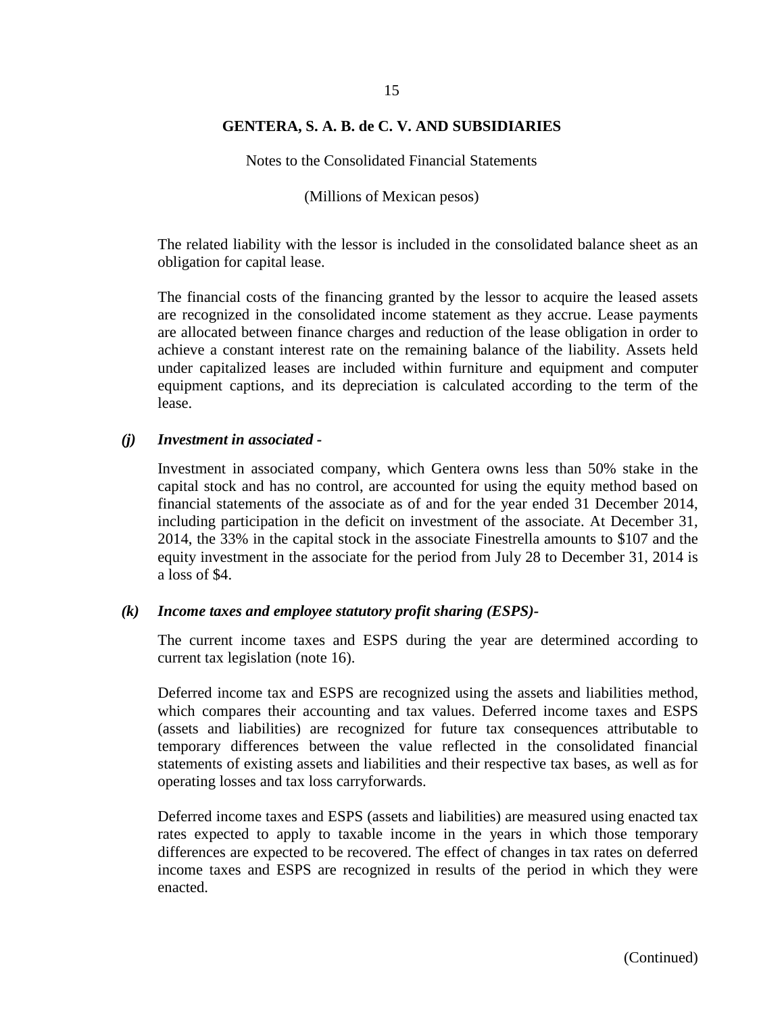# 15

### **GENTERA, S. A. B. de C. V. AND SUBSIDIARIES**

Notes to the Consolidated Financial Statements

(Millions of Mexican pesos)

The related liability with the lessor is included in the consolidated balance sheet as an obligation for capital lease.

The financial costs of the financing granted by the lessor to acquire the leased assets are recognized in the consolidated income statement as they accrue. Lease payments are allocated between finance charges and reduction of the lease obligation in order to achieve a constant interest rate on the remaining balance of the liability. Assets held under capitalized leases are included within furniture and equipment and computer equipment captions, and its depreciation is calculated according to the term of the lease.

#### *(j) Investment in associated -*

Investment in associated company, which Gentera owns less than 50% stake in the capital stock and has no control, are accounted for using the equity method based on financial statements of the associate as of and for the year ended 31 December 2014, including participation in the deficit on investment of the associate. At December 31, 2014, the 33% in the capital stock in the associate Finestrella amounts to \$107 and the equity investment in the associate for the period from July 28 to December 31, 2014 is a loss of \$4.

#### *(k) Income taxes and employee statutory profit sharing (ESPS)-*

The current income taxes and ESPS during the year are determined according to current tax legislation (note 16).

Deferred income tax and ESPS are recognized using the assets and liabilities method, which compares their accounting and tax values. Deferred income taxes and ESPS (assets and liabilities) are recognized for future tax consequences attributable to temporary differences between the value reflected in the consolidated financial statements of existing assets and liabilities and their respective tax bases, as well as for operating losses and tax loss carryforwards.

Deferred income taxes and ESPS (assets and liabilities) are measured using enacted tax rates expected to apply to taxable income in the years in which those temporary differences are expected to be recovered. The effect of changes in tax rates on deferred income taxes and ESPS are recognized in results of the period in which they were enacted.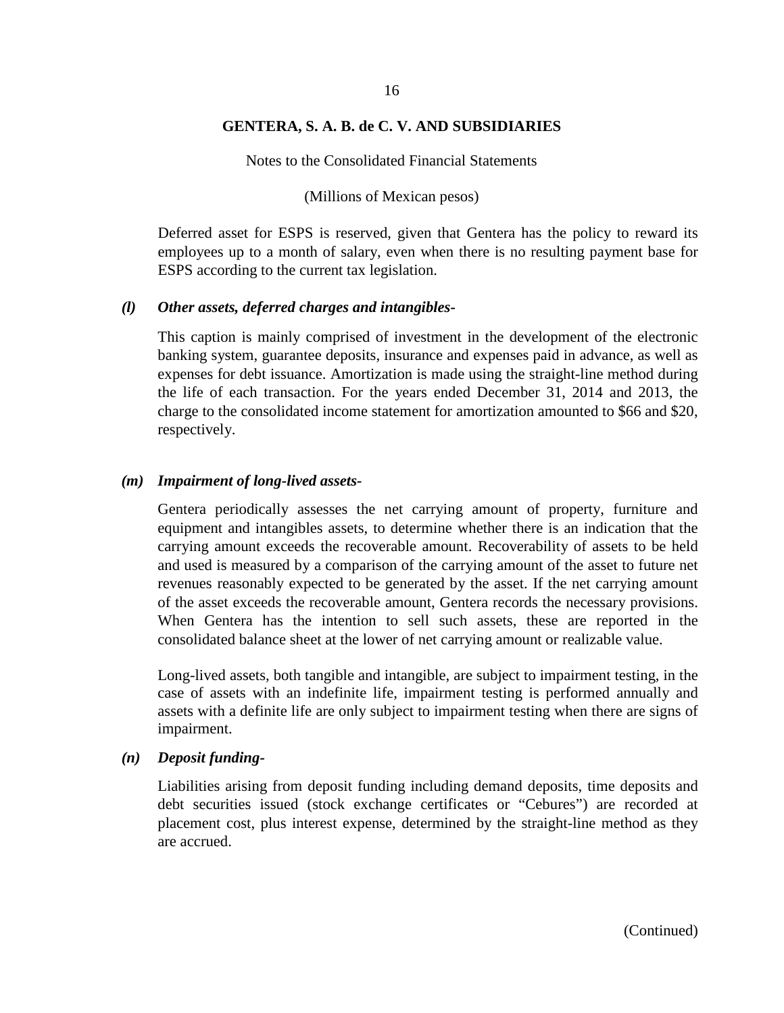Notes to the Consolidated Financial Statements

#### (Millions of Mexican pesos)

Deferred asset for ESPS is reserved, given that Gentera has the policy to reward its employees up to a month of salary, even when there is no resulting payment base for ESPS according to the current tax legislation.

#### *(l) Other assets, deferred charges and intangibles-*

This caption is mainly comprised of investment in the development of the electronic banking system, guarantee deposits, insurance and expenses paid in advance, as well as expenses for debt issuance. Amortization is made using the straight-line method during the life of each transaction. For the years ended December 31, 2014 and 2013, the charge to the consolidated income statement for amortization amounted to \$66 and \$20, respectively.

#### *(m) Impairment of long-lived assets-*

Gentera periodically assesses the net carrying amount of property, furniture and equipment and intangibles assets, to determine whether there is an indication that the carrying amount exceeds the recoverable amount. Recoverability of assets to be held and used is measured by a comparison of the carrying amount of the asset to future net revenues reasonably expected to be generated by the asset. If the net carrying amount of the asset exceeds the recoverable amount, Gentera records the necessary provisions. When Gentera has the intention to sell such assets, these are reported in the consolidated balance sheet at the lower of net carrying amount or realizable value.

Long-lived assets, both tangible and intangible, are subject to impairment testing, in the case of assets with an indefinite life, impairment testing is performed annually and assets with a definite life are only subject to impairment testing when there are signs of impairment.

#### *(n) Deposit funding-*

Liabilities arising from deposit funding including demand deposits, time deposits and debt securities issued (stock exchange certificates or "Cebures") are recorded at placement cost, plus interest expense, determined by the straight-line method as they are accrued.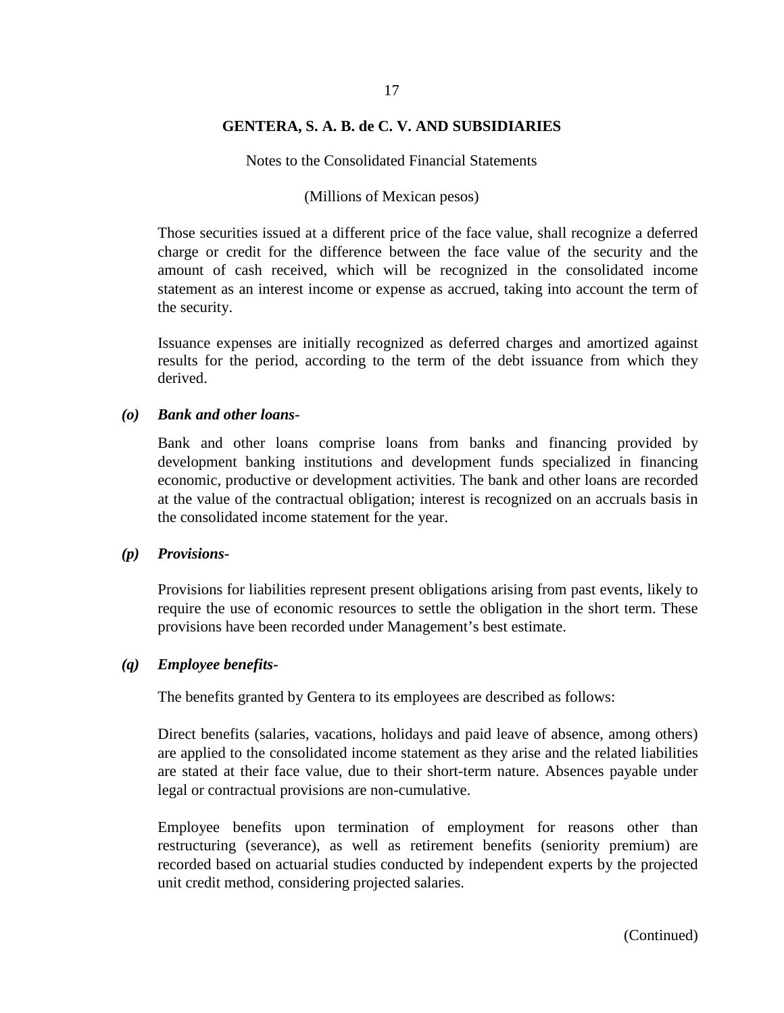Notes to the Consolidated Financial Statements

#### (Millions of Mexican pesos)

Those securities issued at a different price of the face value, shall recognize a deferred charge or credit for the difference between the face value of the security and the amount of cash received, which will be recognized in the consolidated income statement as an interest income or expense as accrued, taking into account the term of the security.

Issuance expenses are initially recognized as deferred charges and amortized against results for the period, according to the term of the debt issuance from which they derived.

### *(o) Bank and other loans-*

Bank and other loans comprise loans from banks and financing provided by development banking institutions and development funds specialized in financing economic, productive or development activities. The bank and other loans are recorded at the value of the contractual obligation; interest is recognized on an accruals basis in the consolidated income statement for the year.

#### *(p) Provisions-*

Provisions for liabilities represent present obligations arising from past events, likely to require the use of economic resources to settle the obligation in the short term. These provisions have been recorded under Management's best estimate.

#### *(q) Employee benefits-*

The benefits granted by Gentera to its employees are described as follows:

Direct benefits (salaries, vacations, holidays and paid leave of absence, among others) are applied to the consolidated income statement as they arise and the related liabilities are stated at their face value, due to their short-term nature. Absences payable under legal or contractual provisions are non-cumulative.

Employee benefits upon termination of employment for reasons other than restructuring (severance), as well as retirement benefits (seniority premium) are recorded based on actuarial studies conducted by independent experts by the projected unit credit method, considering projected salaries.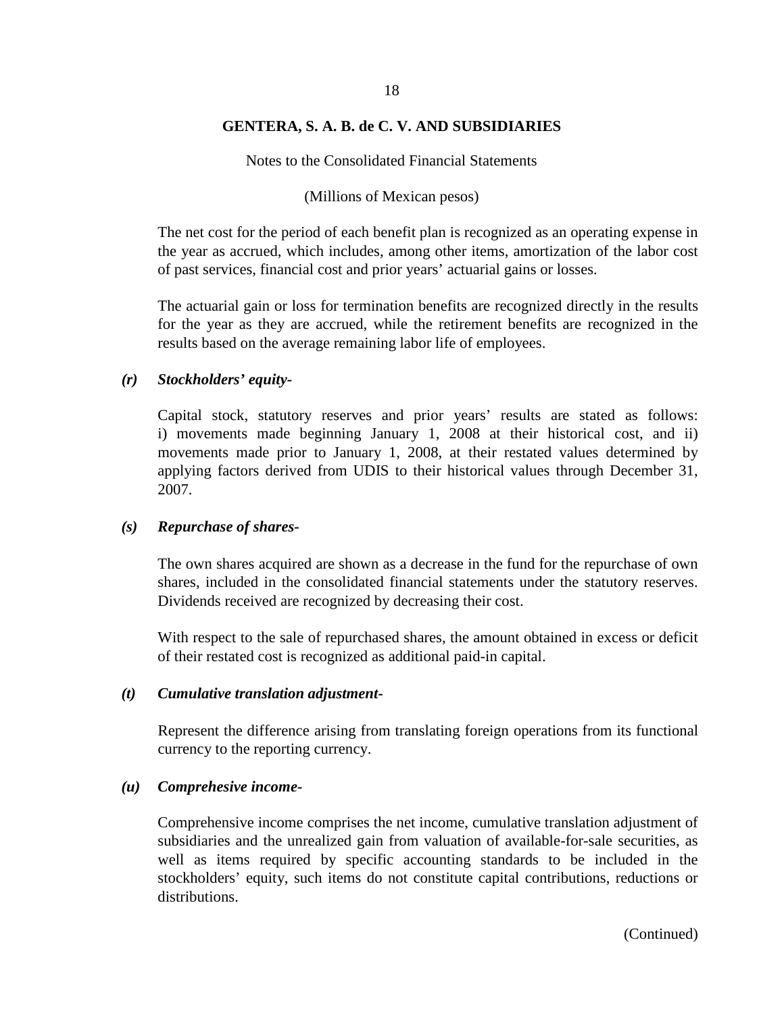## 18

## **GENTERA, S. A. B. de C. V. AND SUBSIDIARIES**

Notes to the Consolidated Financial Statements

#### (Millions of Mexican pesos)

The net cost for the period of each benefit plan is recognized as an operating expense in the year as accrued, which includes, among other items, amortization of the labor cost of past services, financial cost and prior years' actuarial gains or losses.

The actuarial gain or loss for termination benefits are recognized directly in the results for the year as they are accrued, while the retirement benefits are recognized in the results based on the average remaining labor life of employees.

#### *(r) Stockholders' equity-*

Capital stock, statutory reserves and prior years' results are stated as follows: i) movements made beginning January 1, 2008 at their historical cost, and ii) movements made prior to January 1, 2008, at their restated values determined by applying factors derived from UDIS to their historical values through December 31, 2007.

#### *(s) Repurchase of shares-*

The own shares acquired are shown as a decrease in the fund for the repurchase of own shares, included in the consolidated financial statements under the statutory reserves. Dividends received are recognized by decreasing their cost.

With respect to the sale of repurchased shares, the amount obtained in excess or deficit of their restated cost is recognized as additional paid-in capital.

## *(t) Cumulative translation adjustment-*

Represent the difference arising from translating foreign operations from its functional currency to the reporting currency.

#### *(u) Comprehesive income-*

Comprehensive income comprises the net income, cumulative translation adjustment of subsidiaries and the unrealized gain from valuation of available-for-sale securities, as well as items required by specific accounting standards to be included in the stockholders' equity, such items do not constitute capital contributions, reductions or distributions.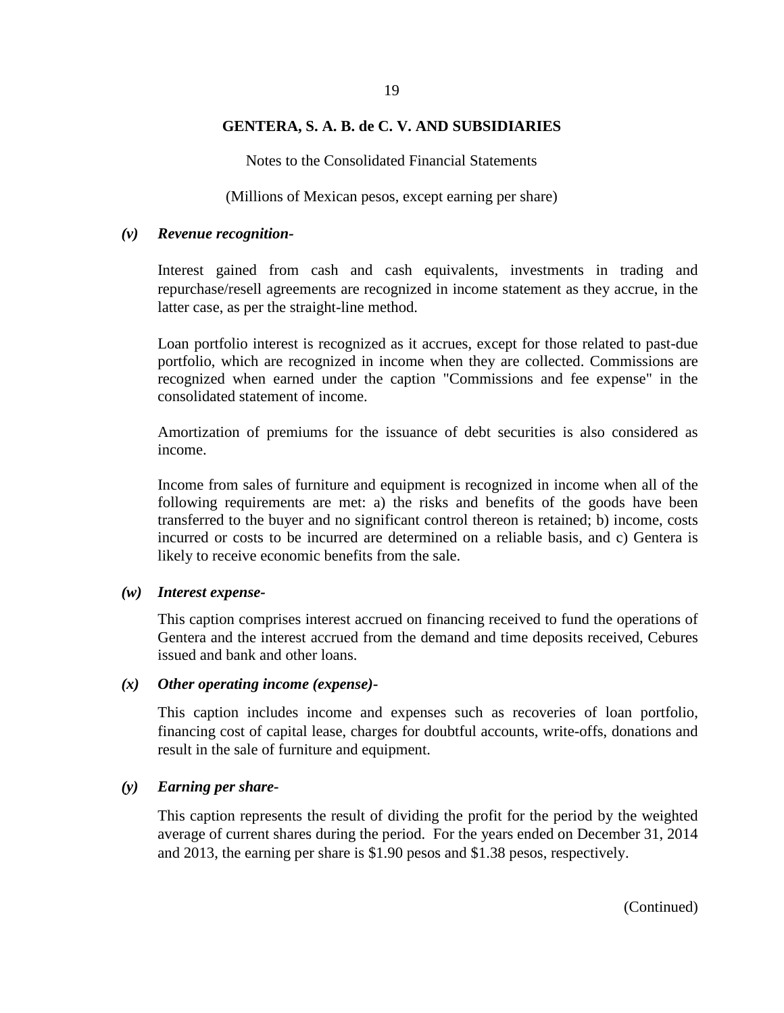Notes to the Consolidated Financial Statements

(Millions of Mexican pesos, except earning per share)

#### *(v) Revenue recognition-*

Interest gained from cash and cash equivalents, investments in trading and repurchase/resell agreements are recognized in income statement as they accrue, in the latter case, as per the straight-line method.

Loan portfolio interest is recognized as it accrues, except for those related to past-due portfolio, which are recognized in income when they are collected. Commissions are recognized when earned under the caption "Commissions and fee expense" in the consolidated statement of income.

Amortization of premiums for the issuance of debt securities is also considered as income.

Income from sales of furniture and equipment is recognized in income when all of the following requirements are met: a) the risks and benefits of the goods have been transferred to the buyer and no significant control thereon is retained; b) income, costs incurred or costs to be incurred are determined on a reliable basis, and c) Gentera is likely to receive economic benefits from the sale.

#### *(w) Interest expense-*

This caption comprises interest accrued on financing received to fund the operations of Gentera and the interest accrued from the demand and time deposits received, Cebures issued and bank and other loans.

#### *(x) Other operating income (expense)-*

This caption includes income and expenses such as recoveries of loan portfolio, financing cost of capital lease, charges for doubtful accounts, write-offs, donations and result in the sale of furniture and equipment.

#### *(y) Earning per share-*

This caption represents the result of dividing the profit for the period by the weighted average of current shares during the period. For the years ended on December 31, 2014 and 2013, the earning per share is \$1.90 pesos and \$1.38 pesos, respectively.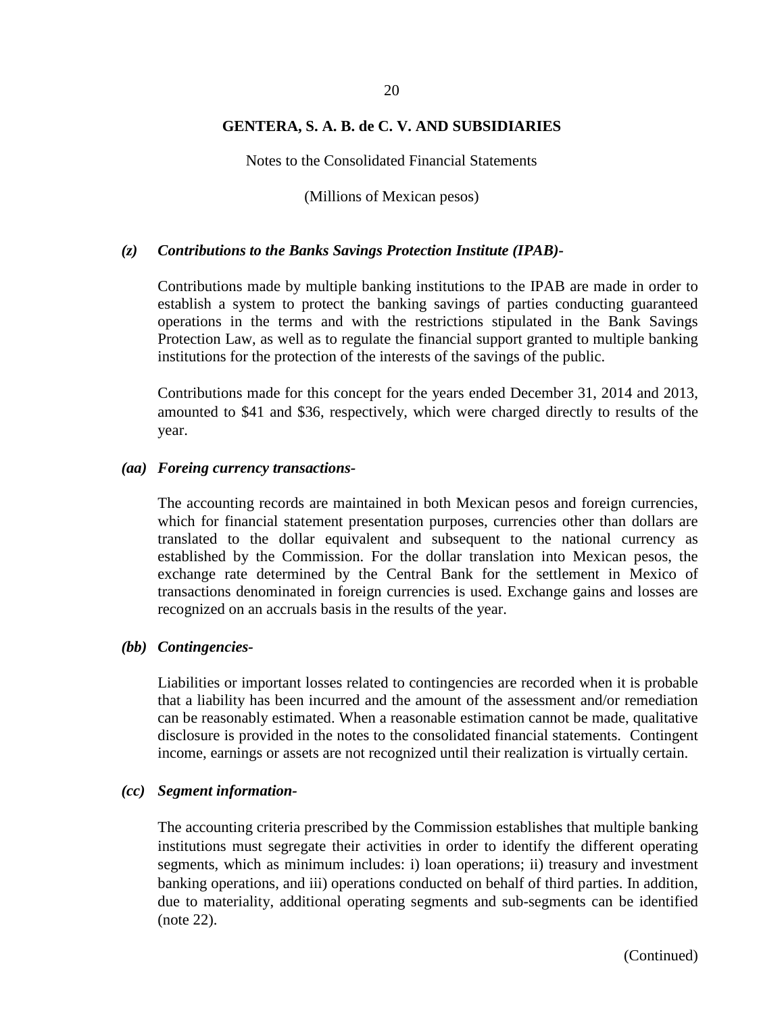Notes to the Consolidated Financial Statements

(Millions of Mexican pesos)

#### *(z) Contributions to the Banks Savings Protection Institute (IPAB)-*

Contributions made by multiple banking institutions to the IPAB are made in order to establish a system to protect the banking savings of parties conducting guaranteed operations in the terms and with the restrictions stipulated in the Bank Savings Protection Law, as well as to regulate the financial support granted to multiple banking institutions for the protection of the interests of the savings of the public.

Contributions made for this concept for the years ended December 31, 2014 and 2013, amounted to \$41 and \$36, respectively, which were charged directly to results of the year.

#### *(aa) Foreing currency transactions-*

The accounting records are maintained in both Mexican pesos and foreign currencies, which for financial statement presentation purposes, currencies other than dollars are translated to the dollar equivalent and subsequent to the national currency as established by the Commission. For the dollar translation into Mexican pesos, the exchange rate determined by the Central Bank for the settlement in Mexico of transactions denominated in foreign currencies is used. Exchange gains and losses are recognized on an accruals basis in the results of the year.

#### *(bb) Contingencies-*

Liabilities or important losses related to contingencies are recorded when it is probable that a liability has been incurred and the amount of the assessment and/or remediation can be reasonably estimated. When a reasonable estimation cannot be made, qualitative disclosure is provided in the notes to the consolidated financial statements. Contingent income, earnings or assets are not recognized until their realization is virtually certain.

#### *(cc) Segment information-*

The accounting criteria prescribed by the Commission establishes that multiple banking institutions must segregate their activities in order to identify the different operating segments, which as minimum includes: i) loan operations; ii) treasury and investment banking operations, and iii) operations conducted on behalf of third parties. In addition, due to materiality, additional operating segments and sub-segments can be identified (note 22).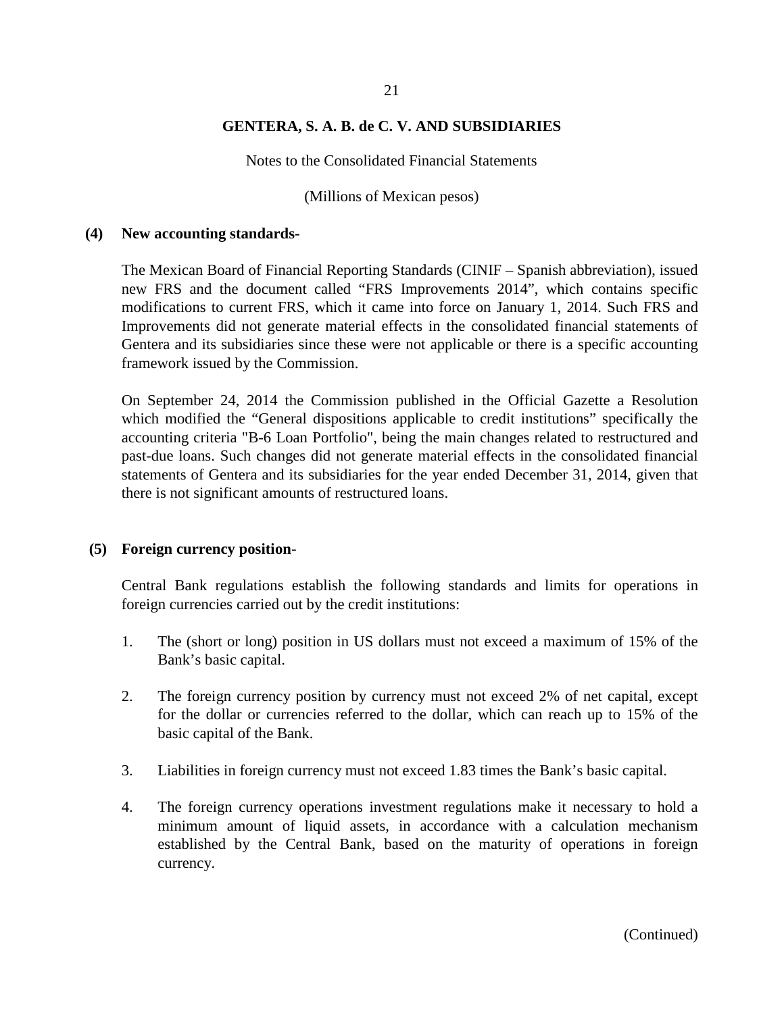Notes to the Consolidated Financial Statements

(Millions of Mexican pesos)

#### **(4) New accounting standards-**

The Mexican Board of Financial Reporting Standards (CINIF – Spanish abbreviation), issued new FRS and the document called "FRS Improvements 2014", which contains specific modifications to current FRS, which it came into force on January 1, 2014. Such FRS and Improvements did not generate material effects in the consolidated financial statements of Gentera and its subsidiaries since these were not applicable or there is a specific accounting framework issued by the Commission.

On September 24, 2014 the Commission published in the Official Gazette a Resolution which modified the "General dispositions applicable to credit institutions" specifically the accounting criteria "B-6 Loan Portfolio", being the main changes related to restructured and past-due loans. Such changes did not generate material effects in the consolidated financial statements of Gentera and its subsidiaries for the year ended December 31, 2014, given that there is not significant amounts of restructured loans.

#### **(5) Foreign currency position-**

Central Bank regulations establish the following standards and limits for operations in foreign currencies carried out by the credit institutions:

- 1. The (short or long) position in US dollars must not exceed a maximum of 15% of the Bank's basic capital.
- 2. The foreign currency position by currency must not exceed 2% of net capital, except for the dollar or currencies referred to the dollar, which can reach up to 15% of the basic capital of the Bank.
- 3. Liabilities in foreign currency must not exceed 1.83 times the Bank's basic capital.
- 4. The foreign currency operations investment regulations make it necessary to hold a minimum amount of liquid assets, in accordance with a calculation mechanism established by the Central Bank, based on the maturity of operations in foreign currency.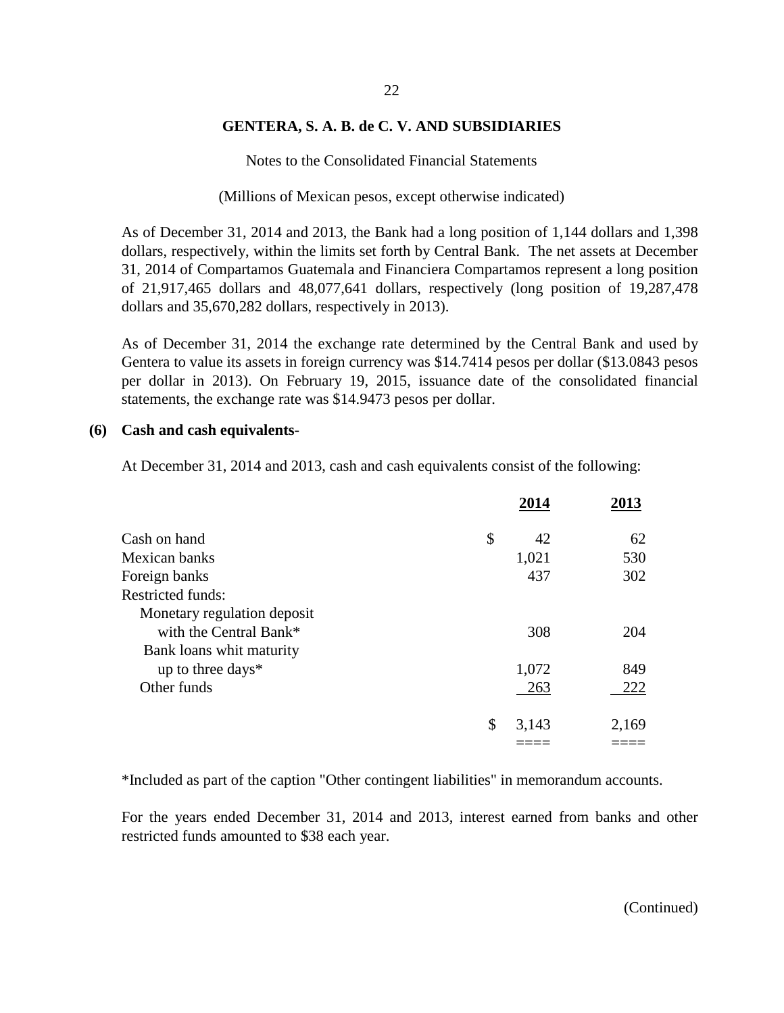Notes to the Consolidated Financial Statements

(Millions of Mexican pesos, except otherwise indicated)

As of December 31, 2014 and 2013, the Bank had a long position of 1,144 dollars and 1,398 dollars, respectively, within the limits set forth by Central Bank. The net assets at December 31, 2014 of Compartamos Guatemala and Financiera Compartamos represent a long position of 21,917,465 dollars and 48,077,641 dollars, respectively (long position of 19,287,478 dollars and 35,670,282 dollars, respectively in 2013).

As of December 31, 2014 the exchange rate determined by the Central Bank and used by Gentera to value its assets in foreign currency was \$14.7414 pesos per dollar (\$13.0843 pesos per dollar in 2013). On February 19, 2015, issuance date of the consolidated financial statements, the exchange rate was \$14.9473 pesos per dollar.

#### **(6) Cash and cash equivalents-**

At December 31, 2014 and 2013, cash and cash equivalents consist of the following:

|                             | 2014        | 2013  |
|-----------------------------|-------------|-------|
| Cash on hand                | \$<br>42    | 62    |
| Mexican banks               | 1,021       | 530   |
| Foreign banks               | 437         | 302   |
| Restricted funds:           |             |       |
| Monetary regulation deposit |             |       |
| with the Central Bank*      | 308         | 204   |
| Bank loans whit maturity    |             |       |
| up to three days*           | 1,072       | 849   |
| Other funds                 | 263         | 222   |
|                             | \$<br>3,143 | 2,169 |
|                             |             |       |

\*Included as part of the caption "Other contingent liabilities" in memorandum accounts.

For the years ended December 31, 2014 and 2013, interest earned from banks and other restricted funds amounted to \$38 each year.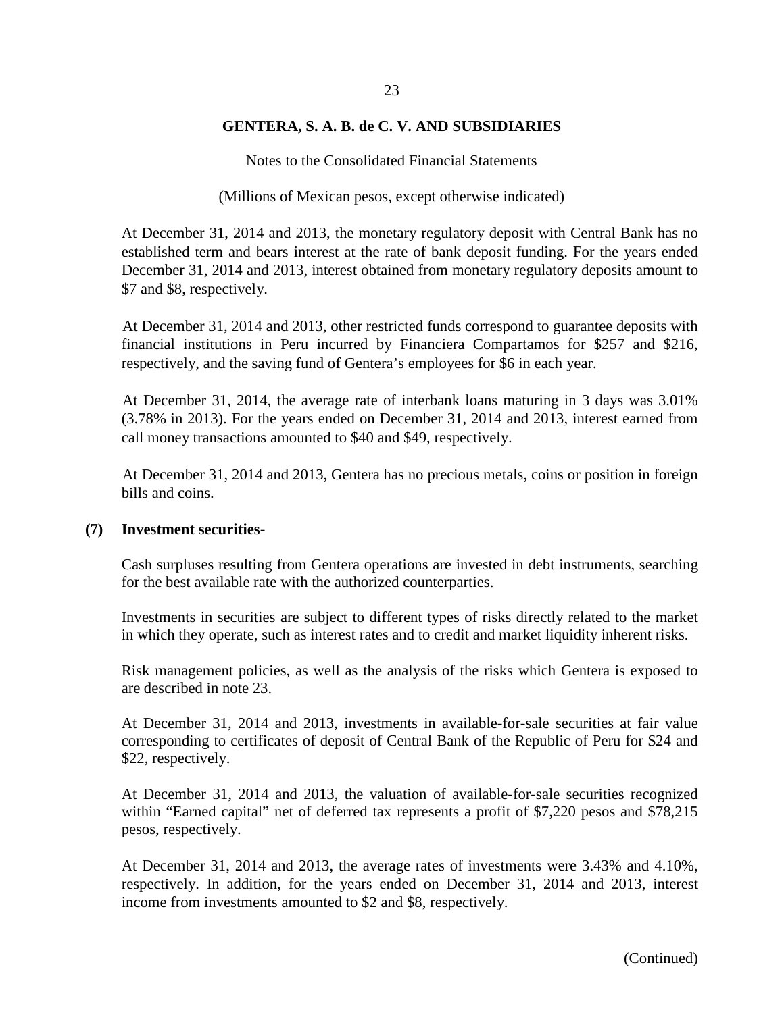Notes to the Consolidated Financial Statements

(Millions of Mexican pesos, except otherwise indicated)

At December 31, 2014 and 2013, the monetary regulatory deposit with Central Bank has no established term and bears interest at the rate of bank deposit funding. For the years ended December 31, 2014 and 2013, interest obtained from monetary regulatory deposits amount to \$7 and \$8, respectively.

At December 31, 2014 and 2013, other restricted funds correspond to guarantee deposits with financial institutions in Peru incurred by Financiera Compartamos for \$257 and \$216, respectively, and the saving fund of Gentera's employees for \$6 in each year.

At December 31, 2014, the average rate of interbank loans maturing in 3 days was 3.01% (3.78% in 2013). For the years ended on December 31, 2014 and 2013, interest earned from call money transactions amounted to \$40 and \$49, respectively.

At December 31, 2014 and 2013, Gentera has no precious metals, coins or position in foreign bills and coins.

#### **(7) Investment securities-**

Cash surpluses resulting from Gentera operations are invested in debt instruments, searching for the best available rate with the authorized counterparties.

Investments in securities are subject to different types of risks directly related to the market in which they operate, such as interest rates and to credit and market liquidity inherent risks.

Risk management policies, as well as the analysis of the risks which Gentera is exposed to are described in note 23.

At December 31, 2014 and 2013, investments in available-for-sale securities at fair value corresponding to certificates of deposit of Central Bank of the Republic of Peru for \$24 and \$22, respectively.

At December 31, 2014 and 2013, the valuation of available-for-sale securities recognized within "Earned capital" net of deferred tax represents a profit of \$7,220 pesos and \$78,215 pesos, respectively.

At December 31, 2014 and 2013, the average rates of investments were 3.43% and 4.10%, respectively. In addition, for the years ended on December 31, 2014 and 2013, interest income from investments amounted to \$2 and \$8, respectively.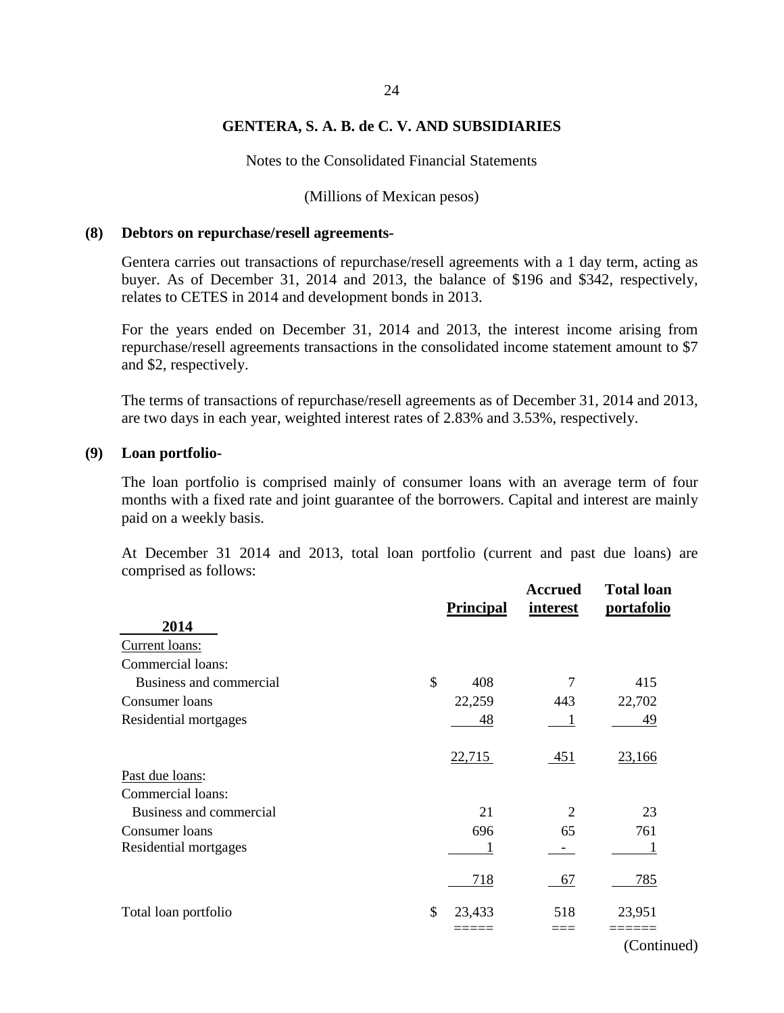Notes to the Consolidated Financial Statements

#### (Millions of Mexican pesos)

#### **(8) Debtors on repurchase/resell agreements-**

Gentera carries out transactions of repurchase/resell agreements with a 1 day term, acting as buyer. As of December 31, 2014 and 2013, the balance of \$196 and \$342, respectively, relates to CETES in 2014 and development bonds in 2013.

For the years ended on December 31, 2014 and 2013, the interest income arising from repurchase/resell agreements transactions in the consolidated income statement amount to \$7 and \$2, respectively.

The terms of transactions of repurchase/resell agreements as of December 31, 2014 and 2013, are two days in each year, weighted interest rates of 2.83% and 3.53%, respectively.

#### **(9) Loan portfolio-**

The loan portfolio is comprised mainly of consumer loans with an average term of four months with a fixed rate and joint guarantee of the borrowers. Capital and interest are mainly paid on a weekly basis.

At December 31 2014 and 2013, total loan portfolio (current and past due loans) are comprised as follows:

|                         | <b>Principal</b>     | <b>Accrued</b><br>interest | <b>Total loan</b><br>portafolio |
|-------------------------|----------------------|----------------------------|---------------------------------|
| 2014                    |                      |                            |                                 |
| Current loans:          |                      |                            |                                 |
| Commercial loans:       |                      |                            |                                 |
| Business and commercial | $\mathcal{S}$<br>408 |                            | 415                             |
| Consumer loans          | 22,259               | 443                        | 22,702                          |
| Residential mortgages   | 48                   |                            | 49                              |
|                         | 22,715               | 451                        | 23,166                          |
| Past due loans:         |                      |                            |                                 |
| Commercial loans:       |                      |                            |                                 |
| Business and commercial | 21                   | 2                          | 23                              |
| Consumer loans          | 696                  | 65                         | 761                             |
| Residential mortgages   |                      |                            |                                 |
|                         | 718                  | 67                         | 785                             |
| Total loan portfolio    | \$<br>23,433         | 518                        | 23,951                          |
|                         |                      |                            |                                 |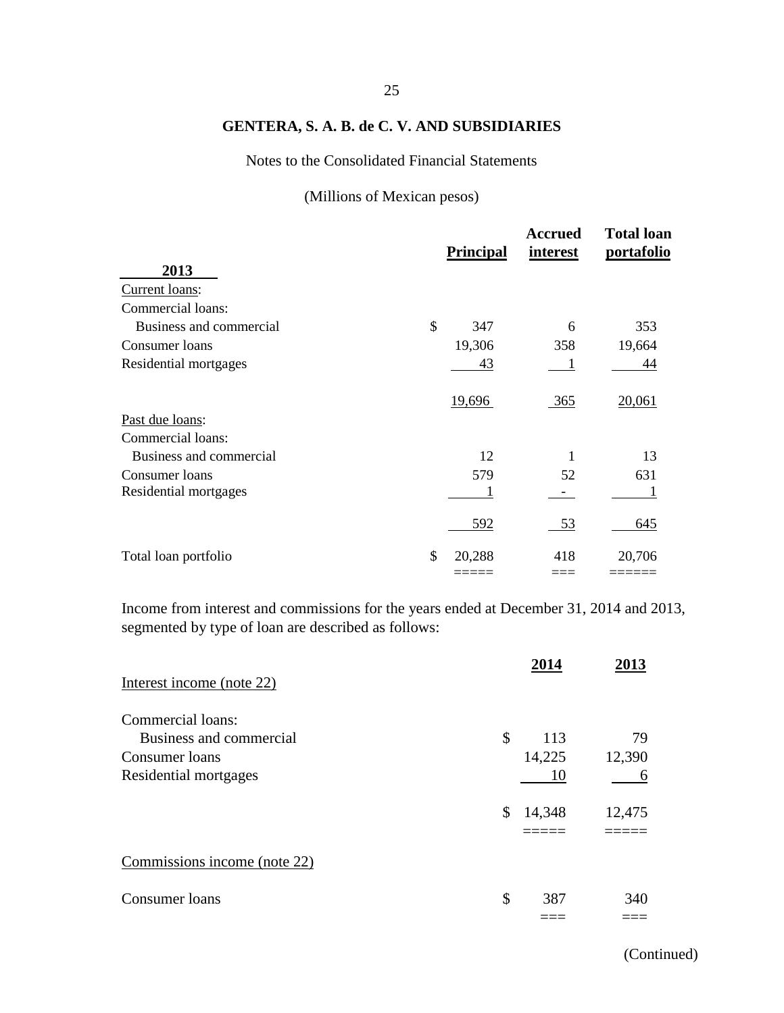Notes to the Consolidated Financial Statements

(Millions of Mexican pesos)

|                         | <b>Principal</b> | <b>Accrued</b><br><i>interest</i> | <b>Total loan</b><br>portafolio |
|-------------------------|------------------|-----------------------------------|---------------------------------|
| 2013                    |                  |                                   |                                 |
| Current loans:          |                  |                                   |                                 |
| Commercial loans:       |                  |                                   |                                 |
| Business and commercial | \$<br>347        | 6                                 | 353                             |
| Consumer loans          | 19,306           | 358                               | 19,664                          |
| Residential mortgages   | 43               |                                   | 44                              |
|                         | 19,696           | 365                               | 20,061                          |
| Past due loans:         |                  |                                   |                                 |
| Commercial loans:       |                  |                                   |                                 |
| Business and commercial |                  | 12                                | 13                              |
| Consumer loans          | 579              | 52                                | 631                             |
| Residential mortgages   |                  |                                   |                                 |
|                         | 592              | 53                                | 645                             |
| Total loan portfolio    | \$<br>20,288     | 418                               | 20,706                          |
|                         |                  |                                   |                                 |

Income from interest and commissions for the years ended at December 31, 2014 and 2013, segmented by type of loan are described as follows:

|                              | 2014         | 2013   |
|------------------------------|--------------|--------|
| Interest income (note 22)    |              |        |
| Commercial loans:            |              |        |
| Business and commercial      | \$<br>113    | 79     |
| Consumer loans               | 14,225       | 12,390 |
| Residential mortgages        | 10           | 6      |
|                              | \$<br>14,348 | 12,475 |
|                              |              |        |
| Commissions income (note 22) |              |        |
| Consumer loans               | \$<br>387    | 340    |
|                              |              |        |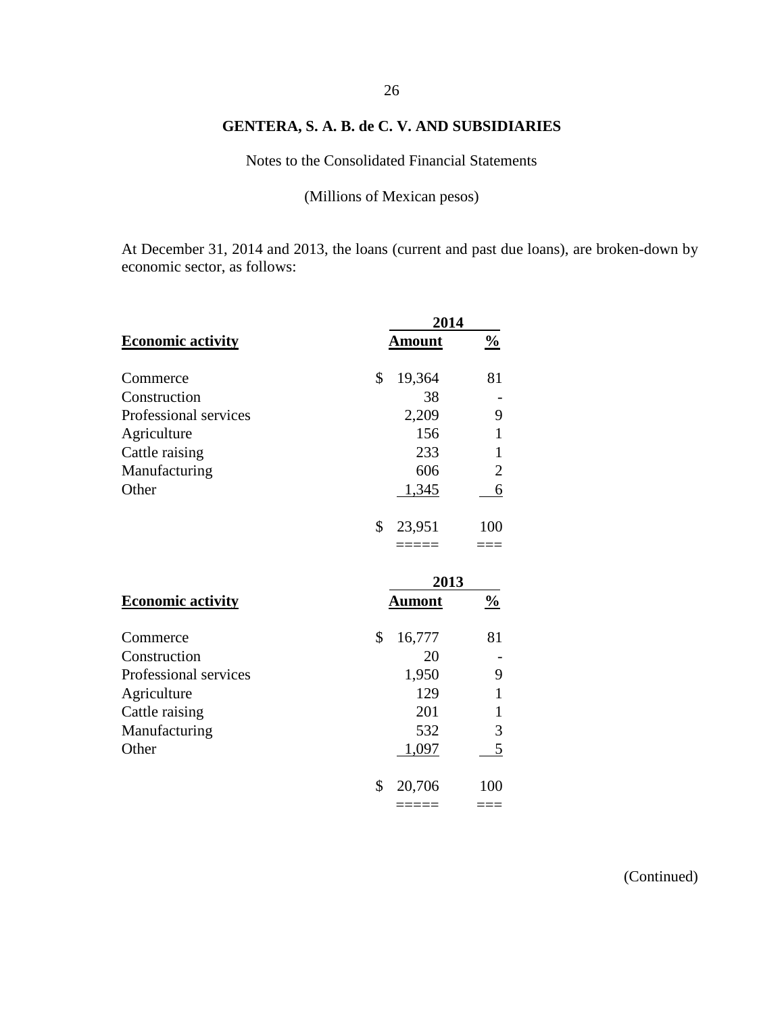Notes to the Consolidated Financial Statements

(Millions of Mexican pesos)

At December 31, 2014 and 2013, the loans (current and past due loans), are broken-down by economic sector, as follows:

|                          |               | 2014          |
|--------------------------|---------------|---------------|
| <b>Economic activity</b> | <u>Amount</u> | $\frac{0}{0}$ |
| Commerce                 | \$<br>19,364  | 81            |
| Construction             | 38            |               |
| Professional services    | 2,209         | 9             |
| Agriculture              | 156           | 1             |
| Cattle raising           | 233           | 1             |
| Manufacturing            | 606           | 2             |
| Other                    | 1,345         | 6             |
|                          | \$<br>23,951  | 100           |
|                          |               |               |
|                          |               | 2013          |
| <b>Economic activity</b> | <u>Aumont</u> | $\frac{0}{0}$ |
| Commerce                 | \$<br>16,777  | 81            |
| Construction             | 20            |               |
| Professional services    | 1,950         | 9             |
| Agriculture              | 129           | 1             |
| Cattle raising           | 201           | 1             |
| Manufacturing            | 532           | 3             |
| Other                    | 1,097         | 5             |
|                          | \$<br>20,706  | 100           |
|                          | =====         | ===           |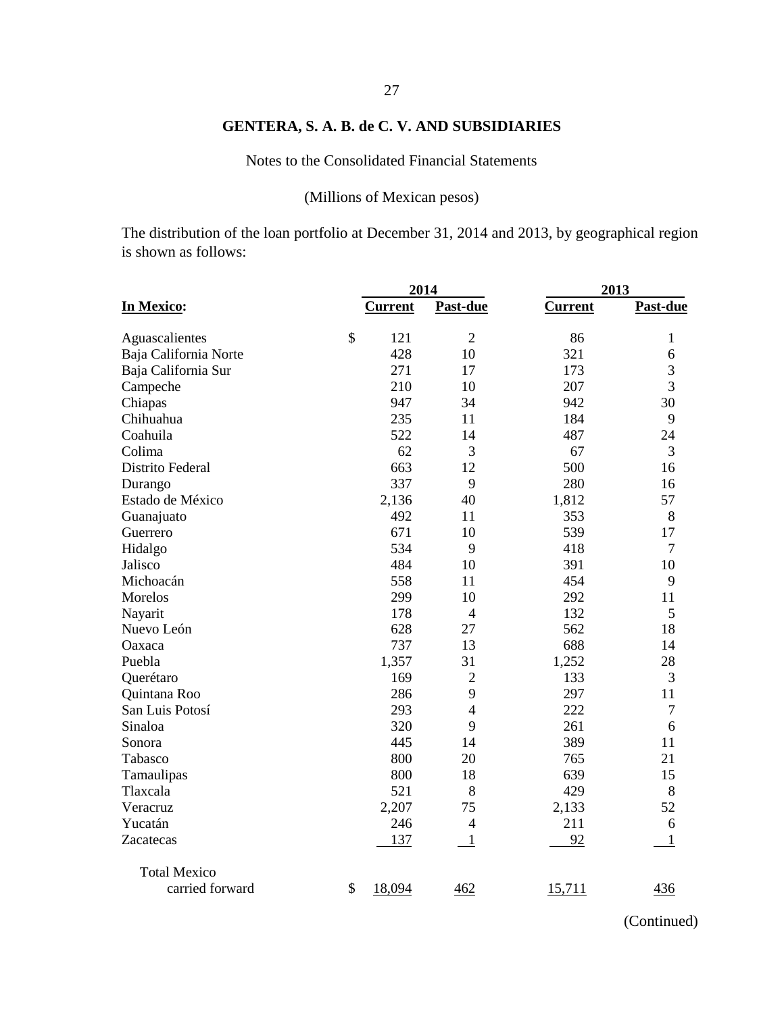Notes to the Consolidated Financial Statements

# (Millions of Mexican pesos)

The distribution of the loan portfolio at December 31, 2014 and 2013, by geographical region is shown as follows:

|                       |               | 2014           |                |                | 2013           |  |  |
|-----------------------|---------------|----------------|----------------|----------------|----------------|--|--|
| In Mexico:            |               | <b>Current</b> | Past-due       | <b>Current</b> | Past-due       |  |  |
|                       |               |                |                |                |                |  |  |
| Aguascalientes        | \$            | 121            | $\overline{2}$ | 86             | 1              |  |  |
| Baja California Norte |               | 428            | 10             | 321            | 6              |  |  |
| Baja California Sur   |               | 271            | 17             | 173            | 3              |  |  |
| Campeche              |               | 210            | 10             | 207            | $\overline{3}$ |  |  |
| Chiapas               |               | 947            | 34             | 942            | 30             |  |  |
| Chihuahua             |               | 235            | 11             | 184            | 9              |  |  |
| Coahuila              |               | 522            | 14             | 487            | 24             |  |  |
| Colima                |               | 62             | 3              | 67             | 3              |  |  |
| Distrito Federal      |               | 663            | 12             | 500            | 16             |  |  |
| Durango               |               | 337            | 9              | 280            | 16             |  |  |
| Estado de México      |               | 2,136          | 40             | 1,812          | 57             |  |  |
| Guanajuato            |               | 492            | 11             | 353            | 8              |  |  |
| Guerrero              |               | 671            | 10             | 539            | 17             |  |  |
| Hidalgo               |               | 534            | 9              | 418            | $\overline{7}$ |  |  |
| Jalisco               |               | 484            | 10             | 391            | 10             |  |  |
| Michoacán             |               | 558            | 11             | 454            | 9              |  |  |
| Morelos               |               | 299            | 10             | 292            | 11             |  |  |
| Nayarit               |               | 178            | $\overline{4}$ | 132            | 5              |  |  |
| Nuevo León            |               | 628            | 27             | 562            | 18             |  |  |
| Oaxaca                |               | 737            | 13             | 688            | 14             |  |  |
| Puebla                |               | 1,357          | 31             | 1,252          | 28             |  |  |
| Querétaro             |               | 169            | $\overline{2}$ | 133            | 3              |  |  |
| Quintana Roo          |               | 286            | 9              | 297            | 11             |  |  |
| San Luis Potosí       |               | 293            | $\overline{4}$ | 222            | 7              |  |  |
| Sinaloa               |               | 320            | 9              | 261            | 6              |  |  |
| Sonora                |               | 445            | 14             | 389            | 11             |  |  |
| Tabasco               |               | 800            | 20             | 765            | 21             |  |  |
| Tamaulipas            |               | 800            | 18             | 639            | 15             |  |  |
| Tlaxcala              |               | 521            | 8              | 429            | 8              |  |  |
| Veracruz              |               | 2,207          | 75             | 2,133          | 52             |  |  |
| Yucatán               |               | 246            | $\overline{4}$ | 211            | 6              |  |  |
| Zacatecas             |               | 137            | $\mathbf{1}$   | 92             | 1              |  |  |
| <b>Total Mexico</b>   |               |                |                |                |                |  |  |
| carried forward       | $\mathcal{S}$ | 18,094         | 462            | 15,711         | 436            |  |  |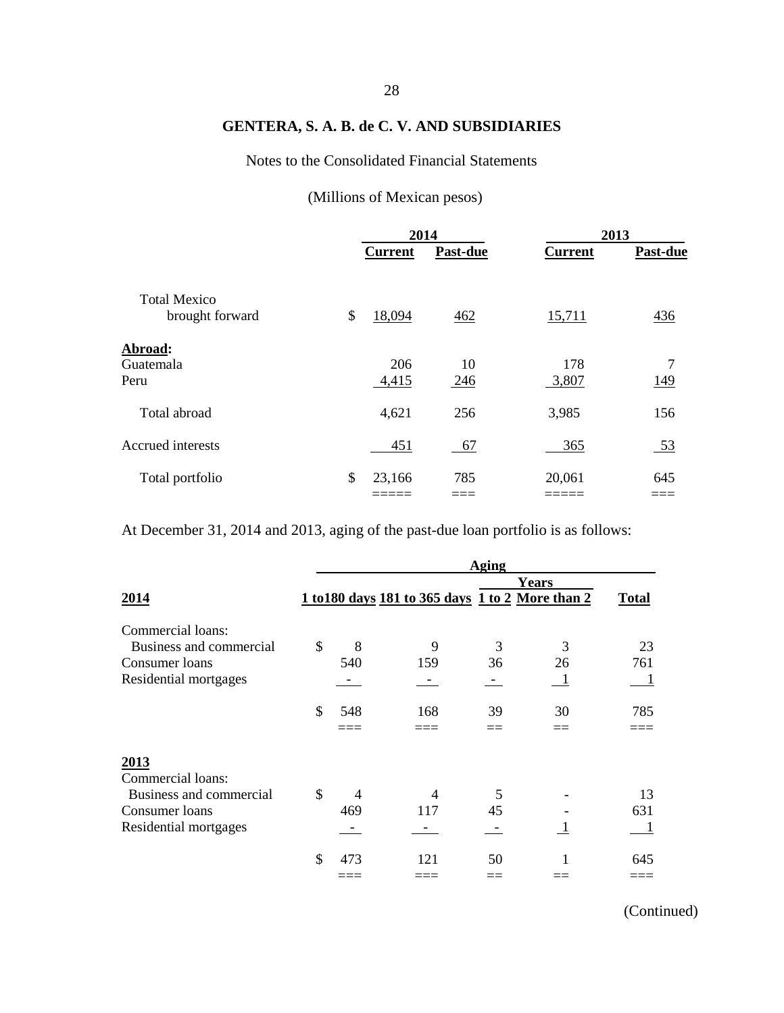## Notes to the Consolidated Financial Statements

# (Millions of Mexican pesos)

|                                        | 2014           |           |                | 2013             |  |
|----------------------------------------|----------------|-----------|----------------|------------------|--|
|                                        | <b>Current</b> | Past-due  | <b>Current</b> | Past-due         |  |
| <b>Total Mexico</b><br>brought forward | \$<br>18,094   | 462       | 15,711         | 436              |  |
| Abroad:<br>Guatemala<br>Peru           | 206<br>4,415   | 10<br>246 | 178<br>3,807   | 7<br>149         |  |
| Total abroad                           | 4,621          | 256       | 3,985          | 156              |  |
| Accrued interests                      | 451            | 67        | 365            | $\underline{53}$ |  |
| Total portfolio                        | \$<br>23,166   | 785       | 20,061         | 645              |  |

At December 31, 2014 and 2013, aging of the past-due loan portfolio is as follows:

|                         |               |     |                                                  | Aging |              |              |
|-------------------------|---------------|-----|--------------------------------------------------|-------|--------------|--------------|
|                         |               |     |                                                  |       | <b>Years</b> |              |
| 2014                    |               |     | 1 to 180 days 181 to 365 days 1 to 2 More than 2 |       |              | <b>Total</b> |
| Commercial loans:       |               |     |                                                  |       |              |              |
| Business and commercial | \$            | 8   | 9                                                | 3     | 3            | 23           |
| Consumer loans          |               | 540 | 159                                              | 36    | 26           | 761          |
| Residential mortgages   |               |     |                                                  |       |              |              |
|                         | $\mathcal{S}$ | 548 | 168                                              | 39    | 30           | 785          |
|                         |               |     |                                                  |       |              |              |
| 2013                    |               |     |                                                  |       |              |              |
| Commercial loans:       |               |     |                                                  |       |              |              |
| Business and commercial | $\mathcal{S}$ | 4   |                                                  | 5     |              | 13           |
| Consumer loans          |               | 469 | 117                                              | 45    |              | 631          |
| Residential mortgages   |               |     |                                                  |       |              | 1            |
|                         | \$            | 473 | 121                                              | 50    |              | 645          |
|                         |               |     |                                                  |       |              |              |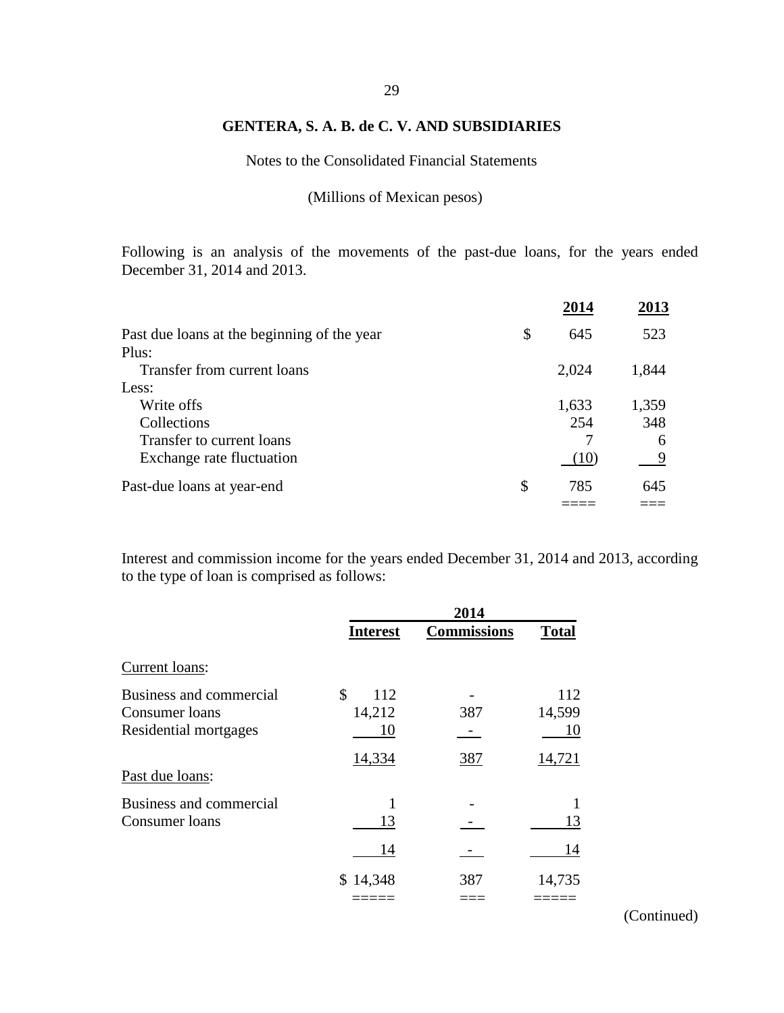# 29

## **GENTERA, S. A. B. de C. V. AND SUBSIDIARIES**

Notes to the Consolidated Financial Statements

(Millions of Mexican pesos)

Following is an analysis of the movements of the past-due loans, for the years ended December 31, 2014 and 2013.

|                                             | 2014      | 2013  |
|---------------------------------------------|-----------|-------|
| Past due loans at the beginning of the year | \$<br>645 | 523   |
| Plus:                                       |           |       |
| Transfer from current loans                 | 2,024     | 1,844 |
| Less:                                       |           |       |
| Write offs                                  | 1,633     | 1,359 |
| Collections                                 | 254       | 348   |
| Transfer to current loans                   |           | 6     |
| Exchange rate fluctuation                   | (10)      |       |
| Past-due loans at year-end                  | \$<br>785 | 645   |
|                                             |           |       |

Interest and commission income for the years ended December 31, 2014 and 2013, according to the type of loan is comprised as follows:

|                                                                    | 2014                      |                    |                     |  |  |
|--------------------------------------------------------------------|---------------------------|--------------------|---------------------|--|--|
|                                                                    | <b>Interest</b>           | <b>Commissions</b> | <b>Total</b>        |  |  |
| Current loans:                                                     |                           |                    |                     |  |  |
| Business and commercial<br>Consumer loans<br>Residential mortgages | \$<br>112<br>14,212<br>10 | 387                | 112<br>14,599<br>10 |  |  |
| Past due loans:                                                    | 14,334                    | 387                | 14,721              |  |  |
| Business and commercial<br>Consumer loans                          | 13                        |                    | 13                  |  |  |
|                                                                    | 14                        |                    | 14                  |  |  |
|                                                                    | \$14,348                  | 387                | 14,735              |  |  |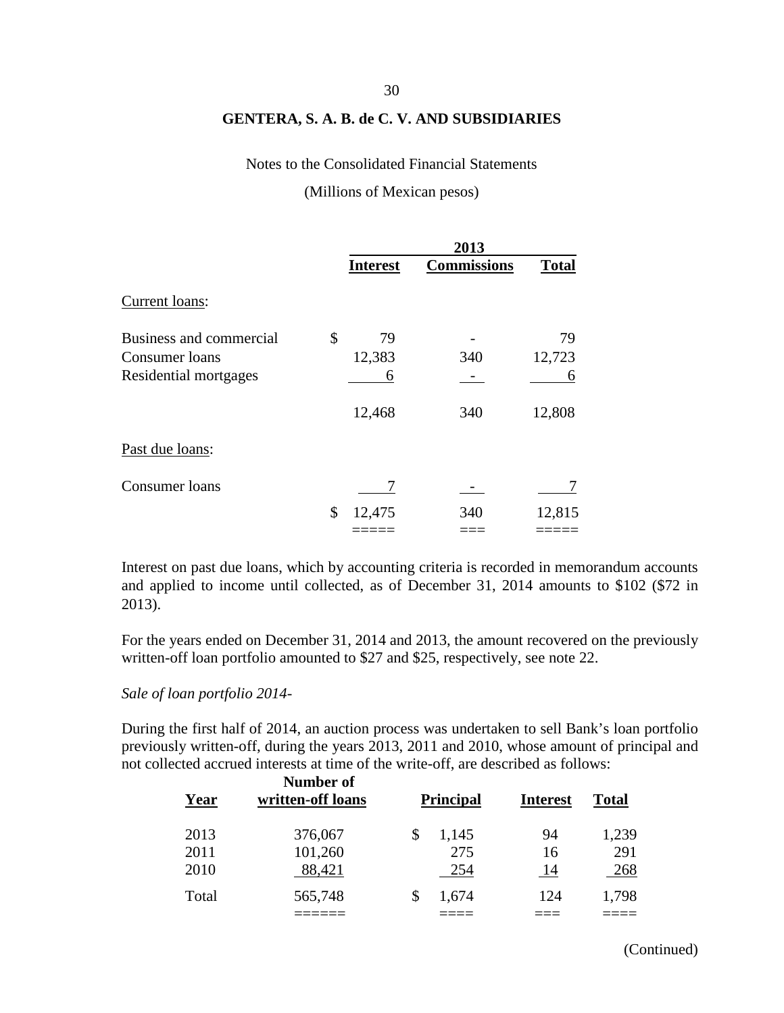#### Notes to the Consolidated Financial Statements

(Millions of Mexican pesos)

|                         | 2013            |                    |              |  |
|-------------------------|-----------------|--------------------|--------------|--|
|                         | <b>Interest</b> | <b>Commissions</b> | <b>Total</b> |  |
| Current loans:          |                 |                    |              |  |
| Business and commercial | \$<br>79        |                    | 79           |  |
| Consumer loans          | 12,383          | 340                | 12,723       |  |
| Residential mortgages   | 6               |                    | 6            |  |
|                         | 12,468          | 340                | 12,808       |  |
| Past due loans:         |                 |                    |              |  |
| Consumer loans          |                 |                    |              |  |
|                         | \$<br>12,475    | 340                | 12,815       |  |
|                         |                 |                    |              |  |

Interest on past due loans, which by accounting criteria is recorded in memorandum accounts and applied to income until collected, as of December 31, 2014 amounts to \$102 (\$72 in 2013).

For the years ended on December 31, 2014 and 2013, the amount recovered on the previously written-off loan portfolio amounted to \$27 and \$25, respectively, see note 22.

#### *Sale of loan portfolio 2014-*

During the first half of 2014, an auction process was undertaken to sell Bank's loan portfolio previously written-off, during the years 2013, 2011 and 2010, whose amount of principal and not collected accrued interests at time of the write-off, are described as follows:

| Year  | Number of<br>written-off loans | <b>Principal</b> | <b>Interest</b> | <b>Total</b> |
|-------|--------------------------------|------------------|-----------------|--------------|
| 2013  | 376,067                        | \$<br>1,145      | 94              | 1,239        |
| 2011  | 101,260                        | 275              | 16              | 291          |
| 2010  | 88,421                         | 254              | <u>14</u>       | 268          |
| Total | 565,748                        | 1,674            | 124             | 1,798        |
|       |                                |                  |                 |              |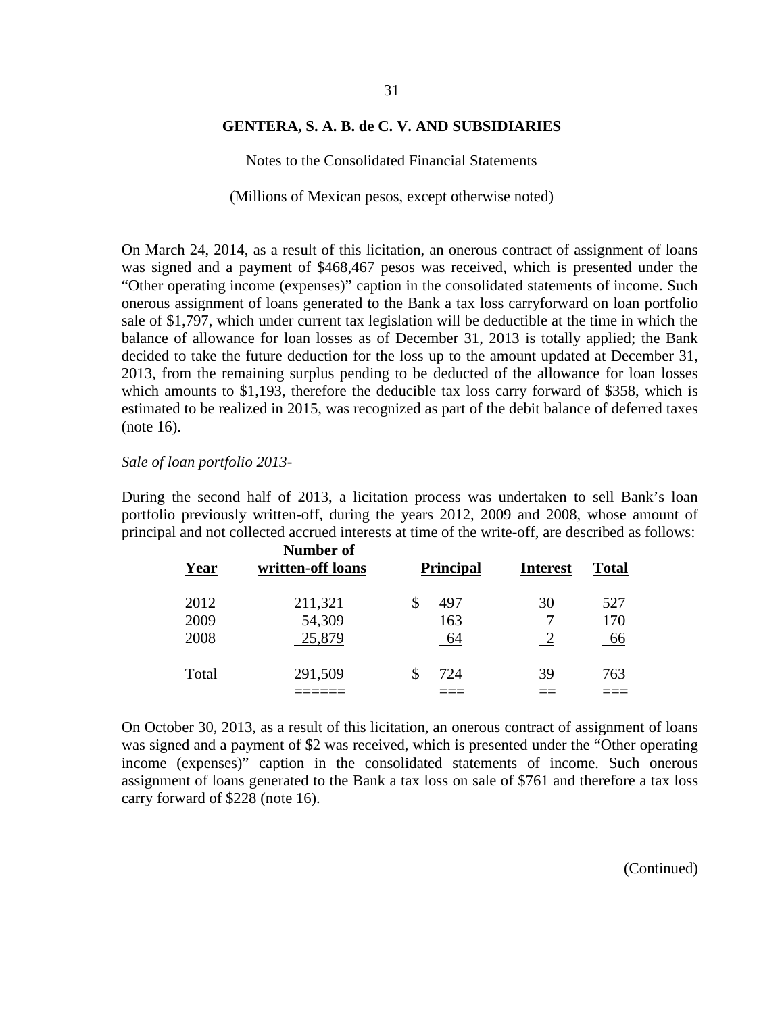Notes to the Consolidated Financial Statements

(Millions of Mexican pesos, except otherwise noted)

On March 24, 2014, as a result of this licitation, an onerous contract of assignment of loans was signed and a payment of \$468,467 pesos was received, which is presented under the "Other operating income (expenses)" caption in the consolidated statements of income. Such onerous assignment of loans generated to the Bank a tax loss carryforward on loan portfolio sale of \$1,797, which under current tax legislation will be deductible at the time in which the balance of allowance for loan losses as of December 31, 2013 is totally applied; the Bank decided to take the future deduction for the loss up to the amount updated at December 31, 2013, from the remaining surplus pending to be deducted of the allowance for loan losses which amounts to \$1,193, therefore the deducible tax loss carry forward of \$358, which is estimated to be realized in 2015, was recognized as part of the debit balance of deferred taxes (note 16).

#### *Sale of loan portfolio 2013-*

During the second half of 2013, a licitation process was undertaken to sell Bank's loan portfolio previously written-off, during the years 2012, 2009 and 2008, whose amount of principal and not collected accrued interests at time of the write-off, are described as follows:

| Year  | Number of<br>written-off loans | <b>Principal</b> | <b>Interest</b> | Total |
|-------|--------------------------------|------------------|-----------------|-------|
| 2012  | 211,321                        | 497              | 30              | 527   |
| 2009  | 54,309                         | 163              |                 | 170   |
| 2008  | 25,879                         | 64               |                 | 66    |
| Total | 291,509                        | 724              | 39              | 763   |
|       |                                |                  |                 |       |

On October 30, 2013, as a result of this licitation, an onerous contract of assignment of loans was signed and a payment of \$2 was received, which is presented under the "Other operating income (expenses)" caption in the consolidated statements of income. Such onerous assignment of loans generated to the Bank a tax loss on sale of \$761 and therefore a tax loss carry forward of \$228 (note 16).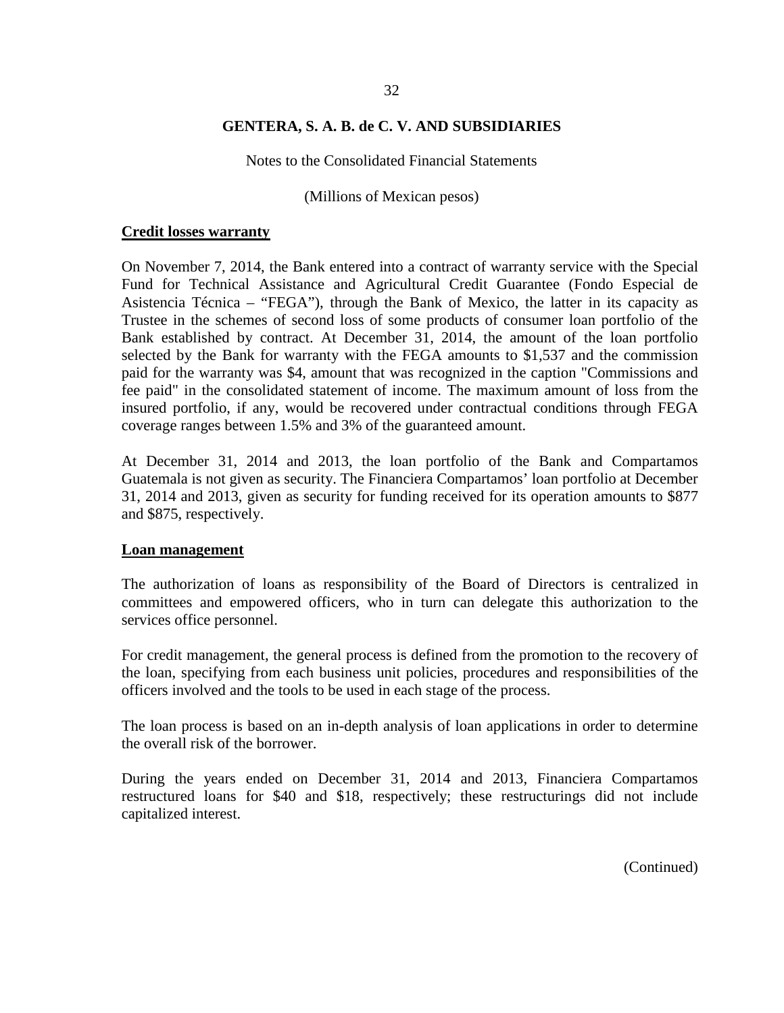Notes to the Consolidated Financial Statements

(Millions of Mexican pesos)

#### **Credit losses warranty**

On November 7, 2014, the Bank entered into a contract of warranty service with the Special Fund for Technical Assistance and Agricultural Credit Guarantee (Fondo Especial de Asistencia Técnica – "FEGA"), through the Bank of Mexico, the latter in its capacity as Trustee in the schemes of second loss of some products of consumer loan portfolio of the Bank established by contract. At December 31, 2014, the amount of the loan portfolio selected by the Bank for warranty with the FEGA amounts to \$1,537 and the commission paid for the warranty was \$4, amount that was recognized in the caption "Commissions and fee paid" in the consolidated statement of income. The maximum amount of loss from the insured portfolio, if any, would be recovered under contractual conditions through FEGA coverage ranges between 1.5% and 3% of the guaranteed amount.

At December 31, 2014 and 2013, the loan portfolio of the Bank and Compartamos Guatemala is not given as security. The Financiera Compartamos' loan portfolio at December 31, 2014 and 2013, given as security for funding received for its operation amounts to \$877 and \$875, respectively.

#### **Loan management**

The authorization of loans as responsibility of the Board of Directors is centralized in committees and empowered officers, who in turn can delegate this authorization to the services office personnel.

For credit management, the general process is defined from the promotion to the recovery of the loan, specifying from each business unit policies, procedures and responsibilities of the officers involved and the tools to be used in each stage of the process.

The loan process is based on an in-depth analysis of loan applications in order to determine the overall risk of the borrower.

During the years ended on December 31, 2014 and 2013, Financiera Compartamos restructured loans for \$40 and \$18, respectively; these restructurings did not include capitalized interest.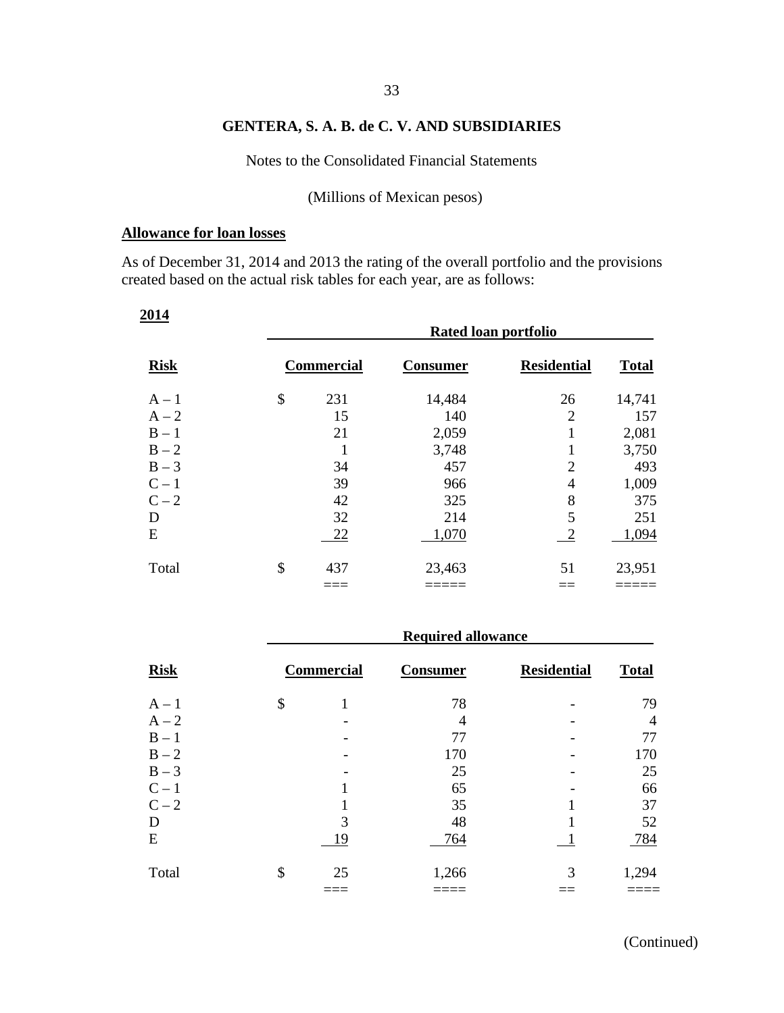# 33

## **GENTERA, S. A. B. de C. V. AND SUBSIDIARIES**

Notes to the Consolidated Financial Statements

(Millions of Mexican pesos)

#### **Allowance for loan losses**

As of December 31, 2014 and 2013 the rating of the overall portfolio and the provisions created based on the actual risk tables for each year, are as follows:

| 2014        | Rated loan portfolio |                 |                    |              |  |  |  |  |
|-------------|----------------------|-----------------|--------------------|--------------|--|--|--|--|
| <b>Risk</b> | <b>Commercial</b>    | <b>Consumer</b> | <b>Residential</b> | <b>Total</b> |  |  |  |  |
| $A - 1$     | \$<br>231            | 14,484          | 26                 | 14,741       |  |  |  |  |
| $A - 2$     | 15                   | 140             | $\overline{2}$     | 157          |  |  |  |  |
| $B - 1$     | 21                   | 2,059           | 1                  | 2,081        |  |  |  |  |
| $B - 2$     |                      | 3,748           | 1                  | 3,750        |  |  |  |  |
| $B-3$       | 34                   | 457             | $\overline{2}$     | 493          |  |  |  |  |
| $C-1$       | 39                   | 966             | 4                  | 1,009        |  |  |  |  |
| $C-2$       | 42                   | 325             | 8                  | 375          |  |  |  |  |
| D           | 32                   | 214             | 5                  | 251          |  |  |  |  |
| E           | 22                   | 1,070           | $\overline{c}$     | 1,094        |  |  |  |  |
| Total       | \$<br>437            | 23,463          | 51                 | 23,951       |  |  |  |  |
|             |                      |                 |                    |              |  |  |  |  |

|             | <b>Required allowance</b> |                 |                    |              |  |  |  |  |  |
|-------------|---------------------------|-----------------|--------------------|--------------|--|--|--|--|--|
| <b>Risk</b> | <b>Commercial</b>         | <b>Consumer</b> | <b>Residential</b> | <b>Total</b> |  |  |  |  |  |
| $A - 1$     | \$                        | 78              |                    | 79           |  |  |  |  |  |
| $A - 2$     |                           | 4               |                    | 4            |  |  |  |  |  |
| $B - 1$     |                           | 77              |                    | 77           |  |  |  |  |  |
| $B - 2$     |                           | 170             |                    | 170          |  |  |  |  |  |
| $B-3$       |                           | 25              |                    | 25           |  |  |  |  |  |
| $C-1$       |                           | 65              |                    | 66           |  |  |  |  |  |
| $C-2$       |                           | 35              |                    | 37           |  |  |  |  |  |
| D           | 3                         | 48              |                    | 52           |  |  |  |  |  |
| E           | 19                        | 764             |                    | 784          |  |  |  |  |  |
| Total       | \$<br>25                  | 1,266           | 3                  | 1,294        |  |  |  |  |  |
|             |                           |                 |                    |              |  |  |  |  |  |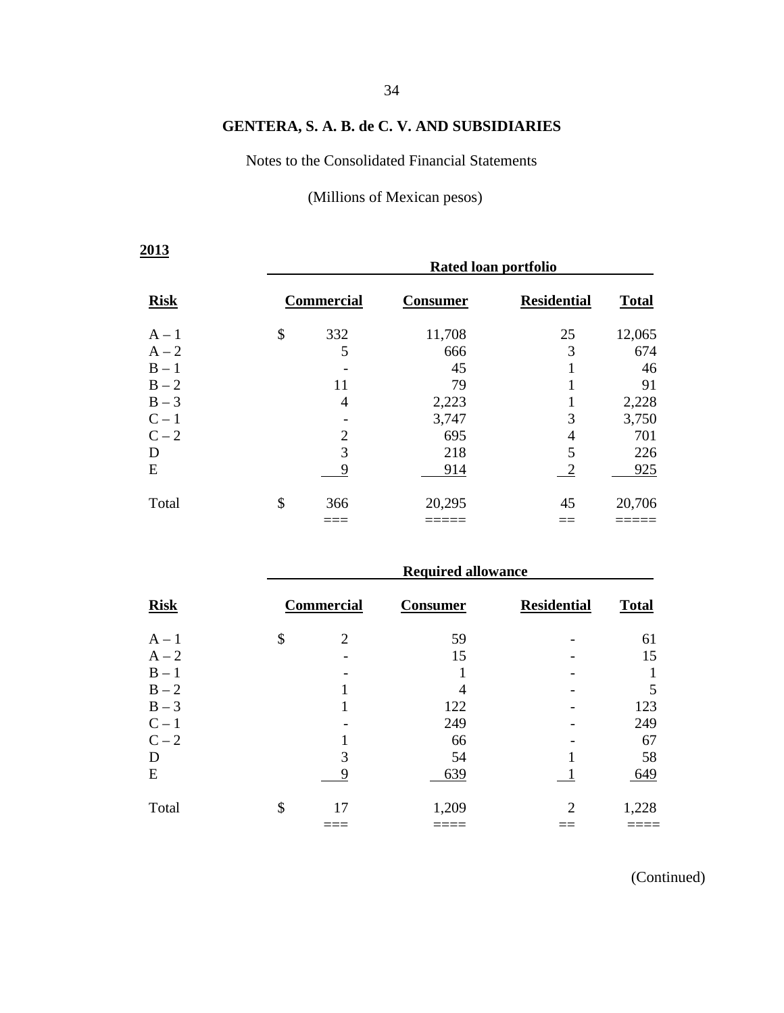Notes to the Consolidated Financial Statements

(Millions of Mexican pesos)

| 2013        | Rated loan portfolio |                 |                    |              |  |  |  |  |
|-------------|----------------------|-----------------|--------------------|--------------|--|--|--|--|
| <b>Risk</b> | <b>Commercial</b>    | <b>Consumer</b> | <b>Residential</b> | <b>Total</b> |  |  |  |  |
| $A - 1$     | \$<br>332            | 11,708          | 25                 | 12,065       |  |  |  |  |
| $A - 2$     | 5                    | 666             | 3                  | 674          |  |  |  |  |
| $B - 1$     |                      | 45              |                    | 46           |  |  |  |  |
| $B - 2$     | 11                   | 79              |                    | 91           |  |  |  |  |
| $B-3$       | 4                    | 2,223           |                    | 2,228        |  |  |  |  |
| $C-1$       |                      | 3,747           | 3                  | 3,750        |  |  |  |  |
| $C-2$       | $\overline{c}$       | 695             | 4                  | 701          |  |  |  |  |
| D           | 3                    | 218             | 5                  | 226          |  |  |  |  |
| E           | 9                    | 914             | $\overline{2}$     | 925          |  |  |  |  |
| Total       | \$<br>366            | 20,295          | 45                 | 20,706       |  |  |  |  |
|             |                      |                 |                    |              |  |  |  |  |

|             | <b>Required allowance</b> |                 |                    |              |  |  |  |  |  |
|-------------|---------------------------|-----------------|--------------------|--------------|--|--|--|--|--|
| <b>Risk</b> | Commercial                | <b>Consumer</b> | <b>Residential</b> | <b>Total</b> |  |  |  |  |  |
| $A - 1$     | \$<br>2                   | 59              |                    | 61           |  |  |  |  |  |
| $A - 2$     |                           | 15              |                    | 15           |  |  |  |  |  |
| $B - 1$     |                           |                 |                    |              |  |  |  |  |  |
| $B - 2$     |                           | 4               |                    | 5            |  |  |  |  |  |
| $B-3$       |                           | 122             |                    | 123          |  |  |  |  |  |
| $C-1$       |                           | 249             |                    | 249          |  |  |  |  |  |
| $C-2$       |                           | 66              |                    | 67           |  |  |  |  |  |
| D           | 3                         | 54              |                    | 58           |  |  |  |  |  |
| E           |                           | 639             |                    | 649          |  |  |  |  |  |
| Total       | \$<br>17                  | 1,209           | 2                  | 1,228        |  |  |  |  |  |
|             |                           |                 |                    |              |  |  |  |  |  |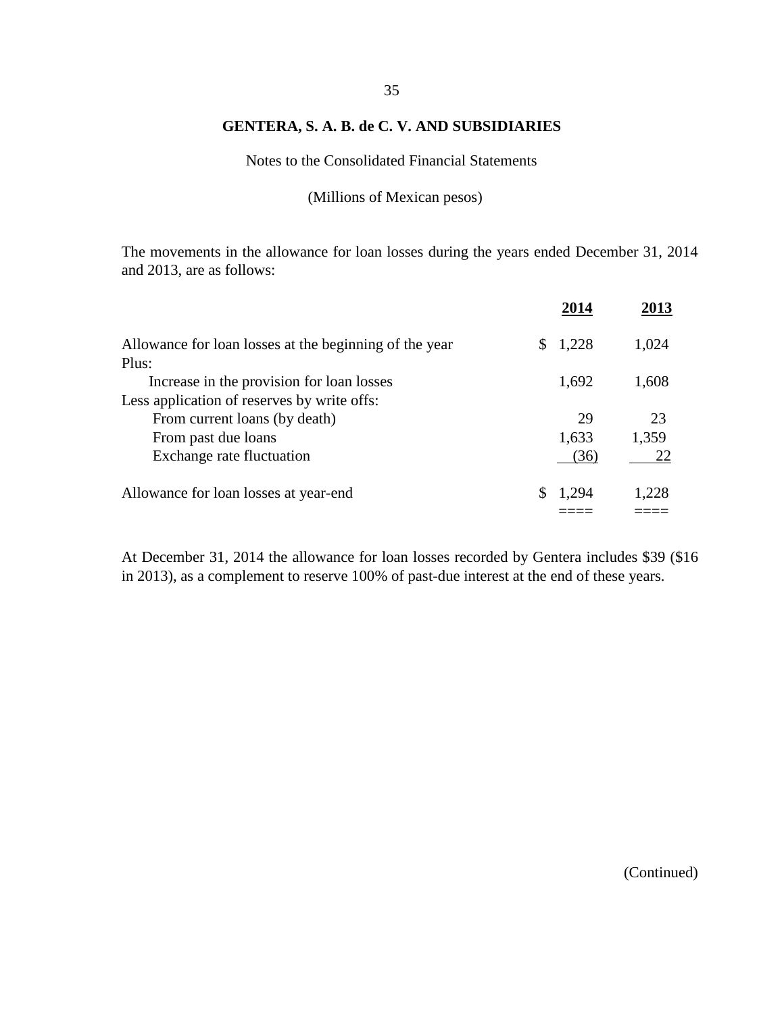Notes to the Consolidated Financial Statements

(Millions of Mexican pesos)

The movements in the allowance for loan losses during the years ended December 31, 2014 and 2013, are as follows:

|                                                               |       | 2013  |
|---------------------------------------------------------------|-------|-------|
| Allowance for loan losses at the beginning of the year<br>\$. | 1,228 | 1,024 |
| Plus:                                                         |       |       |
| Increase in the provision for loan losses                     | 1,692 | 1,608 |
| Less application of reserves by write offs:                   |       |       |
| From current loans (by death)                                 | 29    | 23    |
| From past due loans                                           | 1,633 | 1,359 |
| Exchange rate fluctuation                                     | (36)  | 22    |
| Allowance for loan losses at year-end<br>S                    | 1,294 | 1,228 |
|                                                               |       |       |

At December 31, 2014 the allowance for loan losses recorded by Gentera includes \$39 (\$16 in 2013), as a complement to reserve 100% of past-due interest at the end of these years.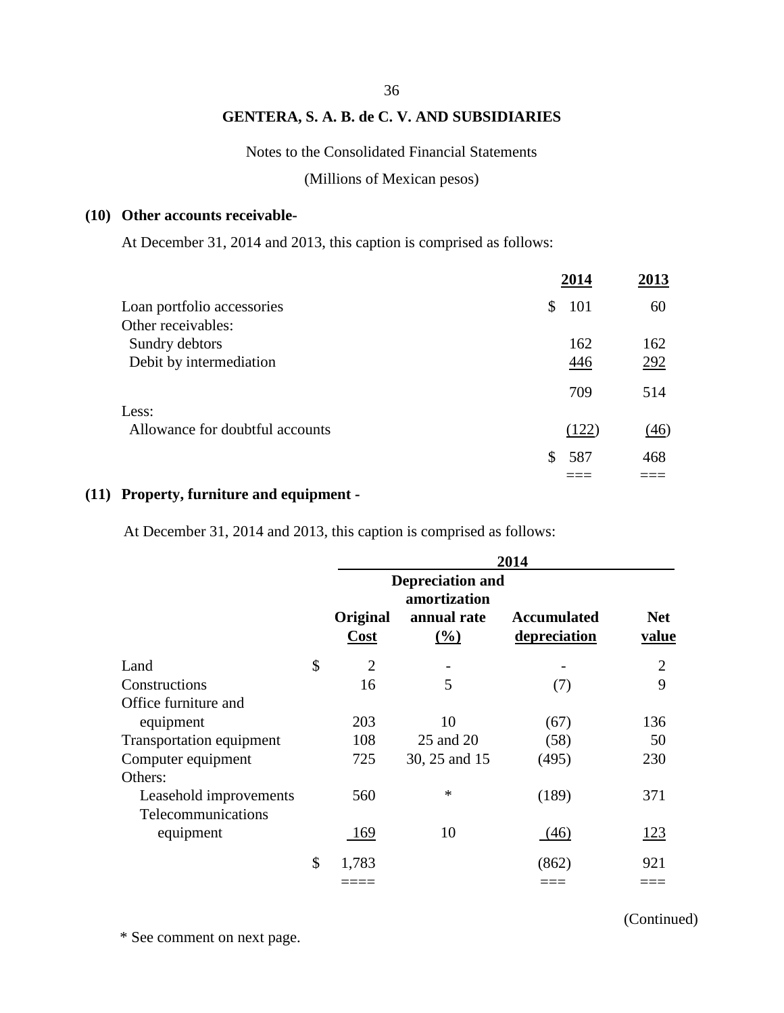#### 36

## **GENTERA, S. A. B. de C. V. AND SUBSIDIARIES**

#### Notes to the Consolidated Financial Statements

(Millions of Mexican pesos)

#### **(10) Other accounts receivable-**

At December 31, 2014 and 2013, this caption is comprised as follows:

|                                 | 2014      | 2013 |
|---------------------------------|-----------|------|
| Loan portfolio accessories      | \$<br>101 | 60   |
| Other receivables:              |           |      |
| Sundry debtors                  | 162       | 162  |
| Debit by intermediation         | 446       | 292  |
|                                 | 709       | 514  |
| Less:                           |           |      |
| Allowance for doubtful accounts | (122)     | (46) |
|                                 | 587<br>\$ | 468  |
|                                 |           |      |

## **(11) Property, furniture and equipment -**

At December 31, 2014 and 2013, this caption is comprised as follows:

|                                              | 2014                 |                                                                         |                                    |                     |
|----------------------------------------------|----------------------|-------------------------------------------------------------------------|------------------------------------|---------------------|
|                                              | Original<br>Cost     | <b>Depreciation and</b><br>amortization<br>annual rate<br>$\frac{0}{0}$ | <b>Accumulated</b><br>depreciation | <b>Net</b><br>value |
| Land                                         | \$<br>$\overline{2}$ |                                                                         |                                    | $\overline{2}$      |
| Constructions                                | 16                   | 5                                                                       | (7)                                | 9                   |
| Office furniture and                         |                      |                                                                         |                                    |                     |
| equipment                                    | 203                  | 10                                                                      | (67)                               | 136                 |
| Transportation equipment                     | 108                  | 25 and 20                                                               | (58)                               | 50                  |
| Computer equipment<br>Others:                | 725                  | 30, 25 and 15                                                           | (495)                              | 230                 |
| Leasehold improvements<br>Telecommunications | 560                  | $\ast$                                                                  | (189)                              | 371                 |
| equipment                                    | 169                  | 10                                                                      | (46)                               | 123                 |
|                                              | \$<br>1,783          |                                                                         | (862)                              | 921                 |
|                                              |                      |                                                                         |                                    |                     |

\* See comment on next page.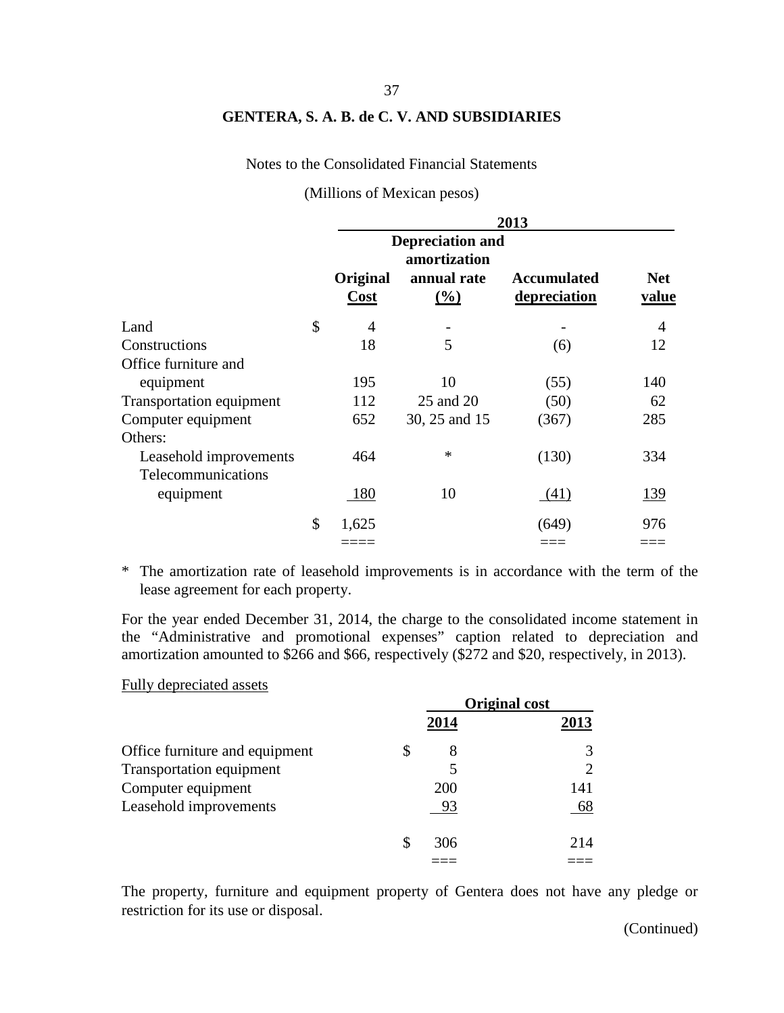Notes to the Consolidated Financial Statements

(Millions of Mexican pesos)

|                                 | 2013             |                                         |                                    |                     |  |
|---------------------------------|------------------|-----------------------------------------|------------------------------------|---------------------|--|
|                                 |                  | <b>Depreciation and</b><br>amortization |                                    |                     |  |
|                                 | Original<br>Cost | annual rate<br>(%)                      | <b>Accumulated</b><br>depreciation | <b>Net</b><br>value |  |
| Land                            | \$<br>4          |                                         |                                    | $\overline{4}$      |  |
| Constructions                   | 18               | 5                                       | (6)                                | 12                  |  |
| Office furniture and            |                  |                                         |                                    |                     |  |
| equipment                       | 195              | 10                                      | (55)                               | 140                 |  |
| <b>Transportation equipment</b> | 112              | 25 and 20                               | (50)                               | 62                  |  |
| Computer equipment              | 652              | 30, 25 and 15                           | (367)                              | 285                 |  |
| Others:                         |                  |                                         |                                    |                     |  |
| Leasehold improvements          | 464              | ∗                                       | (130)                              | 334                 |  |
| Telecommunications              |                  |                                         |                                    |                     |  |
| equipment                       | 180              | 10                                      | (41)                               | <u>139</u>          |  |
|                                 | \$<br>1,625      |                                         | (649)                              | 976                 |  |
|                                 |                  |                                         |                                    |                     |  |

\* The amortization rate of leasehold improvements is in accordance with the term of the lease agreement for each property.

For the year ended December 31, 2014, the charge to the consolidated income statement in the "Administrative and promotional expenses" caption related to depreciation and amortization amounted to \$266 and \$66, respectively (\$272 and \$20, respectively, in 2013).

#### Fully depreciated assets

|                                 | <b>Original cost</b> |      |      |
|---------------------------------|----------------------|------|------|
|                                 |                      | 2014 | 2013 |
| Office furniture and equipment  | S.                   | 8    |      |
| <b>Transportation equipment</b> |                      |      |      |
| Computer equipment              |                      | 200  | 141  |
| Leasehold improvements          |                      | 93   | 68   |
|                                 | S                    | 306  | 214  |
|                                 |                      |      |      |

The property, furniture and equipment property of Gentera does not have any pledge or restriction for its use or disposal.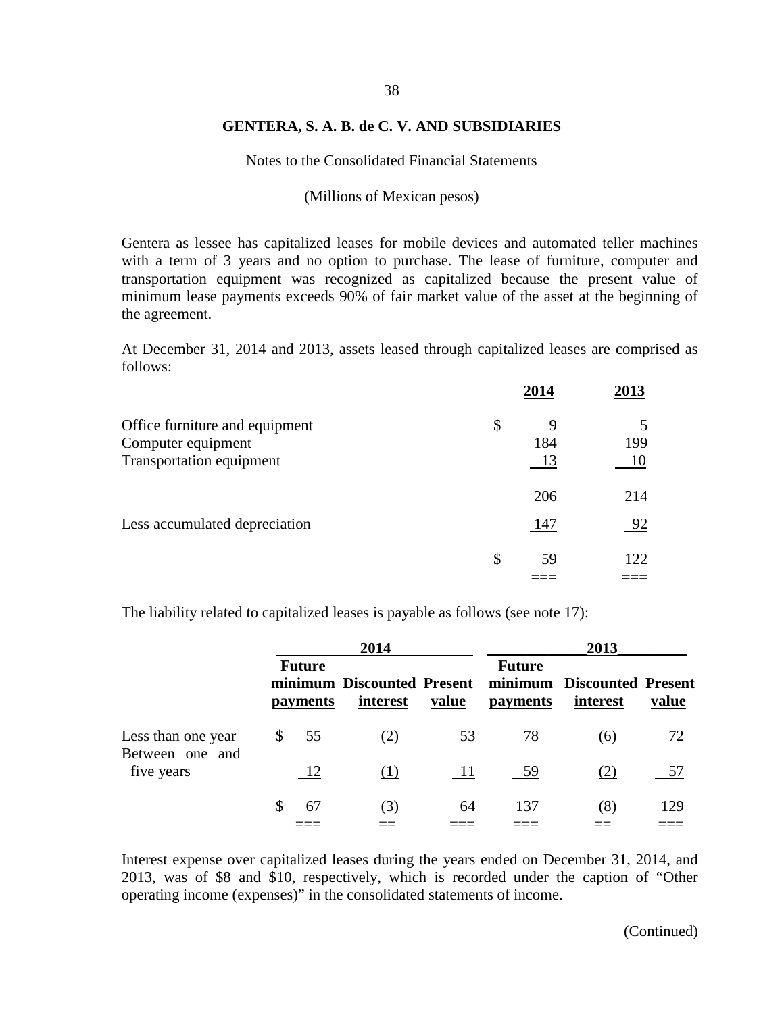## 38

#### **GENTERA, S. A. B. de C. V. AND SUBSIDIARIES**

Notes to the Consolidated Financial Statements

#### (Millions of Mexican pesos)

Gentera as lessee has capitalized leases for mobile devices and automated teller machines with a term of 3 years and no option to purchase. The lease of furniture, computer and transportation equipment was recognized as capitalized because the present value of minimum lease payments exceeds 90% of fair market value of the asset at the beginning of the agreement.

At December 31, 2014 and 2013, assets leased through capitalized leases are comprised as follows:

|                                                      | 2014           | 2013      |
|------------------------------------------------------|----------------|-----------|
| Office furniture and equipment<br>Computer equipment | \$<br>9<br>184 | 199       |
| Transportation equipment                             | 13<br>206      | 10<br>214 |
| Less accumulated depreciation                        | 147            | 92        |
|                                                      | \$<br>59       | 122       |

The liability related to capitalized leases is payable as follows (see note 17):

|                                       |              | 2014                      |                                        |       | 2013                      |                                        |       |
|---------------------------------------|--------------|---------------------------|----------------------------------------|-------|---------------------------|----------------------------------------|-------|
|                                       |              | <b>Future</b><br>payments | minimum Discounted Present<br>interest | value | <b>Future</b><br>payments | minimum Discounted Present<br>interest | value |
| Less than one year<br>Between one and | $\mathbb{S}$ | 55                        | (2)                                    | 53    | 78                        | (6)                                    | 72    |
| five years                            |              | -12                       | (1)                                    | - 11  | - 59                      | (2)                                    | 57    |
|                                       | S            | 67                        | (3)                                    | 64    | 137                       | (8)                                    | 129   |
|                                       |              |                           |                                        |       |                           |                                        |       |

Interest expense over capitalized leases during the years ended on December 31, 2014, and 2013, was of \$8 and \$10, respectively, which is recorded under the caption of "Other operating income (expenses)" in the consolidated statements of income.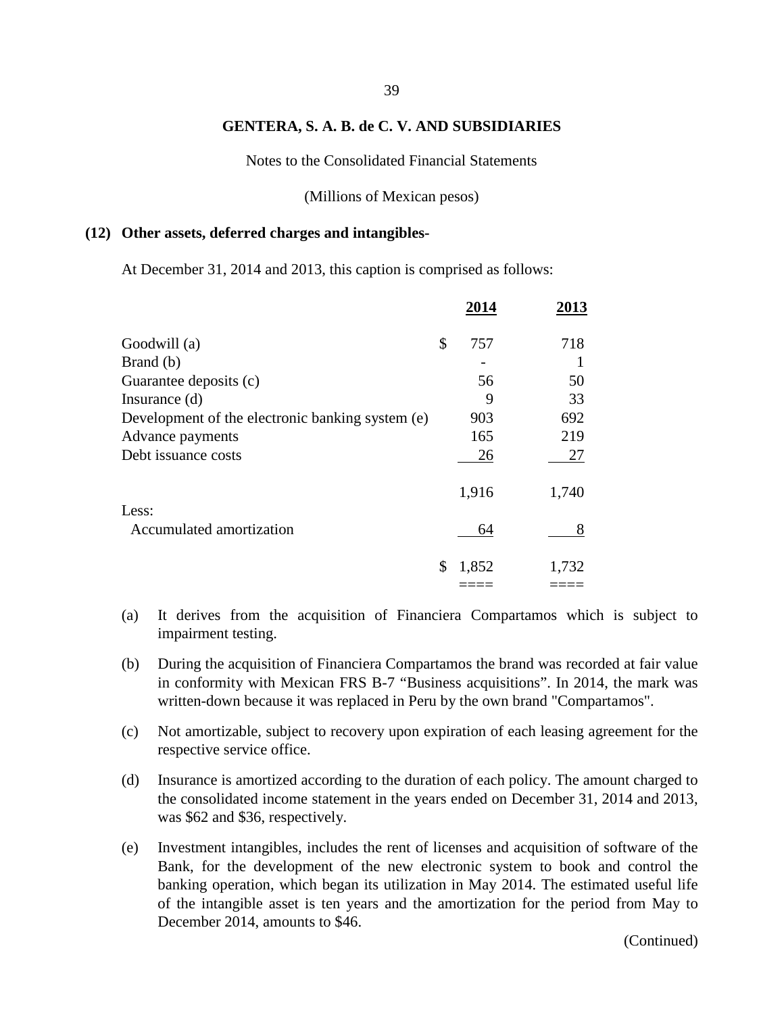Notes to the Consolidated Financial Statements

(Millions of Mexican pesos)

#### **(12) Other assets, deferred charges and intangibles-**

At December 31, 2014 and 2013, this caption is comprised as follows:

|                                                  | 2014        | 2013  |
|--------------------------------------------------|-------------|-------|
| Goodwill (a)                                     | \$<br>757   | 718   |
| Brand (b)                                        |             |       |
| Guarantee deposits (c)                           | 56          | 50    |
| Insurance $(d)$                                  | 9           | 33    |
| Development of the electronic banking system (e) | 903         | 692   |
| Advance payments                                 | 165         | 219   |
| Debt issuance costs                              | 26          | 27    |
|                                                  | 1,916       | 1,740 |
| Less:                                            |             |       |
| Accumulated amortization                         | 64          | 8     |
|                                                  | 1,852<br>\$ | 1,732 |
|                                                  |             |       |

- (a) It derives from the acquisition of Financiera Compartamos which is subject to impairment testing.
- (b) During the acquisition of Financiera Compartamos the brand was recorded at fair value in conformity with Mexican FRS B-7 "Business acquisitions". In 2014, the mark was written-down because it was replaced in Peru by the own brand "Compartamos".
- (c) Not amortizable, subject to recovery upon expiration of each leasing agreement for the respective service office.
- (d) Insurance is amortized according to the duration of each policy. The amount charged to the consolidated income statement in the years ended on December 31, 2014 and 2013, was \$62 and \$36, respectively.
- (e) Investment intangibles, includes the rent of licenses and acquisition of software of the Bank, for the development of the new electronic system to book and control the banking operation, which began its utilization in May 2014. The estimated useful life of the intangible asset is ten years and the amortization for the period from May to December 2014, amounts to \$46.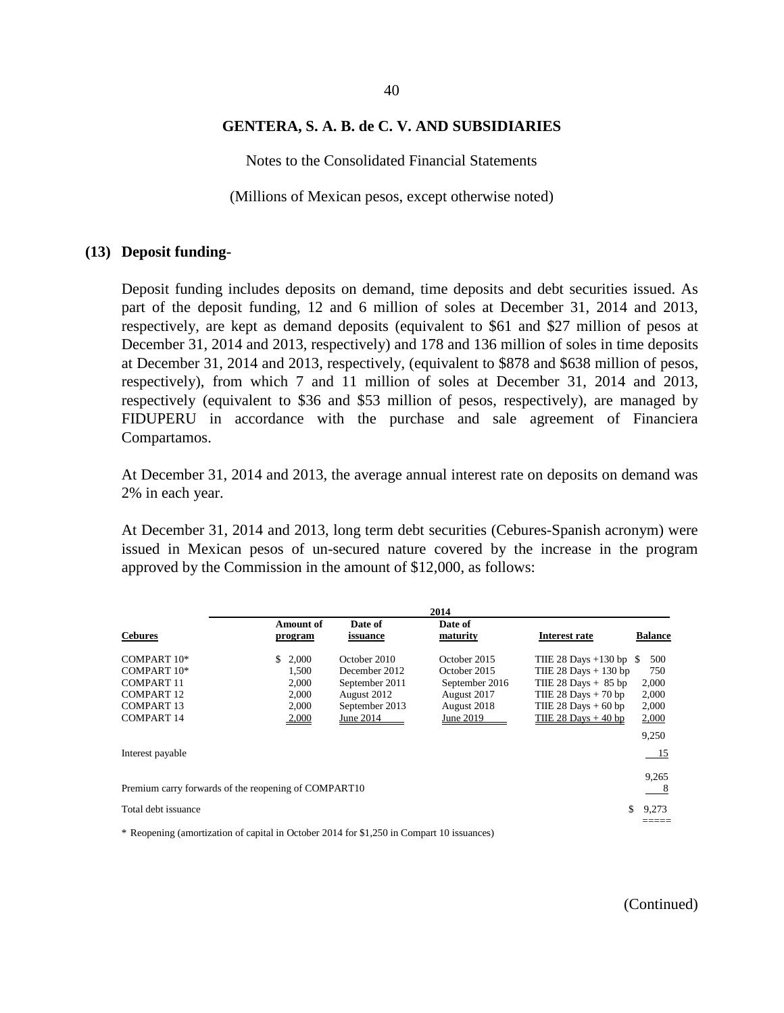#### 40

#### **GENTERA, S. A. B. de C. V. AND SUBSIDIARIES**

Notes to the Consolidated Financial Statements

(Millions of Mexican pesos, except otherwise noted)

#### **(13) Deposit funding-**

Deposit funding includes deposits on demand, time deposits and debt securities issued. As part of the deposit funding, 12 and 6 million of soles at December 31, 2014 and 2013, respectively, are kept as demand deposits (equivalent to \$61 and \$27 million of pesos at December 31, 2014 and 2013, respectively) and 178 and 136 million of soles in time deposits at December 31, 2014 and 2013, respectively, (equivalent to \$878 and \$638 million of pesos, respectively), from which 7 and 11 million of soles at December 31, 2014 and 2013, respectively (equivalent to \$36 and \$53 million of pesos, respectively), are managed by FIDUPERU in accordance with the purchase and sale agreement of Financiera Compartamos.

At December 31, 2014 and 2013, the average annual interest rate on deposits on demand was 2% in each year.

At December 31, 2014 and 2013, long term debt securities (Cebures-Spanish acronym) were issued in Mexican pesos of un-secured nature covered by the increase in the program approved by the Commission in the amount of \$12,000, as follows:

|                                                      |                             |                     | 2014                |                          |                |
|------------------------------------------------------|-----------------------------|---------------------|---------------------|--------------------------|----------------|
| <b>Cebures</b>                                       | <b>Amount of</b><br>program | Date of<br>issuance | Date of<br>maturity | Interest rate            | <b>Balance</b> |
|                                                      |                             |                     |                     |                          |                |
| COMPART 10*                                          | 2,000<br>S.                 | October 2010        | October 2015        | THE 28 Days $+130$ bp \$ | 500            |
| COMPART 10*                                          | 1.500                       | December 2012       | October 2015        | THE 28 Days $+ 130$ bp   | 750            |
| COMPART <sub>11</sub>                                | 2,000                       | September 2011      | September 2016      | THE $28$ Days $+ 85$ bp  | 2,000          |
| COMPART <sub>12</sub>                                | 2,000                       | August 2012         | August 2017         | THE 28 Days $+ 70$ bp    | 2,000          |
| COMPART <sub>13</sub>                                | 2,000                       | September 2013      | August 2018         | THE 28 Days $+60$ bp     | 2,000          |
| <b>COMPART 14</b>                                    | 2,000                       | June 2014           | June 2019           | TIIE 28 Days $+40$ bp    | 2,000          |
|                                                      |                             |                     |                     |                          | 9,250          |
| Interest payable                                     |                             |                     |                     |                          | - 15           |
|                                                      |                             |                     |                     |                          |                |
|                                                      |                             |                     |                     |                          | 9,265          |
| Premium carry forwards of the reopening of COMPART10 |                             |                     |                     |                          | - 8            |
| Total debt issuance                                  |                             |                     |                     |                          | 9.273          |
|                                                      |                             |                     |                     |                          |                |

\* Reopening (amortization of capital in October 2014 for \$1,250 in Compart 10 issuances)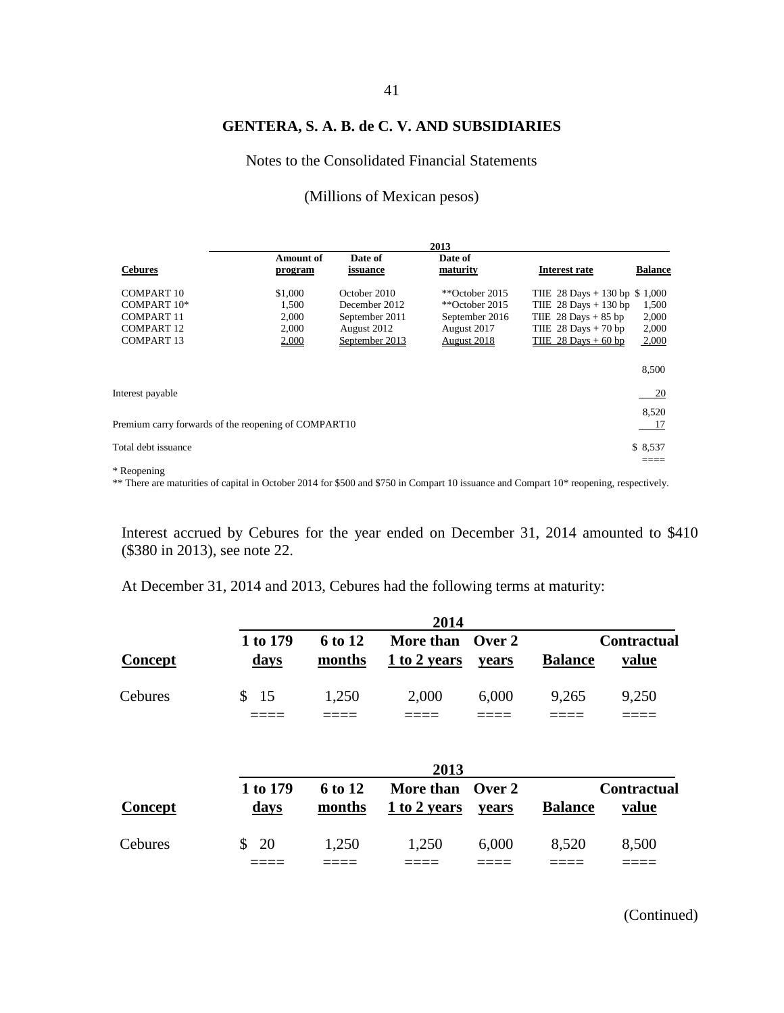Notes to the Consolidated Financial Statements

#### (Millions of Mexican pesos)

|                       |                                                      |                | 2013               |                               |                |
|-----------------------|------------------------------------------------------|----------------|--------------------|-------------------------------|----------------|
|                       | <b>Amount of</b>                                     | Date of        | Date of            |                               |                |
| <b>Cebures</b>        | program                                              | issuance       | maturity           | Interest rate                 | <b>Balance</b> |
| COMPART <sub>10</sub> | \$1,000                                              | October 2010   | ** $October 2015$  | THE 28 Days + 130 bp $$1,000$ |                |
| COMPART 10*           | 1.500                                                | December 2012  | ** $October 2015$  | THE $28$ Days + 130 bp        | 1,500          |
| <b>COMPART 11</b>     | 2,000                                                | September 2011 | September 2016     | TIIE $28$ Days + 85 bp        | 2,000          |
| <b>COMPART 12</b>     | 2,000                                                | August 2012    | August 2017        | THE $28$ Days $+ 70$ bp       | 2,000          |
| <b>COMPART 13</b>     | 2,000                                                | September 2013 | <b>August 2018</b> | THE $28$ Days + 60 bp         | 2,000          |
|                       |                                                      |                |                    |                               |                |
|                       |                                                      |                |                    |                               | 8,500          |
| Interest payable      |                                                      |                |                    |                               | 20             |
|                       |                                                      |                |                    |                               |                |
|                       |                                                      |                |                    |                               | 8,520          |
|                       | Premium carry forwards of the reopening of COMPART10 |                |                    |                               | 17             |
| Total debt issuance   |                                                      |                |                    |                               | \$8,537        |
|                       |                                                      |                |                    |                               | ____           |
|                       |                                                      |                |                    |                               |                |

\* Reopening

\*\* There are maturities of capital in October 2014 for \$500 and \$750 in Compart 10 issuance and Compart 10\* reopening, respectively.

Interest accrued by Cebures for the year ended on December 31, 2014 amounted to \$410 (\$380 in 2013), see note 22.

At December 31, 2014 and 2013, Cebures had the following terms at maturity:

|         |                         |                   | 2014                             |                 |                |                                    |
|---------|-------------------------|-------------------|----------------------------------|-----------------|----------------|------------------------------------|
| Concept | 1 to 179<br><u>days</u> | 6 to 12<br>months | More than Over 2<br>1 to 2 years | years           | <b>Balance</b> | <b>Contractual</b><br><u>value</u> |
| Cebures | $\mathbb{S}^-$<br>-15   | 1,250             | 2,000                            | 6,000           | 9,265          | 9,250                              |
|         |                         |                   | 2013                             |                 |                |                                    |
| Concept | 1 to 179<br><u>days</u> | 6 to 12<br>months | More than<br>1 to 2 years        | Over 2<br>vears | <b>Balance</b> | <b>Contractual</b><br>value        |
| Cebures | 20<br>\$                | 1,250             | 1,250                            | 6,000           | 8,520          | 8,500                              |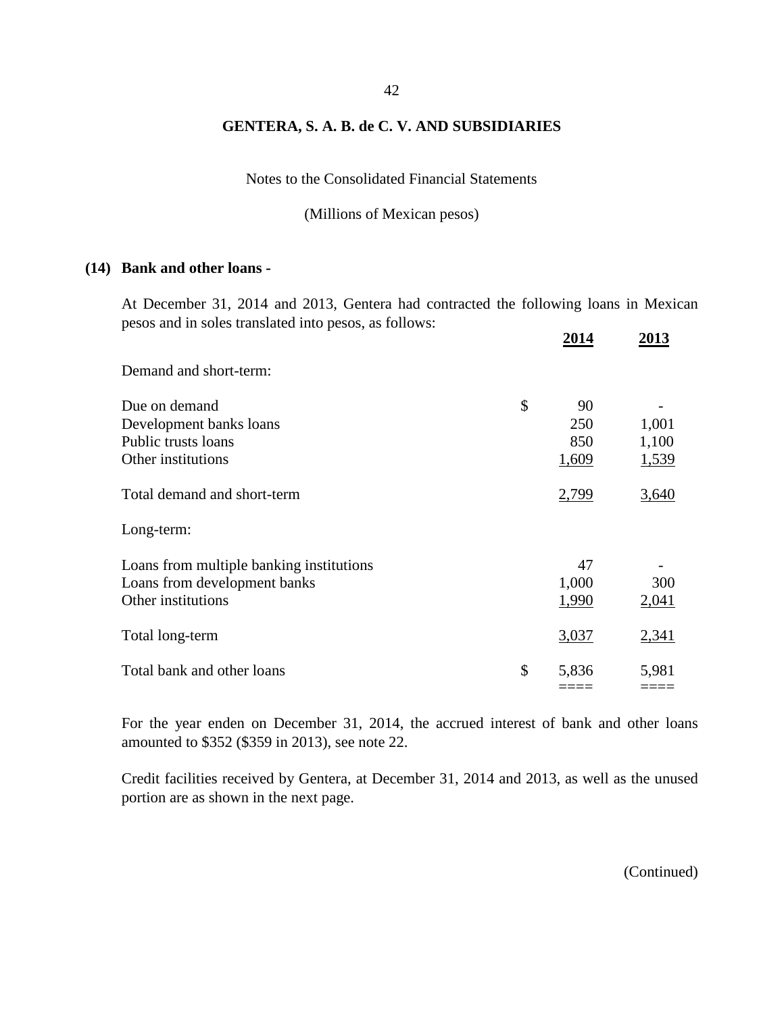Notes to the Consolidated Financial Statements

(Millions of Mexican pesos)

#### **(14) Bank and other loans -**

At December 31, 2014 and 2013, Gentera had contracted the following loans in Mexican pesos and in soles translated into pesos, as follows:

|                                          | 2014        | 2013  |
|------------------------------------------|-------------|-------|
| Demand and short-term:                   |             |       |
| Due on demand                            | \$<br>90    |       |
| Development banks loans                  | 250         | 1,001 |
| Public trusts loans                      | 850         | 1,100 |
| Other institutions                       | 1,609       | 1,539 |
| Total demand and short-term              | 2,799       | 3,640 |
| Long-term:                               |             |       |
| Loans from multiple banking institutions | 47          |       |
| Loans from development banks             | 1,000       | 300   |
| Other institutions                       | 1,990       | 2,041 |
| Total long-term                          | 3,037       | 2,341 |
| Total bank and other loans               | \$<br>5,836 | 5,981 |
|                                          |             |       |

For the year enden on December 31, 2014, the accrued interest of bank and other loans amounted to \$352 (\$359 in 2013), see note 22.

Credit facilities received by Gentera, at December 31, 2014 and 2013, as well as the unused portion are as shown in the next page.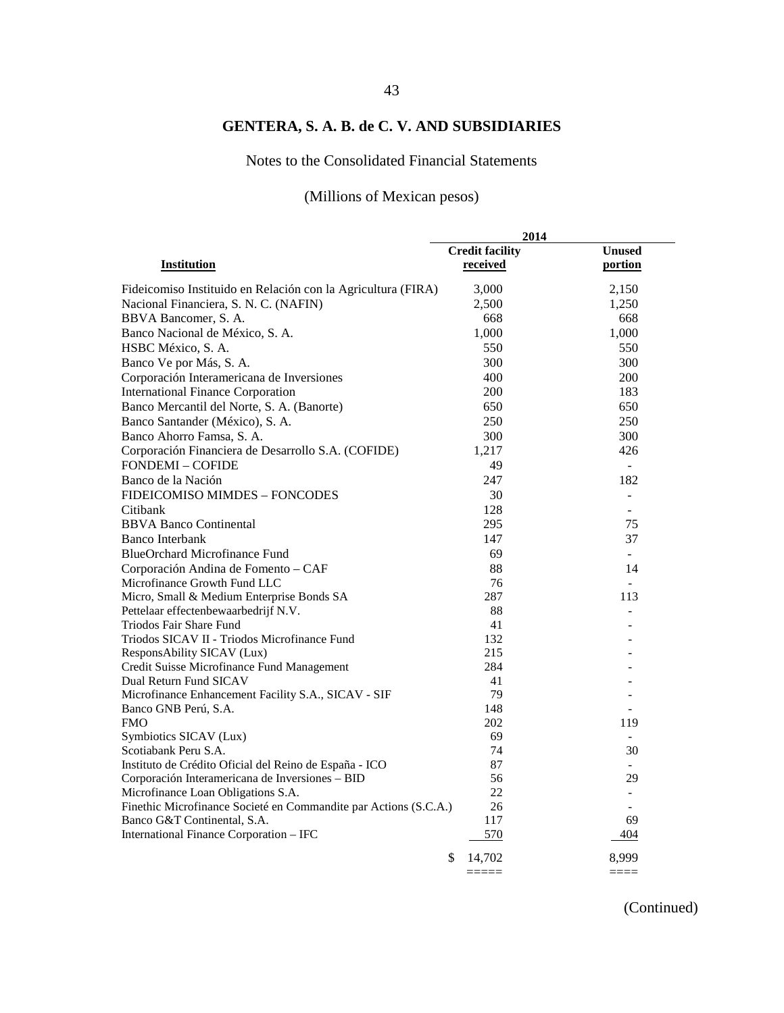## Notes to the Consolidated Financial Statements

## (Millions of Mexican pesos)

|                                                                                                 | 2014                   |                             |
|-------------------------------------------------------------------------------------------------|------------------------|-----------------------------|
|                                                                                                 | <b>Credit facility</b> | <b>Unused</b>               |
| Institution                                                                                     | received               | portion                     |
| Fideicomiso Instituido en Relación con la Agricultura (FIRA)                                    | 3,000                  | 2,150                       |
| Nacional Financiera, S. N. C. (NAFIN)                                                           | 2,500                  | 1,250                       |
| BBVA Bancomer, S. A.                                                                            | 668                    | 668                         |
| Banco Nacional de México, S. A.                                                                 | 1,000                  | 1,000                       |
| HSBC México, S. A.                                                                              | 550                    | 550                         |
| Banco Ve por Más, S. A.                                                                         | 300                    | 300                         |
| Corporación Interamericana de Inversiones                                                       | 400                    | <b>200</b>                  |
| <b>International Finance Corporation</b>                                                        | 200                    | 183                         |
| Banco Mercantil del Norte, S. A. (Banorte)                                                      | 650                    | 650                         |
| Banco Santander (México), S. A.                                                                 | 250                    | 250                         |
| Banco Ahorro Famsa, S. A.                                                                       | 300                    | 300                         |
| Corporación Financiera de Desarrollo S.A. (COFIDE)                                              | 1,217                  | 426                         |
| <b>FONDEMI - COFIDE</b>                                                                         | 49                     | $\mathcal{L}^{\mathcal{A}}$ |
| Banco de la Nación                                                                              | 247                    | 182                         |
| FIDEICOMISO MIMDES - FONCODES                                                                   | 30                     | $\sim$                      |
| Citibank                                                                                        | 128                    |                             |
| <b>BBVA Banco Continental</b>                                                                   | 295                    | 75                          |
| <b>Banco Interbank</b>                                                                          | 147                    | 37                          |
| <b>BlueOrchard Microfinance Fund</b>                                                            | 69                     | $\mathbf{r}$                |
| Corporación Andina de Fomento - CAF                                                             | 88                     | 14                          |
| Microfinance Growth Fund LLC                                                                    | 76                     | in 1919.                    |
| Micro, Small & Medium Enterprise Bonds SA                                                       | 287                    | 113                         |
| Pettelaar effectenbewaarbedrijf N.V.                                                            | 88                     |                             |
| Triodos Fair Share Fund                                                                         | 41                     |                             |
| Triodos SICAV II - Triodos Microfinance Fund                                                    | 132                    |                             |
| ResponsAbility SICAV (Lux)                                                                      | 215                    |                             |
| Credit Suisse Microfinance Fund Management                                                      | 284                    |                             |
| Dual Return Fund SICAV                                                                          | 41                     |                             |
| Microfinance Enhancement Facility S.A., SICAV - SIF                                             | 79                     |                             |
| Banco GNB Perú, S.A.                                                                            | 148                    |                             |
| <b>FMO</b>                                                                                      | 202                    | 119                         |
| Symbiotics SICAV (Lux)                                                                          | 69                     | $\overline{a}$              |
| Scotiabank Peru S.A.                                                                            | 74                     | 30                          |
| Instituto de Crédito Oficial del Reino de España - ICO                                          | 87                     |                             |
| Corporación Interamericana de Inversiones - BID                                                 | 56                     | 29                          |
| Microfinance Loan Obligations S.A.                                                              | 22                     | $\blacksquare$              |
| Finethic Microfinance Societé en Commandite par Actions (S.C.A.)<br>Banco G&T Continental, S.A. | 26<br>117              | 69                          |
| International Finance Corporation - IFC                                                         | 570                    | 404                         |
|                                                                                                 |                        |                             |
|                                                                                                 | \$<br>14,702           | 8,999                       |
|                                                                                                 | =====                  | ====                        |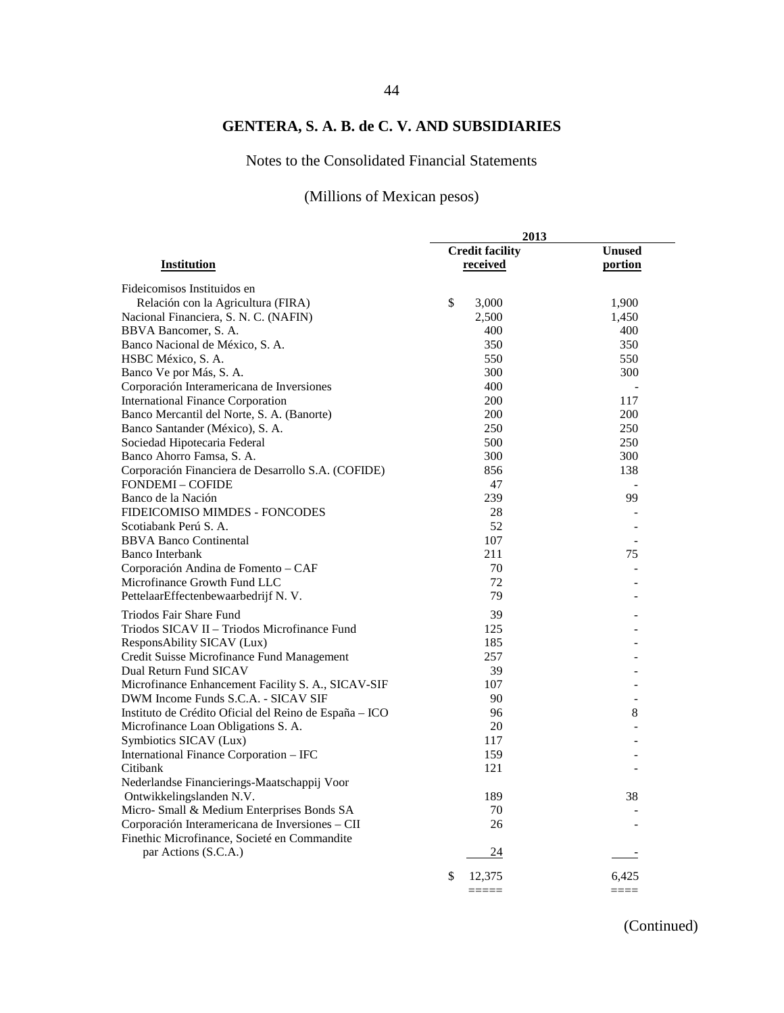## Notes to the Consolidated Financial Statements

## (Millions of Mexican pesos)

|                                                        | 2013                                |                          |  |  |
|--------------------------------------------------------|-------------------------------------|--------------------------|--|--|
|                                                        | <b>Credit facility</b>              | <b>Unused</b>            |  |  |
| <b>Institution</b>                                     | received                            | portion                  |  |  |
| Fideicomisos Instituidos en                            |                                     |                          |  |  |
| Relación con la Agricultura (FIRA)                     | \$<br>3,000                         | 1,900                    |  |  |
| Nacional Financiera, S. N. C. (NAFIN)                  | 2,500                               | 1,450                    |  |  |
| BBVA Bancomer, S. A.                                   | 400                                 | 400                      |  |  |
| Banco Nacional de México, S. A.                        | 350                                 | 350                      |  |  |
| HSBC México, S. A.                                     | 550                                 | 550                      |  |  |
| Banco Ve por Más, S. A.                                | 300                                 | 300                      |  |  |
| Corporación Interamericana de Inversiones              | 400                                 |                          |  |  |
| <b>International Finance Corporation</b>               | 200                                 | 117                      |  |  |
| Banco Mercantil del Norte, S. A. (Banorte)             | 200                                 | 200                      |  |  |
| Banco Santander (México), S. A.                        | 250                                 | 250                      |  |  |
| Sociedad Hipotecaria Federal                           | 500                                 | 250                      |  |  |
| Banco Ahorro Famsa, S. A.                              | 300                                 | 300                      |  |  |
| Corporación Financiera de Desarrollo S.A. (COFIDE)     | 856                                 | 138                      |  |  |
| <b>FONDEMI-COFIDE</b>                                  | 47                                  |                          |  |  |
| Banco de la Nación                                     | 239                                 | $\blacksquare$<br>99     |  |  |
|                                                        |                                     |                          |  |  |
| FIDEICOMISO MIMDES - FONCODES<br>Scotiabank Perú S. A. | 28<br>52                            |                          |  |  |
|                                                        |                                     |                          |  |  |
| <b>BBVA Banco Continental</b>                          | 107                                 | $\overline{a}$           |  |  |
| <b>Banco Interbank</b>                                 | 211                                 | 75                       |  |  |
| Corporación Andina de Fomento - CAF                    | 70                                  |                          |  |  |
| Microfinance Growth Fund LLC                           | 72                                  |                          |  |  |
| PettelaarEffectenbewaarbedrijf N.V.                    | 79                                  |                          |  |  |
| Triodos Fair Share Fund                                | 39                                  |                          |  |  |
| Triodos SICAV II - Triodos Microfinance Fund           | 125                                 |                          |  |  |
| ResponsAbility SICAV (Lux)                             | 185                                 |                          |  |  |
| Credit Suisse Microfinance Fund Management             | 257                                 |                          |  |  |
| Dual Return Fund SICAV                                 | 39                                  |                          |  |  |
| Microfinance Enhancement Facility S. A., SICAV-SIF     | 107                                 |                          |  |  |
| DWM Income Funds S.C.A. - SICAV SIF                    | 90                                  | $\overline{\phantom{a}}$ |  |  |
| Instituto de Crédito Oficial del Reino de España - ICO | 96                                  | 8                        |  |  |
| Microfinance Loan Obligations S. A.                    | 20                                  |                          |  |  |
| Symbiotics SICAV (Lux)                                 | 117                                 |                          |  |  |
| International Finance Corporation - IFC                | 159                                 |                          |  |  |
| Citibank                                               | 121                                 |                          |  |  |
| Nederlandse Financierings-Maatschappij Voor            |                                     |                          |  |  |
| Ontwikkelingslanden N.V.                               | 189                                 | 38                       |  |  |
| Micro- Small & Medium Enterprises Bonds SA             | 70                                  |                          |  |  |
| Corporación Interamericana de Inversiones – CII        | 26                                  |                          |  |  |
| Finethic Microfinance, Societé en Commandite           |                                     |                          |  |  |
| par Actions (S.C.A.)                                   | 24                                  |                          |  |  |
|                                                        |                                     |                          |  |  |
|                                                        | \$<br>12,375<br>$=$ $=$ $=$ $=$ $=$ | 6,425<br>$----$          |  |  |
|                                                        |                                     |                          |  |  |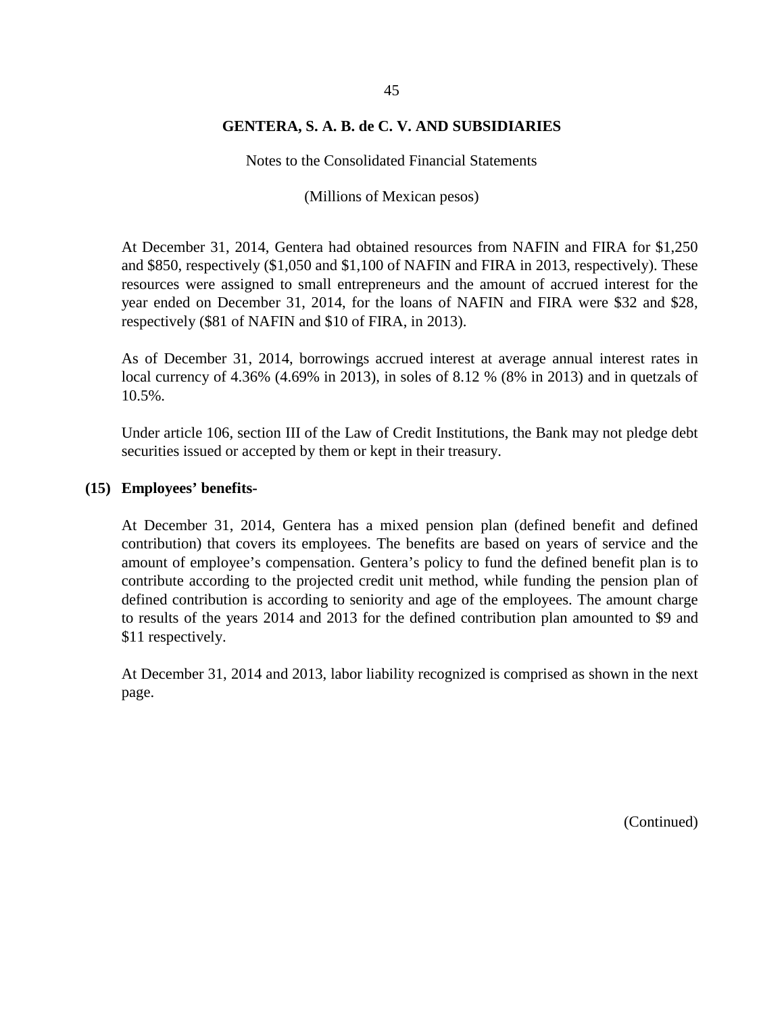Notes to the Consolidated Financial Statements

(Millions of Mexican pesos)

At December 31, 2014, Gentera had obtained resources from NAFIN and FIRA for \$1,250 and \$850, respectively (\$1,050 and \$1,100 of NAFIN and FIRA in 2013, respectively). These resources were assigned to small entrepreneurs and the amount of accrued interest for the year ended on December 31, 2014, for the loans of NAFIN and FIRA were \$32 and \$28, respectively (\$81 of NAFIN and \$10 of FIRA, in 2013).

As of December 31, 2014, borrowings accrued interest at average annual interest rates in local currency of 4.36% (4.69% in 2013), in soles of 8.12 % (8% in 2013) and in quetzals of 10.5%.

Under article 106, section III of the Law of Credit Institutions, the Bank may not pledge debt securities issued or accepted by them or kept in their treasury.

#### **(15) Employees' benefits-**

At December 31, 2014, Gentera has a mixed pension plan (defined benefit and defined contribution) that covers its employees. The benefits are based on years of service and the amount of employee's compensation. Gentera's policy to fund the defined benefit plan is to contribute according to the projected credit unit method, while funding the pension plan of defined contribution is according to seniority and age of the employees. The amount charge to results of the years 2014 and 2013 for the defined contribution plan amounted to \$9 and \$11 respectively.

At December 31, 2014 and 2013, labor liability recognized is comprised as shown in the next page.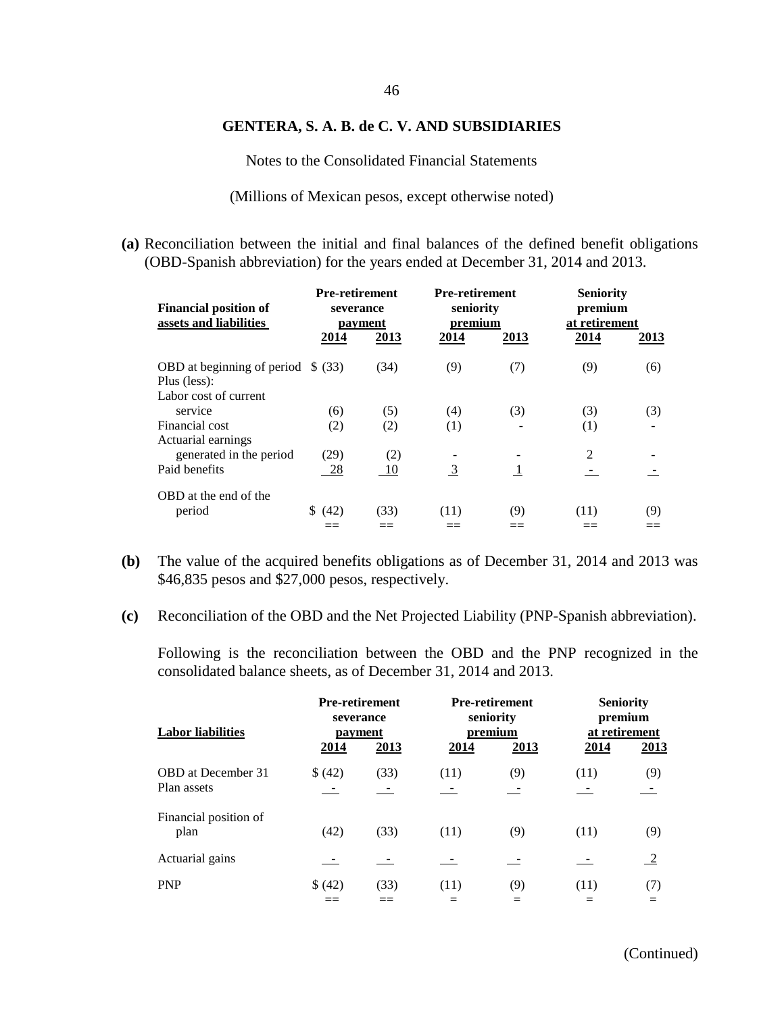Notes to the Consolidated Financial Statements

(Millions of Mexican pesos, except otherwise noted)

**(a)** Reconciliation between the initial and final balances of the defined benefit obligations (OBD-Spanish abbreviation) for the years ended at December 31, 2014 and 2013.

| <b>Financial position of</b><br>assets and liabilities | <b>Pre-retirement</b><br>severance<br>payment |      | <b>Pre-retirement</b><br>seniority<br>premium |      | <b>Seniority</b><br>premium<br>at retirement |      |
|--------------------------------------------------------|-----------------------------------------------|------|-----------------------------------------------|------|----------------------------------------------|------|
|                                                        | 2014                                          | 2013 | 2014                                          | 2013 | 2014                                         | 2013 |
| OBD at beginning of period $$ (33)$<br>Plus (less):    |                                               | (34) | (9)                                           | (7)  | (9)                                          | (6)  |
| Labor cost of current<br>service                       | (6)                                           | (5)  | (4)                                           | (3)  | (3)                                          | (3)  |
| Financial cost<br>Actuarial earnings                   | (2)                                           | (2)  | (1)                                           |      | (1)                                          |      |
| generated in the period                                | (29)                                          | (2)  |                                               |      | $\overline{2}$                               |      |
| Paid benefits                                          | 28                                            | 10   | $\overline{3}$                                | -1   |                                              |      |
| OBD at the end of the<br>period                        | \$ (42)                                       | (33) | (11)                                          | (9)  | (11)                                         | (9)  |

- **(b)** The value of the acquired benefits obligations as of December 31, 2014 and 2013 was \$46,835 pesos and \$27,000 pesos, respectively.
- **(c)** Reconciliation of the OBD and the Net Projected Liability (PNP-Spanish abbreviation).

Following is the reconciliation between the OBD and the PNP recognized in the consolidated balance sheets, as of December 31, 2014 and 2013.

| <b>Labor liabilities</b>  | <b>Pre-retirement</b><br>severance<br>payment<br>2014<br><u>2013</u> |      | <b>Pre-retirement</b><br>seniority<br>premium<br>2014<br><u>2013</u> |     | <b>Seniority</b><br>premium<br>at retirement<br>2014<br><u>2013</u> |               |
|---------------------------|----------------------------------------------------------------------|------|----------------------------------------------------------------------|-----|---------------------------------------------------------------------|---------------|
|                           |                                                                      |      |                                                                      |     |                                                                     |               |
| <b>OBD</b> at December 31 | \$ (42)                                                              | (33) | (11)                                                                 | (9) | (11)                                                                | (9)           |
| Plan assets               | $\sim$ $-$                                                           |      |                                                                      |     |                                                                     |               |
| Financial position of     |                                                                      |      |                                                                      |     |                                                                     |               |
| plan                      | (42)                                                                 | (33) | (11)                                                                 | (9) | (11)                                                                | (9)           |
|                           |                                                                      |      |                                                                      |     |                                                                     |               |
| Actuarial gains           |                                                                      |      |                                                                      |     |                                                                     | $\frac{2}{2}$ |
| <b>PNP</b>                | \$ (42)                                                              | (33) | (11)                                                                 | (9) | (11)                                                                | (7)           |
|                           |                                                                      |      |                                                                      |     |                                                                     |               |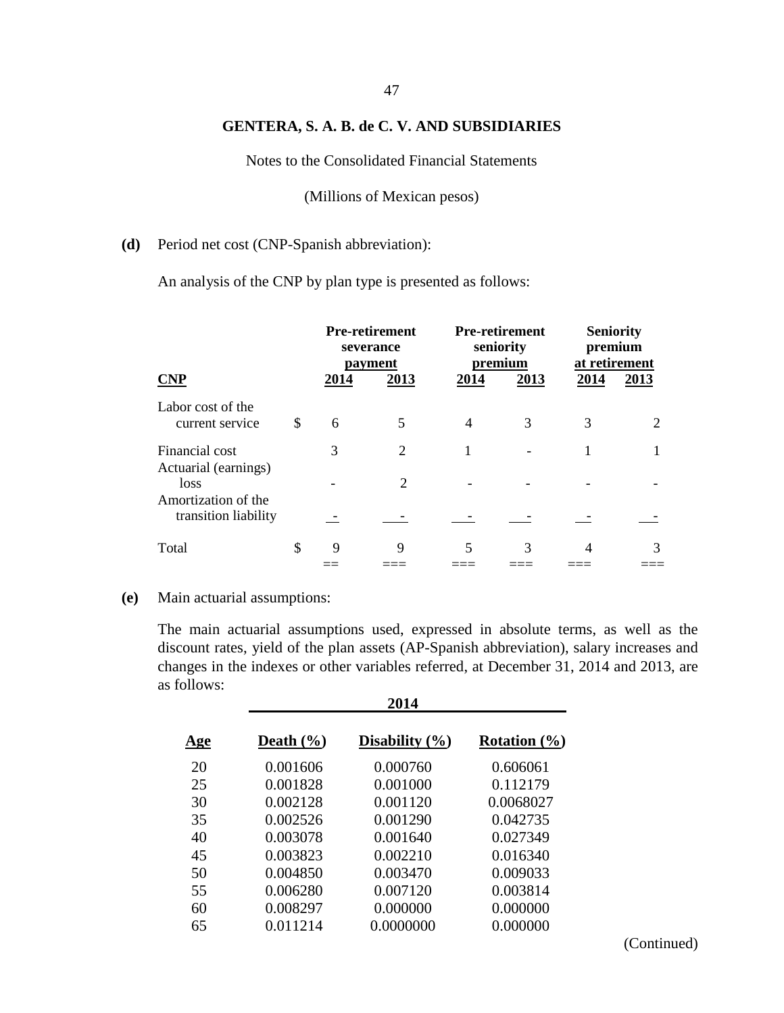Notes to the Consolidated Financial Statements

(Millions of Mexican pesos)

#### **(d)** Period net cost (CNP-Spanish abbreviation):

An analysis of the CNP by plan type is presented as follows:

|                                                     |    | <b>Pre-retirement</b><br>severance<br>payment |                | <b>Pre-retirement</b><br>seniority<br>premium |      | <b>Seniority</b><br>premium<br>at retirement |                             |
|-----------------------------------------------------|----|-----------------------------------------------|----------------|-----------------------------------------------|------|----------------------------------------------|-----------------------------|
| <b>CNP</b>                                          |    | 2014                                          | 2013           | 2014                                          | 2013 | 2014                                         | 2013                        |
| Labor cost of the<br>current service                | \$ | 6                                             | 5              | 4                                             | 3    | 3                                            | $\mathcal{D}_{\mathcal{L}}$ |
| Financial cost                                      |    | 3                                             | $\overline{2}$ |                                               |      |                                              |                             |
| Actuarial (earnings)<br>loss<br>Amortization of the |    |                                               | $\mathfrak{D}$ |                                               |      |                                              |                             |
| transition liability                                |    |                                               |                |                                               |      |                                              |                             |
| Total                                               | \$ | 9                                             | 9              | 5                                             | 3    |                                              | 3                           |

#### **(e)** Main actuarial assumptions:

The main actuarial assumptions used, expressed in absolute terms, as well as the discount rates, yield of the plan assets (AP-Spanish abbreviation), salary increases and changes in the indexes or other variables referred, at December 31, 2014 and 2013, are as follows: **2014**

|            | 2V14          |                    |                  |  |  |  |  |
|------------|---------------|--------------------|------------------|--|--|--|--|
| <u>Age</u> | Death $(\% )$ | Disability $(\% )$ | Rotation $(\% )$ |  |  |  |  |
| 20         | 0.001606      | 0.000760           | 0.606061         |  |  |  |  |
| 25         | 0.001828      | 0.001000           | 0.112179         |  |  |  |  |
| 30         | 0.002128      | 0.001120           | 0.0068027        |  |  |  |  |
| 35         | 0.002526      | 0.001290           | 0.042735         |  |  |  |  |
| 40         | 0.003078      | 0.001640           | 0.027349         |  |  |  |  |
| 45         | 0.003823      | 0.002210           | 0.016340         |  |  |  |  |
| 50         | 0.004850      | 0.003470           | 0.009033         |  |  |  |  |
| 55         | 0.006280      | 0.007120           | 0.003814         |  |  |  |  |
| 60         | 0.008297      | 0.000000           | 0.000000         |  |  |  |  |
| 65         | 0.011214      | 0.0000000          | 0.000000         |  |  |  |  |
|            |               |                    |                  |  |  |  |  |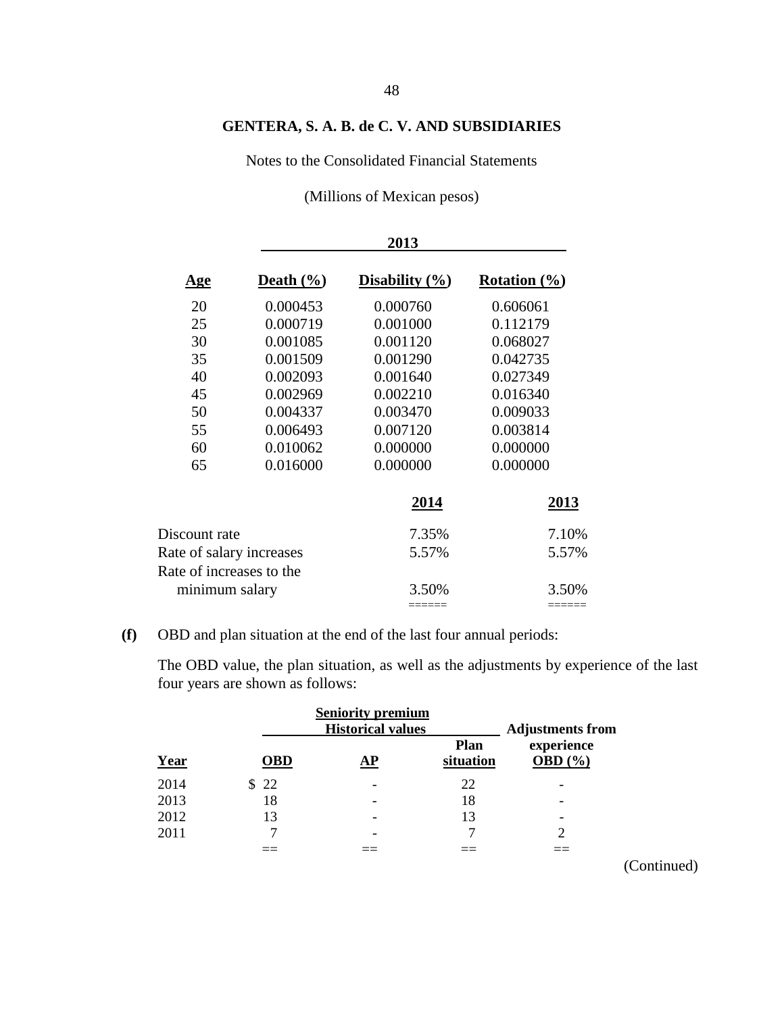Notes to the Consolidated Financial Statements

(Millions of Mexican pesos)

|                          |               | 2013               |                  |
|--------------------------|---------------|--------------------|------------------|
| <u>Age</u>               | Death $(\% )$ | Disability $(\% )$ | Rotation $(\% )$ |
| 20                       | 0.000453      | 0.000760           | 0.606061         |
| 25                       | 0.000719      | 0.001000           | 0.112179         |
| 30                       | 0.001085      | 0.001120           | 0.068027         |
| 35                       | 0.001509      | 0.001290           | 0.042735         |
| 40                       | 0.002093      | 0.001640           | 0.027349         |
| 45                       | 0.002969      | 0.002210           | 0.016340         |
| 50                       | 0.004337      | 0.003470           | 0.009033         |
| 55                       | 0.006493      | 0.007120           | 0.003814         |
| 60                       | 0.010062      | 0.000000           | 0.000000         |
| 65                       | 0.016000      | 0.000000           | 0.000000         |
|                          |               | 2014               | 2013             |
| Discount rate            |               | 7.35%              | 7.10%            |
| Rate of salary increases |               | 5.57%              | 5.57%            |
| Rate of increases to the |               |                    |                  |
| minimum salary           |               | 3.50%              | 3.50%            |
|                          |               | =====              |                  |

## **(f)** OBD and plan situation at the end of the last four annual periods:

The OBD value, the plan situation, as well as the adjustments by experience of the last four years are shown as follows:

|      |            | <b>Seniority premium</b><br><b>Historical values</b> |                          | <b>Adjustments from</b>   |
|------|------------|------------------------------------------------------|--------------------------|---------------------------|
| Year | <b>OBD</b> | AP                                                   | <b>Plan</b><br>situation | experience<br>OBD $(\% )$ |
| 2014 | \$22       |                                                      | 22                       |                           |
| 2013 | 18         |                                                      | 18                       |                           |
| 2012 | 13         |                                                      | 13                       | -                         |
| 2011 |            |                                                      |                          |                           |
|      |            |                                                      |                          |                           |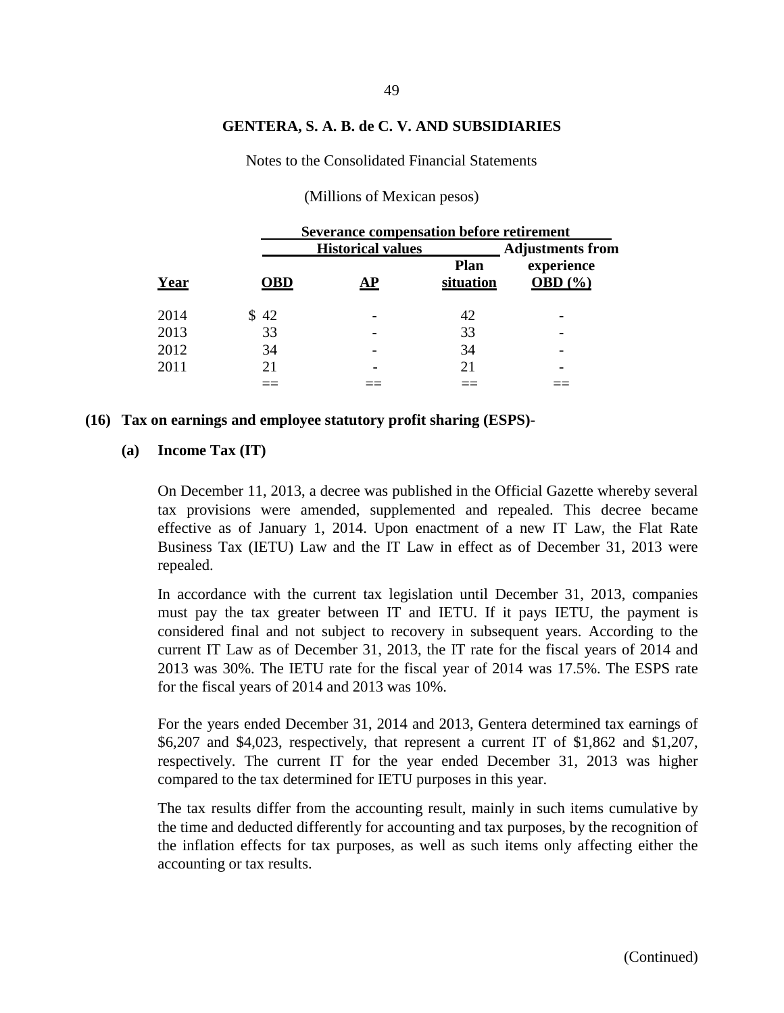Notes to the Consolidated Financial Statements

|      |            | Severance compensation before retirement |                          |                                  |  |  |  |  |
|------|------------|------------------------------------------|--------------------------|----------------------------------|--|--|--|--|
|      |            | <b>Historical values</b>                 |                          | <b>Adjustments from</b>          |  |  |  |  |
| Year | <b>OBD</b> | AР                                       | <b>Plan</b><br>situation | experience<br><b>OBD</b> $(\% )$ |  |  |  |  |
| 2014 | \$42       |                                          | 42                       |                                  |  |  |  |  |
| 2013 | 33         |                                          | 33                       |                                  |  |  |  |  |
| 2012 | 34         |                                          | 34                       |                                  |  |  |  |  |
| 2011 | 21         |                                          | 21                       |                                  |  |  |  |  |
|      |            |                                          |                          |                                  |  |  |  |  |

(Millions of Mexican pesos)

#### **(16) Tax on earnings and employee statutory profit sharing (ESPS)-**

#### **(a) Income Tax (IT)**

On December 11, 2013, a decree was published in the Official Gazette whereby several tax provisions were amended, supplemented and repealed. This decree became effective as of January 1, 2014. Upon enactment of a new IT Law, the Flat Rate Business Tax (IETU) Law and the IT Law in effect as of December 31, 2013 were repealed.

In accordance with the current tax legislation until December 31, 2013, companies must pay the tax greater between IT and IETU. If it pays IETU, the payment is considered final and not subject to recovery in subsequent years. According to the current IT Law as of December 31, 2013, the IT rate for the fiscal years of 2014 and 2013 was 30%. The IETU rate for the fiscal year of 2014 was 17.5%. The ESPS rate for the fiscal years of 2014 and 2013 was 10%.

For the years ended December 31, 2014 and 2013, Gentera determined tax earnings of \$6,207 and \$4,023, respectively, that represent a current IT of \$1,862 and \$1,207, respectively. The current IT for the year ended December 31, 2013 was higher compared to the tax determined for IETU purposes in this year.

The tax results differ from the accounting result, mainly in such items cumulative by the time and deducted differently for accounting and tax purposes, by the recognition of the inflation effects for tax purposes, as well as such items only affecting either the accounting or tax results.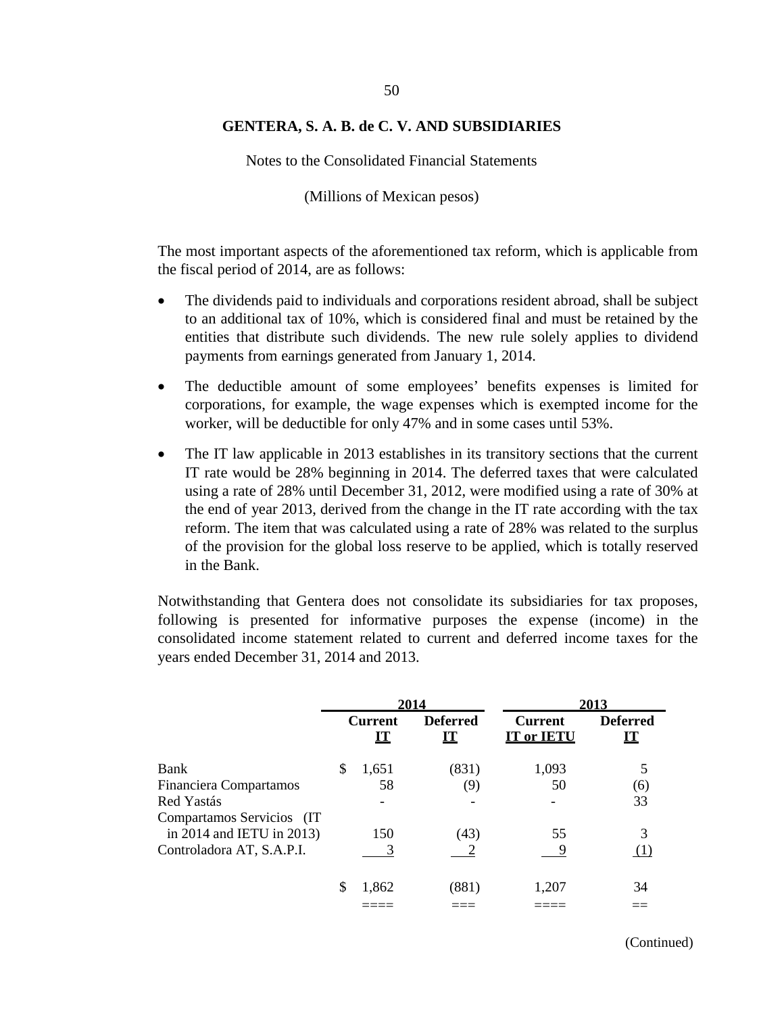Notes to the Consolidated Financial Statements

(Millions of Mexican pesos)

The most important aspects of the aforementioned tax reform, which is applicable from the fiscal period of 2014, are as follows:

- The dividends paid to individuals and corporations resident abroad, shall be subject to an additional tax of 10%, which is considered final and must be retained by the entities that distribute such dividends. The new rule solely applies to dividend payments from earnings generated from January 1, 2014.
- The deductible amount of some employees' benefits expenses is limited for corporations, for example, the wage expenses which is exempted income for the worker, will be deductible for only 47% and in some cases until 53%.
- The IT law applicable in 2013 establishes in its transitory sections that the current IT rate would be 28% beginning in 2014. The deferred taxes that were calculated using a rate of 28% until December 31, 2012, were modified using a rate of 30% at the end of year 2013, derived from the change in the IT rate according with the tax reform. The item that was calculated using a rate of 28% was related to the surplus of the provision for the global loss reserve to be applied, which is totally reserved in the Bank.

Notwithstanding that Gentera does not consolidate its subsidiaries for tax proposes, following is presented for informative purposes the expense (income) in the consolidated income statement related to current and deferred income taxes for the years ended December 31, 2014 and 2013.

|                           | 2014 |                                          | 2013                  |                                     |                              |
|---------------------------|------|------------------------------------------|-----------------------|-------------------------------------|------------------------------|
|                           |      | <b>Current</b><br>$\mathbf{I}\mathbf{T}$ | <b>Deferred</b><br>IT | <b>Current</b><br><b>IT or IETU</b> | <b>Deferred</b><br><b>IT</b> |
| Bank                      | \$   | 1,651                                    | (831)                 | 1,093                               |                              |
| Financiera Compartamos    |      | 58                                       | (9)                   | 50                                  | (6)                          |
| Red Yastás                |      |                                          |                       |                                     | 33                           |
| Compartamos Servicios (IT |      |                                          |                       |                                     |                              |
| in 2014 and IETU in 2013) |      | 150                                      | (43)                  | 55                                  | 3                            |
| Controladora AT, S.A.P.I. |      |                                          |                       |                                     |                              |
|                           | S    | 1,862                                    | (881)                 | 1,207                               | 34                           |
|                           |      |                                          |                       |                                     |                              |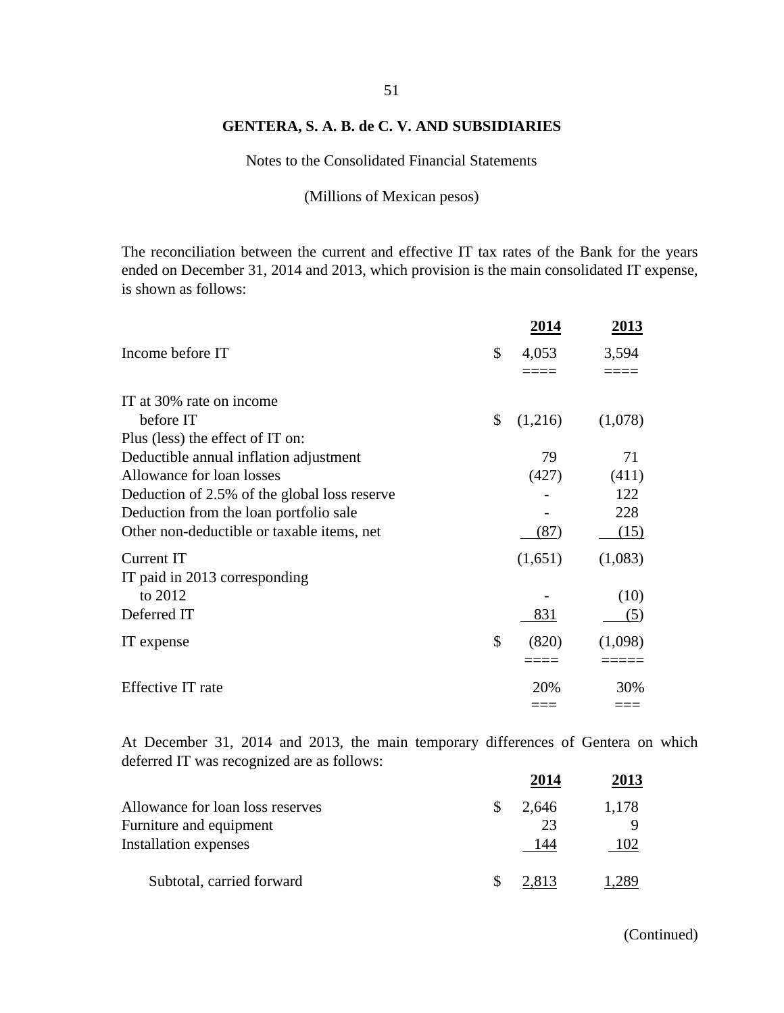Notes to the Consolidated Financial Statements

(Millions of Mexican pesos)

The reconciliation between the current and effective IT tax rates of the Bank for the years ended on December 31, 2014 and 2013, which provision is the main consolidated IT expense, is shown as follows:

|                                              | 2014          | <u> 2013 </u> |
|----------------------------------------------|---------------|---------------|
| Income before IT                             | \$<br>4,053   | 3,594         |
|                                              |               |               |
| IT at 30% rate on income                     |               |               |
| before IT                                    | \$<br>(1,216) | (1,078)       |
| Plus (less) the effect of IT on:             |               |               |
| Deductible annual inflation adjustment       | 79            | 71            |
| Allowance for loan losses                    | (427)         | (411)         |
| Deduction of 2.5% of the global loss reserve |               | 122           |
| Deduction from the loan portfolio sale       |               | 228           |
| Other non-deductible or taxable items, net   | (87)          | (15)          |
| Current IT                                   | (1,651)       | (1,083)       |
| IT paid in 2013 corresponding                |               |               |
| to 2012                                      |               | (10)          |
| Deferred IT                                  | 831           | (5)           |
| IT expense                                   | \$<br>(820)   | (1,098)       |
|                                              |               |               |
| Effective IT rate                            | 20%           | 30%           |
|                                              | ===           |               |

At December 31, 2014 and 2013, the main temporary differences of Gentera on which deferred IT was recognized are as follows:

|                                  | 2014  | 2013  |
|----------------------------------|-------|-------|
| Allowance for loan loss reserves | 2,646 | 1,178 |
| Furniture and equipment          | 23    |       |
| <b>Installation expenses</b>     | 144   | 102   |
| Subtotal, carried forward        | 2.813 | 289   |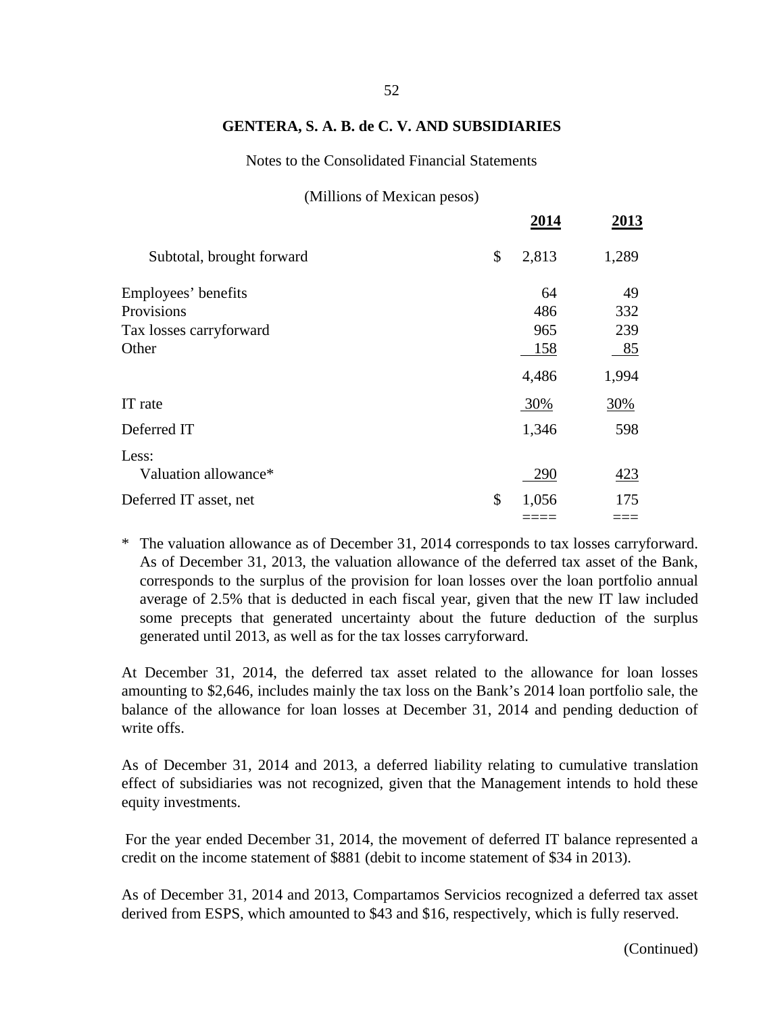Notes to the Consolidated Financial Statements

(Millions of Mexican pesos)

| (1)                       |             |       |
|---------------------------|-------------|-------|
|                           | 2014        | 2013  |
| Subtotal, brought forward | \$<br>2,813 | 1,289 |
| Employees' benefits       | 64          | 49    |
| Provisions                | 486         | 332   |
| Tax losses carryforward   | 965         | 239   |
| Other                     | 158         | 85    |
|                           | 4,486       | 1,994 |
| IT rate                   | 30%         | 30%   |
| Deferred IT               | 1,346       | 598   |
| Less:                     |             |       |
| Valuation allowance*      | 290         | 423   |
| Deferred IT asset, net    | \$<br>1,056 | 175   |
|                           |             |       |

\* The valuation allowance as of December 31, 2014 corresponds to tax losses carryforward. As of December 31, 2013, the valuation allowance of the deferred tax asset of the Bank, corresponds to the surplus of the provision for loan losses over the loan portfolio annual average of 2.5% that is deducted in each fiscal year, given that the new IT law included some precepts that generated uncertainty about the future deduction of the surplus generated until 2013, as well as for the tax losses carryforward.

At December 31, 2014, the deferred tax asset related to the allowance for loan losses amounting to \$2,646, includes mainly the tax loss on the Bank's 2014 loan portfolio sale, the balance of the allowance for loan losses at December 31, 2014 and pending deduction of write offs.

As of December 31, 2014 and 2013, a deferred liability relating to cumulative translation effect of subsidiaries was not recognized, given that the Management intends to hold these equity investments.

For the year ended December 31, 2014, the movement of deferred IT balance represented a credit on the income statement of \$881 (debit to income statement of \$34 in 2013).

As of December 31, 2014 and 2013, Compartamos Servicios recognized a deferred tax asset derived from ESPS, which amounted to \$43 and \$16, respectively, which is fully reserved.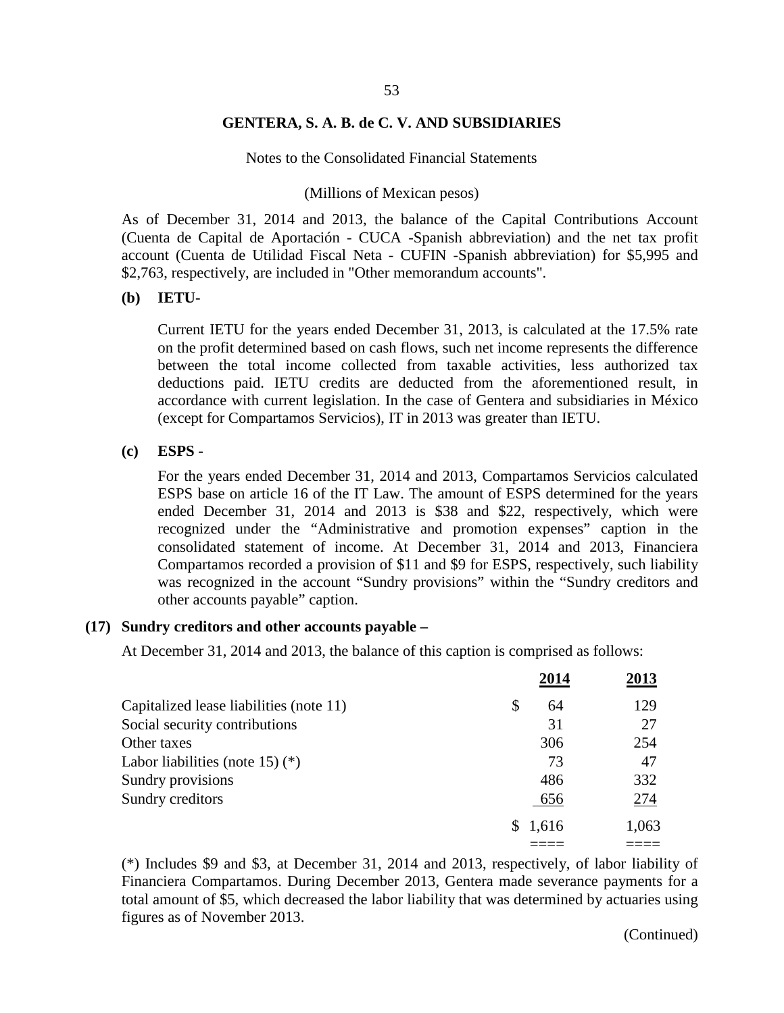Notes to the Consolidated Financial Statements

#### (Millions of Mexican pesos)

As of December 31, 2014 and 2013, the balance of the Capital Contributions Account (Cuenta de Capital de Aportación - CUCA -Spanish abbreviation) and the net tax profit account (Cuenta de Utilidad Fiscal Neta - CUFIN -Spanish abbreviation) for \$5,995 and \$2,763, respectively, are included in "Other memorandum accounts".

#### **(b) IETU-**

Current IETU for the years ended December 31, 2013, is calculated at the 17.5% rate on the profit determined based on cash flows, such net income represents the difference between the total income collected from taxable activities, less authorized tax deductions paid. IETU credits are deducted from the aforementioned result, in accordance with current legislation. In the case of Gentera and subsidiaries in México (except for Compartamos Servicios), IT in 2013 was greater than IETU.

#### **(c) ESPS -**

For the years ended December 31, 2014 and 2013, Compartamos Servicios calculated ESPS base on article 16 of the IT Law. The amount of ESPS determined for the years ended December 31, 2014 and 2013 is \$38 and \$22, respectively, which were recognized under the "Administrative and promotion expenses" caption in the consolidated statement of income. At December 31, 2014 and 2013, Financiera Compartamos recorded a provision of \$11 and \$9 for ESPS, respectively, such liability was recognized in the account "Sundry provisions" within the "Sundry creditors and other accounts payable" caption.

#### **(17) Sundry creditors and other accounts payable –**

At December 31, 2014 and 2013, the balance of this caption is comprised as follows:

|                                         | 2014     | 2013  |
|-----------------------------------------|----------|-------|
| Capitalized lease liabilities (note 11) | \$<br>64 | 129   |
| Social security contributions           | 31       | 27    |
| Other taxes                             | 306      | 254   |
| Labor liabilities (note 15) $(*)$       | 73       | 47    |
| Sundry provisions                       | 486      | 332   |
| Sundry creditors                        | 656      | 274   |
|                                         | \$1,616  | 1,063 |
|                                         |          |       |

(\*) Includes \$9 and \$3, at December 31, 2014 and 2013, respectively, of labor liability of Financiera Compartamos. During December 2013, Gentera made severance payments for a total amount of \$5, which decreased the labor liability that was determined by actuaries using figures as of November 2013.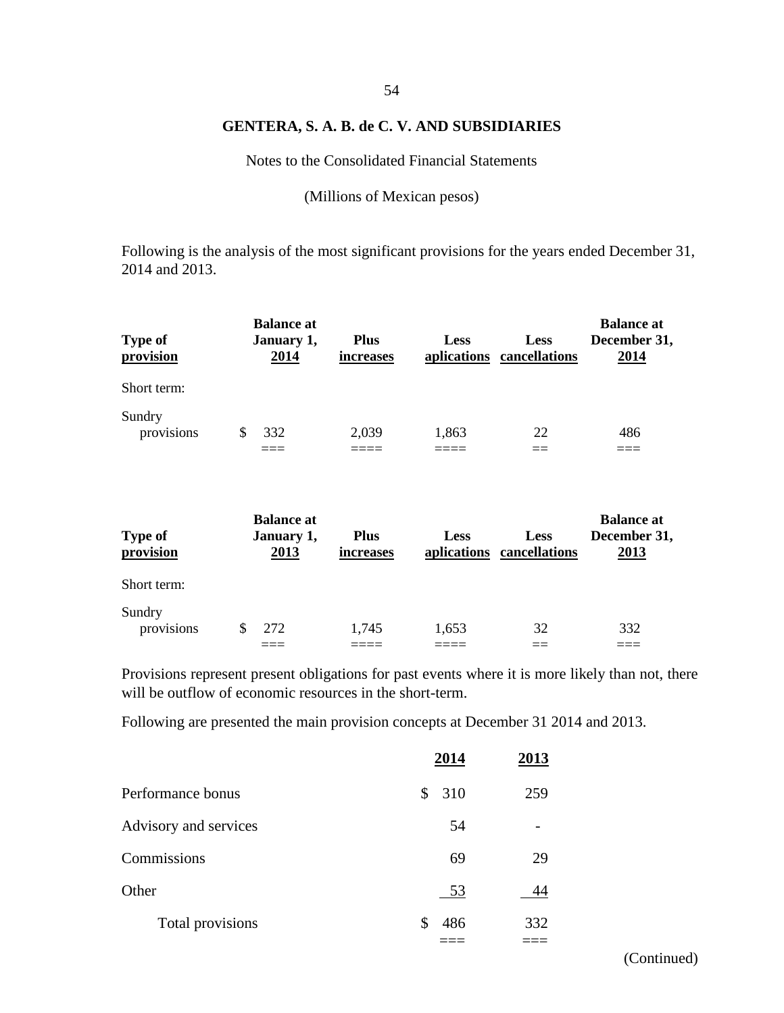Notes to the Consolidated Financial Statements

(Millions of Mexican pesos)

Following is the analysis of the most significant provisions for the years ended December 31, 2014 and 2013.

| <b>Type of</b><br>provision | <b>Balance at</b><br>January 1,<br>2014 | <b>Plus</b><br>increases | <b>Less</b> | <b>Less</b><br>aplications cancellations | <b>Balance at</b><br>December 31,<br>2014 |
|-----------------------------|-----------------------------------------|--------------------------|-------------|------------------------------------------|-------------------------------------------|
| Short term:                 |                                         |                          |             |                                          |                                           |
| Sundry<br>provisions        | 332<br>S                                | 2,039                    | 1,863       | 22                                       | 486                                       |

| <b>Type of</b><br>provision | <b>Balance at</b><br>January 1,<br>2013 | <b>Plus</b><br>increases | <b>Less</b> | <b>Less</b><br>aplications cancellations | <b>Balance at</b><br>December 31,<br>2013 |
|-----------------------------|-----------------------------------------|--------------------------|-------------|------------------------------------------|-------------------------------------------|
| Short term:                 |                                         |                          |             |                                          |                                           |
| Sundry<br>provisions        | \$<br>272                               | 1,745                    | 1,653       | 32                                       | 332                                       |

Provisions represent present obligations for past events where it is more likely than not, there will be outflow of economic resources in the short-term.

Following are presented the main provision concepts at December 31 2014 and 2013.

|                       | 2014  | 2013 |
|-----------------------|-------|------|
| Performance bonus     | \$310 | 259  |
| Advisory and services | 54    |      |
| Commissions           | 69    | 29   |
| Other                 | 53    | 44   |
| Total provisions      | 486   | 332  |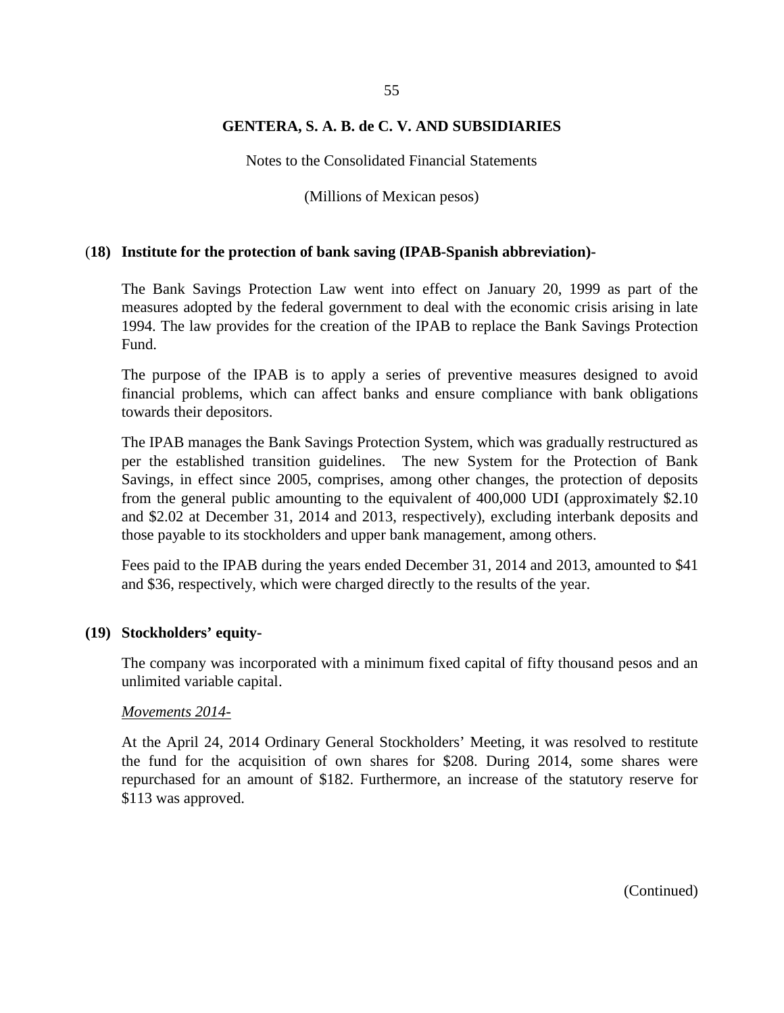Notes to the Consolidated Financial Statements

(Millions of Mexican pesos)

#### (**18) Institute for the protection of bank saving (IPAB-Spanish abbreviation)-**

The Bank Savings Protection Law went into effect on January 20, 1999 as part of the measures adopted by the federal government to deal with the economic crisis arising in late 1994. The law provides for the creation of the IPAB to replace the Bank Savings Protection Fund.

The purpose of the IPAB is to apply a series of preventive measures designed to avoid financial problems, which can affect banks and ensure compliance with bank obligations towards their depositors.

The IPAB manages the Bank Savings Protection System, which was gradually restructured as per the established transition guidelines. The new System for the Protection of Bank Savings, in effect since 2005, comprises, among other changes, the protection of deposits from the general public amounting to the equivalent of 400,000 UDI (approximately \$2.10 and \$2.02 at December 31, 2014 and 2013, respectively), excluding interbank deposits and those payable to its stockholders and upper bank management, among others.

Fees paid to the IPAB during the years ended December 31, 2014 and 2013, amounted to \$41 and \$36, respectively, which were charged directly to the results of the year.

#### **(19) Stockholders' equity-**

The company was incorporated with a minimum fixed capital of fifty thousand pesos and an unlimited variable capital.

#### *Movements 2014-*

At the April 24, 2014 Ordinary General Stockholders' Meeting, it was resolved to restitute the fund for the acquisition of own shares for \$208. During 2014, some shares were repurchased for an amount of \$182. Furthermore, an increase of the statutory reserve for \$113 was approved.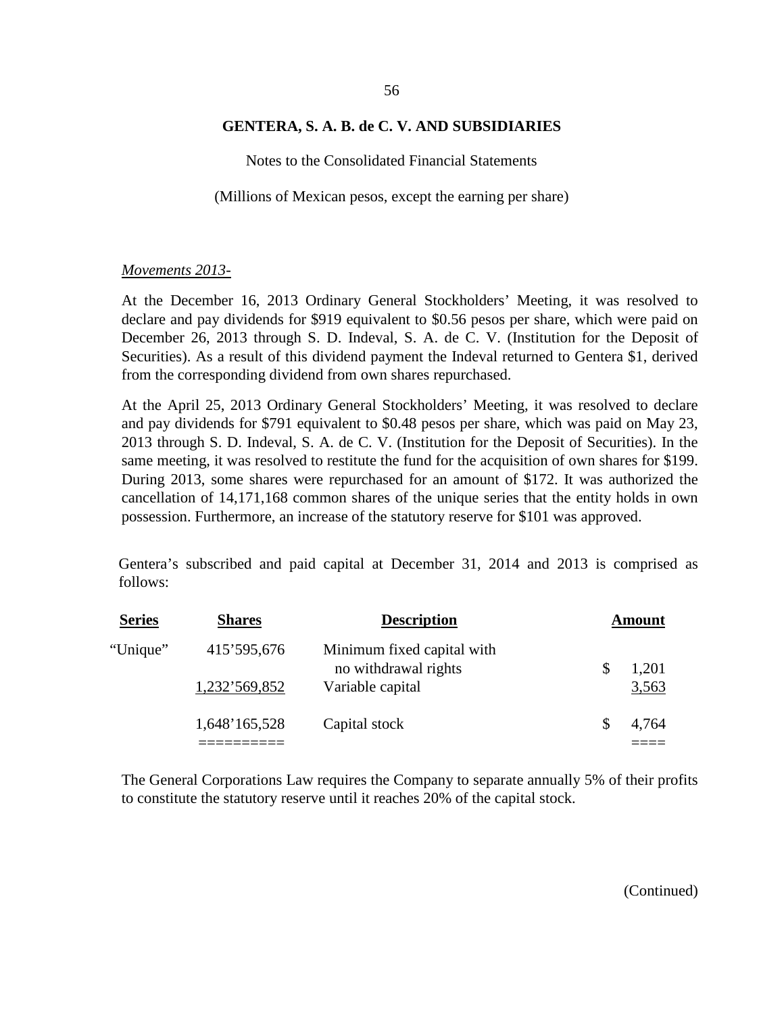Notes to the Consolidated Financial Statements

(Millions of Mexican pesos, except the earning per share)

#### *Movements 2013-*

At the December 16, 2013 Ordinary General Stockholders' Meeting, it was resolved to declare and pay dividends for \$919 equivalent to \$0.56 pesos per share, which were paid on December 26, 2013 through S. D. Indeval, S. A. de C. V. (Institution for the Deposit of Securities). As a result of this dividend payment the Indeval returned to Gentera \$1, derived from the corresponding dividend from own shares repurchased.

At the April 25, 2013 Ordinary General Stockholders' Meeting, it was resolved to declare and pay dividends for \$791 equivalent to \$0.48 pesos per share, which was paid on May 23, 2013 through S. D. Indeval, S. A. de C. V. (Institution for the Deposit of Securities). In the same meeting, it was resolved to restitute the fund for the acquisition of own shares for \$199. During 2013, some shares were repurchased for an amount of \$172. It was authorized the cancellation of 14,171,168 common shares of the unique series that the entity holds in own possession. Furthermore, an increase of the statutory reserve for \$101 was approved.

Gentera's subscribed and paid capital at December 31, 2014 and 2013 is comprised as follows:

| <b>Series</b> | <b>Shares</b> | <b>Description</b>                                 | Amount |       |
|---------------|---------------|----------------------------------------------------|--------|-------|
| "Unique"      | 415'595,676   | Minimum fixed capital with<br>no withdrawal rights |        | 1,201 |
|               | 1,232'569,852 | Variable capital                                   |        | 3,563 |
|               | 1,648'165,528 | Capital stock                                      |        | 4,764 |
|               |               |                                                    |        |       |

The General Corporations Law requires the Company to separate annually 5% of their profits to constitute the statutory reserve until it reaches 20% of the capital stock.

56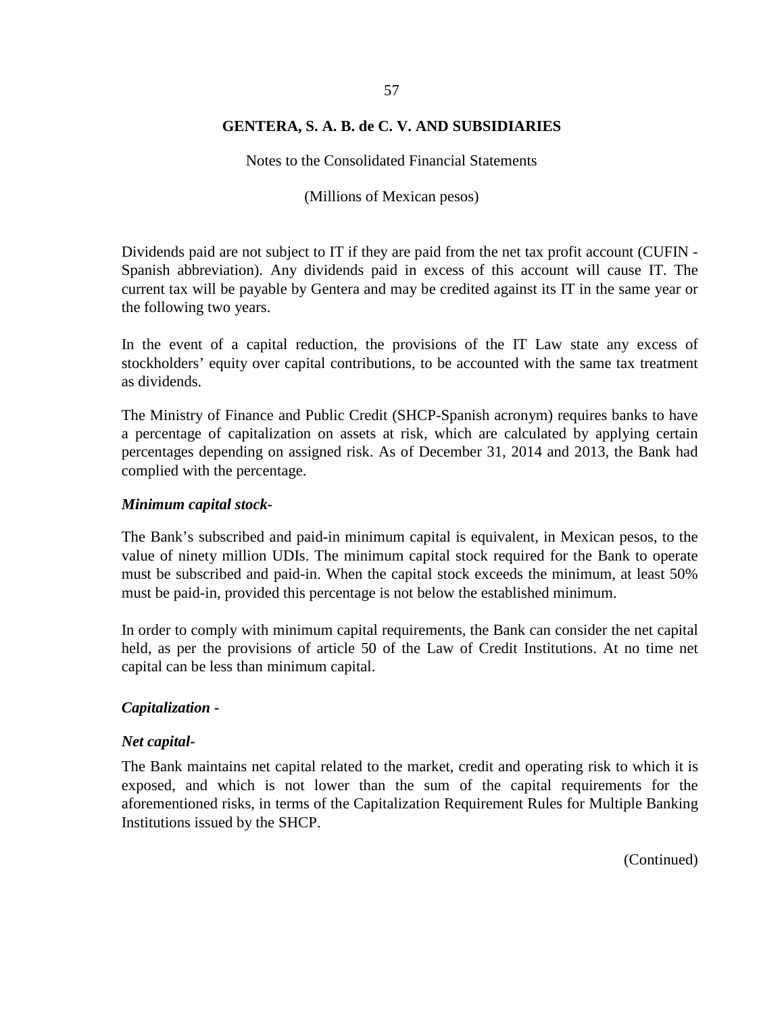Notes to the Consolidated Financial Statements

(Millions of Mexican pesos)

Dividends paid are not subject to IT if they are paid from the net tax profit account (CUFIN - Spanish abbreviation). Any dividends paid in excess of this account will cause IT. The current tax will be payable by Gentera and may be credited against its IT in the same year or the following two years.

In the event of a capital reduction, the provisions of the IT Law state any excess of stockholders' equity over capital contributions, to be accounted with the same tax treatment as dividends.

The Ministry of Finance and Public Credit (SHCP-Spanish acronym) requires banks to have a percentage of capitalization on assets at risk, which are calculated by applying certain percentages depending on assigned risk. As of December 31, 2014 and 2013, the Bank had complied with the percentage.

## *Minimum capital stock-*

The Bank's subscribed and paid-in minimum capital is equivalent, in Mexican pesos, to the value of ninety million UDIs. The minimum capital stock required for the Bank to operate must be subscribed and paid-in. When the capital stock exceeds the minimum, at least 50% must be paid-in, provided this percentage is not below the established minimum.

In order to comply with minimum capital requirements, the Bank can consider the net capital held, as per the provisions of article 50 of the Law of Credit Institutions. At no time net capital can be less than minimum capital.

## *Capitalization -*

## *Net capital-*

The Bank maintains net capital related to the market, credit and operating risk to which it is exposed, and which is not lower than the sum of the capital requirements for the aforementioned risks, in terms of the Capitalization Requirement Rules for Multiple Banking Institutions issued by the SHCP.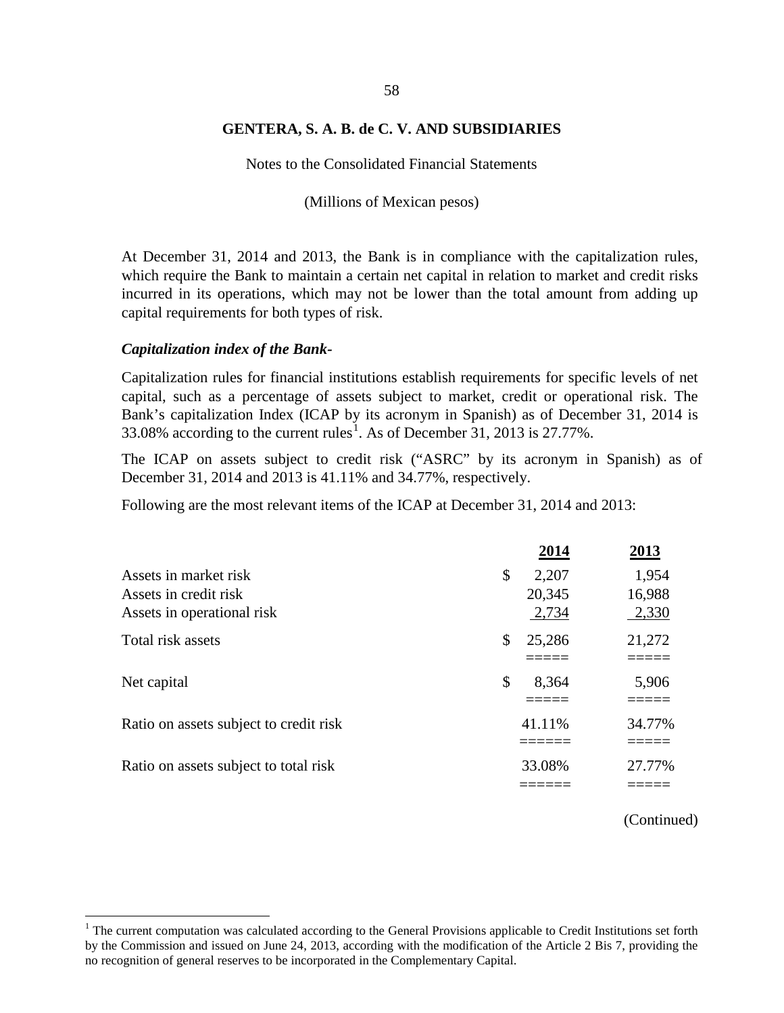Notes to the Consolidated Financial Statements

(Millions of Mexican pesos)

At December 31, 2014 and 2013, the Bank is in compliance with the capitalization rules, which require the Bank to maintain a certain net capital in relation to market and credit risks incurred in its operations, which may not be lower than the total amount from adding up capital requirements for both types of risk.

#### *Capitalization index of the Bank-*

Capitalization rules for financial institutions establish requirements for specific levels of net capital, such as a percentage of assets subject to market, credit or operational risk. The Bank's capitalization Index (ICAP by its acronym in Spanish) as of December 31, 2014 is 33.08% according to the current rules<sup>[1](#page-64-0)</sup>. As of December 31, 2013 is 27.77%.

The ICAP on assets subject to credit risk ("ASRC" by its acronym in Spanish) as of December 31, 2014 and 2013 is 41.11% and 34.77%, respectively.

Following are the most relevant items of the ICAP at December 31, 2014 and 2013:

|                                        | 2014         | 2013   |
|----------------------------------------|--------------|--------|
| Assets in market risk                  | 2,207<br>\$  | 1,954  |
| Assets in credit risk                  | 20,345       | 16,988 |
| Assets in operational risk             | 2,734        | 2,330  |
| Total risk assets                      | \$<br>25,286 | 21,272 |
|                                        |              |        |
| Net capital                            | \$<br>8,364  | 5,906  |
|                                        |              |        |
| Ratio on assets subject to credit risk | 41.11%       | 34.77% |
|                                        |              |        |
| Ratio on assets subject to total risk  | 33.08%       | 27.77% |
|                                        |              |        |

<span id="page-64-0"></span> $<sup>1</sup>$  The current computation was calculated according to the General Provisions applicable to Credit Institutions set forth</sup> by the Commission and issued on June 24, 2013, according with the modification of the Article 2 Bis 7, providing the no recognition of general reserves to be incorporated in the Complementary Capital.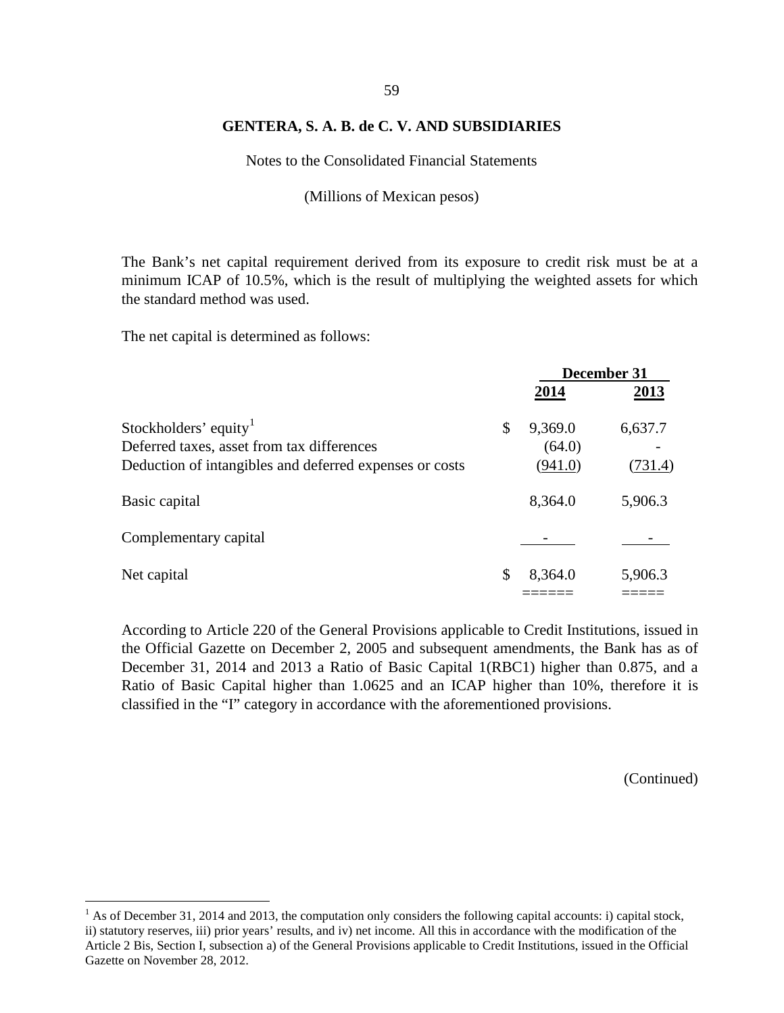Notes to the Consolidated Financial Statements

(Millions of Mexican pesos)

The Bank's net capital requirement derived from its exposure to credit risk must be at a minimum ICAP of 10.5%, which is the result of multiplying the weighted assets for which the standard method was used.

The net capital is determined as follows:

|                                                                                                                                            | December 31                        |                    |  |
|--------------------------------------------------------------------------------------------------------------------------------------------|------------------------------------|--------------------|--|
|                                                                                                                                            | 2014                               | 2013               |  |
| Stockholders' equity <sup>1</sup><br>Deferred taxes, asset from tax differences<br>Deduction of intangibles and deferred expenses or costs | \$<br>9,369.0<br>(64.0)<br>(941.0) | 6,637.7<br>(731.4) |  |
| Basic capital                                                                                                                              | 8,364.0                            | 5,906.3            |  |
| Complementary capital                                                                                                                      |                                    |                    |  |
| Net capital                                                                                                                                | \$<br>8,364.0                      | 5,906.3            |  |

According to Article 220 of the General Provisions applicable to Credit Institutions, issued in the Official Gazette on December 2, 2005 and subsequent amendments, the Bank has as of December 31, 2014 and 2013 a Ratio of Basic Capital 1(RBC1) higher than 0.875, and a Ratio of Basic Capital higher than 1.0625 and an ICAP higher than 10%, therefore it is classified in the "I" category in accordance with the aforementioned provisions.

<span id="page-65-0"></span><sup>&</sup>lt;sup>1</sup> As of December 31, 2014 and 2013, the computation only considers the following capital accounts: i) capital stock, ii) statutory reserves, iii) prior years' results, and iv) net income. All this in accordance with the modification of the Article 2 Bis, Section I, subsection a) of the General Provisions applicable to Credit Institutions, issued in the Official Gazette on November 28, 2012.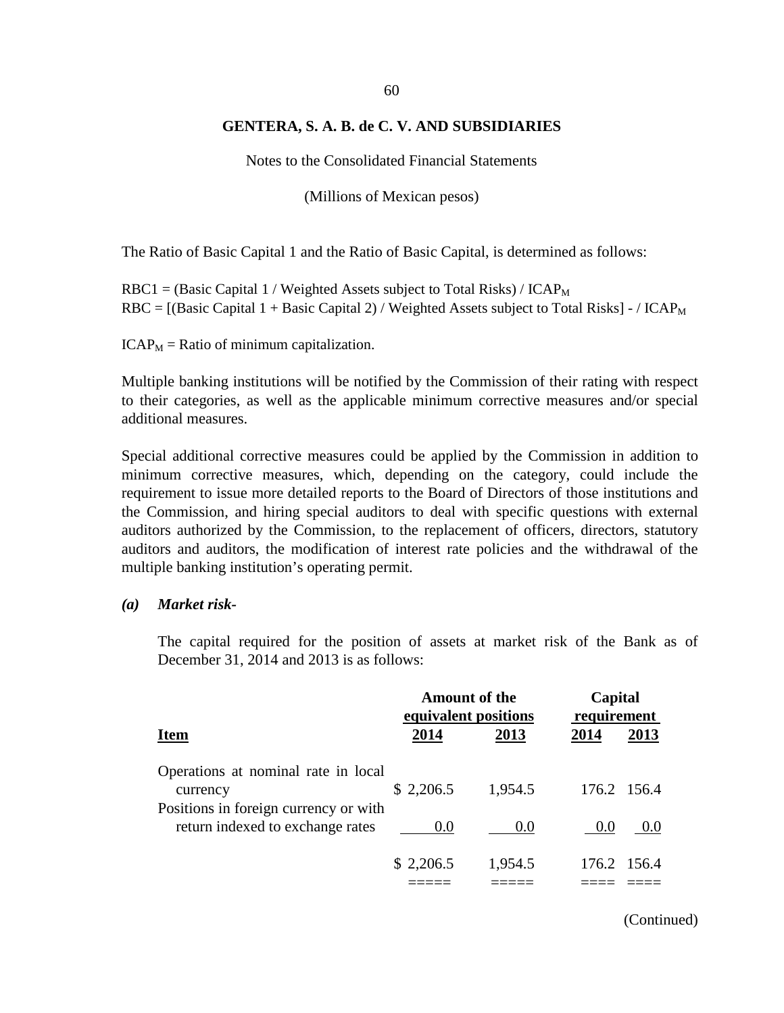Notes to the Consolidated Financial Statements

(Millions of Mexican pesos)

The Ratio of Basic Capital 1 and the Ratio of Basic Capital, is determined as follows:

 $RBC1 = (Basic Capital 1 / Weighted Assets subject to Total Risks) / ICAP<sub>M</sub>$  $RBC = [(Basic Capital 1 + Basic Capital 2) / Weighted Assets subject to Total Risks] - / ICAP<sub>M</sub>$ 

 $ICAP<sub>M</sub>$  = Ratio of minimum capitalization.

Multiple banking institutions will be notified by the Commission of their rating with respect to their categories, as well as the applicable minimum corrective measures and/or special additional measures.

Special additional corrective measures could be applied by the Commission in addition to minimum corrective measures, which, depending on the category, could include the requirement to issue more detailed reports to the Board of Directors of those institutions and the Commission, and hiring special auditors to deal with specific questions with external auditors authorized by the Commission, to the replacement of officers, directors, statutory auditors and auditors, the modification of interest rate policies and the withdrawal of the multiple banking institution's operating permit.

#### *(a) Market risk-*

The capital required for the position of assets at market risk of the Bank as of December 31, 2014 and 2013 is as follows:

|                                                                                          | <b>Amount of the</b><br>equivalent positions |         |      | Capital<br>requirement |  |
|------------------------------------------------------------------------------------------|----------------------------------------------|---------|------|------------------------|--|
| <b>Item</b>                                                                              | 2014                                         | 2013    | 2014 | 2013                   |  |
| Operations at nominal rate in local<br>currency<br>Positions in foreign currency or with | \$2,206.5                                    | 1,954.5 |      | 176.2 156.4            |  |
| return indexed to exchange rates                                                         | 0.0                                          | 0.0     | 0.0  | 0.0                    |  |
|                                                                                          | \$2,206.5                                    | 1,954.5 |      | 176.2 156.4            |  |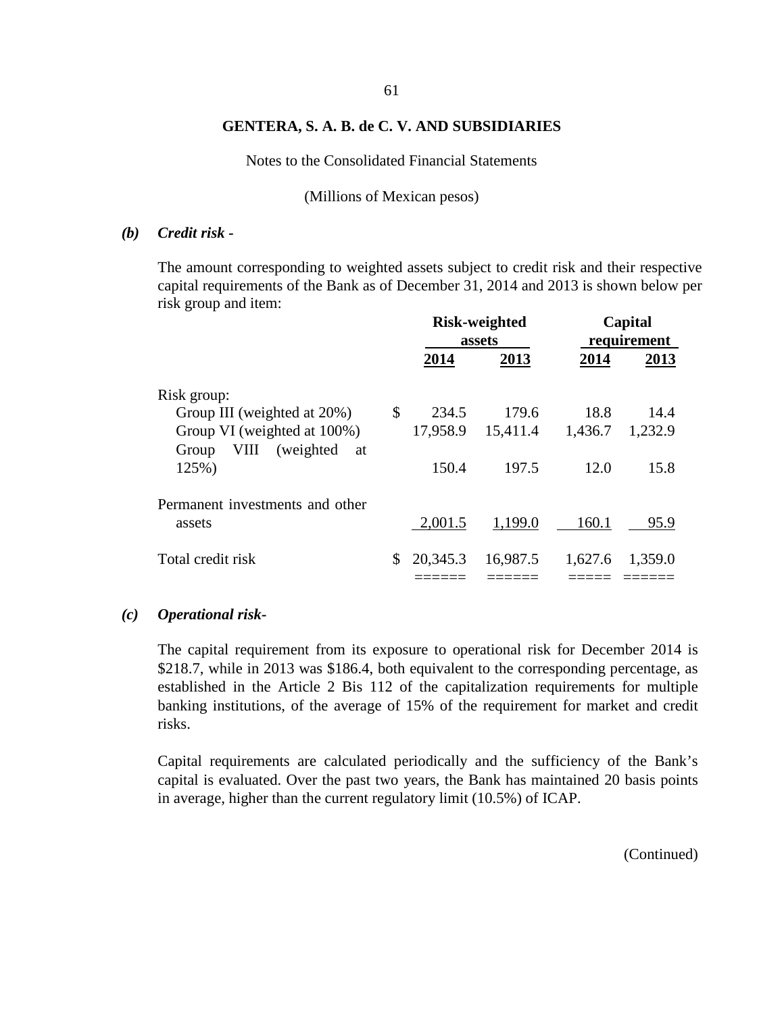Notes to the Consolidated Financial Statements

(Millions of Mexican pesos)

#### *(b) Credit risk -*

The amount corresponding to weighted assets subject to credit risk and their respective capital requirements of the Bank as of December 31, 2014 and 2013 is shown below per risk group and item:

|                                 | <b>Risk-weighted</b><br>assets |          | Capital<br>requirement |         |
|---------------------------------|--------------------------------|----------|------------------------|---------|
|                                 | 2014                           | 2013     | 2014                   | 2013    |
| Risk group:                     |                                |          |                        |         |
| Group III (weighted at 20%)     | \$<br>234.5                    | 179.6    | 18.8                   | 14.4    |
| Group VI (weighted at 100%)     | 17,958.9                       | 15,411.4 | 1,436.7                | 1,232.9 |
| VIII (weighted<br>Group<br>at   |                                |          |                        |         |
| 125%)                           | 150.4                          | 197.5    | 12.0                   | 15.8    |
| Permanent investments and other |                                |          |                        |         |
| assets                          | 2,001.5                        | 1,199.0  | 160.1                  | 95.9    |
| Total credit risk               | \$<br>20,345.3                 | 16,987.5 | 1,627.6                | 1,359.0 |
|                                 |                                |          |                        |         |

#### *(c) Operational risk-*

The capital requirement from its exposure to operational risk for December 2014 is \$218.7, while in 2013 was \$186.4, both equivalent to the corresponding percentage, as established in the Article 2 Bis 112 of the capitalization requirements for multiple banking institutions, of the average of 15% of the requirement for market and credit risks.

Capital requirements are calculated periodically and the sufficiency of the Bank's capital is evaluated. Over the past two years, the Bank has maintained 20 basis points in average, higher than the current regulatory limit (10.5%) of ICAP.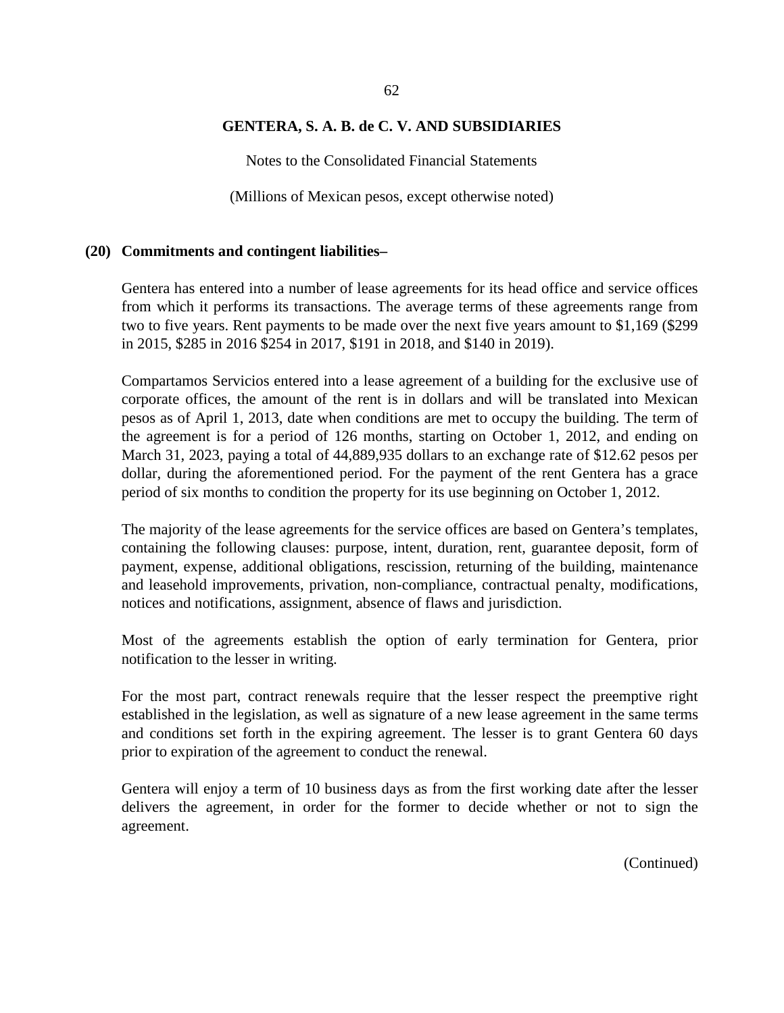Notes to the Consolidated Financial Statements

(Millions of Mexican pesos, except otherwise noted)

#### **(20) Commitments and contingent liabilities–**

Gentera has entered into a number of lease agreements for its head office and service offices from which it performs its transactions. The average terms of these agreements range from two to five years. Rent payments to be made over the next five years amount to \$1,169 (\$299 in 2015, \$285 in 2016 \$254 in 2017, \$191 in 2018, and \$140 in 2019).

Compartamos Servicios entered into a lease agreement of a building for the exclusive use of corporate offices, the amount of the rent is in dollars and will be translated into Mexican pesos as of April 1, 2013, date when conditions are met to occupy the building. The term of the agreement is for a period of 126 months, starting on October 1, 2012, and ending on March 31, 2023, paying a total of 44,889,935 dollars to an exchange rate of \$12.62 pesos per dollar, during the aforementioned period. For the payment of the rent Gentera has a grace period of six months to condition the property for its use beginning on October 1, 2012.

The majority of the lease agreements for the service offices are based on Gentera's templates, containing the following clauses: purpose, intent, duration, rent, guarantee deposit, form of payment, expense, additional obligations, rescission, returning of the building, maintenance and leasehold improvements, privation, non-compliance, contractual penalty, modifications, notices and notifications, assignment, absence of flaws and jurisdiction.

Most of the agreements establish the option of early termination for Gentera, prior notification to the lesser in writing.

For the most part, contract renewals require that the lesser respect the preemptive right established in the legislation, as well as signature of a new lease agreement in the same terms and conditions set forth in the expiring agreement. The lesser is to grant Gentera 60 days prior to expiration of the agreement to conduct the renewal.

Gentera will enjoy a term of 10 business days as from the first working date after the lesser delivers the agreement, in order for the former to decide whether or not to sign the agreement.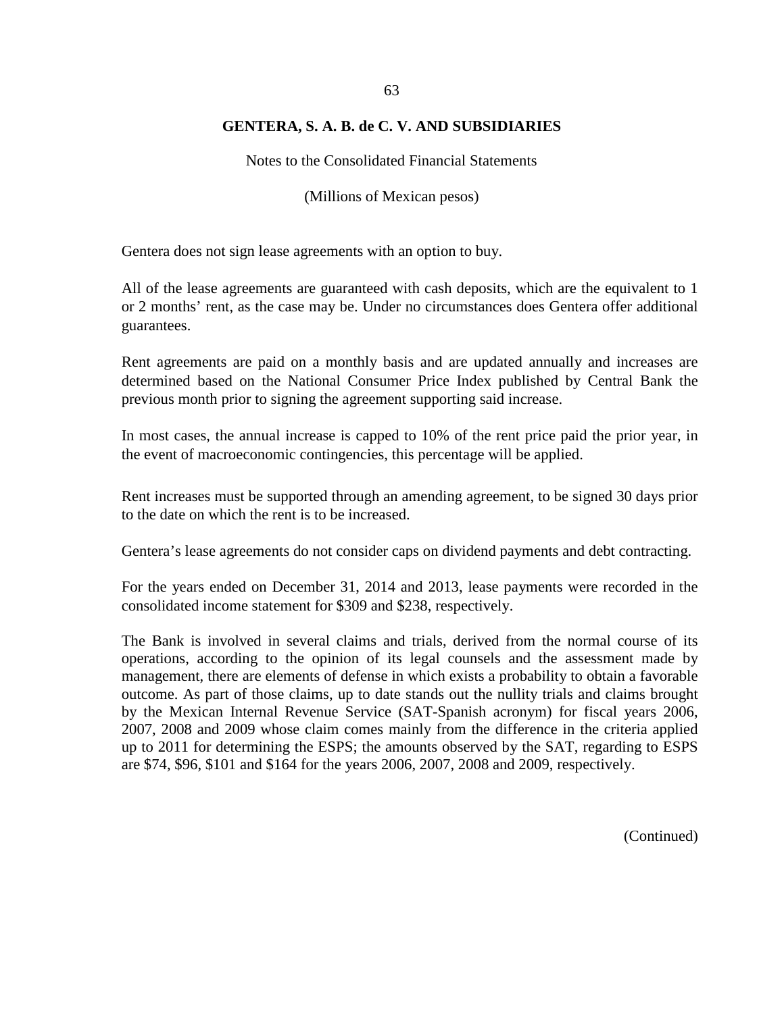Notes to the Consolidated Financial Statements

(Millions of Mexican pesos)

Gentera does not sign lease agreements with an option to buy.

All of the lease agreements are guaranteed with cash deposits, which are the equivalent to 1 or 2 months' rent, as the case may be. Under no circumstances does Gentera offer additional guarantees.

Rent agreements are paid on a monthly basis and are updated annually and increases are determined based on the National Consumer Price Index published by Central Bank the previous month prior to signing the agreement supporting said increase.

In most cases, the annual increase is capped to 10% of the rent price paid the prior year, in the event of macroeconomic contingencies, this percentage will be applied.

Rent increases must be supported through an amending agreement, to be signed 30 days prior to the date on which the rent is to be increased.

Gentera's lease agreements do not consider caps on dividend payments and debt contracting.

For the years ended on December 31, 2014 and 2013, lease payments were recorded in the consolidated income statement for \$309 and \$238, respectively.

The Bank is involved in several claims and trials, derived from the normal course of its operations, according to the opinion of its legal counsels and the assessment made by management, there are elements of defense in which exists a probability to obtain a favorable outcome. As part of those claims, up to date stands out the nullity trials and claims brought by the Mexican Internal Revenue Service (SAT-Spanish acronym) for fiscal years 2006, 2007, 2008 and 2009 whose claim comes mainly from the difference in the criteria applied up to 2011 for determining the ESPS; the amounts observed by the SAT, regarding to ESPS are \$74, \$96, \$101 and \$164 for the years 2006, 2007, 2008 and 2009, respectively.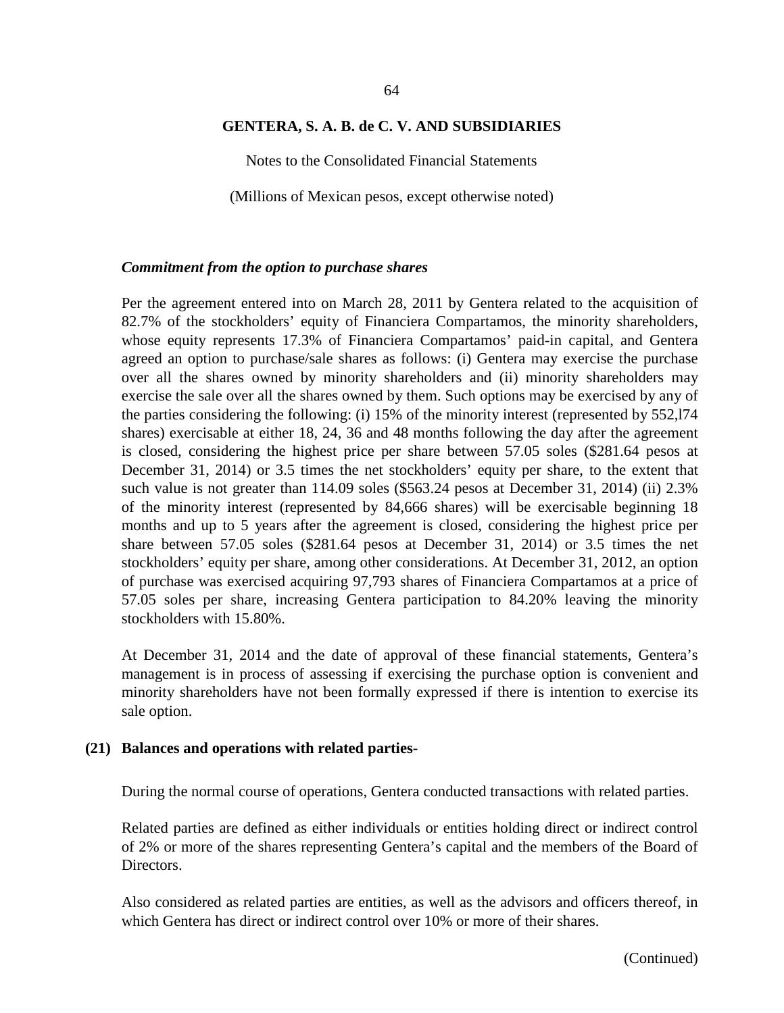#### 64

#### **GENTERA, S. A. B. de C. V. AND SUBSIDIARIES**

Notes to the Consolidated Financial Statements

(Millions of Mexican pesos, except otherwise noted)

#### *Commitment from the option to purchase shares*

Per the agreement entered into on March 28, 2011 by Gentera related to the acquisition of 82.7% of the stockholders' equity of Financiera Compartamos, the minority shareholders, whose equity represents 17.3% of Financiera Compartamos' paid-in capital, and Gentera agreed an option to purchase/sale shares as follows: (i) Gentera may exercise the purchase over all the shares owned by minority shareholders and (ii) minority shareholders may exercise the sale over all the shares owned by them. Such options may be exercised by any of the parties considering the following: (i) 15% of the minority interest (represented by 552,l74 shares) exercisable at either 18, 24, 36 and 48 months following the day after the agreement is closed, considering the highest price per share between 57.05 soles (\$281.64 pesos at December 31, 2014) or 3.5 times the net stockholders' equity per share, to the extent that such value is not greater than 114.09 soles (\$563.24 pesos at December 31, 2014) (ii) 2.3% of the minority interest (represented by 84,666 shares) will be exercisable beginning 18 months and up to 5 years after the agreement is closed, considering the highest price per share between 57.05 soles (\$281.64 pesos at December 31, 2014) or 3.5 times the net stockholders' equity per share, among other considerations. At December 31, 2012, an option of purchase was exercised acquiring 97,793 shares of Financiera Compartamos at a price of 57.05 soles per share, increasing Gentera participation to 84.20% leaving the minority stockholders with 15.80%.

At December 31, 2014 and the date of approval of these financial statements, Gentera's management is in process of assessing if exercising the purchase option is convenient and minority shareholders have not been formally expressed if there is intention to exercise its sale option.

#### **(21) Balances and operations with related parties-**

During the normal course of operations, Gentera conducted transactions with related parties.

Related parties are defined as either individuals or entities holding direct or indirect control of 2% or more of the shares representing Gentera's capital and the members of the Board of Directors.

Also considered as related parties are entities, as well as the advisors and officers thereof, in which Gentera has direct or indirect control over 10% or more of their shares.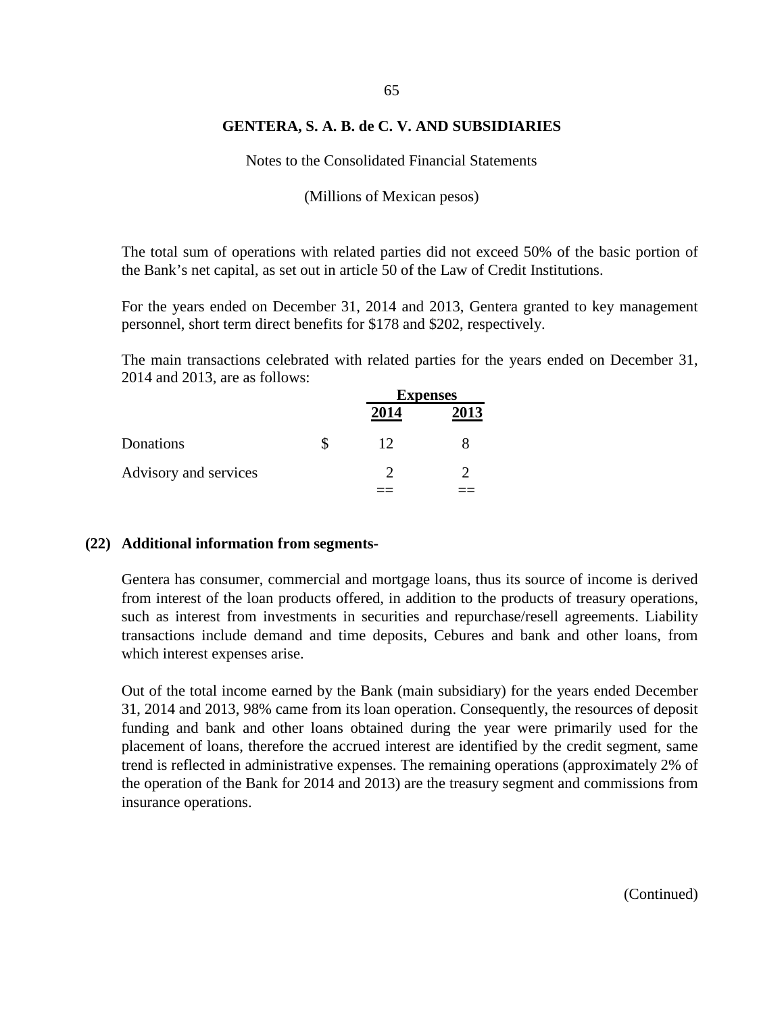Notes to the Consolidated Financial Statements

(Millions of Mexican pesos)

The total sum of operations with related parties did not exceed 50% of the basic portion of the Bank's net capital, as set out in article 50 of the Law of Credit Institutions.

For the years ended on December 31, 2014 and 2013, Gentera granted to key management personnel, short term direct benefits for \$178 and \$202, respectively.

The main transactions celebrated with related parties for the years ended on December 31, 2014 and 2013, are as follows:

|                       | <b>Expenses</b> |      |
|-----------------------|-----------------|------|
|                       | 2014            | 2013 |
| Donations             | 12              |      |
| Advisory and services |                 |      |
|                       |                 |      |

#### **(22) Additional information from segments-**

Gentera has consumer, commercial and mortgage loans, thus its source of income is derived from interest of the loan products offered, in addition to the products of treasury operations, such as interest from investments in securities and repurchase/resell agreements. Liability transactions include demand and time deposits, Cebures and bank and other loans, from which interest expenses arise.

Out of the total income earned by the Bank (main subsidiary) for the years ended December 31, 2014 and 2013, 98% came from its loan operation. Consequently, the resources of deposit funding and bank and other loans obtained during the year were primarily used for the placement of loans, therefore the accrued interest are identified by the credit segment, same trend is reflected in administrative expenses. The remaining operations (approximately 2% of the operation of the Bank for 2014 and 2013) are the treasury segment and commissions from insurance operations.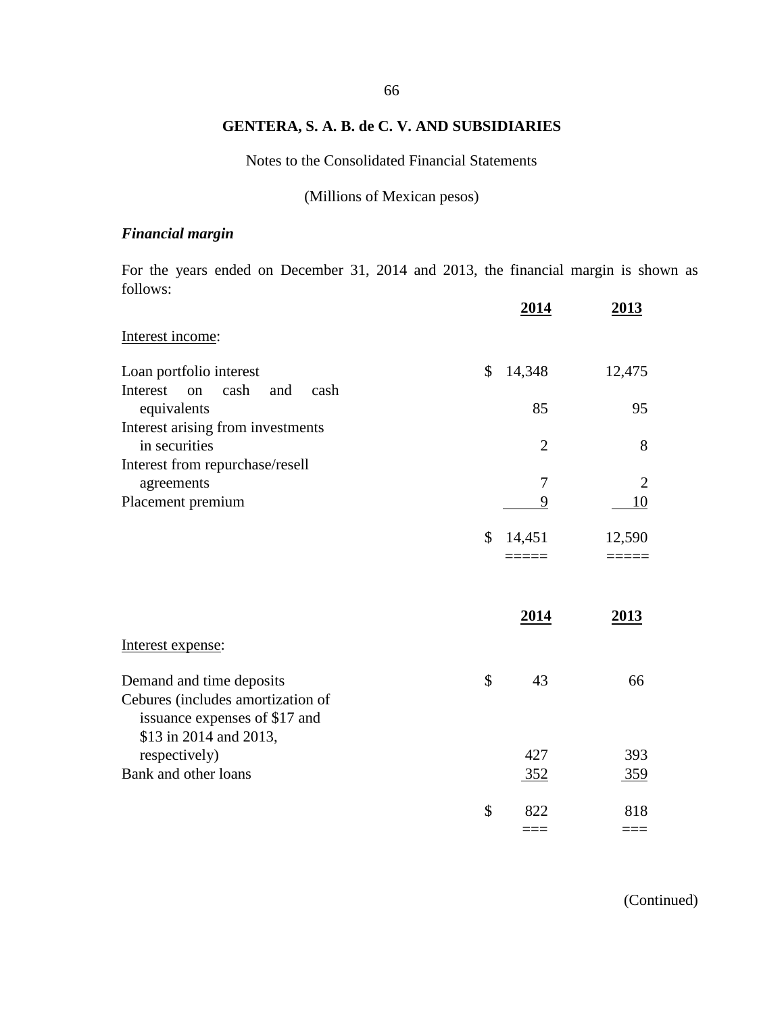Notes to the Consolidated Financial Statements

(Millions of Mexican pesos)

# *Financial margin*

For the years ended on December 31, 2014 and 2013, the financial margin is shown as follows:

|                                                                 | <u>2014</u>    | 2013       |
|-----------------------------------------------------------------|----------------|------------|
| Interest income:                                                |                |            |
| Loan portfolio interest                                         | \$<br>14,348   | 12,475     |
| Interest<br>cash<br>and<br>cash<br><sub>on</sub><br>equivalents | 85             | 95         |
| Interest arising from investments                               |                |            |
| in securities<br>Interest from repurchase/resell                | $\overline{2}$ | 8          |
| agreements                                                      | 7              | 2          |
| Placement premium                                               | 9              | 10         |
|                                                                 | \$<br>14,451   | 12,590     |
|                                                                 |                |            |
|                                                                 |                |            |
|                                                                 | <u>2014</u>    | 2013       |
| Interest expense:                                               |                |            |
| Demand and time deposits                                        | \$<br>43       | 66         |
| Cebures (includes amortization of                               |                |            |
| issuance expenses of \$17 and<br>\$13 in 2014 and 2013,         |                |            |
| respectively)                                                   | 427            | 393        |
| Bank and other loans                                            | 352            | <u>359</u> |
|                                                                 | \$<br>822      | 818        |
|                                                                 | $=$ $=$ $=$    | $==$       |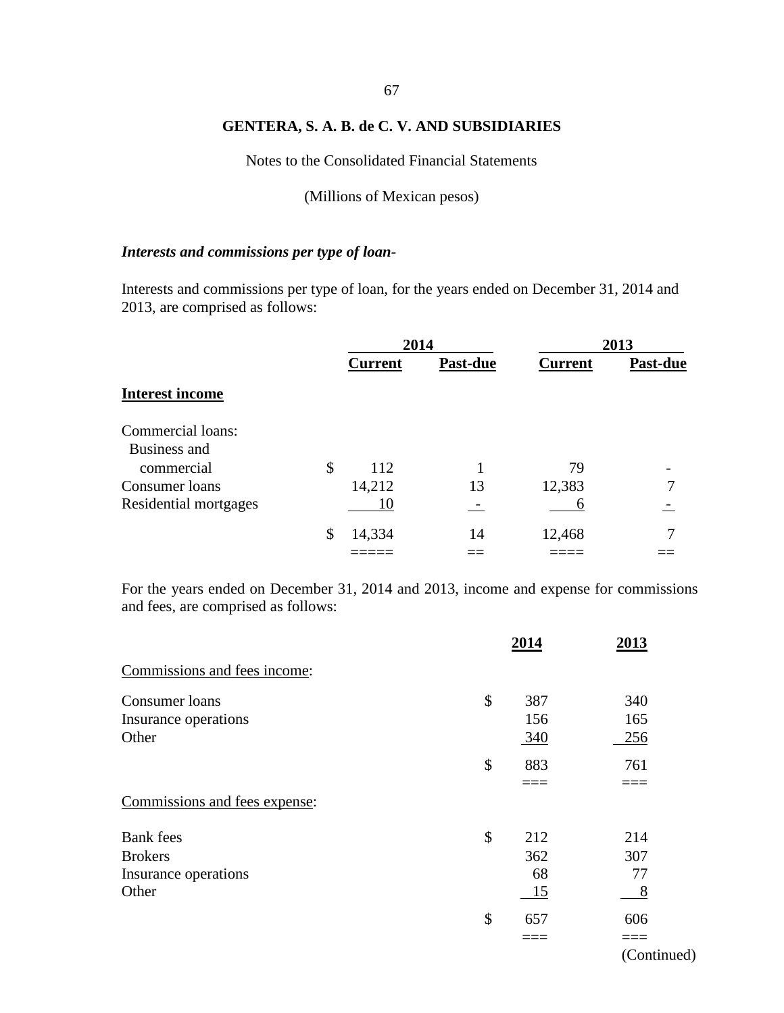# 67

## **GENTERA, S. A. B. de C. V. AND SUBSIDIARIES**

Notes to the Consolidated Financial Statements

(Millions of Mexican pesos)

# *Interests and commissions per type of loan-*

Interests and commissions per type of loan, for the years ended on December 31, 2014 and 2013, are comprised as follows:

|                        | 2014           |          | 2013           |          |  |
|------------------------|----------------|----------|----------------|----------|--|
|                        | <b>Current</b> | Past-due | <b>Current</b> | Past-due |  |
| <b>Interest income</b> |                |          |                |          |  |
| Commercial loans:      |                |          |                |          |  |
| Business and           |                |          |                |          |  |
| commercial             | \$<br>112      |          | 79             |          |  |
| Consumer loans         | 14,212         | 13       | 12,383         |          |  |
| Residential mortgages  | 10             |          | b              |          |  |
|                        | \$<br>14,334   | 14       | 12,468         |          |  |
|                        |                |          |                |          |  |

For the years ended on December 31, 2014 and 2013, income and expense for commissions and fees, are comprised as follows:

|                               | 2014      | 2013     |
|-------------------------------|-----------|----------|
| Commissions and fees income:  |           |          |
| Consumer loans                | \$<br>387 | 340      |
| Insurance operations          | 156       | 165      |
| Other                         | 340       | 256      |
|                               | \$<br>883 | 761      |
|                               |           |          |
| Commissions and fees expense: |           |          |
| <b>Bank</b> fees              | \$<br>212 | 214      |
| <b>Brokers</b>                | 362       | 307      |
| Insurance operations          | 68        | 77       |
| Other                         | <u>15</u> | <u>8</u> |
|                               | \$<br>657 | 606      |
|                               |           |          |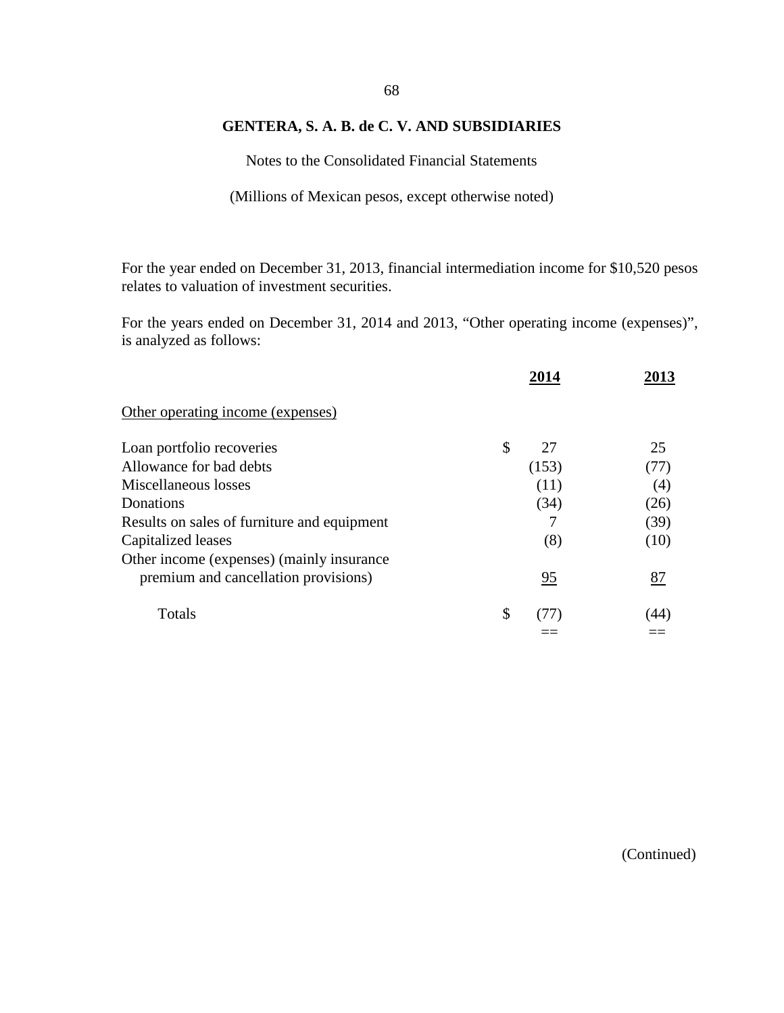Notes to the Consolidated Financial Statements

(Millions of Mexican pesos, except otherwise noted)

For the year ended on December 31, 2013, financial intermediation income for \$10,520 pesos relates to valuation of investment securities.

For the years ended on December 31, 2014 and 2013, "Other operating income (expenses)", is analyzed as follows:

|                                             | 2014     | 2013 |
|---------------------------------------------|----------|------|
| Other operating income (expenses)           |          |      |
| Loan portfolio recoveries                   | \$<br>27 | 25   |
| Allowance for bad debts                     | (153)    | (77) |
| Miscellaneous losses                        | (11)     | (4)  |
| Donations                                   | (34)     | (26) |
| Results on sales of furniture and equipment | 7        | (39) |
| Capitalized leases                          | (8)      | (10) |
| Other income (expenses) (mainly insurance   |          |      |
| premium and cancellation provisions)        | 95       | 87   |
| Totals                                      | \$       | (44) |
|                                             |          |      |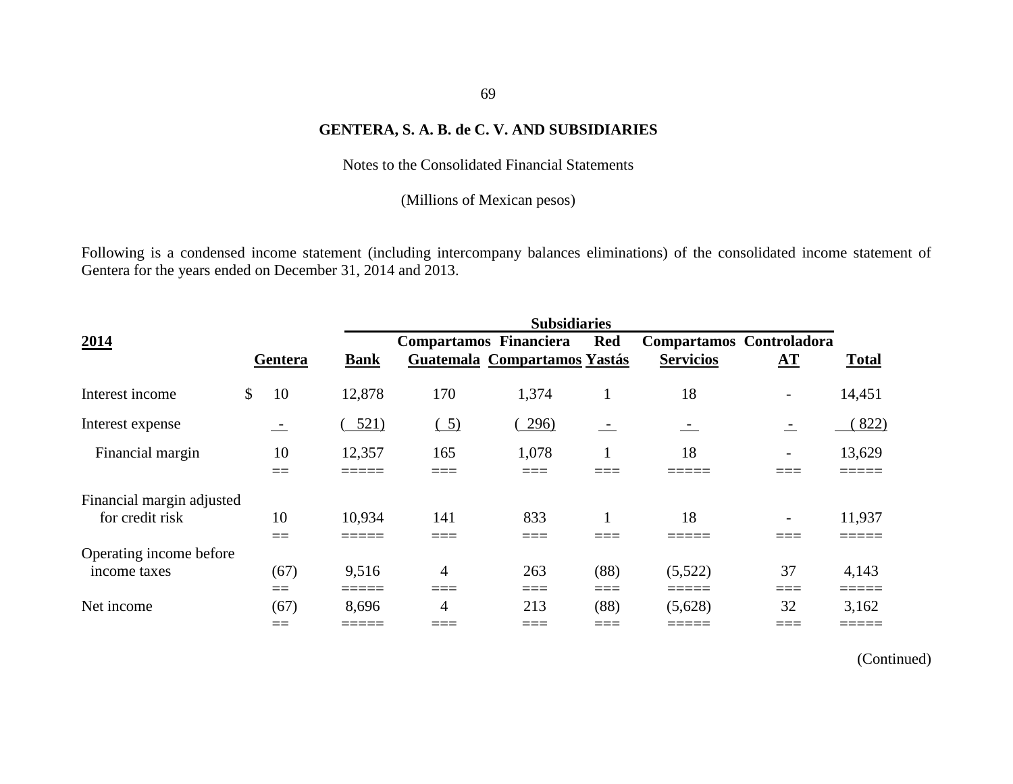Notes to the Consolidated Financial Statements

(Millions of Mexican pesos)

Following is a condensed income statement (including intercompany balances eliminations) of the consolidated income statement of Gentera for the years ended on December 31, 2014 and 2013.

|                                              | <b>Subsidiaries</b> |             |  |                               |  |                              |                |  |  |                  |                          |                 |
|----------------------------------------------|---------------------|-------------|--|-------------------------------|--|------------------------------|----------------|--|--|------------------|--------------------------|-----------------|
| 2014                                         |                     |             |  | <b>Compartamos Financiera</b> |  |                              | <b>Red</b>     |  |  |                  | Compartamos Controladora |                 |
|                                              | Gentera             | <b>Bank</b> |  |                               |  | Guatemala Compartamos Yastás |                |  |  | <b>Servicios</b> | ${\bf A}$ T              | <b>Total</b>    |
| Interest income                              | \$<br>10            | 12,878      |  | 170                           |  | 1,374                        |                |  |  | 18               | $\overline{\phantom{a}}$ | 14,451          |
| Interest expense                             | $\equiv$            | 521)        |  | $\left( 5\right)$             |  | 296)                         | $\sim$         |  |  |                  | $\equiv$                 | 822)            |
| Financial margin                             | 10<br>$==$          | 12,357      |  | 165                           |  | 1,078                        |                |  |  | 18               |                          | 13,629          |
| Financial margin adjusted<br>for credit risk | 10<br>——<br>$ -$    | 10,934      |  | 141                           |  | 833<br>____                  |                |  |  | 18               |                          | 11,937          |
| Operating income before<br>income taxes      | (67)<br>$==$        | 9,516       |  | $\overline{4}$<br>____        |  | 263<br>===                   | (88)<br>$====$ |  |  | (5,522)<br>===== | 37<br>____               | 4,143<br>------ |
| Net income                                   | (67)<br>$==$        | 8,696       |  | 4                             |  | 213<br>____                  | (88)<br>____   |  |  | (5,628)          | 32                       | 3,162           |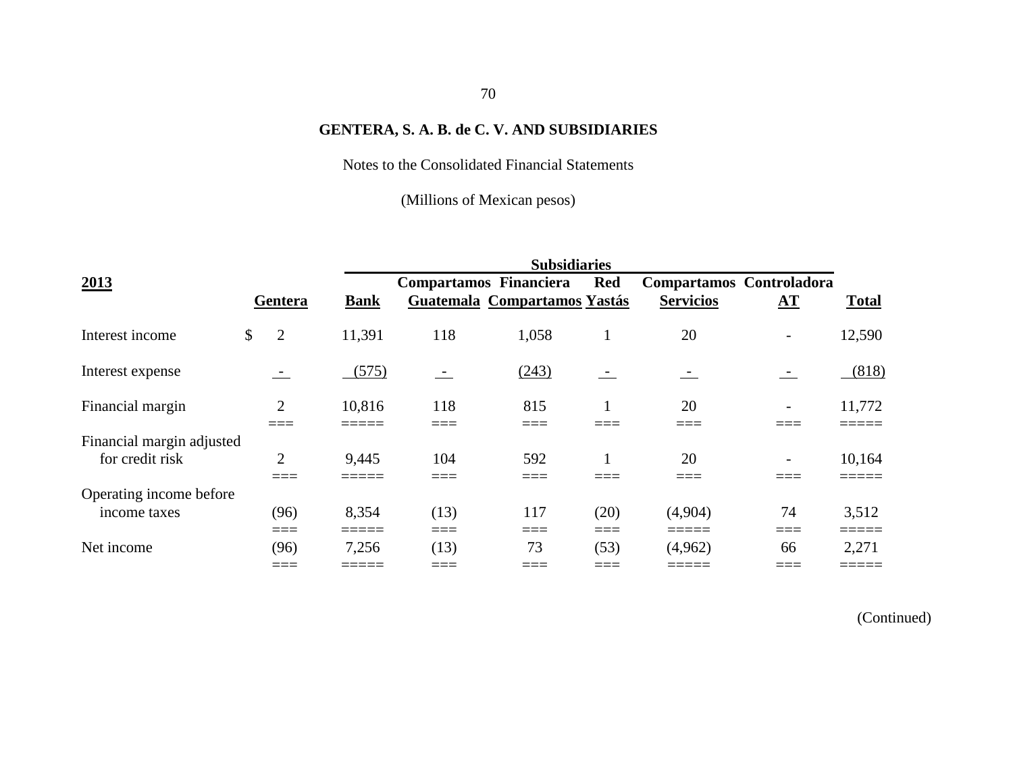Notes to the Consolidated Financial Statements

(Millions of Mexican pesos)

|                                              |              |                | <b>Subsidiaries</b> |                               |                              |             |                                              |                        |                |  |  |
|----------------------------------------------|--------------|----------------|---------------------|-------------------------------|------------------------------|-------------|----------------------------------------------|------------------------|----------------|--|--|
| 2013                                         |              | Gentera        | <b>Bank</b>         | <b>Compartamos Financiera</b> | Guatemala Compartamos Yastás | <b>Red</b>  | Compartamos Controladora<br><b>Servicios</b> | ${\bf \underline{AT}}$ | <b>Total</b>   |  |  |
| Interest income                              | $\mathbb{S}$ | $\overline{2}$ | 11,391              | 118                           | 1,058                        |             | 20                                           |                        | 12,590         |  |  |
| Interest expense                             |              |                | (575)               | $\overline{\phantom{a}}$      | (243)                        | $\sim$      | $\overline{\phantom{a}}$                     | $\sim$                 | (818)          |  |  |
| Financial margin                             |              | $\overline{2}$ | 10,816              | 118                           | 815                          |             | 20                                           |                        | 11,772         |  |  |
| Financial margin adjusted<br>for credit risk |              | $\overline{2}$ | 9,445               | 104                           | 592<br>____                  |             | 20                                           |                        | 10,164         |  |  |
| Operating income before<br>income taxes      |              | (96)<br>===    | 8,354<br>=====      | (13)<br>===                   | 117<br>____                  | (20)<br>=== | (4,904)                                      | 74<br>___<br>____      | 3,512          |  |  |
| Net income                                   |              | (96)<br>$  -$  | 7,256<br>_____      | (13)<br>____                  | 73<br>____                   | (53)        | (4,962)<br>_____                             | 66                     | 2,271<br>_____ |  |  |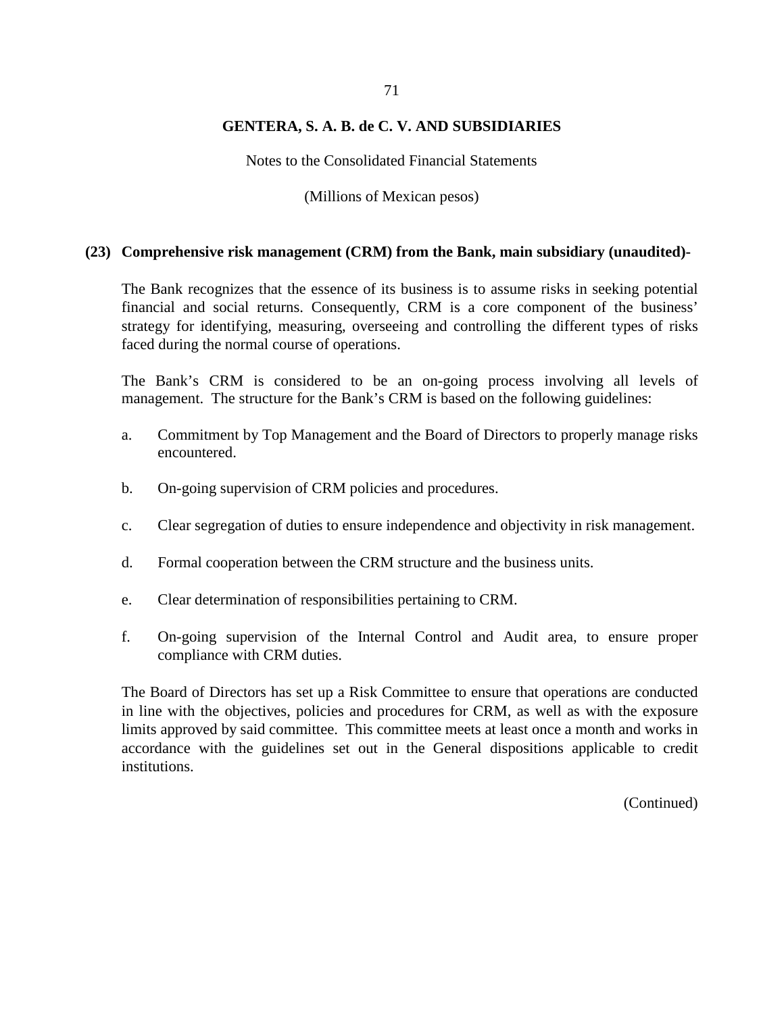Notes to the Consolidated Financial Statements

(Millions of Mexican pesos)

#### **(23) Comprehensive risk management (CRM) from the Bank, main subsidiary (unaudited)-**

The Bank recognizes that the essence of its business is to assume risks in seeking potential financial and social returns. Consequently, CRM is a core component of the business' strategy for identifying, measuring, overseeing and controlling the different types of risks faced during the normal course of operations.

The Bank's CRM is considered to be an on-going process involving all levels of management. The structure for the Bank's CRM is based on the following guidelines:

- a. Commitment by Top Management and the Board of Directors to properly manage risks encountered.
- b. On-going supervision of CRM policies and procedures.
- c. Clear segregation of duties to ensure independence and objectivity in risk management.
- d. Formal cooperation between the CRM structure and the business units.
- e. Clear determination of responsibilities pertaining to CRM.
- f. On-going supervision of the Internal Control and Audit area, to ensure proper compliance with CRM duties.

The Board of Directors has set up a Risk Committee to ensure that operations are conducted in line with the objectives, policies and procedures for CRM, as well as with the exposure limits approved by said committee. This committee meets at least once a month and works in accordance with the guidelines set out in the General dispositions applicable to credit institutions.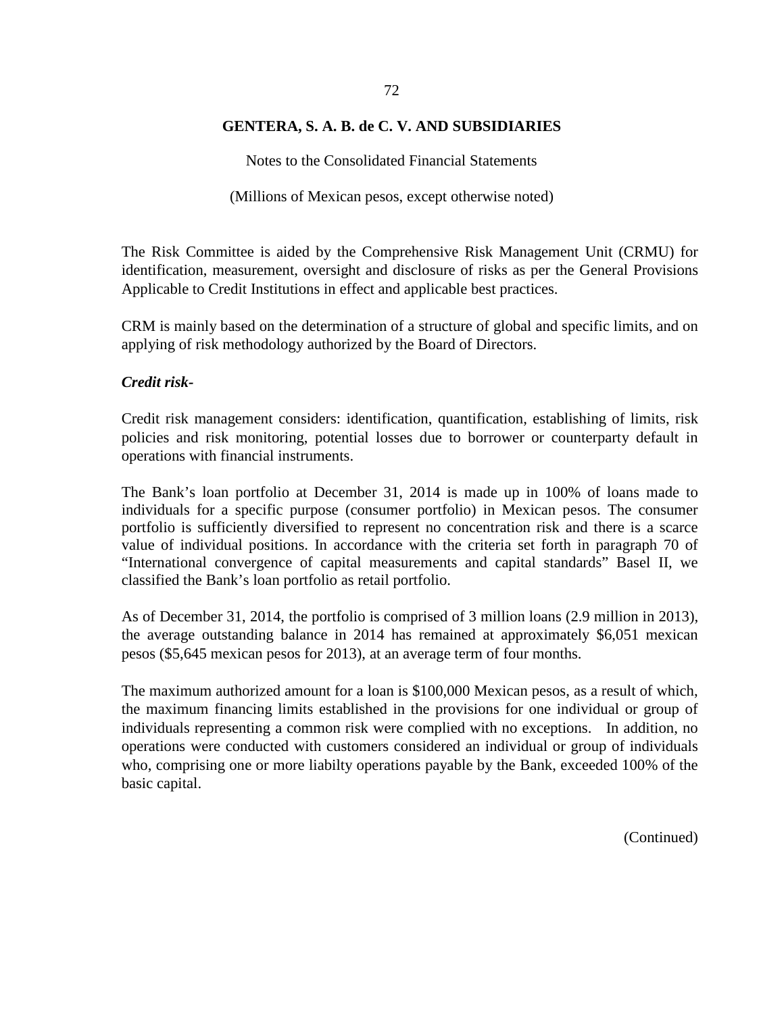#### 72

#### **GENTERA, S. A. B. de C. V. AND SUBSIDIARIES**

Notes to the Consolidated Financial Statements

(Millions of Mexican pesos, except otherwise noted)

The Risk Committee is aided by the Comprehensive Risk Management Unit (CRMU) for identification, measurement, oversight and disclosure of risks as per the General Provisions Applicable to Credit Institutions in effect and applicable best practices.

CRM is mainly based on the determination of a structure of global and specific limits, and on applying of risk methodology authorized by the Board of Directors.

#### *Credit risk-*

Credit risk management considers: identification, quantification, establishing of limits, risk policies and risk monitoring, potential losses due to borrower or counterparty default in operations with financial instruments.

The Bank's loan portfolio at December 31, 2014 is made up in 100% of loans made to individuals for a specific purpose (consumer portfolio) in Mexican pesos. The consumer portfolio is sufficiently diversified to represent no concentration risk and there is a scarce value of individual positions. In accordance with the criteria set forth in paragraph 70 of "International convergence of capital measurements and capital standards" Basel II, we classified the Bank's loan portfolio as retail portfolio.

As of December 31, 2014, the portfolio is comprised of 3 million loans (2.9 million in 2013), the average outstanding balance in 2014 has remained at approximately \$6,051 mexican pesos (\$5,645 mexican pesos for 2013), at an average term of four months.

The maximum authorized amount for a loan is \$100,000 Mexican pesos, as a result of which, the maximum financing limits established in the provisions for one individual or group of individuals representing a common risk were complied with no exceptions. In addition, no operations were conducted with customers considered an individual or group of individuals who, comprising one or more liabilty operations payable by the Bank, exceeded 100% of the basic capital.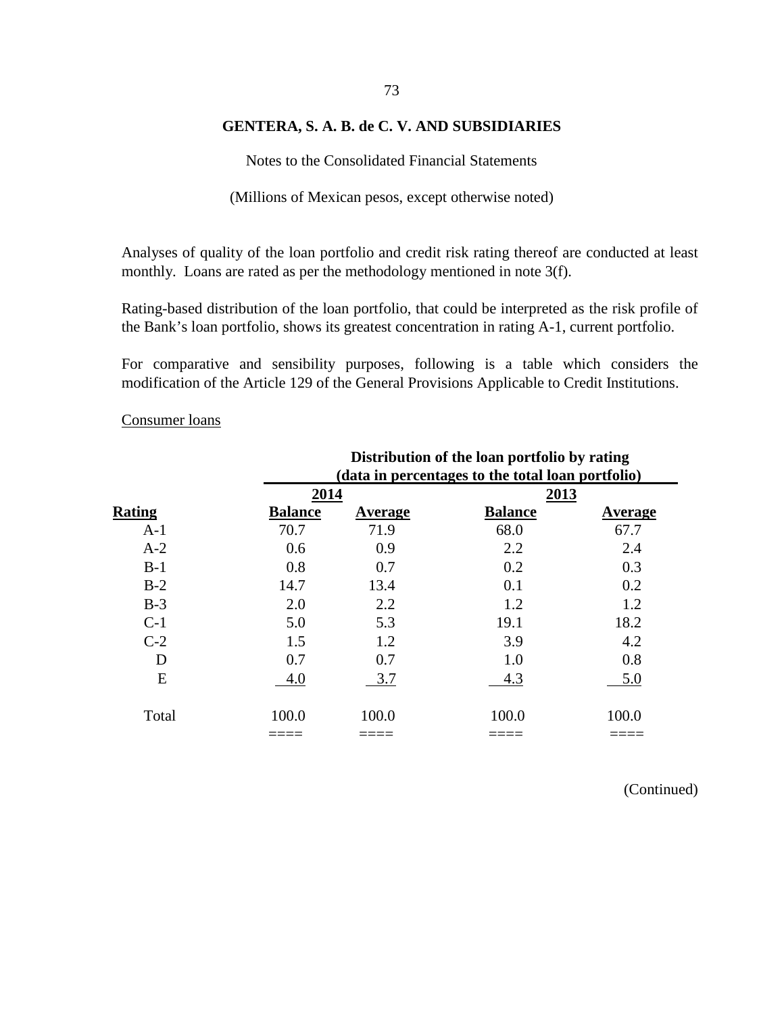# 73

## **GENTERA, S. A. B. de C. V. AND SUBSIDIARIES**

Notes to the Consolidated Financial Statements

(Millions of Mexican pesos, except otherwise noted)

Analyses of quality of the loan portfolio and credit risk rating thereof are conducted at least monthly. Loans are rated as per the methodology mentioned in note 3(f).

Rating-based distribution of the loan portfolio, that could be interpreted as the risk profile of the Bank's loan portfolio, shows its greatest concentration in rating A-1, current portfolio.

For comparative and sensibility purposes, following is a table which considers the modification of the Article 129 of the General Provisions Applicable to Credit Institutions.

#### Consumer loans

|               |                | Distribution of the loan portfolio by rating      |                |                |  |  |  |  |  |
|---------------|----------------|---------------------------------------------------|----------------|----------------|--|--|--|--|--|
|               |                | (data in percentages to the total loan portfolio) |                |                |  |  |  |  |  |
|               | 2014           |                                                   | 2013           |                |  |  |  |  |  |
| <b>Rating</b> | <b>Balance</b> | <b>Average</b>                                    | <b>Balance</b> | <b>Average</b> |  |  |  |  |  |
| $A-1$         | 70.7           | 71.9                                              | 68.0           | 67.7           |  |  |  |  |  |
| $A-2$         | 0.6            | 0.9                                               | 2.2            | 2.4            |  |  |  |  |  |
| $B-1$         | 0.8            | 0.7                                               | 0.2            | 0.3            |  |  |  |  |  |
| $B-2$         | 14.7           | 13.4                                              | 0.1            | 0.2            |  |  |  |  |  |
| $B-3$         | 2.0            | 2.2                                               | 1.2            | 1.2            |  |  |  |  |  |
| $C-1$         | 5.0            | 5.3                                               | 19.1           | 18.2           |  |  |  |  |  |
| $C-2$         | 1.5            | 1.2                                               | 3.9            | 4.2            |  |  |  |  |  |
| D             | 0.7            | 0.7                                               | 1.0            | 0.8            |  |  |  |  |  |
| E             | 4.0            | 3.7                                               | 4.3            | 5.0            |  |  |  |  |  |
| Total         | 100.0          | 100.0                                             | 100.0          | 100.0          |  |  |  |  |  |
|               |                |                                                   |                |                |  |  |  |  |  |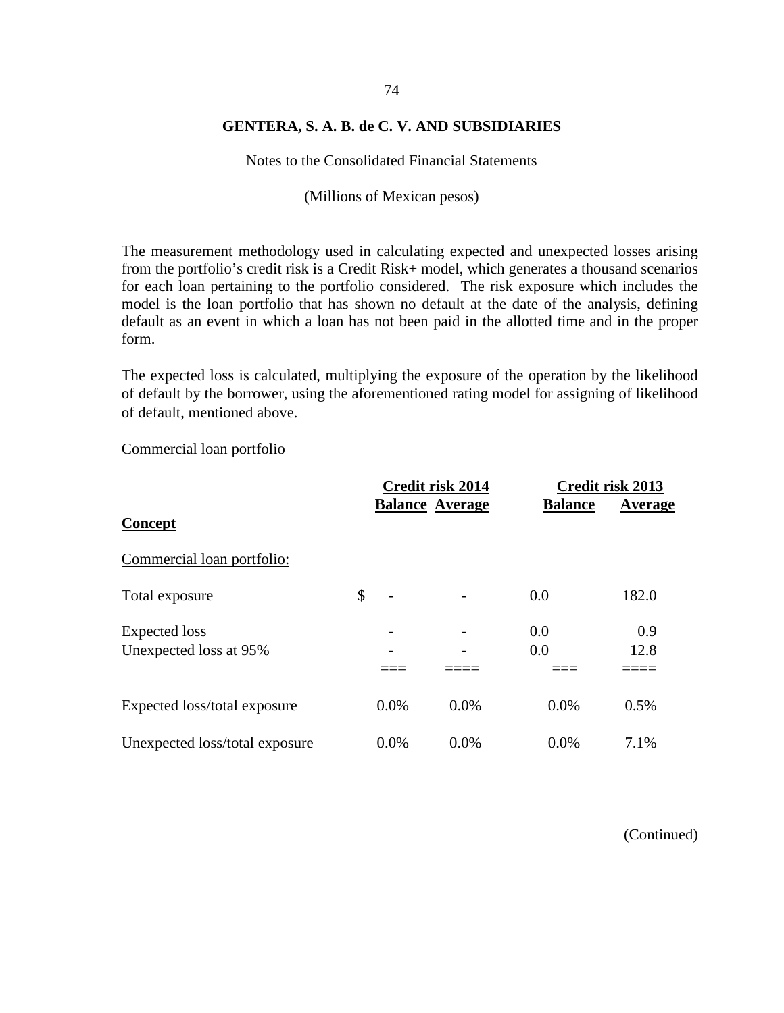Notes to the Consolidated Financial Statements

(Millions of Mexican pesos)

The measurement methodology used in calculating expected and unexpected losses arising from the portfolio's credit risk is a Credit Risk+ model, which generates a thousand scenarios for each loan pertaining to the portfolio considered. The risk exposure which includes the model is the loan portfolio that has shown no default at the date of the analysis, defining default as an event in which a loan has not been paid in the allotted time and in the proper form.

The expected loss is calculated, multiplying the exposure of the operation by the likelihood of default by the borrower, using the aforementioned rating model for assigning of likelihood of default, mentioned above.

Commercial loan portfolio

|                                |      | Credit risk 2014       |                | Credit risk 2013 |  |  |
|--------------------------------|------|------------------------|----------------|------------------|--|--|
| Concept                        |      | <b>Balance Average</b> | <b>Balance</b> | Average          |  |  |
| Commercial loan portfolio:     |      |                        |                |                  |  |  |
| Total exposure                 | \$   |                        | 0.0            | 182.0            |  |  |
| Expected loss                  | -    |                        | 0.0            | 0.9              |  |  |
| Unexpected loss at 95%         |      |                        | 0.0            | 12.8             |  |  |
|                                |      |                        |                |                  |  |  |
| Expected loss/total exposure   | 0.0% | 0.0%                   | 0.0%           | 0.5%             |  |  |
| Unexpected loss/total exposure | 0.0% | 0.0%                   | 0.0%           | 7.1%             |  |  |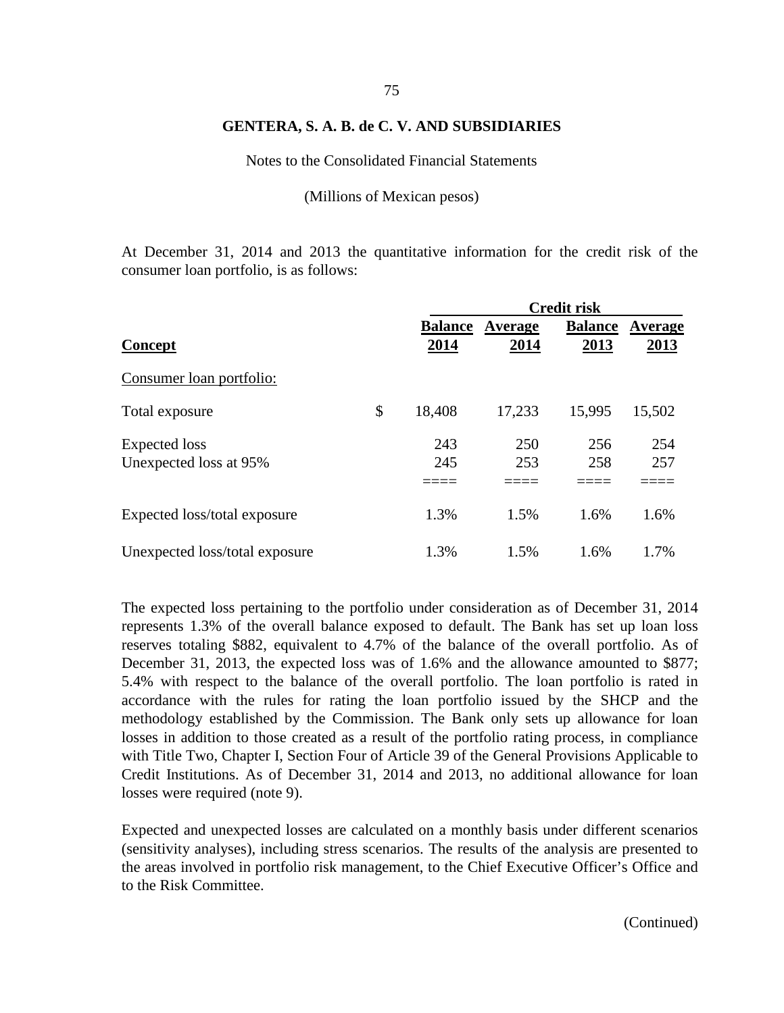# 75

#### **GENTERA, S. A. B. de C. V. AND SUBSIDIARIES**

Notes to the Consolidated Financial Statements

(Millions of Mexican pesos)

At December 31, 2014 and 2013 the quantitative information for the credit risk of the consumer loan portfolio, is as follows:

|                                |                |         | <b>Credit risk</b> |         |
|--------------------------------|----------------|---------|--------------------|---------|
|                                | <b>Balance</b> | Average | <b>Balance</b>     | Average |
| Concept                        | 2014           | 2014    | 2013               | 2013    |
| Consumer loan portfolio:       |                |         |                    |         |
| Total exposure                 | \$<br>18,408   | 17,233  | 15,995             | 15,502  |
| Expected loss                  | 243            | 250     | 256                | 254     |
| Unexpected loss at 95%         | 245            | 253     | 258                | 257     |
|                                |                |         |                    |         |
| Expected loss/total exposure   | 1.3%           | 1.5%    | 1.6%               | 1.6%    |
| Unexpected loss/total exposure | 1.3%           | 1.5%    | 1.6%               | 1.7%    |

The expected loss pertaining to the portfolio under consideration as of December 31, 2014 represents 1.3% of the overall balance exposed to default. The Bank has set up loan loss reserves totaling \$882, equivalent to 4.7% of the balance of the overall portfolio. As of December 31, 2013, the expected loss was of 1.6% and the allowance amounted to \$877; 5.4% with respect to the balance of the overall portfolio. The loan portfolio is rated in accordance with the rules for rating the loan portfolio issued by the SHCP and the methodology established by the Commission. The Bank only sets up allowance for loan losses in addition to those created as a result of the portfolio rating process, in compliance with Title Two, Chapter I, Section Four of Article 39 of the General Provisions Applicable to Credit Institutions. As of December 31, 2014 and 2013, no additional allowance for loan losses were required (note 9).

Expected and unexpected losses are calculated on a monthly basis under different scenarios (sensitivity analyses), including stress scenarios. The results of the analysis are presented to the areas involved in portfolio risk management, to the Chief Executive Officer's Office and to the Risk Committee.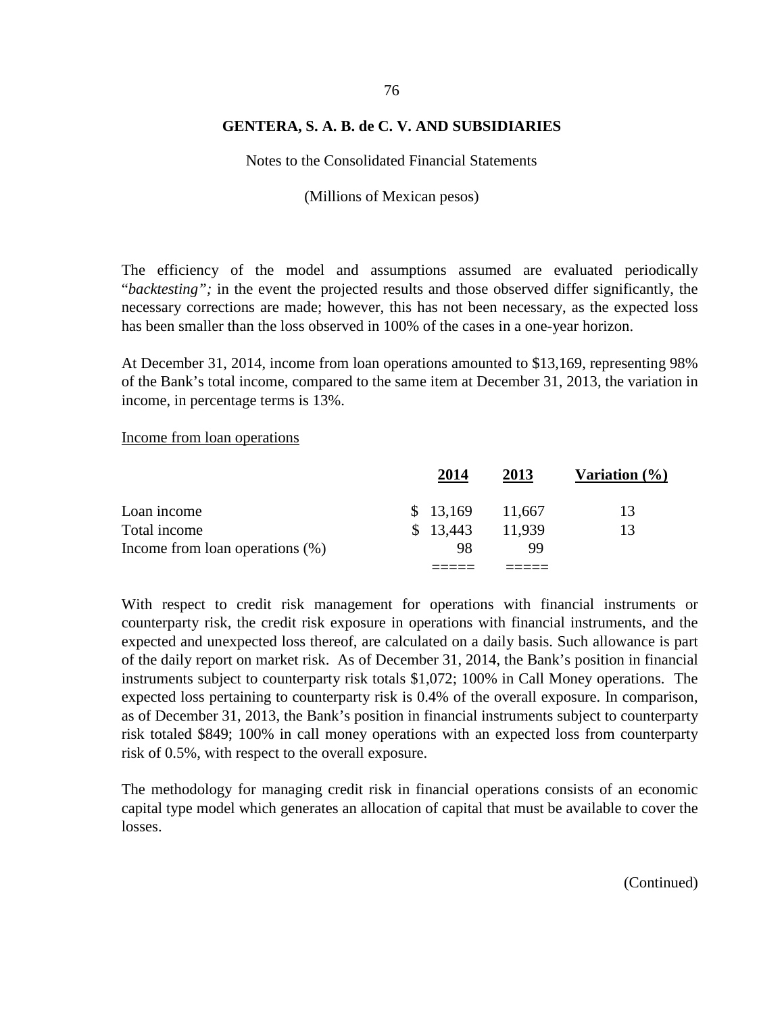Notes to the Consolidated Financial Statements

(Millions of Mexican pesos)

The efficiency of the model and assumptions assumed are evaluated periodically "*backtesting";* in the event the projected results and those observed differ significantly, the necessary corrections are made; however, this has not been necessary, as the expected loss has been smaller than the loss observed in 100% of the cases in a one-year horizon.

At December 31, 2014, income from loan operations amounted to \$13,169, representing 98% of the Bank's total income, compared to the same item at December 31, 2013, the variation in income, in percentage terms is 13%.

Income from loan operations

|                                    | 2014     | 2013   | Variation $(\% )$ |
|------------------------------------|----------|--------|-------------------|
| Loan income                        | \$13,169 | 11,667 | 13                |
| Total income                       | \$13,443 | 11.939 | 13                |
| Income from loan operations $(\%)$ | 98       | 99     |                   |
|                                    |          |        |                   |

With respect to credit risk management for operations with financial instruments or counterparty risk, the credit risk exposure in operations with financial instruments, and the expected and unexpected loss thereof, are calculated on a daily basis. Such allowance is part of the daily report on market risk. As of December 31, 2014, the Bank's position in financial instruments subject to counterparty risk totals \$1,072; 100% in Call Money operations. The expected loss pertaining to counterparty risk is 0.4% of the overall exposure. In comparison, as of December 31, 2013, the Bank's position in financial instruments subject to counterparty risk totaled \$849; 100% in call money operations with an expected loss from counterparty risk of 0.5%, with respect to the overall exposure.

The methodology for managing credit risk in financial operations consists of an economic capital type model which generates an allocation of capital that must be available to cover the losses.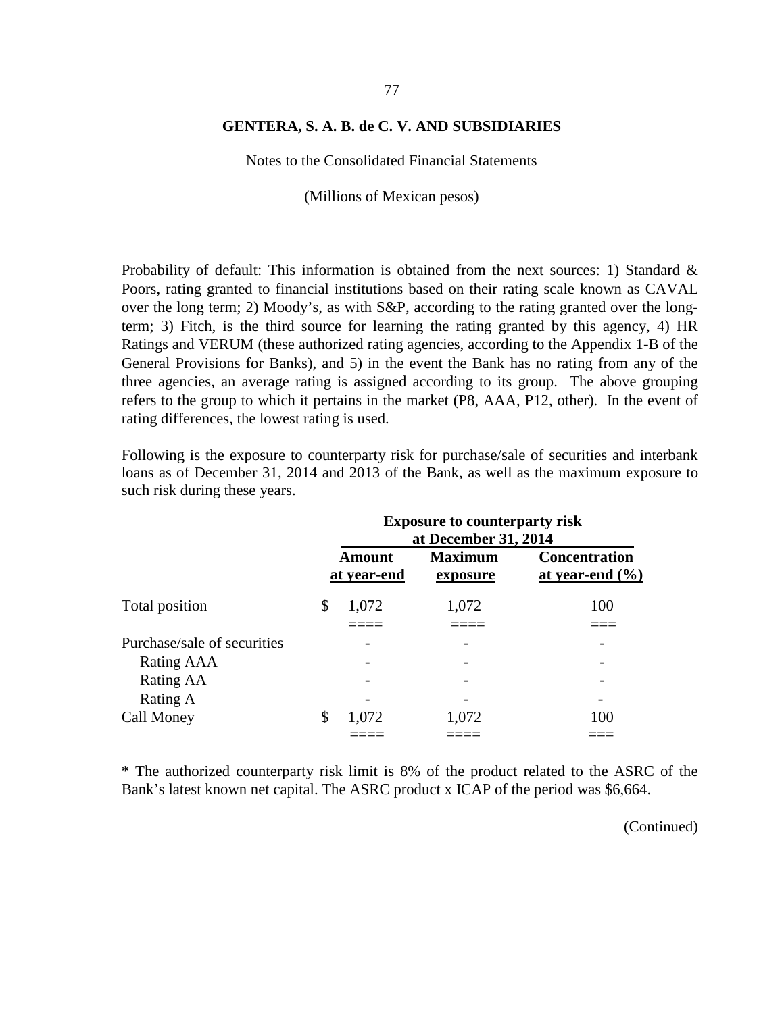Notes to the Consolidated Financial Statements

(Millions of Mexican pesos)

Probability of default: This information is obtained from the next sources: 1) Standard & Poors, rating granted to financial institutions based on their rating scale known as CAVAL over the long term; 2) Moody's, as with S&P, according to the rating granted over the longterm; 3) Fitch, is the third source for learning the rating granted by this agency, 4) HR Ratings and VERUM (these authorized rating agencies, according to the Appendix 1-B of the General Provisions for Banks), and 5) in the event the Bank has no rating from any of the three agencies, an average rating is assigned according to its group. The above grouping refers to the group to which it pertains in the market (P8, AAA, P12, other). In the event of rating differences, the lowest rating is used.

Following is the exposure to counterparty risk for purchase/sale of securities and interbank loans as of December 31, 2014 and 2013 of the Bank, as well as the maximum exposure to such risk during these years.

|                             | <b>Exposure to counterparty risk</b><br>at December 31, 2014 |                              |                            |                                             |  |  |  |
|-----------------------------|--------------------------------------------------------------|------------------------------|----------------------------|---------------------------------------------|--|--|--|
|                             |                                                              | <b>Amount</b><br>at year-end | <b>Maximum</b><br>exposure | <b>Concentration</b><br>at year-end $(\% )$ |  |  |  |
| Total position              | \$                                                           | 1,072                        | 1,072                      | 100                                         |  |  |  |
| Purchase/sale of securities |                                                              |                              |                            |                                             |  |  |  |
| Rating AAA                  |                                                              |                              |                            |                                             |  |  |  |
| Rating AA                   |                                                              |                              |                            |                                             |  |  |  |
| Rating A                    |                                                              |                              |                            |                                             |  |  |  |
| Call Money                  | \$                                                           | 1,072                        | 1,072                      | 100                                         |  |  |  |
|                             |                                                              |                              |                            |                                             |  |  |  |

\* The authorized counterparty risk limit is 8% of the product related to the ASRC of the Bank's latest known net capital. The ASRC product x ICAP of the period was \$6,664.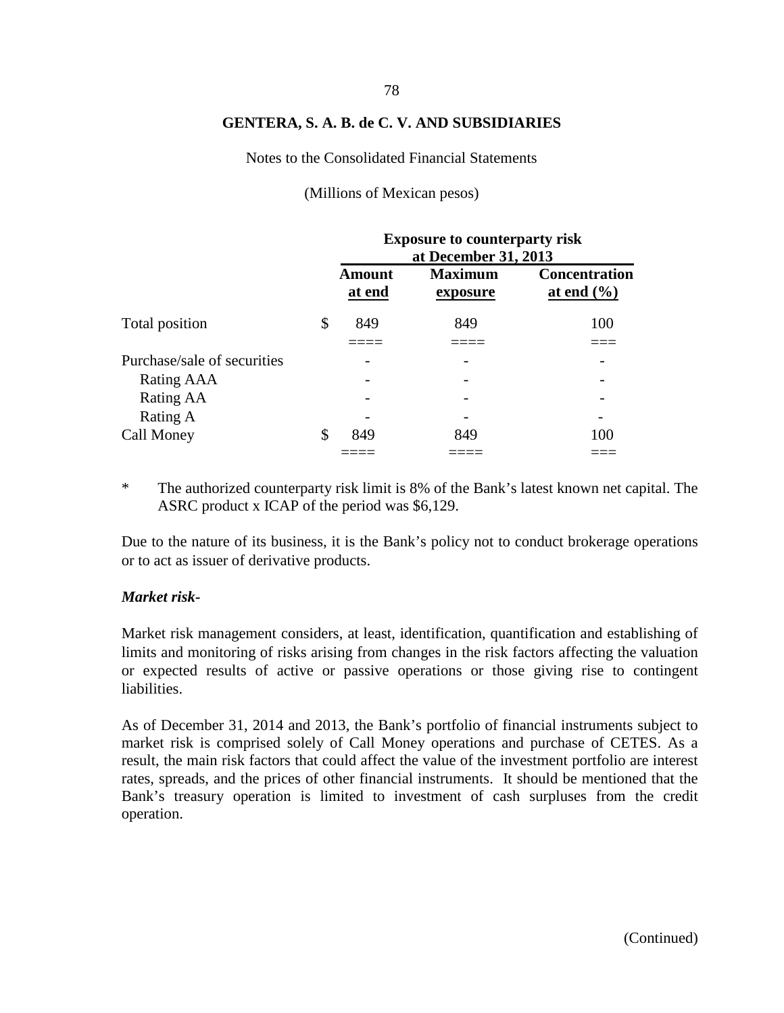Notes to the Consolidated Financial Statements

(Millions of Mexican pesos)

|                             | <b>Exposure to counterparty risk</b><br>at December 31, 2013 |                            |                                                |  |  |  |  |
|-----------------------------|--------------------------------------------------------------|----------------------------|------------------------------------------------|--|--|--|--|
|                             | <b>Amount</b><br>at end                                      | <b>Maximum</b><br>exposure | <b>Concentration</b><br>at end $(\frac{6}{6})$ |  |  |  |  |
| Total position              | \$<br>849                                                    | 849                        | 100                                            |  |  |  |  |
| Purchase/sale of securities |                                                              |                            |                                                |  |  |  |  |
| Rating AAA                  |                                                              |                            |                                                |  |  |  |  |
| Rating AA                   |                                                              |                            |                                                |  |  |  |  |
| Rating A                    |                                                              |                            |                                                |  |  |  |  |
| Call Money                  | \$<br>849                                                    | 849                        | 100                                            |  |  |  |  |
|                             |                                                              |                            |                                                |  |  |  |  |

\* The authorized counterparty risk limit is 8% of the Bank's latest known net capital. The ASRC product x ICAP of the period was \$6,129.

Due to the nature of its business, it is the Bank's policy not to conduct brokerage operations or to act as issuer of derivative products.

#### *Market risk-*

Market risk management considers, at least, identification, quantification and establishing of limits and monitoring of risks arising from changes in the risk factors affecting the valuation or expected results of active or passive operations or those giving rise to contingent liabilities.

As of December 31, 2014 and 2013, the Bank's portfolio of financial instruments subject to market risk is comprised solely of Call Money operations and purchase of CETES. As a result, the main risk factors that could affect the value of the investment portfolio are interest rates, spreads, and the prices of other financial instruments. It should be mentioned that the Bank's treasury operation is limited to investment of cash surpluses from the credit operation.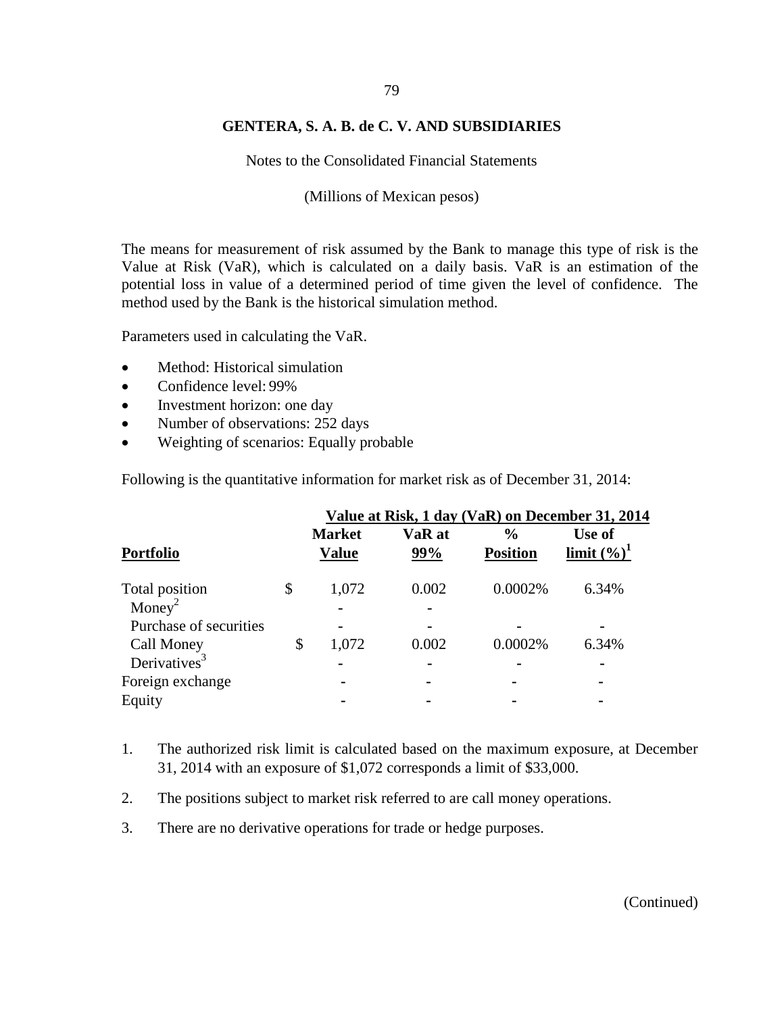# 79

#### **GENTERA, S. A. B. de C. V. AND SUBSIDIARIES**

Notes to the Consolidated Financial Statements

(Millions of Mexican pesos)

The means for measurement of risk assumed by the Bank to manage this type of risk is the Value at Risk (VaR), which is calculated on a daily basis. VaR is an estimation of the potential loss in value of a determined period of time given the level of confidence. The method used by the Bank is the historical simulation method.

Parameters used in calculating the VaR.

- Method: Historical simulation
- Confidence level: 99%
- Investment horizon: one day
- Number of observations: 252 days
- Weighting of scenarios: Equally probable

Following is the quantitative information for market risk as of December 31, 2014:

|                          | Value at Risk, 1 day (VaR) on December 31, 2014 |                               |               |                                  |                          |  |  |  |
|--------------------------|-------------------------------------------------|-------------------------------|---------------|----------------------------------|--------------------------|--|--|--|
| <b>Portfolio</b>         |                                                 | <b>Market</b><br><b>Value</b> | VaR at<br>99% | $\frac{0}{0}$<br><b>Position</b> | Use of<br>limit $(\%)^1$ |  |  |  |
| Total position           | \$                                              | 1,072                         | 0.002         | 0.0002%                          | 6.34%                    |  |  |  |
| Money <sup>2</sup>       |                                                 |                               |               |                                  |                          |  |  |  |
| Purchase of securities   |                                                 | $\blacksquare$                |               |                                  |                          |  |  |  |
| Call Money               | \$                                              | 1,072                         | 0.002         | 0.0002%                          | 6.34%                    |  |  |  |
| Derivatives <sup>3</sup> |                                                 |                               |               |                                  |                          |  |  |  |
| Foreign exchange         |                                                 | -                             |               |                                  |                          |  |  |  |
| Equity                   |                                                 |                               |               |                                  |                          |  |  |  |

- 1. The authorized risk limit is calculated based on the maximum exposure, at December 31, 2014 with an exposure of \$1,072 corresponds a limit of \$33,000.
- 2. The positions subject to market risk referred to are call money operations.
- 3. There are no derivative operations for trade or hedge purposes.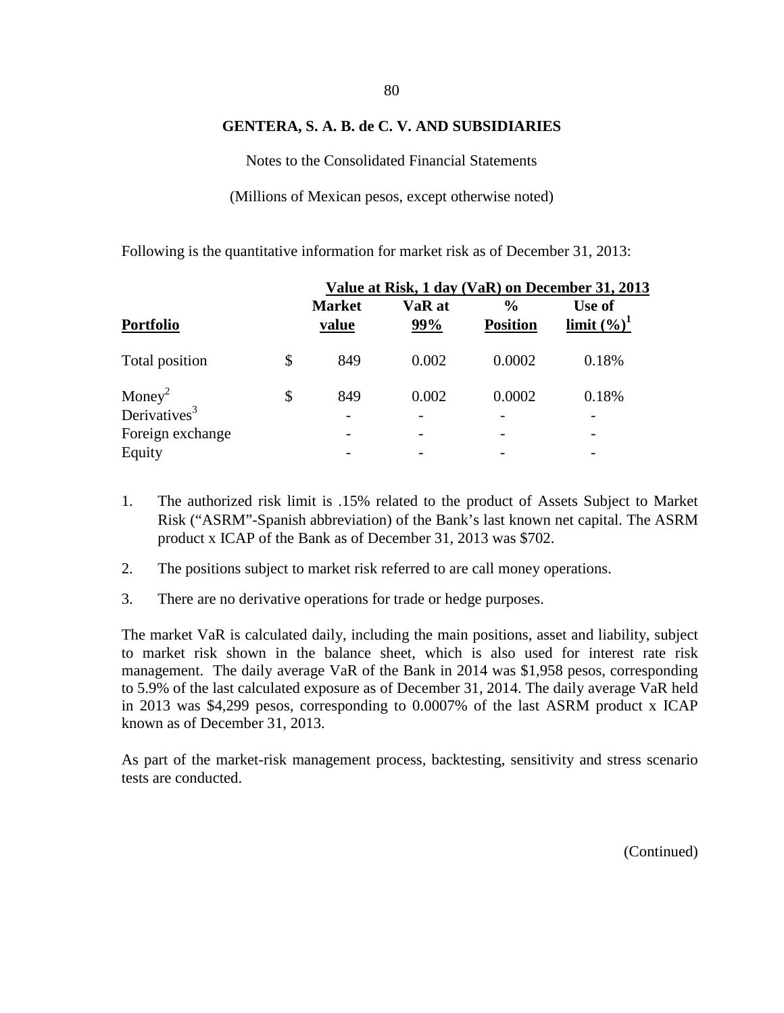Notes to the Consolidated Financial Statements

(Millions of Mexican pesos, except otherwise noted)

Following is the quantitative information for market risk as of December 31, 2013:

|                                                |                        |               |                      | Value at Risk, 1 day (VaR) on December 31, 2013 |
|------------------------------------------------|------------------------|---------------|----------------------|-------------------------------------------------|
| <b>Portfolio</b>                               | <b>Market</b><br>value | VaR at<br>99% | %<br><b>Position</b> | Use of<br>limit $(\%)^1$                        |
| Total position                                 | \$<br>849              | 0.002         | 0.0002               | 0.18%                                           |
| Money <sup>2</sup><br>Derivatives <sup>3</sup> | \$<br>849              | 0.002         | 0.0002               | 0.18%                                           |
|                                                |                        |               |                      |                                                 |
| Foreign exchange                               |                        |               |                      |                                                 |
| Equity                                         |                        |               |                      |                                                 |

- 1. The authorized risk limit is .15% related to the product of Assets Subject to Market Risk ("ASRM"-Spanish abbreviation) of the Bank's last known net capital. The ASRM product x ICAP of the Bank as of December 31, 2013 was \$702.
- 2. The positions subject to market risk referred to are call money operations.
- 3. There are no derivative operations for trade or hedge purposes.

The market VaR is calculated daily, including the main positions, asset and liability, subject to market risk shown in the balance sheet, which is also used for interest rate risk management. The daily average VaR of the Bank in 2014 was \$1,958 pesos, corresponding to 5.9% of the last calculated exposure as of December 31, 2014. The daily average VaR held in 2013 was \$4,299 pesos, corresponding to 0.0007% of the last ASRM product x ICAP known as of December 31, 2013.

As part of the market-risk management process, backtesting, sensitivity and stress scenario tests are conducted.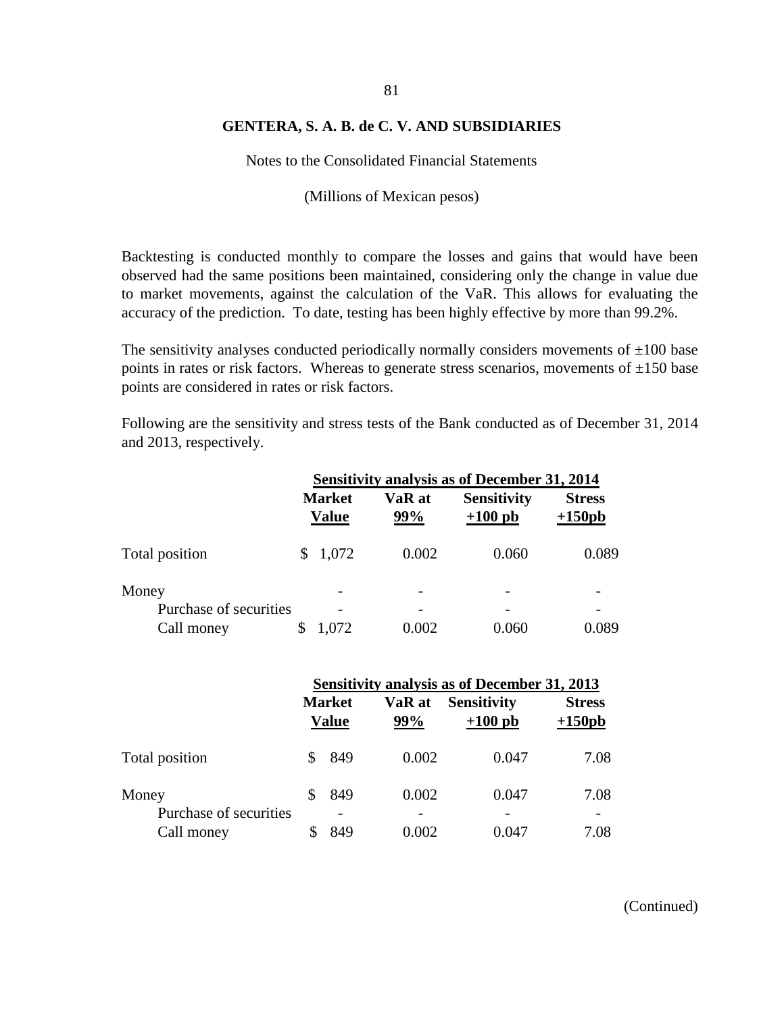Notes to the Consolidated Financial Statements

(Millions of Mexican pesos)

Backtesting is conducted monthly to compare the losses and gains that would have been observed had the same positions been maintained, considering only the change in value due to market movements, against the calculation of the VaR. This allows for evaluating the accuracy of the prediction. To date, testing has been highly effective by more than 99.2%.

The sensitivity analyses conducted periodically normally considers movements of  $\pm 100$  base points in rates or risk factors. Whereas to generate stress scenarios, movements of  $\pm 150$  base points are considered in rates or risk factors.

Following are the sensitivity and stress tests of the Bank conducted as of December 31, 2014 and 2013, respectively.

|                        | <b>Sensitivity analysis as of December 31, 2014</b> |                               |               |       |  |                                 |                           |  |
|------------------------|-----------------------------------------------------|-------------------------------|---------------|-------|--|---------------------------------|---------------------------|--|
|                        |                                                     | <b>Market</b><br><b>Value</b> | VaR at<br>99% |       |  | <b>Sensitivity</b><br>$+100$ pb | <b>Stress</b><br>$+150pb$ |  |
| Total position         |                                                     | 1,072                         |               | 0.002 |  | 0.060                           | 0.089                     |  |
| Money                  |                                                     |                               |               |       |  |                                 |                           |  |
| Purchase of securities |                                                     |                               |               |       |  |                                 |                           |  |
| Call money             |                                                     | 1,072                         |               | 0.002 |  | 0.060                           | 0.089                     |  |

|                                 | <b>Sensitivity analysis as of December 31, 2013</b> |                               |               |                                 |                           |  |
|---------------------------------|-----------------------------------------------------|-------------------------------|---------------|---------------------------------|---------------------------|--|
|                                 |                                                     | <b>Market</b><br><b>Value</b> | VaR at<br>99% | <b>Sensitivity</b><br>$+100$ pb | <b>Stress</b><br>$+150pb$ |  |
| Total position                  |                                                     | 849                           | 0.002         | 0.047                           | 7.08                      |  |
| Money<br>Purchase of securities |                                                     | 849                           | 0.002         | 0.047                           | 7.08                      |  |
| Call money                      |                                                     | 849                           | 0.002         | 0.047                           | 7.08                      |  |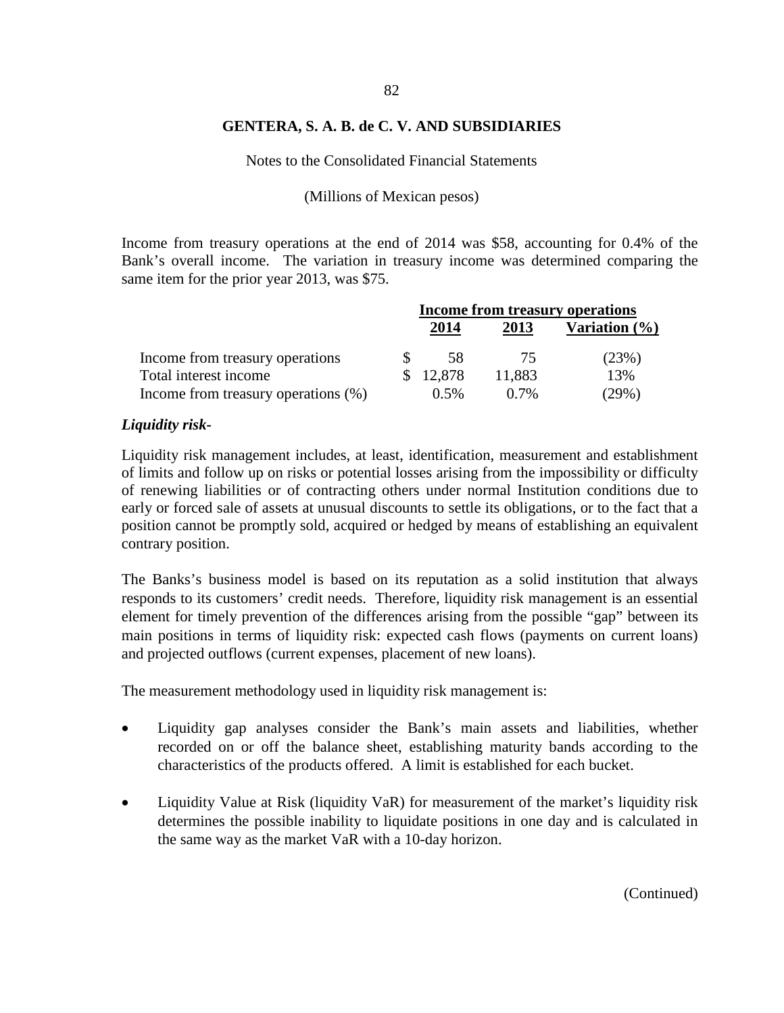Notes to the Consolidated Financial Statements

#### (Millions of Mexican pesos)

Income from treasury operations at the end of 2014 was \$58, accounting for 0.4% of the Bank's overall income. The variation in treasury income was determined comparing the same item for the prior year 2013, was \$75.

|                                     | Income from treasury operations |          |         |                   |
|-------------------------------------|---------------------------------|----------|---------|-------------------|
|                                     |                                 | 2014     | 2013    | Variation $(\% )$ |
| Income from treasury operations     |                                 | 58       | 75      | (23%)             |
| Total interest income               |                                 | \$12,878 | 11,883  | 13%               |
| Income from treasury operations (%) |                                 | 0.5%     | $0.7\%$ | (29%)             |

#### *Liquidity risk-*

Liquidity risk management includes, at least, identification, measurement and establishment of limits and follow up on risks or potential losses arising from the impossibility or difficulty of renewing liabilities or of contracting others under normal Institution conditions due to early or forced sale of assets at unusual discounts to settle its obligations, or to the fact that a position cannot be promptly sold, acquired or hedged by means of establishing an equivalent contrary position.

The Banks's business model is based on its reputation as a solid institution that always responds to its customers' credit needs. Therefore, liquidity risk management is an essential element for timely prevention of the differences arising from the possible "gap" between its main positions in terms of liquidity risk: expected cash flows (payments on current loans) and projected outflows (current expenses, placement of new loans).

The measurement methodology used in liquidity risk management is:

- Liquidity gap analyses consider the Bank's main assets and liabilities, whether recorded on or off the balance sheet, establishing maturity bands according to the characteristics of the products offered. A limit is established for each bucket.
- Liquidity Value at Risk (liquidity VaR) for measurement of the market's liquidity risk determines the possible inability to liquidate positions in one day and is calculated in the same way as the market VaR with a 10-day horizon.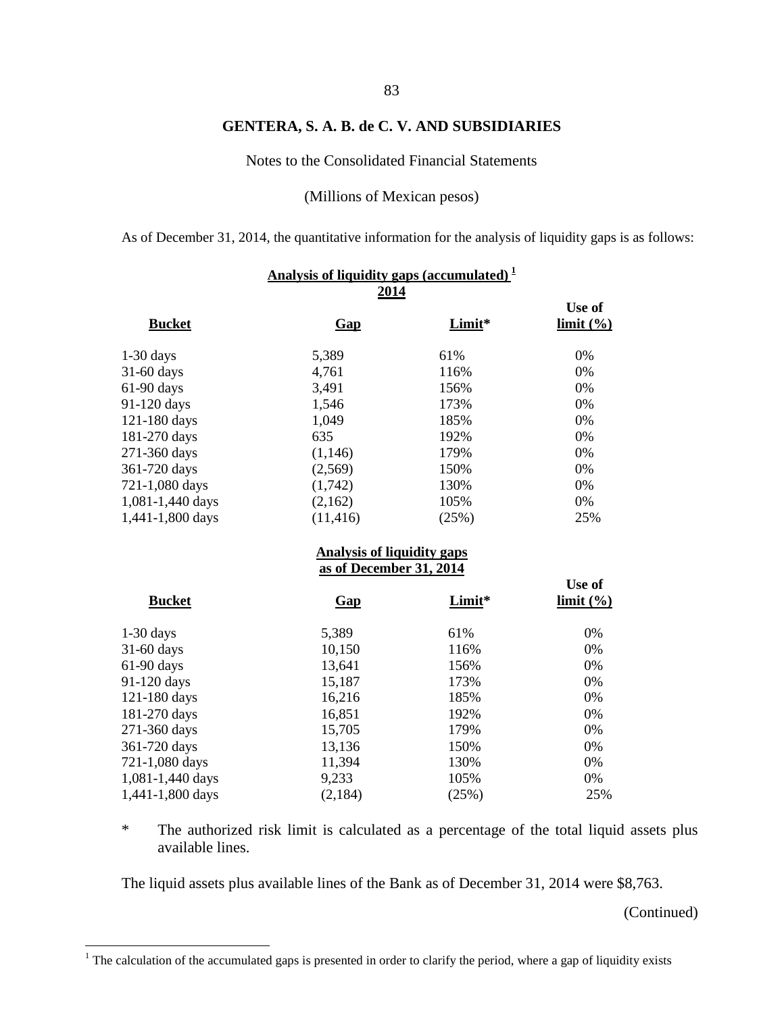Notes to the Consolidated Financial Statements

(Millions of Mexican pesos)

As of December 31, 2014, the quantitative information for the analysis of liquidity gaps is as follows:

|                  | Analysis of liquidity gaps (accumulated) $\frac{1}{2}$ |        |                     |
|------------------|--------------------------------------------------------|--------|---------------------|
|                  | 2014                                                   |        |                     |
| <b>Bucket</b>    | <b>Gap</b>                                             | Limit* | Use of<br>limit (%) |
| $1-30$ days      | 5,389                                                  | 61%    | 0%                  |
| 31-60 days       | 4,761                                                  | 116%   | 0%                  |
| 61-90 days       | 3,491                                                  | 156%   | 0%                  |
| 91-120 days      | 1,546                                                  | 173%   | 0%                  |
| 121-180 days     | 1,049                                                  | 185%   | 0%                  |
| 181-270 days     | 635                                                    | 192%   | 0%                  |
| 271-360 days     | (1,146)                                                | 179%   | 0%                  |
| 361-720 days     | (2,569)                                                | 150%   | 0%                  |
| 721-1,080 days   | (1,742)                                                | 130%   | 0%                  |
| 1,081-1,440 days | (2,162)                                                | 105%   | 0%                  |
| 1,441-1,800 days | (11, 416)                                              | (25%)  | 25%                 |
|                  | <b>Analysis of liquidity gaps</b>                      |        |                     |
|                  | as of December 31, 2014                                |        |                     |
| <b>Bucket</b>    | $Gap$                                                  | Limit* | Use of<br>limit (%) |
| $1-30$ days      | 5,389                                                  | 61%    | $0\%$               |
| 31-60 days       | 10,150                                                 | 116%   | 0%                  |
| 61-90 days       | 13,641                                                 | 156%   | 0%                  |
| 91-120 days      | 15,187                                                 | 173%   | 0%                  |
| 121-180 days     | 16,216                                                 | 185%   | 0%                  |
| 181-270 days     | 16,851                                                 | 192%   | 0%                  |
| 271-360 days     | 15,705                                                 | 179%   | 0%                  |
| 361-720 days     | 13,136                                                 | 150%   | 0%                  |
| 721-1,080 days   | 11,394                                                 | 130%   | 0%                  |
| 1,081-1,440 days | 9,233                                                  | 105%   | 0%                  |
| 1,441-1,800 days | (2,184)                                                | (25%)  | 25%                 |

\* The authorized risk limit is calculated as a percentage of the total liquid assets plus available lines.

The liquid assets plus available lines of the Bank as of December 31, 2014 were \$8,763.

<span id="page-89-0"></span> $1$  The calculation of the accumulated gaps is presented in order to clarify the period, where a gap of liquidity exists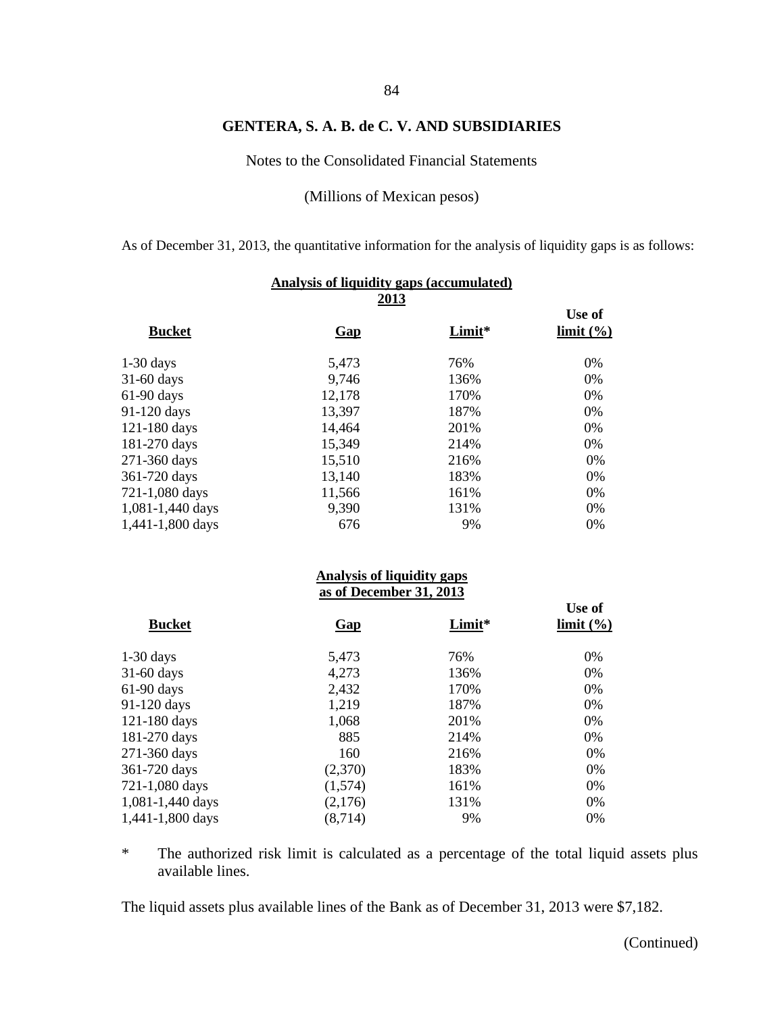Notes to the Consolidated Financial Statements

(Millions of Mexican pesos)

As of December 31, 2013, the quantitative information for the analysis of liquidity gaps is as follows:

| Analysis of liquidity gaps (accumulated) |                                                              |        |                                      |  |  |  |  |
|------------------------------------------|--------------------------------------------------------------|--------|--------------------------------------|--|--|--|--|
| <b>Bucket</b>                            | <u>2013</u><br><b>Gap</b>                                    | Limit* | Use of<br>limit (%)                  |  |  |  |  |
| $1-30$ days                              | 5,473                                                        | 76%    | 0%                                   |  |  |  |  |
| 31-60 days                               | 9,746                                                        | 136%   | 0%                                   |  |  |  |  |
| 61-90 days                               | 12,178                                                       | 170%   | 0%                                   |  |  |  |  |
| 91-120 days                              | 13,397                                                       | 187%   | 0%                                   |  |  |  |  |
| 121-180 days                             | 14,464                                                       | 201%   | 0%                                   |  |  |  |  |
| 181-270 days                             | 15,349                                                       | 214%   | 0%                                   |  |  |  |  |
| 271-360 days                             | 15,510                                                       | 216%   | 0%                                   |  |  |  |  |
| 361-720 days                             | 13,140                                                       | 183%   | 0%                                   |  |  |  |  |
| 721-1,080 days                           | 11,566                                                       | 161%   | 0%                                   |  |  |  |  |
| 1,081-1,440 days                         | 9,390                                                        | 131%   | 0%                                   |  |  |  |  |
| 1,441-1,800 days                         | 676                                                          | 9%     | 0%                                   |  |  |  |  |
|                                          | <b>Analysis of liquidity gaps</b><br>as of December 31, 2013 |        |                                      |  |  |  |  |
|                                          |                                                              |        | Use of                               |  |  |  |  |
| <b>Bucket</b>                            | <b>Gap</b>                                                   | Limit* | $\lim$ it $\left(\frac{9}{6}\right)$ |  |  |  |  |
| $1-30$ days                              | 5,473                                                        | 76%    | 0%                                   |  |  |  |  |
| 31-60 days                               | 4,273                                                        | 136%   | 0%                                   |  |  |  |  |
| 61-90 days                               | 2,432                                                        | 170%   | 0%                                   |  |  |  |  |
| 91-120 days                              | 1,219                                                        | 187%   | 0%                                   |  |  |  |  |
| 121-180 days                             | 1,068                                                        | 201%   | 0%                                   |  |  |  |  |
| 181-270 days                             | 885                                                          | 214%   | 0%                                   |  |  |  |  |
| 271-360 days                             | 160                                                          | 216%   | 0%                                   |  |  |  |  |
| 361-720 days                             | (2,370)                                                      | 183%   | 0%                                   |  |  |  |  |
| 721-1,080 days                           | (1,574)                                                      | 161%   | 0%                                   |  |  |  |  |
| 1,081-1,440 days                         | (2,176)                                                      | 131%   | 0%                                   |  |  |  |  |
| 1,441-1,800 days                         | (8, 714)                                                     | 9%     | 0%                                   |  |  |  |  |

\* The authorized risk limit is calculated as a percentage of the total liquid assets plus available lines.

The liquid assets plus available lines of the Bank as of December 31, 2013 were \$7,182.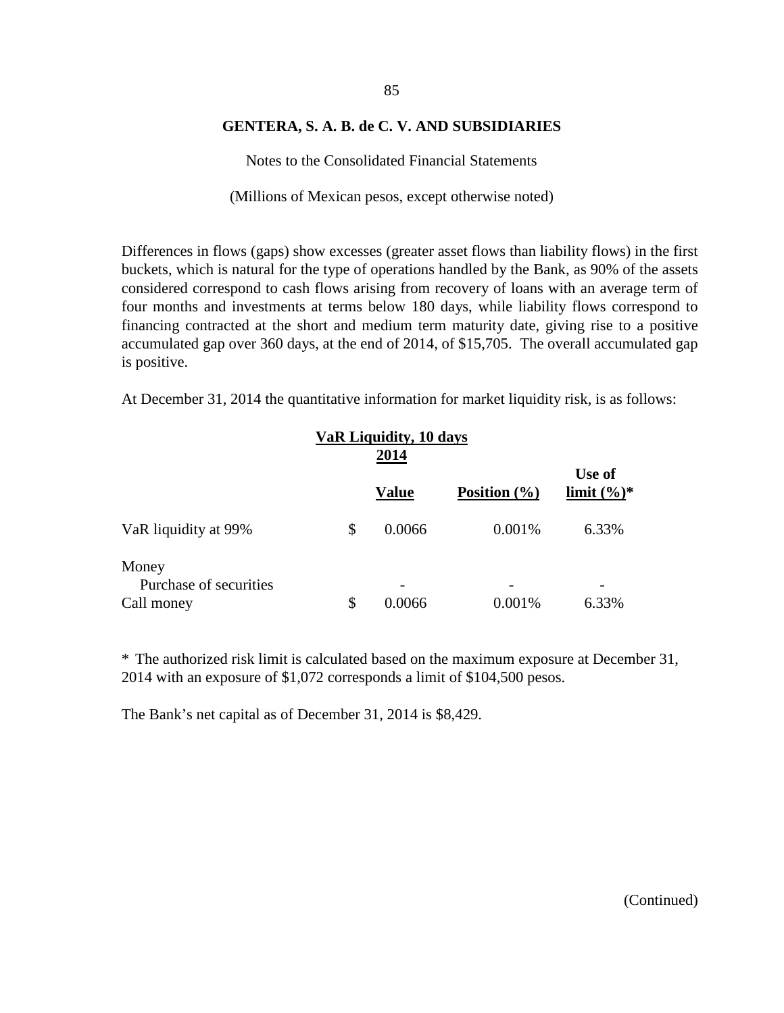Notes to the Consolidated Financial Statements

(Millions of Mexican pesos, except otherwise noted)

Differences in flows (gaps) show excesses (greater asset flows than liability flows) in the first buckets, which is natural for the type of operations handled by the Bank, as 90% of the assets considered correspond to cash flows arising from recovery of loans with an average term of four months and investments at terms below 180 days, while liability flows correspond to financing contracted at the short and medium term maturity date, giving rise to a positive accumulated gap over 360 days, at the end of 2014, of \$15,705. The overall accumulated gap is positive.

At December 31, 2014 the quantitative information for market liquidity risk, is as follows:

|                                 | VaR Liquidity, 10 days |              |                  |                          |
|---------------------------------|------------------------|--------------|------------------|--------------------------|
|                                 |                        | <b>Value</b> | Position $(\% )$ | Use of<br>limit $(\%)^*$ |
| VaR liquidity at 99%            | \$                     | 0.0066       | 0.001\%          | 6.33%                    |
| Money<br>Purchase of securities |                        |              |                  |                          |
| Call money                      | \$                     | 0.0066       | 0.001%           | 6.33%                    |

\* The authorized risk limit is calculated based on the maximum exposure at December 31, 2014 with an exposure of \$1,072 corresponds a limit of \$104,500 pesos.

The Bank's net capital as of December 31, 2014 is \$8,429.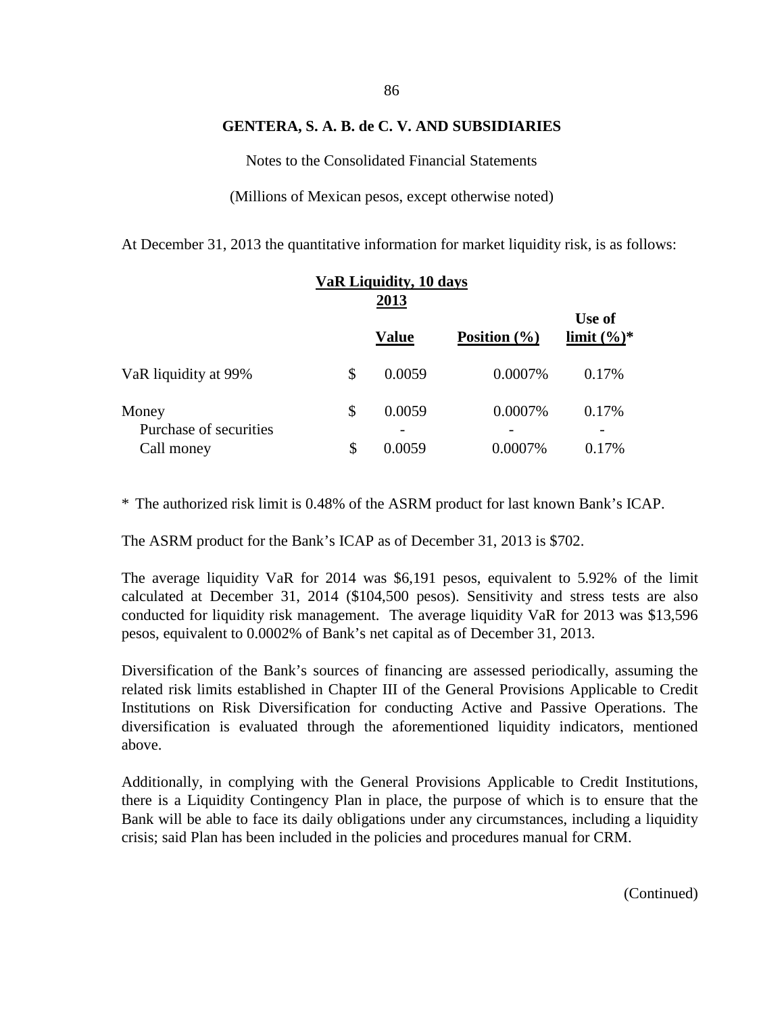Notes to the Consolidated Financial Statements

(Millions of Mexican pesos, except otherwise noted)

At December 31, 2013 the quantitative information for market liquidity risk, is as follows:

|                                               |          | VaR Liquidity, 10 days<br>2013 |                    |                          |
|-----------------------------------------------|----------|--------------------------------|--------------------|--------------------------|
|                                               |          | <b>Value</b>                   | Position $(\% )$   | Use of<br>limit $(\%)^*$ |
| VaR liquidity at 99%                          | \$       | 0.0059                         | 0.0007%            | 0.17%                    |
| Money<br>Purchase of securities<br>Call money | \$<br>\$ | 0.0059<br>0.0059               | 0.0007%<br>0.0007% | 0.17%<br>0.17%           |

\* The authorized risk limit is 0.48% of the ASRM product for last known Bank's ICAP.

The ASRM product for the Bank's ICAP as of December 31, 2013 is \$702.

The average liquidity VaR for 2014 was \$6,191 pesos, equivalent to 5.92% of the limit calculated at December 31, 2014 (\$104,500 pesos). Sensitivity and stress tests are also conducted for liquidity risk management. The average liquidity VaR for 2013 was \$13,596 pesos, equivalent to 0.0002% of Bank's net capital as of December 31, 2013.

Diversification of the Bank's sources of financing are assessed periodically, assuming the related risk limits established in Chapter III of the General Provisions Applicable to Credit Institutions on Risk Diversification for conducting Active and Passive Operations. The diversification is evaluated through the aforementioned liquidity indicators, mentioned above.

Additionally, in complying with the General Provisions Applicable to Credit Institutions, there is a Liquidity Contingency Plan in place, the purpose of which is to ensure that the Bank will be able to face its daily obligations under any circumstances, including a liquidity crisis; said Plan has been included in the policies and procedures manual for CRM.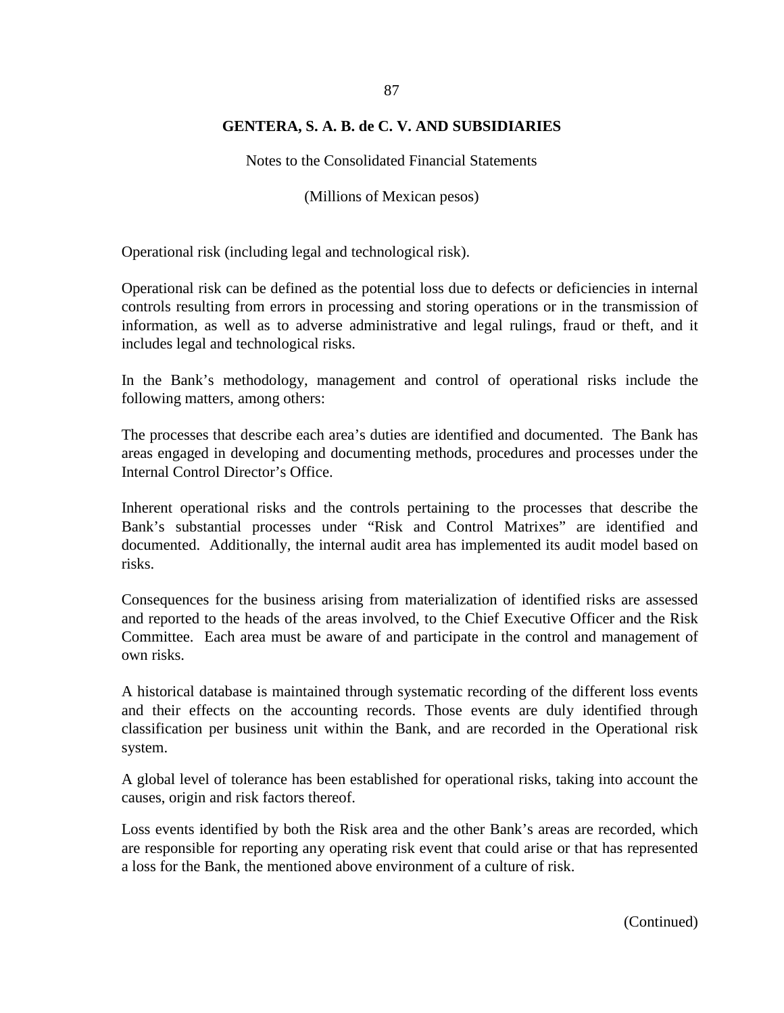Notes to the Consolidated Financial Statements

(Millions of Mexican pesos)

Operational risk (including legal and technological risk).

Operational risk can be defined as the potential loss due to defects or deficiencies in internal controls resulting from errors in processing and storing operations or in the transmission of information, as well as to adverse administrative and legal rulings, fraud or theft, and it includes legal and technological risks.

In the Bank's methodology, management and control of operational risks include the following matters, among others:

The processes that describe each area's duties are identified and documented. The Bank has areas engaged in developing and documenting methods, procedures and processes under the Internal Control Director's Office.

Inherent operational risks and the controls pertaining to the processes that describe the Bank's substantial processes under "Risk and Control Matrixes" are identified and documented. Additionally, the internal audit area has implemented its audit model based on risks.

Consequences for the business arising from materialization of identified risks are assessed and reported to the heads of the areas involved, to the Chief Executive Officer and the Risk Committee. Each area must be aware of and participate in the control and management of own risks.

A historical database is maintained through systematic recording of the different loss events and their effects on the accounting records. Those events are duly identified through classification per business unit within the Bank, and are recorded in the Operational risk system.

A global level of tolerance has been established for operational risks, taking into account the causes, origin and risk factors thereof.

Loss events identified by both the Risk area and the other Bank's areas are recorded, which are responsible for reporting any operating risk event that could arise or that has represented a loss for the Bank, the mentioned above environment of a culture of risk.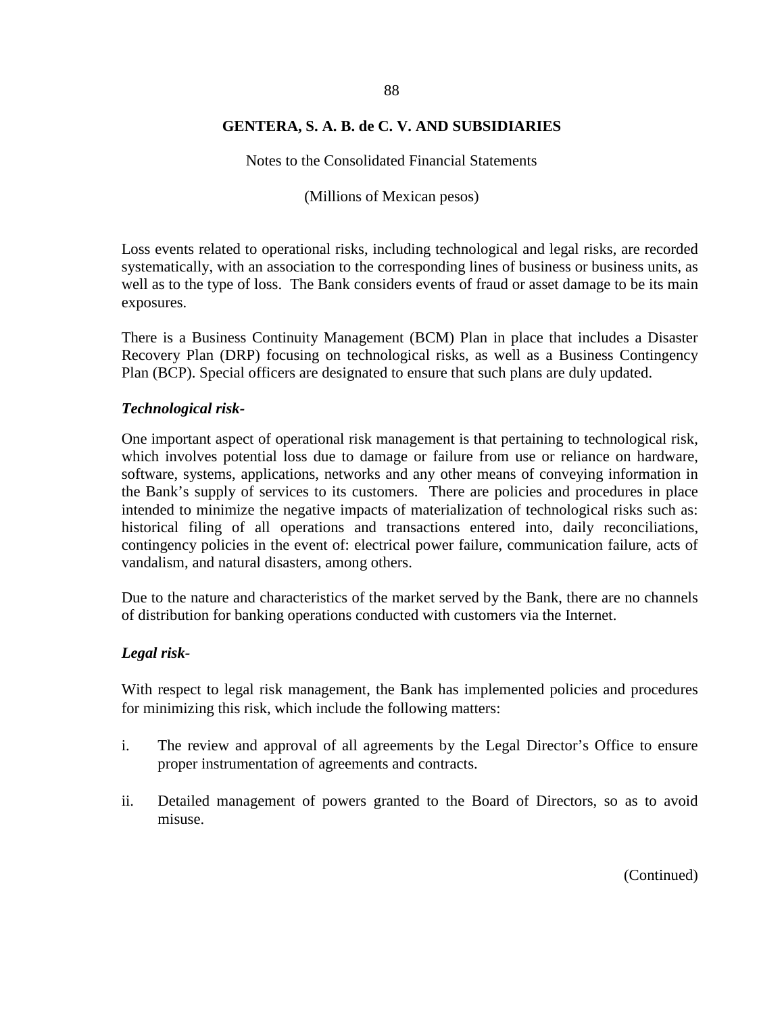Notes to the Consolidated Financial Statements

(Millions of Mexican pesos)

Loss events related to operational risks, including technological and legal risks, are recorded systematically, with an association to the corresponding lines of business or business units, as well as to the type of loss. The Bank considers events of fraud or asset damage to be its main exposures.

There is a Business Continuity Management (BCM) Plan in place that includes a Disaster Recovery Plan (DRP) focusing on technological risks, as well as a Business Contingency Plan (BCP). Special officers are designated to ensure that such plans are duly updated.

#### *Technological risk-*

One important aspect of operational risk management is that pertaining to technological risk, which involves potential loss due to damage or failure from use or reliance on hardware, software, systems, applications, networks and any other means of conveying information in the Bank's supply of services to its customers. There are policies and procedures in place intended to minimize the negative impacts of materialization of technological risks such as: historical filing of all operations and transactions entered into, daily reconciliations, contingency policies in the event of: electrical power failure, communication failure, acts of vandalism, and natural disasters, among others.

Due to the nature and characteristics of the market served by the Bank, there are no channels of distribution for banking operations conducted with customers via the Internet.

#### *Legal risk-*

With respect to legal risk management, the Bank has implemented policies and procedures for minimizing this risk, which include the following matters:

- i. The review and approval of all agreements by the Legal Director's Office to ensure proper instrumentation of agreements and contracts.
- ii. Detailed management of powers granted to the Board of Directors, so as to avoid misuse.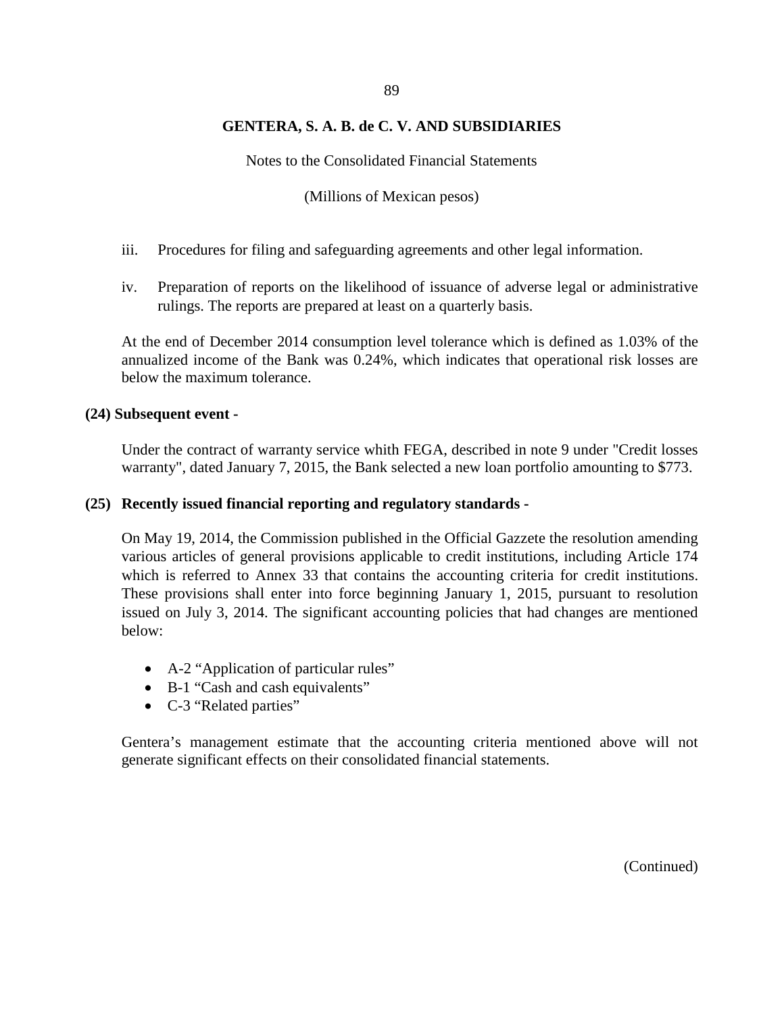Notes to the Consolidated Financial Statements

(Millions of Mexican pesos)

- iii. Procedures for filing and safeguarding agreements and other legal information.
- iv. Preparation of reports on the likelihood of issuance of adverse legal or administrative rulings. The reports are prepared at least on a quarterly basis.

At the end of December 2014 consumption level tolerance which is defined as 1.03% of the annualized income of the Bank was 0.24%, which indicates that operational risk losses are below the maximum tolerance.

#### **(24) Subsequent event -**

Under the contract of warranty service whith FEGA, described in note 9 under "Credit losses warranty", dated January 7, 2015, the Bank selected a new loan portfolio amounting to \$773.

#### **(25) Recently issued financial reporting and regulatory standards -**

On May 19, 2014, the Commission published in the Official Gazzete the resolution amending various articles of general provisions applicable to credit institutions, including Article 174 which is referred to Annex 33 that contains the accounting criteria for credit institutions. These provisions shall enter into force beginning January 1, 2015, pursuant to resolution issued on July 3, 2014. The significant accounting policies that had changes are mentioned below:

- A-2 "Application of particular rules"
- B-1 "Cash and cash equivalents"
- C-3 "Related parties"

Gentera's management estimate that the accounting criteria mentioned above will not generate significant effects on their consolidated financial statements.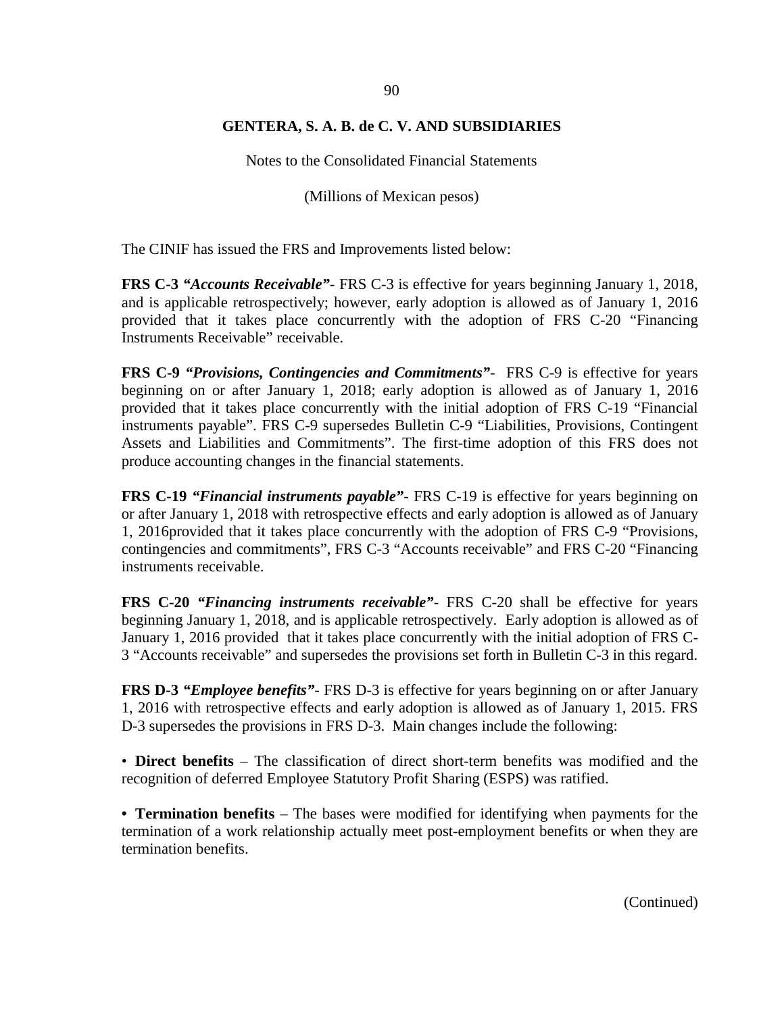Notes to the Consolidated Financial Statements

(Millions of Mexican pesos)

The CINIF has issued the FRS and Improvements listed below:

**FRS C-3** *"Accounts Receivable"*- FRS C-3 is effective for years beginning January 1, 2018, and is applicable retrospectively; however, early adoption is allowed as of January 1, 2016 provided that it takes place concurrently with the adoption of FRS C-20 "Financing Instruments Receivable" receivable.

**FRS C-9** *"Provisions, Contingencies and Commitments"*- FRS C-9 is effective for years beginning on or after January 1, 2018; early adoption is allowed as of January 1, 2016 provided that it takes place concurrently with the initial adoption of FRS C-19 "Financial instruments payable". FRS C-9 supersedes Bulletin C-9 "Liabilities, Provisions, Contingent Assets and Liabilities and Commitments". The first-time adoption of this FRS does not produce accounting changes in the financial statements.

**FRS C-19** *"Financial instruments payable"*- FRS C-19 is effective for years beginning on or after January 1, 2018 with retrospective effects and early adoption is allowed as of January 1, 2016provided that it takes place concurrently with the adoption of FRS C-9 "Provisions, contingencies and commitments", FRS C-3 "Accounts receivable" and FRS C-20 "Financing instruments receivable.

**FRS C-20** *"Financing instruments receivable"*- FRS C-20 shall be effective for years beginning January 1, 2018, and is applicable retrospectively. Early adoption is allowed as of January 1, 2016 provided that it takes place concurrently with the initial adoption of FRS C-3 "Accounts receivable" and supersedes the provisions set forth in Bulletin C-3 in this regard.

**FRS D-3** *"Employee benefits"*- FRS D-3 is effective for years beginning on or after January 1, 2016 with retrospective effects and early adoption is allowed as of January 1, 2015. FRS D-3 supersedes the provisions in FRS D-3. Main changes include the following:

• **Direct benefits** – The classification of direct short-term benefits was modified and the recognition of deferred Employee Statutory Profit Sharing (ESPS) was ratified.

**• Termination benefits** – The bases were modified for identifying when payments for the termination of a work relationship actually meet post-employment benefits or when they are termination benefits.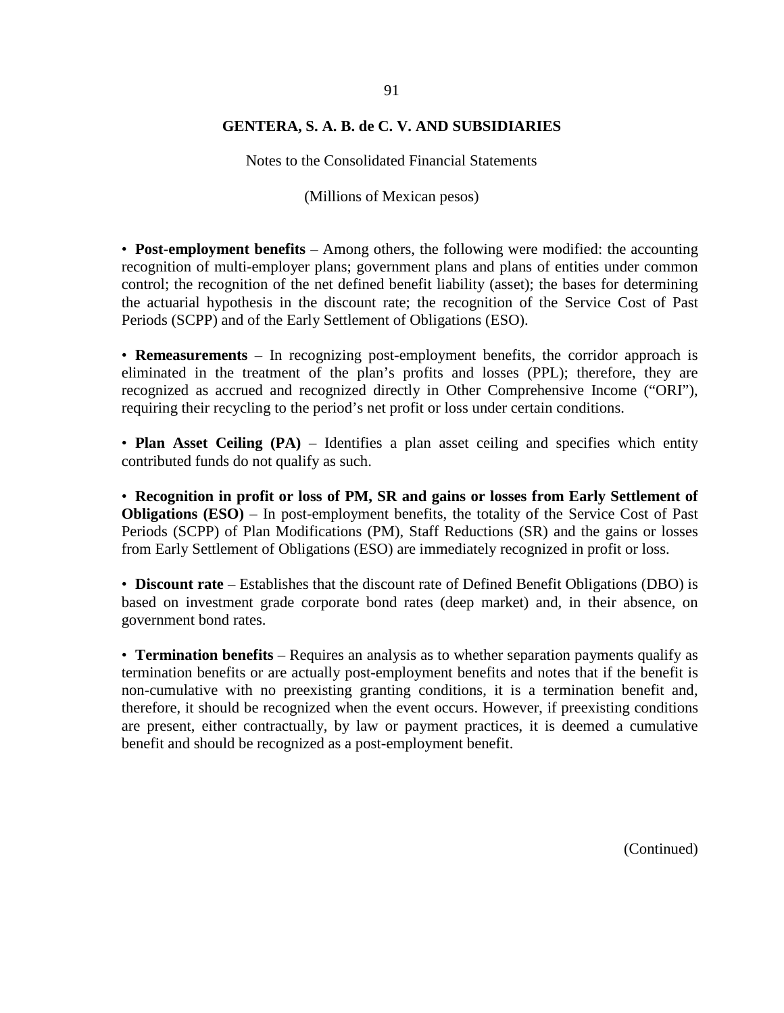Notes to the Consolidated Financial Statements

(Millions of Mexican pesos)

• **Post-employment benefits** – Among others, the following were modified: the accounting recognition of multi-employer plans; government plans and plans of entities under common control; the recognition of the net defined benefit liability (asset); the bases for determining the actuarial hypothesis in the discount rate; the recognition of the Service Cost of Past Periods (SCPP) and of the Early Settlement of Obligations (ESO).

• **Remeasurements** – In recognizing post-employment benefits, the corridor approach is eliminated in the treatment of the plan's profits and losses (PPL); therefore, they are recognized as accrued and recognized directly in Other Comprehensive Income ("ORI"), requiring their recycling to the period's net profit or loss under certain conditions.

• **Plan Asset Ceiling (PA)** – Identifies a plan asset ceiling and specifies which entity contributed funds do not qualify as such.

• **Recognition in profit or loss of PM, SR and gains or losses from Early Settlement of Obligations (ESO)** – In post-employment benefits, the totality of the Service Cost of Past Periods (SCPP) of Plan Modifications (PM), Staff Reductions (SR) and the gains or losses from Early Settlement of Obligations (ESO) are immediately recognized in profit or loss.

• **Discount rate** – Establishes that the discount rate of Defined Benefit Obligations (DBO) is based on investment grade corporate bond rates (deep market) and, in their absence, on government bond rates.

• **Termination benefits** – Requires an analysis as to whether separation payments qualify as termination benefits or are actually post-employment benefits and notes that if the benefit is non-cumulative with no preexisting granting conditions, it is a termination benefit and, therefore, it should be recognized when the event occurs. However, if preexisting conditions are present, either contractually, by law or payment practices, it is deemed a cumulative benefit and should be recognized as a post-employment benefit.